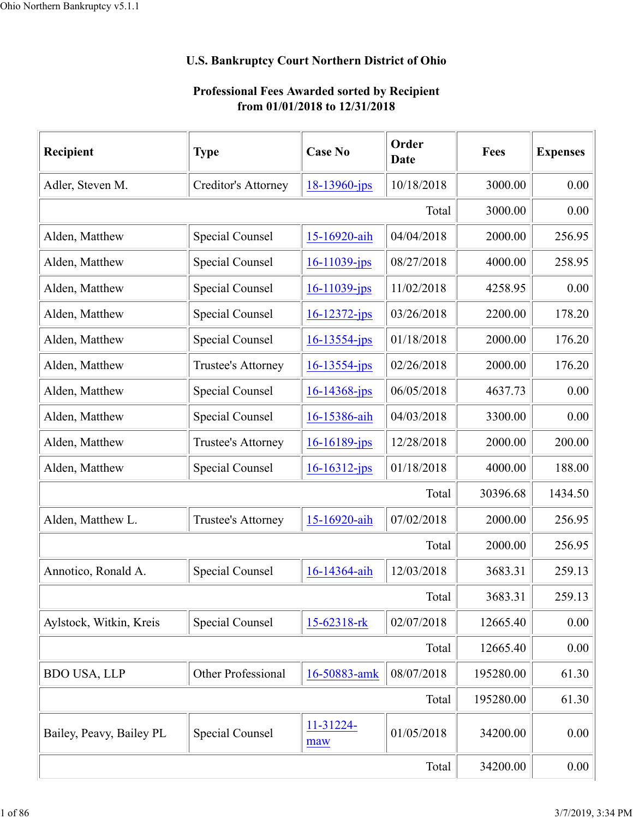## **U.S. Bankruptcy Court Northern District of Ohio**

## **Professional Fees Awarded sorted by Recipient from 01/01/2018 to 12/31/2018**

| Recipient                | <b>Type</b>            | <b>Case No</b>     | Order<br>Date | Fees      | <b>Expenses</b> |
|--------------------------|------------------------|--------------------|---------------|-----------|-----------------|
| Adler, Steven M.         | Creditor's Attorney    | 18-13960-jps       | 10/18/2018    | 3000.00   | 0.00            |
|                          |                        |                    | Total         | 3000.00   | 0.00            |
| Alden, Matthew           | Special Counsel        | 15-16920-aih       | 04/04/2018    | 2000.00   | 256.95          |
| Alden, Matthew           | Special Counsel        | 16-11039-jps       | 08/27/2018    | 4000.00   | 258.95          |
| Alden, Matthew           | <b>Special Counsel</b> | $16 - 11039$ -jps  | 11/02/2018    | 4258.95   | 0.00            |
| Alden, Matthew           | Special Counsel        | $16 - 12372 - ips$ | 03/26/2018    | 2200.00   | 178.20          |
| Alden, Matthew           | Special Counsel        | $16 - 13554 - ips$ | 01/18/2018    | 2000.00   | 176.20          |
| Alden, Matthew           | Trustee's Attorney     | $16 - 13554$ -jps  | 02/26/2018    | 2000.00   | 176.20          |
| Alden, Matthew           | Special Counsel        | $16 - 14368$ -jps  | 06/05/2018    | 4637.73   | 0.00            |
| Alden, Matthew           | Special Counsel        | 16-15386-aih       | 04/03/2018    | 3300.00   | 0.00            |
| Alden, Matthew           | Trustee's Attorney     | $16 - 16189$ -jps  | 12/28/2018    | 2000.00   | 200.00          |
| Alden, Matthew           | Special Counsel        | $16 - 16312 - ips$ | 01/18/2018    | 4000.00   | 188.00          |
|                          |                        |                    | Total         | 30396.68  | 1434.50         |
| Alden, Matthew L.        | Trustee's Attorney     | 15-16920-aih       | 07/02/2018    | 2000.00   | 256.95          |
|                          |                        |                    | Total         | 2000.00   | 256.95          |
| Annotico, Ronald A.      | Special Counsel        | 16-14364-aih       | 12/03/2018    | 3683.31   | 259.13          |
|                          |                        |                    | Total         | 3683.31   | 259.13          |
| Aylstock, Witkin, Kreis  | Special Counsel        | 15-62318-rk        | 02/07/2018    | 12665.40  | 0.00            |
|                          |                        |                    | Total         | 12665.40  | 0.00            |
| <b>BDO USA, LLP</b>      | Other Professional     | 16-50883-amk       | 08/07/2018    | 195280.00 | 61.30           |
|                          |                        |                    | Total         | 195280.00 | 61.30           |
| Bailey, Peavy, Bailey PL | Special Counsel        | 11-31224-<br>maw   | 01/05/2018    | 34200.00  | 0.00            |
|                          |                        |                    | Total         | 34200.00  | 0.00            |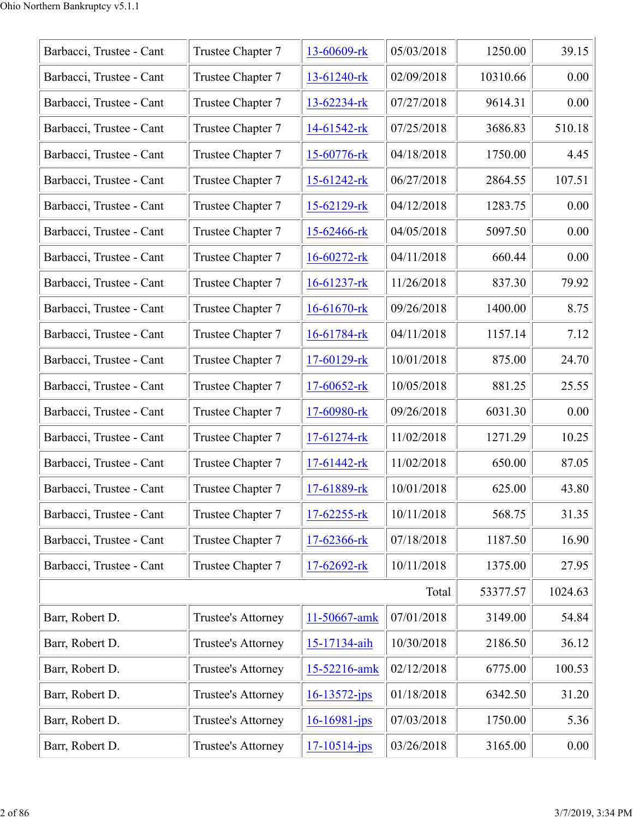| Barbacci, Trustee - Cant | Trustee Chapter 7  | 13-60609-rk        | 05/03/2018 | 1250.00  | 39.15   |
|--------------------------|--------------------|--------------------|------------|----------|---------|
| Barbacci, Trustee - Cant | Trustee Chapter 7  | 13-61240-rk        | 02/09/2018 | 10310.66 | 0.00    |
| Barbacci, Trustee - Cant | Trustee Chapter 7  | 13-62234-rk        | 07/27/2018 | 9614.31  | 0.00    |
| Barbacci, Trustee - Cant | Trustee Chapter 7  | $14-61542$ -rk     | 07/25/2018 | 3686.83  | 510.18  |
| Barbacci, Trustee - Cant | Trustee Chapter 7  | 15-60776-rk        | 04/18/2018 | 1750.00  | 4.45    |
| Barbacci, Trustee - Cant | Trustee Chapter 7  | $15-61242$ -rk     | 06/27/2018 | 2864.55  | 107.51  |
| Barbacci, Trustee - Cant | Trustee Chapter 7  | $15-62129$ -rk     | 04/12/2018 | 1283.75  | 0.00    |
| Barbacci, Trustee - Cant | Trustee Chapter 7  | $15 - 62466$ -rk   | 04/05/2018 | 5097.50  | 0.00    |
| Barbacci, Trustee - Cant | Trustee Chapter 7  | $16 - 60272 - rk$  | 04/11/2018 | 660.44   | 0.00    |
| Barbacci, Trustee - Cant | Trustee Chapter 7  | $16 - 61237 - rk$  | 11/26/2018 | 837.30   | 79.92   |
| Barbacci, Trustee - Cant | Trustee Chapter 7  | $16 - 61670$ -rk   | 09/26/2018 | 1400.00  | 8.75    |
| Barbacci, Trustee - Cant | Trustee Chapter 7  | 16-61784-rk        | 04/11/2018 | 1157.14  | 7.12    |
| Barbacci, Trustee - Cant | Trustee Chapter 7  | 17-60129-rk        | 10/01/2018 | 875.00   | 24.70   |
| Barbacci, Trustee - Cant | Trustee Chapter 7  | $17-60652$ -rk     | 10/05/2018 | 881.25   | 25.55   |
| Barbacci, Trustee - Cant | Trustee Chapter 7  | 17-60980-rk        | 09/26/2018 | 6031.30  | 0.00    |
| Barbacci, Trustee - Cant | Trustee Chapter 7  | $17-61274$ -rk     | 11/02/2018 | 1271.29  | 10.25   |
| Barbacci, Trustee - Cant | Trustee Chapter 7  | $17-61442$ -rk     | 11/02/2018 | 650.00   | 87.05   |
| Barbacci, Trustee - Cant | Trustee Chapter 7  | 17-61889-rk        | 10/01/2018 | 625.00   | 43.80   |
| Barbacci, Trustee - Cant | Trustee Chapter 7  | 17-62255-rk        | 10/11/2018 | 568.75   | 31.35   |
| Barbacci, Trustee - Cant | Trustee Chapter 7  | 17-62366-rk        | 07/18/2018 | 1187.50  | 16.90   |
| Barbacci, Trustee - Cant | Trustee Chapter 7  | 17-62692-rk        | 10/11/2018 | 1375.00  | 27.95   |
|                          |                    |                    | Total      | 53377.57 | 1024.63 |
| Barr, Robert D.          | Trustee's Attorney | 11-50667-amk       | 07/01/2018 | 3149.00  | 54.84   |
| Barr, Robert D.          | Trustee's Attorney | 15-17134-aih       | 10/30/2018 | 2186.50  | 36.12   |
| Barr, Robert D.          | Trustee's Attorney | 15-52216-amk       | 02/12/2018 | 6775.00  | 100.53  |
| Barr, Robert D.          | Trustee's Attorney | $16 - 13572 - jps$ | 01/18/2018 | 6342.50  | 31.20   |
| Barr, Robert D.          | Trustee's Attorney | $16 - 16981 - ips$ | 07/03/2018 | 1750.00  | 5.36    |
| Barr, Robert D.          | Trustee's Attorney | $17 - 10514 - jps$ | 03/26/2018 | 3165.00  | 0.00    |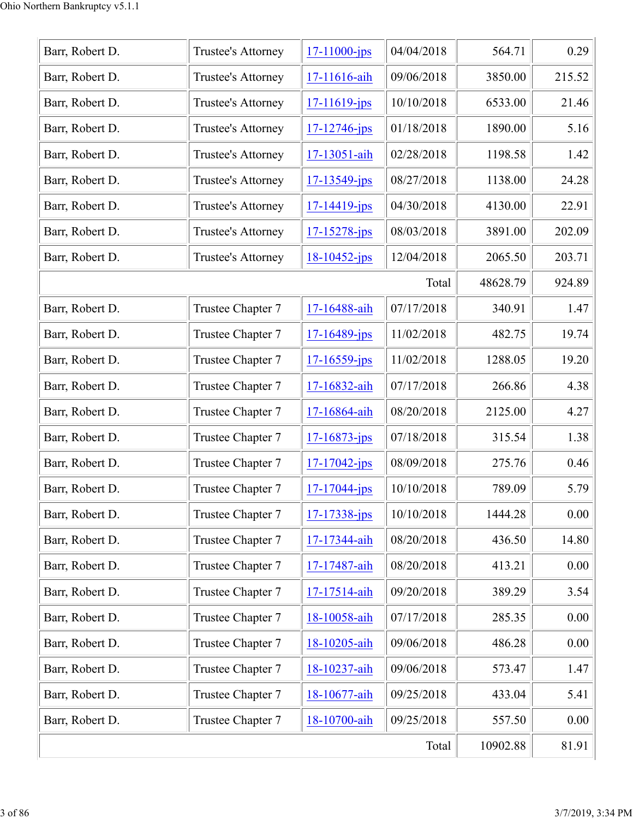| Barr, Robert D. | Trustee's Attorney        | $17 - 11000 - ips$ | 04/04/2018 | 564.71   | 0.29   |
|-----------------|---------------------------|--------------------|------------|----------|--------|
| Barr, Robert D. | Trustee's Attorney        | 17-11616-aih       | 09/06/2018 | 3850.00  | 215.52 |
| Barr, Robert D. | Trustee's Attorney        | $17 - 11619$ -jps  | 10/10/2018 | 6533.00  | 21.46  |
| Barr, Robert D. | Trustee's Attorney        | $17 - 12746$ -jps  | 01/18/2018 | 1890.00  | 5.16   |
| Barr, Robert D. | <b>Trustee's Attorney</b> | 17-13051-aih       | 02/28/2018 | 1198.58  | 1.42   |
| Barr, Robert D. | Trustee's Attorney        | $17 - 13549 - ips$ | 08/27/2018 | 1138.00  | 24.28  |
| Barr, Robert D. | Trustee's Attorney        | 17-14419-jps       | 04/30/2018 | 4130.00  | 22.91  |
| Barr, Robert D. | Trustee's Attorney        | 17-15278-jps       | 08/03/2018 | 3891.00  | 202.09 |
| Barr, Robert D. | Trustee's Attorney        | $18 - 10452 - ips$ | 12/04/2018 | 2065.50  | 203.71 |
|                 |                           |                    | Total      | 48628.79 | 924.89 |
| Barr, Robert D. | Trustee Chapter 7         | 17-16488-aih       | 07/17/2018 | 340.91   | 1.47   |
| Barr, Robert D. | Trustee Chapter 7         | $17 - 16489$ -jps  | 11/02/2018 | 482.75   | 19.74  |
| Barr, Robert D. | Trustee Chapter 7         | $17 - 16559 - ips$ | 11/02/2018 | 1288.05  | 19.20  |
| Barr, Robert D. | Trustee Chapter 7         | 17-16832-aih       | 07/17/2018 | 266.86   | 4.38   |
| Barr, Robert D. | Trustee Chapter 7         | 17-16864-aih       | 08/20/2018 | 2125.00  | 4.27   |
| Barr, Robert D. | Trustee Chapter 7         | $17 - 16873$ -jps  | 07/18/2018 | 315.54   | 1.38   |
| Barr, Robert D. | Trustee Chapter 7         | $17 - 17042$ -jps  | 08/09/2018 | 275.76   | 0.46   |
| Barr, Robert D. | Trustee Chapter 7         | $17 - 17044 - ips$ | 10/10/2018 | 789.09   | 5.79   |
| Barr, Robert D. | Trustee Chapter 7         | $17 - 17338 - ips$ | 10/10/2018 | 1444.28  | 0.00   |
| Barr, Robert D. | Trustee Chapter 7         | 17-17344-aih       | 08/20/2018 | 436.50   | 14.80  |
| Barr, Robert D. | Trustee Chapter 7         | 17-17487-aih       | 08/20/2018 | 413.21   | 0.00   |
| Barr, Robert D. | Trustee Chapter 7         | 17-17514-aih       | 09/20/2018 | 389.29   | 3.54   |
| Barr, Robert D. | Trustee Chapter 7         | 18-10058-aih       | 07/17/2018 | 285.35   | 0.00   |
| Barr, Robert D. | Trustee Chapter 7         | 18-10205-aih       | 09/06/2018 | 486.28   | 0.00   |
| Barr, Robert D. | Trustee Chapter 7         | 18-10237-aih       | 09/06/2018 | 573.47   | 1.47   |
| Barr, Robert D. | Trustee Chapter 7         | 18-10677-aih       | 09/25/2018 | 433.04   | 5.41   |
| Barr, Robert D. | Trustee Chapter 7         | 18-10700-aih       | 09/25/2018 | 557.50   | 0.00   |
|                 |                           |                    | Total      | 10902.88 | 81.91  |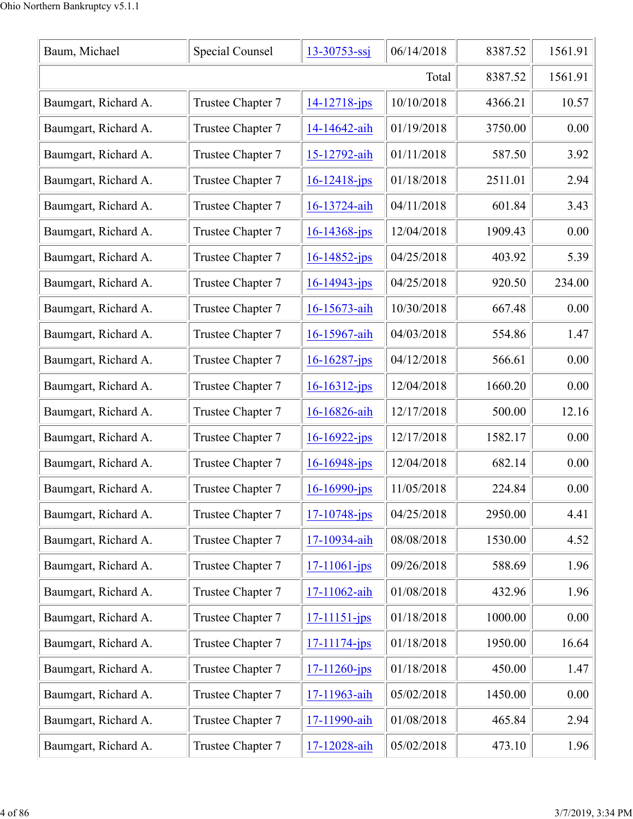| Baum, Michael        | Special Counsel   | $13 - 30753 - ssj$ | 06/14/2018 | 8387.52 | 1561.91 |
|----------------------|-------------------|--------------------|------------|---------|---------|
|                      |                   |                    | Total      | 8387.52 | 1561.91 |
| Baumgart, Richard A. | Trustee Chapter 7 | $14 - 12718 - ips$ | 10/10/2018 | 4366.21 | 10.57   |
| Baumgart, Richard A. | Trustee Chapter 7 | 14-14642-aih       | 01/19/2018 | 3750.00 | 0.00    |
| Baumgart, Richard A. | Trustee Chapter 7 | 15-12792-aih       | 01/11/2018 | 587.50  | 3.92    |
| Baumgart, Richard A. | Trustee Chapter 7 | $16 - 12418 - ips$ | 01/18/2018 | 2511.01 | 2.94    |
| Baumgart, Richard A. | Trustee Chapter 7 | 16-13724-aih       | 04/11/2018 | 601.84  | 3.43    |
| Baumgart, Richard A. | Trustee Chapter 7 | $16 - 14368 - ips$ | 12/04/2018 | 1909.43 | 0.00    |
| Baumgart, Richard A. | Trustee Chapter 7 | $16 - 14852 - ips$ | 04/25/2018 | 403.92  | 5.39    |
| Baumgart, Richard A. | Trustee Chapter 7 | $16 - 14943 - jps$ | 04/25/2018 | 920.50  | 234.00  |
| Baumgart, Richard A. | Trustee Chapter 7 | 16-15673-aih       | 10/30/2018 | 667.48  | 0.00    |
| Baumgart, Richard A. | Trustee Chapter 7 | 16-15967-aih       | 04/03/2018 | 554.86  | 1.47    |
| Baumgart, Richard A. | Trustee Chapter 7 | $16 - 16287 - jps$ | 04/12/2018 | 566.61  | 0.00    |
| Baumgart, Richard A. | Trustee Chapter 7 | $16 - 16312 - jps$ | 12/04/2018 | 1660.20 | 0.00    |
| Baumgart, Richard A. | Trustee Chapter 7 | 16-16826-aih       | 12/17/2018 | 500.00  | 12.16   |
| Baumgart, Richard A. | Trustee Chapter 7 | $16 - 16922 - ips$ | 12/17/2018 | 1582.17 | 0.00    |
| Baumgart, Richard A. | Trustee Chapter 7 | $16 - 16948$ -jps  | 12/04/2018 | 682.14  | 0.00    |
| Baumgart, Richard A. | Trustee Chapter 7 | $16 - 16990 - ips$ | 11/05/2018 | 224.84  | 0.00    |
| Baumgart, Richard A. | Trustee Chapter 7 | $17 - 10748$ -jps  | 04/25/2018 | 2950.00 | 4.41    |
| Baumgart, Richard A. | Trustee Chapter 7 | 17-10934-aih       | 08/08/2018 | 1530.00 | 4.52    |
| Baumgart, Richard A. | Trustee Chapter 7 | $17 - 11061 - ips$ | 09/26/2018 | 588.69  | 1.96    |
| Baumgart, Richard A. | Trustee Chapter 7 | 17-11062-aih       | 01/08/2018 | 432.96  | 1.96    |
| Baumgart, Richard A. | Trustee Chapter 7 | $17 - 11151 - ips$ | 01/18/2018 | 1000.00 | 0.00    |
| Baumgart, Richard A. | Trustee Chapter 7 | $17 - 11174 - ips$ | 01/18/2018 | 1950.00 | 16.64   |
| Baumgart, Richard A. | Trustee Chapter 7 | $17 - 11260$ -jps  | 01/18/2018 | 450.00  | 1.47    |
| Baumgart, Richard A. | Trustee Chapter 7 | 17-11963-aih       | 05/02/2018 | 1450.00 | 0.00    |
| Baumgart, Richard A. | Trustee Chapter 7 | 17-11990-aih       | 01/08/2018 | 465.84  | 2.94    |
| Baumgart, Richard A. | Trustee Chapter 7 | 17-12028-aih       | 05/02/2018 | 473.10  | 1.96    |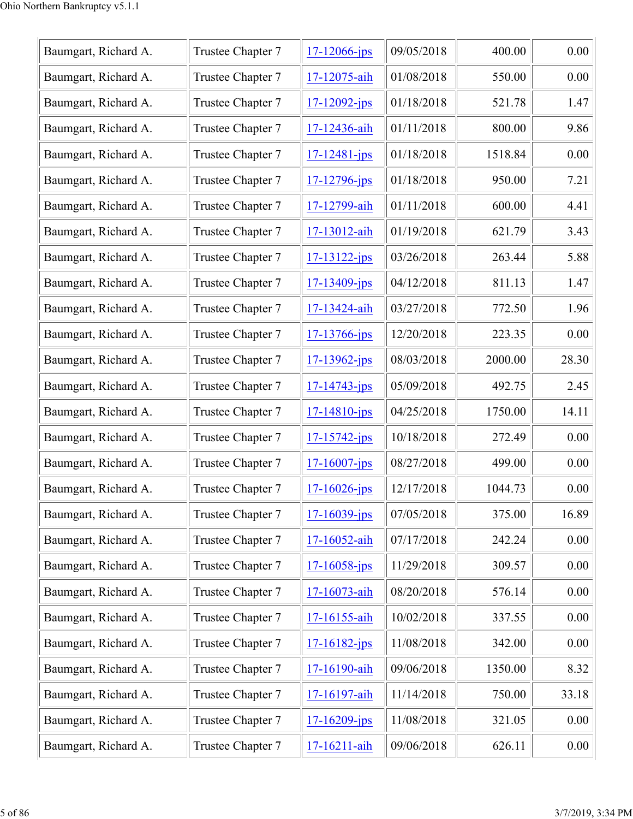| Baumgart, Richard A. | Trustee Chapter 7 | $17 - 12066$ -jps  | 09/05/2018 | 400.00  | 0.00  |
|----------------------|-------------------|--------------------|------------|---------|-------|
| Baumgart, Richard A. | Trustee Chapter 7 | 17-12075-aih       | 01/08/2018 | 550.00  | 0.00  |
| Baumgart, Richard A. | Trustee Chapter 7 | $17 - 12092 - ips$ | 01/18/2018 | 521.78  | 1.47  |
| Baumgart, Richard A. | Trustee Chapter 7 | 17-12436-aih       | 01/11/2018 | 800.00  | 9.86  |
| Baumgart, Richard A. | Trustee Chapter 7 | $17 - 12481 - ips$ | 01/18/2018 | 1518.84 | 0.00  |
| Baumgart, Richard A. | Trustee Chapter 7 | $17 - 12796 - ips$ | 01/18/2018 | 950.00  | 7.21  |
| Baumgart, Richard A. | Trustee Chapter 7 | 17-12799-aih       | 01/11/2018 | 600.00  | 4.41  |
| Baumgart, Richard A. | Trustee Chapter 7 | 17-13012-aih       | 01/19/2018 | 621.79  | 3.43  |
| Baumgart, Richard A. | Trustee Chapter 7 | $17 - 13122 - ips$ | 03/26/2018 | 263.44  | 5.88  |
| Baumgart, Richard A. | Trustee Chapter 7 | $17 - 13409$ -jps  | 04/12/2018 | 811.13  | 1.47  |
| Baumgart, Richard A. | Trustee Chapter 7 | 17-13424-aih       | 03/27/2018 | 772.50  | 1.96  |
| Baumgart, Richard A. | Trustee Chapter 7 | 17-13766-jps       | 12/20/2018 | 223.35  | 0.00  |
| Baumgart, Richard A. | Trustee Chapter 7 | $17 - 13962 - ips$ | 08/03/2018 | 2000.00 | 28.30 |
| Baumgart, Richard A. | Trustee Chapter 7 | $17 - 14743 - jps$ | 05/09/2018 | 492.75  | 2.45  |
| Baumgart, Richard A. | Trustee Chapter 7 | $17 - 14810 - ips$ | 04/25/2018 | 1750.00 | 14.11 |
| Baumgart, Richard A. | Trustee Chapter 7 | $17 - 15742 - ips$ | 10/18/2018 | 272.49  | 0.00  |
| Baumgart, Richard A. | Trustee Chapter 7 | $17 - 16007 - jps$ | 08/27/2018 | 499.00  | 0.00  |
| Baumgart, Richard A. | Trustee Chapter 7 | $17 - 16026 - ips$ | 12/17/2018 | 1044.73 | 0.00  |
| Baumgart, Richard A. | Trustee Chapter 7 | $17 - 16039 - ips$ | 07/05/2018 | 375.00  | 16.89 |
| Baumgart, Richard A. | Trustee Chapter 7 | 17-16052-aih       | 07/17/2018 | 242.24  | 0.00  |
| Baumgart, Richard A. | Trustee Chapter 7 | $17 - 16058 - ips$ | 11/29/2018 | 309.57  | 0.00  |
| Baumgart, Richard A. | Trustee Chapter 7 | 17-16073-aih       | 08/20/2018 | 576.14  | 0.00  |
| Baumgart, Richard A. | Trustee Chapter 7 | 17-16155-aih       | 10/02/2018 | 337.55  | 0.00  |
| Baumgart, Richard A. | Trustee Chapter 7 | $17 - 16182 - ips$ | 11/08/2018 | 342.00  | 0.00  |
| Baumgart, Richard A. | Trustee Chapter 7 | 17-16190-aih       | 09/06/2018 | 1350.00 | 8.32  |
| Baumgart, Richard A. | Trustee Chapter 7 | 17-16197-aih       | 11/14/2018 | 750.00  | 33.18 |
| Baumgart, Richard A. | Trustee Chapter 7 | $17 - 16209 - ips$ | 11/08/2018 | 321.05  | 0.00  |
| Baumgart, Richard A. | Trustee Chapter 7 | 17-16211-aih       | 09/06/2018 | 626.11  | 0.00  |
|                      |                   |                    |            |         |       |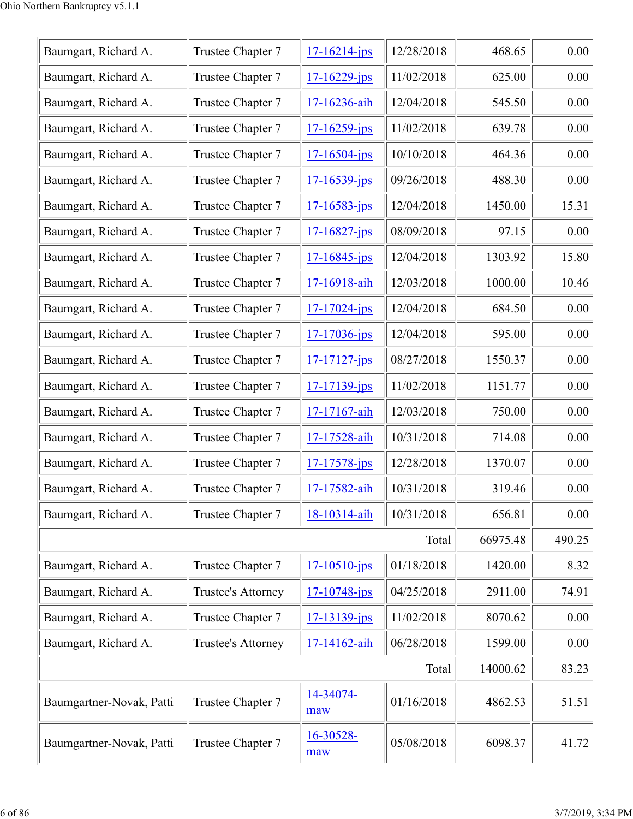| Baumgart, Richard A.     | Trustee Chapter 7  | $17 - 16214$ -jps  | 12/28/2018 | 468.65   | 0.00   |
|--------------------------|--------------------|--------------------|------------|----------|--------|
| Baumgart, Richard A.     | Trustee Chapter 7  | $17 - 16229$ -jps  | 11/02/2018 | 625.00   | 0.00   |
| Baumgart, Richard A.     | Trustee Chapter 7  | 17-16236-aih       | 12/04/2018 | 545.50   | 0.00   |
| Baumgart, Richard A.     | Trustee Chapter 7  | $17 - 16259$ -jps  | 11/02/2018 | 639.78   | 0.00   |
| Baumgart, Richard A.     | Trustee Chapter 7  | $17 - 16504 - jps$ | 10/10/2018 | 464.36   | 0.00   |
| Baumgart, Richard A.     | Trustee Chapter 7  | $17 - 16539 - ips$ | 09/26/2018 | 488.30   | 0.00   |
| Baumgart, Richard A.     | Trustee Chapter 7  | $17 - 16583 - ips$ | 12/04/2018 | 1450.00  | 15.31  |
| Baumgart, Richard A.     | Trustee Chapter 7  | $17 - 16827$ -jps  | 08/09/2018 | 97.15    | 0.00   |
| Baumgart, Richard A.     | Trustee Chapter 7  | $17 - 16845$ -jps  | 12/04/2018 | 1303.92  | 15.80  |
| Baumgart, Richard A.     | Trustee Chapter 7  | 17-16918-aih       | 12/03/2018 | 1000.00  | 10.46  |
| Baumgart, Richard A.     | Trustee Chapter 7  | $17 - 17024 - ips$ | 12/04/2018 | 684.50   | 0.00   |
| Baumgart, Richard A.     | Trustee Chapter 7  | $17 - 17036$ -jps  | 12/04/2018 | 595.00   | 0.00   |
| Baumgart, Richard A.     | Trustee Chapter 7  | $17 - 17127$ -jps  | 08/27/2018 | 1550.37  | 0.00   |
| Baumgart, Richard A.     | Trustee Chapter 7  | $17 - 17139$ -jps  | 11/02/2018 | 1151.77  | 0.00   |
| Baumgart, Richard A.     | Trustee Chapter 7  | 17-17167-aih       | 12/03/2018 | 750.00   | 0.00   |
| Baumgart, Richard A.     | Trustee Chapter 7  | 17-17528-aih       | 10/31/2018 | 714.08   | 0.00   |
| Baumgart, Richard A.     | Trustee Chapter 7  | $17 - 17578 - ips$ | 12/28/2018 | 1370.07  | 0.00   |
| Baumgart, Richard A.     | Trustee Chapter 7  | 17-17582-aih       | 10/31/2018 | 319.46   | 0.00   |
| Baumgart, Richard A.     | Trustee Chapter 7  | 18-10314-aih       | 10/31/2018 | 656.81   | 0.00   |
|                          |                    |                    | Total      | 66975.48 | 490.25 |
| Baumgart, Richard A.     | Trustee Chapter 7  | $17 - 10510 - ips$ | 01/18/2018 | 1420.00  | 8.32   |
| Baumgart, Richard A.     | Trustee's Attorney | $17 - 10748$ -jps  | 04/25/2018 | 2911.00  | 74.91  |
| Baumgart, Richard A.     | Trustee Chapter 7  | $17 - 13139 - ips$ | 11/02/2018 | 8070.62  | 0.00   |
| Baumgart, Richard A.     | Trustee's Attorney | 17-14162-aih       | 06/28/2018 | 1599.00  | 0.00   |
|                          |                    |                    | Total      | 14000.62 | 83.23  |
| Baumgartner-Novak, Patti | Trustee Chapter 7  | 14-34074-<br>maw   | 01/16/2018 | 4862.53  | 51.51  |
| Baumgartner-Novak, Patti | Trustee Chapter 7  | 16-30528-<br>maw   | 05/08/2018 | 6098.37  | 41.72  |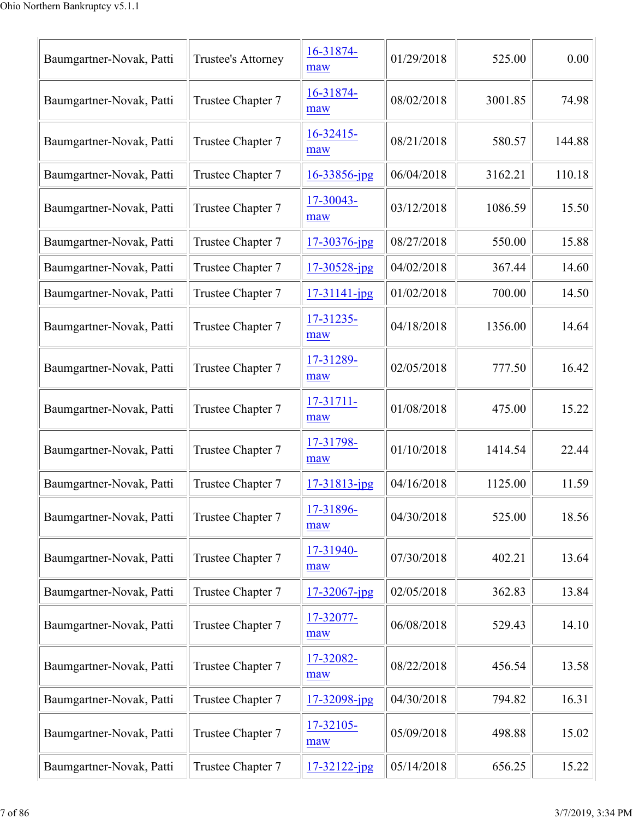| Baumgartner-Novak, Patti | Trustee's Attorney | 16-31874-<br>maw    | 01/29/2018 | 525.00  | 0.00   |
|--------------------------|--------------------|---------------------|------------|---------|--------|
| Baumgartner-Novak, Patti | Trustee Chapter 7  | 16-31874-<br>maw    | 08/02/2018 | 3001.85 | 74.98  |
| Baumgartner-Novak, Patti | Trustee Chapter 7  | $16 - 32415$<br>maw | 08/21/2018 | 580.57  | 144.88 |
| Baumgartner-Novak, Patti | Trustee Chapter 7  | 16-33856-jpg        | 06/04/2018 | 3162.21 | 110.18 |
| Baumgartner-Novak, Patti | Trustee Chapter 7  | 17-30043-<br>maw    | 03/12/2018 | 1086.59 | 15.50  |
| Baumgartner-Novak, Patti | Trustee Chapter 7  | 17-30376-jpg        | 08/27/2018 | 550.00  | 15.88  |
| Baumgartner-Novak, Patti | Trustee Chapter 7  | 17-30528-jpg        | 04/02/2018 | 367.44  | 14.60  |
| Baumgartner-Novak, Patti | Trustee Chapter 7  | $17 - 31141 - ipg$  | 01/02/2018 | 700.00  | 14.50  |
| Baumgartner-Novak, Patti | Trustee Chapter 7  | 17-31235-<br>maw    | 04/18/2018 | 1356.00 | 14.64  |
| Baumgartner-Novak, Patti | Trustee Chapter 7  | 17-31289-<br>maw    | 02/05/2018 | 777.50  | 16.42  |
| Baumgartner-Novak, Patti | Trustee Chapter 7  | 17-31711-<br>maw    | 01/08/2018 | 475.00  | 15.22  |
| Baumgartner-Novak, Patti | Trustee Chapter 7  | 17-31798-<br>maw    | 01/10/2018 | 1414.54 | 22.44  |
| Baumgartner-Novak, Patti | Trustee Chapter 7  | 17-31813-jpg        | 04/16/2018 | 1125.00 | 11.59  |
| Baumgartner-Novak, Patti | Trustee Chapter 7  | 17-31896-<br>maw    | 04/30/2018 | 525.00  | 18.56  |
| Baumgartner-Novak, Patti | Trustee Chapter 7  | 17-31940-<br>maw    | 07/30/2018 | 402.21  | 13.64  |
| Baumgartner-Novak, Patti | Trustee Chapter 7  | $17 - 32067$ -jpg   | 02/05/2018 | 362.83  | 13.84  |
| Baumgartner-Novak, Patti | Trustee Chapter 7  | 17-32077-<br>maw    | 06/08/2018 | 529.43  | 14.10  |
| Baumgartner-Novak, Patti | Trustee Chapter 7  | 17-32082-<br>maw    | 08/22/2018 | 456.54  | 13.58  |
| Baumgartner-Novak, Patti | Trustee Chapter 7  | 17-32098-jpg        | 04/30/2018 | 794.82  | 16.31  |
| Baumgartner-Novak, Patti | Trustee Chapter 7  | 17-32105-<br>maw    | 05/09/2018 | 498.88  | 15.02  |
| Baumgartner-Novak, Patti | Trustee Chapter 7  | $17 - 32122 - ipg$  | 05/14/2018 | 656.25  | 15.22  |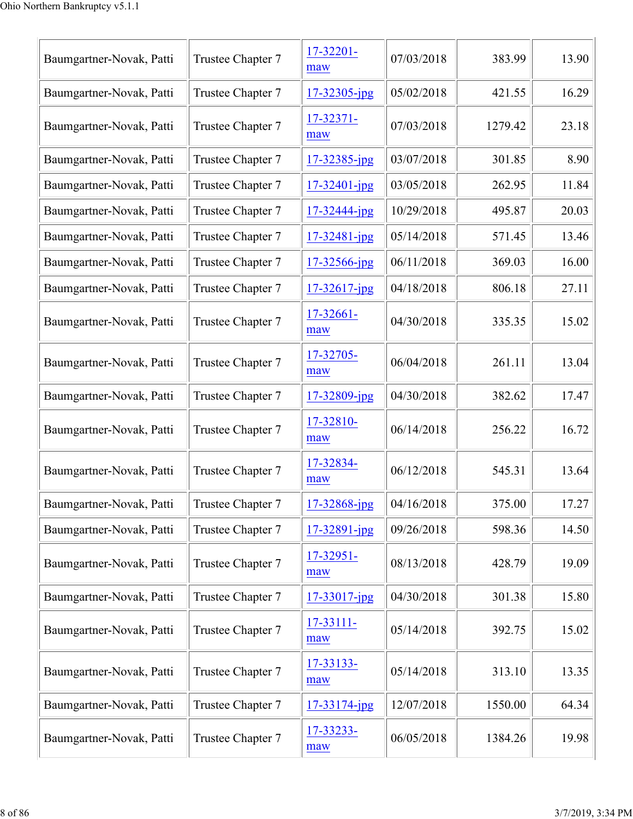| Baumgartner-Novak, Patti | Trustee Chapter 7 | 17-32201-<br>maw   | 07/03/2018 | 383.99  | 13.90 |
|--------------------------|-------------------|--------------------|------------|---------|-------|
| Baumgartner-Novak, Patti | Trustee Chapter 7 | 17-32305-jpg       | 05/02/2018 | 421.55  | 16.29 |
| Baumgartner-Novak, Patti | Trustee Chapter 7 | 17-32371-<br>maw   | 07/03/2018 | 1279.42 | 23.18 |
| Baumgartner-Novak, Patti | Trustee Chapter 7 | 17-32385-jpg       | 03/07/2018 | 301.85  | 8.90  |
| Baumgartner-Novak, Patti | Trustee Chapter 7 | $17 - 32401 - ipg$ | 03/05/2018 | 262.95  | 11.84 |
| Baumgartner-Novak, Patti | Trustee Chapter 7 | 17-32444-jpg       | 10/29/2018 | 495.87  | 20.03 |
| Baumgartner-Novak, Patti | Trustee Chapter 7 | 17-32481-jpg       | 05/14/2018 | 571.45  | 13.46 |
| Baumgartner-Novak, Patti | Trustee Chapter 7 | 17-32566-jpg       | 06/11/2018 | 369.03  | 16.00 |
| Baumgartner-Novak, Patti | Trustee Chapter 7 | $17 - 32617$ -jpg  | 04/18/2018 | 806.18  | 27.11 |
| Baumgartner-Novak, Patti | Trustee Chapter 7 | 17-32661-<br>maw   | 04/30/2018 | 335.35  | 15.02 |
| Baumgartner-Novak, Patti | Trustee Chapter 7 | 17-32705-<br>maw   | 06/04/2018 | 261.11  | 13.04 |
| Baumgartner-Novak, Patti | Trustee Chapter 7 | 17-32809-jpg       | 04/30/2018 | 382.62  | 17.47 |
| Baumgartner-Novak, Patti | Trustee Chapter 7 | 17-32810-<br>maw   | 06/14/2018 | 256.22  | 16.72 |
| Baumgartner-Novak, Patti | Trustee Chapter 7 | 17-32834-<br>maw   | 06/12/2018 | 545.31  | 13.64 |
| Baumgartner-Novak, Patti | Trustee Chapter 7 | 17-32868-jpg       | 04/16/2018 | 375.00  | 17.27 |
| Baumgartner-Novak, Patti | Trustee Chapter 7 | 17-32891-jpg       | 09/26/2018 | 598.36  | 14.50 |
| Baumgartner-Novak, Patti | Trustee Chapter 7 | 17-32951-<br>maw   | 08/13/2018 | 428.79  | 19.09 |
| Baumgartner-Novak, Patti | Trustee Chapter 7 | 17-33017-jpg       | 04/30/2018 | 301.38  | 15.80 |
| Baumgartner-Novak, Patti | Trustee Chapter 7 | 17-33111-<br>maw   | 05/14/2018 | 392.75  | 15.02 |
| Baumgartner-Novak, Patti | Trustee Chapter 7 | 17-33133-<br>maw   | 05/14/2018 | 313.10  | 13.35 |
| Baumgartner-Novak, Patti | Trustee Chapter 7 | $17 - 33174$ -jpg  | 12/07/2018 | 1550.00 | 64.34 |
| Baumgartner-Novak, Patti | Trustee Chapter 7 | 17-33233-<br>maw   | 06/05/2018 | 1384.26 | 19.98 |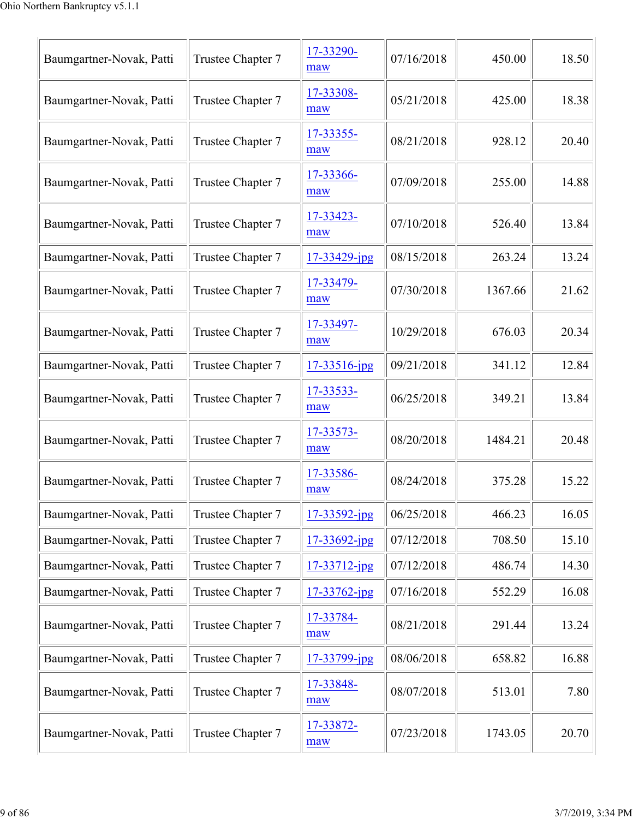| Baumgartner-Novak, Patti | Trustee Chapter 7 | 17-33290-<br>maw   | 07/16/2018 | 450.00  | 18.50 |
|--------------------------|-------------------|--------------------|------------|---------|-------|
| Baumgartner-Novak, Patti | Trustee Chapter 7 | 17-33308-<br>maw   | 05/21/2018 | 425.00  | 18.38 |
| Baumgartner-Novak, Patti | Trustee Chapter 7 | 17-33355-<br>maw   | 08/21/2018 | 928.12  | 20.40 |
| Baumgartner-Novak, Patti | Trustee Chapter 7 | 17-33366-<br>maw   | 07/09/2018 | 255.00  | 14.88 |
| Baumgartner-Novak, Patti | Trustee Chapter 7 | 17-33423-<br>maw   | 07/10/2018 | 526.40  | 13.84 |
| Baumgartner-Novak, Patti | Trustee Chapter 7 | $17 - 33429$ -jpg  | 08/15/2018 | 263.24  | 13.24 |
| Baumgartner-Novak, Patti | Trustee Chapter 7 | 17-33479-<br>maw   | 07/30/2018 | 1367.66 | 21.62 |
| Baumgartner-Novak, Patti | Trustee Chapter 7 | 17-33497-<br>maw   | 10/29/2018 | 676.03  | 20.34 |
| Baumgartner-Novak, Patti | Trustee Chapter 7 | 17-33516-jpg       | 09/21/2018 | 341.12  | 12.84 |
| Baumgartner-Novak, Patti | Trustee Chapter 7 | 17-33533-<br>maw   | 06/25/2018 | 349.21  | 13.84 |
| Baumgartner-Novak, Patti | Trustee Chapter 7 | 17-33573-<br>maw   | 08/20/2018 | 1484.21 | 20.48 |
| Baumgartner-Novak, Patti | Trustee Chapter 7 | 17-33586-<br>maw   | 08/24/2018 | 375.28  | 15.22 |
| Baumgartner-Novak, Patti | Trustee Chapter 7 | 17-33592-jpg       | 06/25/2018 | 466.23  | 16.05 |
| Baumgartner-Novak, Patti | Trustee Chapter 7 | 17-33692-jpg       | 07/12/2018 | 708.50  | 15.10 |
| Baumgartner-Novak, Patti | Trustee Chapter 7 | $17 - 33712 - jpg$ | 07/12/2018 | 486.74  | 14.30 |
| Baumgartner-Novak, Patti | Trustee Chapter 7 | $17 - 33762$ -jpg  | 07/16/2018 | 552.29  | 16.08 |
| Baumgartner-Novak, Patti | Trustee Chapter 7 | 17-33784-<br>maw   | 08/21/2018 | 291.44  | 13.24 |
| Baumgartner-Novak, Patti | Trustee Chapter 7 | 17-33799-jpg       | 08/06/2018 | 658.82  | 16.88 |
| Baumgartner-Novak, Patti | Trustee Chapter 7 | 17-33848-<br>maw   | 08/07/2018 | 513.01  | 7.80  |
| Baumgartner-Novak, Patti | Trustee Chapter 7 | 17-33872-<br>maw   | 07/23/2018 | 1743.05 | 20.70 |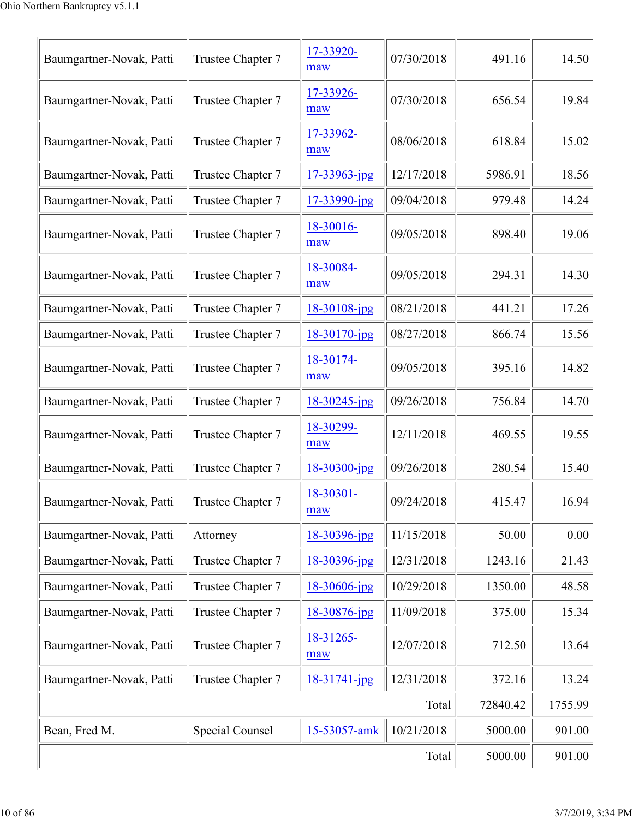|                          | 5000.00                | 901.00             |            |         |        |
|--------------------------|------------------------|--------------------|------------|---------|--------|
| Bean, Fred M.            | <b>Special Counsel</b> | 15-53057-amk       | 10/21/2018 | 5000.00 | 901.00 |
|                          | Total                  | 72840.42           | 1755.99    |         |        |
| Baumgartner-Novak, Patti | Trustee Chapter 7      | $18 - 31741 - jpg$ | 12/31/2018 | 372.16  | 13.24  |
| Baumgartner-Novak, Patti | Trustee Chapter 7      | 18-31265-<br>maw   | 12/07/2018 | 712.50  | 13.64  |
| Baumgartner-Novak, Patti | Trustee Chapter 7      | 18-30876-jpg       | 11/09/2018 | 375.00  | 15.34  |
| Baumgartner-Novak, Patti | Trustee Chapter 7      | 18-30606-jpg       | 10/29/2018 | 1350.00 | 48.58  |
| Baumgartner-Novak, Patti | Trustee Chapter 7      | 18-30396-jpg       | 12/31/2018 | 1243.16 | 21.43  |
| Baumgartner-Novak, Patti | Attorney               | 18-30396-jpg       | 11/15/2018 | 50.00   | 0.00   |
| Baumgartner-Novak, Patti | Trustee Chapter 7      | 18-30301-<br>maw   | 09/24/2018 | 415.47  | 16.94  |
| Baumgartner-Novak, Patti | Trustee Chapter 7      | $18 - 30300 - ipg$ | 09/26/2018 | 280.54  | 15.40  |
| Baumgartner-Novak, Patti | Trustee Chapter 7      | 18-30299-<br>maw   | 12/11/2018 | 469.55  | 19.55  |
| Baumgartner-Novak, Patti | Trustee Chapter 7      | $18 - 30245$ -jpg  | 09/26/2018 | 756.84  | 14.70  |
| Baumgartner-Novak, Patti | Trustee Chapter 7      | 18-30174-<br>maw   | 09/05/2018 | 395.16  | 14.82  |
| Baumgartner-Novak, Patti | Trustee Chapter 7      | 18-30170-jpg       | 08/27/2018 | 866.74  | 15.56  |
| Baumgartner-Novak, Patti | Trustee Chapter 7      | 18-30108-jpg       | 08/21/2018 | 441.21  | 17.26  |
| Baumgartner-Novak, Patti | Trustee Chapter 7      | 18-30084-<br>maw   | 09/05/2018 | 294.31  | 14.30  |
| Baumgartner-Novak, Patti | Trustee Chapter 7      | 18-30016-<br>maw   | 09/05/2018 | 898.40  | 19.06  |
| Baumgartner-Novak, Patti | Trustee Chapter 7      | 17-33990-jpg       | 09/04/2018 | 979.48  | 14.24  |
| Baumgartner-Novak, Patti | Trustee Chapter 7      | 17-33963-jpg       | 12/17/2018 | 5986.91 | 18.56  |
| Baumgartner-Novak, Patti | Trustee Chapter 7      | 17-33962-<br>maw   | 08/06/2018 | 618.84  | 15.02  |
| Baumgartner-Novak, Patti | Trustee Chapter 7      | 17-33926-<br>maw   | 07/30/2018 | 656.54  | 19.84  |
| Baumgartner-Novak, Patti | Trustee Chapter 7      | 17-33920-<br>maw   | 07/30/2018 | 491.16  | 14.50  |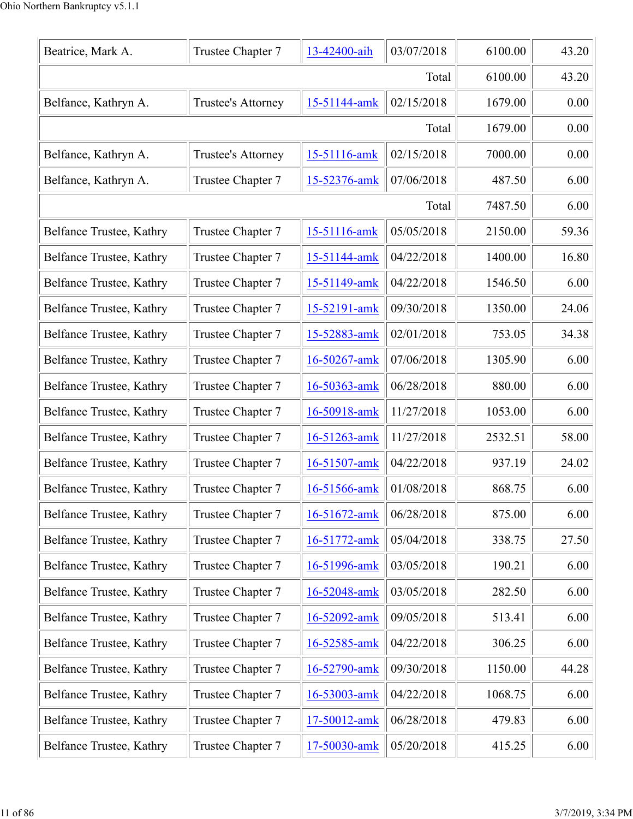| Beatrice, Mark A.        | Trustee Chapter 7  | 13-42400-aih | 03/07/2018 | 6100.00 | 43.20 |
|--------------------------|--------------------|--------------|------------|---------|-------|
|                          | 6100.00            | 43.20        |            |         |       |
| Belfance, Kathryn A.     | Trustee's Attorney | 15-51144-amk | 02/15/2018 | 1679.00 | 0.00  |
|                          |                    |              | Total      | 1679.00 | 0.00  |
| Belfance, Kathryn A.     | Trustee's Attorney | 15-51116-amk | 02/15/2018 | 7000.00 | 0.00  |
| Belfance, Kathryn A.     | Trustee Chapter 7  | 15-52376-amk | 07/06/2018 | 487.50  | 6.00  |
|                          |                    |              | Total      | 7487.50 | 6.00  |
| Belfance Trustee, Kathry | Trustee Chapter 7  | 15-51116-amk | 05/05/2018 | 2150.00 | 59.36 |
| Belfance Trustee, Kathry | Trustee Chapter 7  | 15-51144-amk | 04/22/2018 | 1400.00 | 16.80 |
| Belfance Trustee, Kathry | Trustee Chapter 7  | 15-51149-amk | 04/22/2018 | 1546.50 | 6.00  |
| Belfance Trustee, Kathry | Trustee Chapter 7  | 15-52191-amk | 09/30/2018 | 1350.00 | 24.06 |
| Belfance Trustee, Kathry | Trustee Chapter 7  | 15-52883-amk | 02/01/2018 | 753.05  | 34.38 |
| Belfance Trustee, Kathry | Trustee Chapter 7  | 16-50267-amk | 07/06/2018 | 1305.90 | 6.00  |
| Belfance Trustee, Kathry | Trustee Chapter 7  | 16-50363-amk | 06/28/2018 | 880.00  | 6.00  |
| Belfance Trustee, Kathry | Trustee Chapter 7  | 16-50918-amk | 11/27/2018 | 1053.00 | 6.00  |
| Belfance Trustee, Kathry | Trustee Chapter 7  | 16-51263-amk | 11/27/2018 | 2532.51 | 58.00 |
| Belfance Trustee, Kathry | Trustee Chapter 7  | 16-51507-amk | 04/22/2018 | 937.19  | 24.02 |
| Belfance Trustee, Kathry | Trustee Chapter 7  | 16-51566-amk | 01/08/2018 | 868.75  | 6.00  |
| Belfance Trustee, Kathry | Trustee Chapter 7  | 16-51672-amk | 06/28/2018 | 875.00  | 6.00  |
| Belfance Trustee, Kathry | Trustee Chapter 7  | 16-51772-amk | 05/04/2018 | 338.75  | 27.50 |
| Belfance Trustee, Kathry | Trustee Chapter 7  | 16-51996-amk | 03/05/2018 | 190.21  | 6.00  |
| Belfance Trustee, Kathry | Trustee Chapter 7  | 16-52048-amk | 03/05/2018 | 282.50  | 6.00  |
| Belfance Trustee, Kathry | Trustee Chapter 7  | 16-52092-amk | 09/05/2018 | 513.41  | 6.00  |
| Belfance Trustee, Kathry | Trustee Chapter 7  | 16-52585-amk | 04/22/2018 | 306.25  | 6.00  |
| Belfance Trustee, Kathry | Trustee Chapter 7  | 16-52790-amk | 09/30/2018 | 1150.00 | 44.28 |
| Belfance Trustee, Kathry | Trustee Chapter 7  | 16-53003-amk | 04/22/2018 | 1068.75 | 6.00  |
| Belfance Trustee, Kathry | Trustee Chapter 7  | 17-50012-amk | 06/28/2018 | 479.83  | 6.00  |
| Belfance Trustee, Kathry | Trustee Chapter 7  | 17-50030-amk | 05/20/2018 | 415.25  | 6.00  |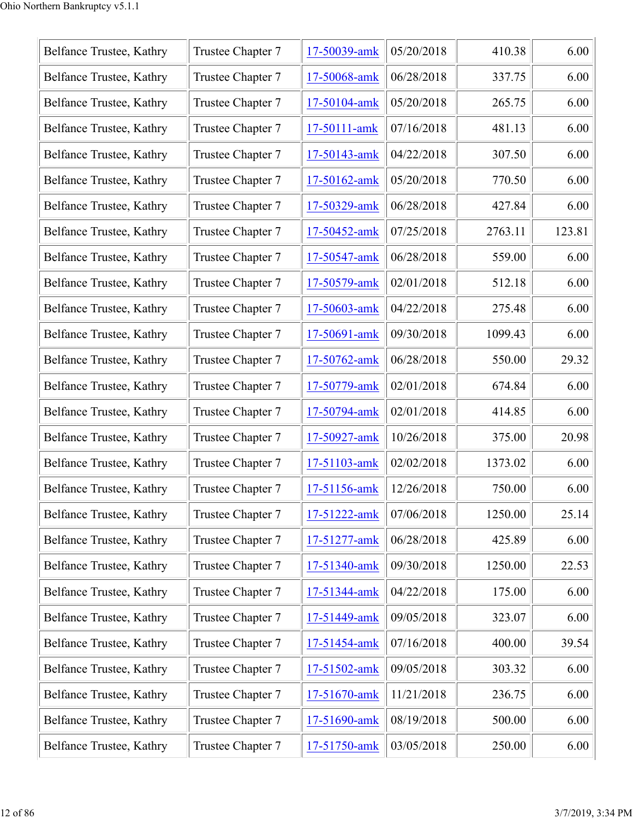| Belfance Trustee, Kathry | Trustee Chapter 7 | 17-50039-amk | 05/20/2018 | 410.38  | 6.00   |
|--------------------------|-------------------|--------------|------------|---------|--------|
| Belfance Trustee, Kathry | Trustee Chapter 7 | 17-50068-amk | 06/28/2018 | 337.75  | 6.00   |
| Belfance Trustee, Kathry | Trustee Chapter 7 | 17-50104-amk | 05/20/2018 | 265.75  | 6.00   |
| Belfance Trustee, Kathry | Trustee Chapter 7 | 17-50111-amk | 07/16/2018 | 481.13  | 6.00   |
| Belfance Trustee, Kathry | Trustee Chapter 7 | 17-50143-amk | 04/22/2018 | 307.50  | 6.00   |
| Belfance Trustee, Kathry | Trustee Chapter 7 | 17-50162-amk | 05/20/2018 | 770.50  | 6.00   |
| Belfance Trustee, Kathry | Trustee Chapter 7 | 17-50329-amk | 06/28/2018 | 427.84  | 6.00   |
| Belfance Trustee, Kathry | Trustee Chapter 7 | 17-50452-amk | 07/25/2018 | 2763.11 | 123.81 |
| Belfance Trustee, Kathry | Trustee Chapter 7 | 17-50547-amk | 06/28/2018 | 559.00  | 6.00   |
| Belfance Trustee, Kathry | Trustee Chapter 7 | 17-50579-amk | 02/01/2018 | 512.18  | 6.00   |
| Belfance Trustee, Kathry | Trustee Chapter 7 | 17-50603-amk | 04/22/2018 | 275.48  | 6.00   |
| Belfance Trustee, Kathry | Trustee Chapter 7 | 17-50691-amk | 09/30/2018 | 1099.43 | 6.00   |
| Belfance Trustee, Kathry | Trustee Chapter 7 | 17-50762-amk | 06/28/2018 | 550.00  | 29.32  |
| Belfance Trustee, Kathry | Trustee Chapter 7 | 17-50779-amk | 02/01/2018 | 674.84  | 6.00   |
| Belfance Trustee, Kathry | Trustee Chapter 7 | 17-50794-amk | 02/01/2018 | 414.85  | 6.00   |
| Belfance Trustee, Kathry | Trustee Chapter 7 | 17-50927-amk | 10/26/2018 | 375.00  | 20.98  |
| Belfance Trustee, Kathry | Trustee Chapter 7 | 17-51103-amk | 02/02/2018 | 1373.02 | 6.00   |
| Belfance Trustee, Kathry | Trustee Chapter 7 | 17-51156-amk | 12/26/2018 | 750.00  | 6.00   |
| Belfance Trustee, Kathry | Trustee Chapter 7 | 17-51222-amk | 07/06/2018 | 1250.00 | 25.14  |
| Belfance Trustee, Kathry | Trustee Chapter 7 | 17-51277-amk | 06/28/2018 | 425.89  | 6.00   |
| Belfance Trustee, Kathry | Trustee Chapter 7 | 17-51340-amk | 09/30/2018 | 1250.00 | 22.53  |
| Belfance Trustee, Kathry | Trustee Chapter 7 | 17-51344-amk | 04/22/2018 | 175.00  | 6.00   |
| Belfance Trustee, Kathry | Trustee Chapter 7 | 17-51449-amk | 09/05/2018 | 323.07  | 6.00   |
| Belfance Trustee, Kathry | Trustee Chapter 7 | 17-51454-amk | 07/16/2018 | 400.00  | 39.54  |
| Belfance Trustee, Kathry | Trustee Chapter 7 | 17-51502-amk | 09/05/2018 | 303.32  | 6.00   |
| Belfance Trustee, Kathry | Trustee Chapter 7 | 17-51670-amk | 11/21/2018 | 236.75  | 6.00   |
| Belfance Trustee, Kathry | Trustee Chapter 7 | 17-51690-amk | 08/19/2018 | 500.00  | 6.00   |
| Belfance Trustee, Kathry | Trustee Chapter 7 | 17-51750-amk | 03/05/2018 | 250.00  | 6.00   |
|                          |                   |              |            |         |        |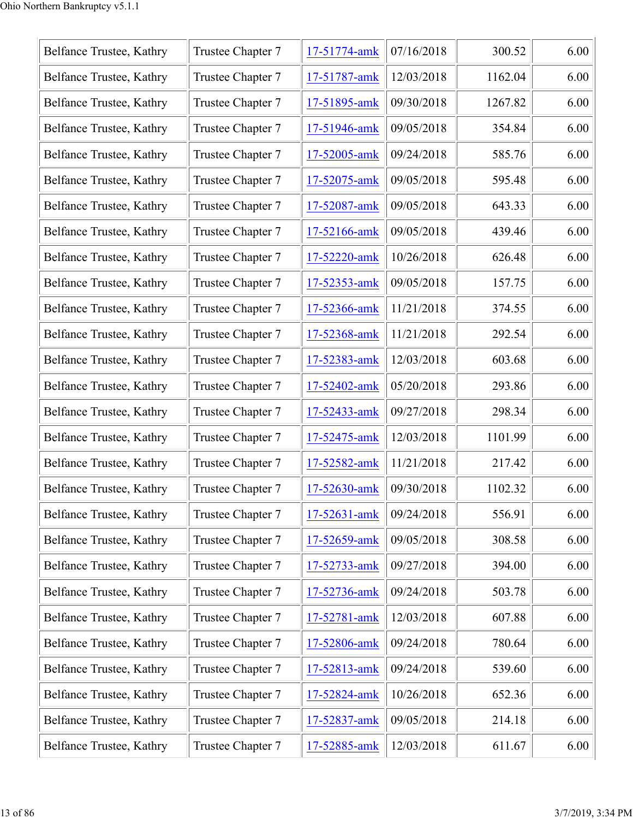| Belfance Trustee, Kathry | Trustee Chapter 7 | 17-51774-amk | 07/16/2018 | 300.52  | 6.00 |
|--------------------------|-------------------|--------------|------------|---------|------|
| Belfance Trustee, Kathry | Trustee Chapter 7 | 17-51787-amk | 12/03/2018 | 1162.04 | 6.00 |
| Belfance Trustee, Kathry | Trustee Chapter 7 | 17-51895-amk | 09/30/2018 | 1267.82 | 6.00 |
| Belfance Trustee, Kathry | Trustee Chapter 7 | 17-51946-amk | 09/05/2018 | 354.84  | 6.00 |
| Belfance Trustee, Kathry | Trustee Chapter 7 | 17-52005-amk | 09/24/2018 | 585.76  | 6.00 |
| Belfance Trustee, Kathry | Trustee Chapter 7 | 17-52075-amk | 09/05/2018 | 595.48  | 6.00 |
| Belfance Trustee, Kathry | Trustee Chapter 7 | 17-52087-amk | 09/05/2018 | 643.33  | 6.00 |
| Belfance Trustee, Kathry | Trustee Chapter 7 | 17-52166-amk | 09/05/2018 | 439.46  | 6.00 |
| Belfance Trustee, Kathry | Trustee Chapter 7 | 17-52220-amk | 10/26/2018 | 626.48  | 6.00 |
| Belfance Trustee, Kathry | Trustee Chapter 7 | 17-52353-amk | 09/05/2018 | 157.75  | 6.00 |
| Belfance Trustee, Kathry | Trustee Chapter 7 | 17-52366-amk | 11/21/2018 | 374.55  | 6.00 |
| Belfance Trustee, Kathry | Trustee Chapter 7 | 17-52368-amk | 11/21/2018 | 292.54  | 6.00 |
| Belfance Trustee, Kathry | Trustee Chapter 7 | 17-52383-amk | 12/03/2018 | 603.68  | 6.00 |
| Belfance Trustee, Kathry | Trustee Chapter 7 | 17-52402-amk | 05/20/2018 | 293.86  | 6.00 |
| Belfance Trustee, Kathry | Trustee Chapter 7 | 17-52433-amk | 09/27/2018 | 298.34  | 6.00 |
| Belfance Trustee, Kathry | Trustee Chapter 7 | 17-52475-amk | 12/03/2018 | 1101.99 | 6.00 |
| Belfance Trustee, Kathry | Trustee Chapter 7 | 17-52582-amk | 11/21/2018 | 217.42  | 6.00 |
| Belfance Trustee, Kathry | Trustee Chapter 7 | 17-52630-amk | 09/30/2018 | 1102.32 | 6.00 |
| Belfance Trustee, Kathry | Trustee Chapter 7 | 17-52631-amk | 09/24/2018 | 556.91  | 6.00 |
| Belfance Trustee, Kathry | Trustee Chapter 7 | 17-52659-amk | 09/05/2018 | 308.58  | 6.00 |
| Belfance Trustee, Kathry | Trustee Chapter 7 | 17-52733-amk | 09/27/2018 | 394.00  | 6.00 |
| Belfance Trustee, Kathry | Trustee Chapter 7 | 17-52736-amk | 09/24/2018 | 503.78  | 6.00 |
| Belfance Trustee, Kathry | Trustee Chapter 7 | 17-52781-amk | 12/03/2018 | 607.88  | 6.00 |
| Belfance Trustee, Kathry | Trustee Chapter 7 | 17-52806-amk | 09/24/2018 | 780.64  | 6.00 |
| Belfance Trustee, Kathry | Trustee Chapter 7 | 17-52813-amk | 09/24/2018 | 539.60  | 6.00 |
| Belfance Trustee, Kathry | Trustee Chapter 7 | 17-52824-amk | 10/26/2018 | 652.36  | 6.00 |
| Belfance Trustee, Kathry | Trustee Chapter 7 | 17-52837-amk | 09/05/2018 | 214.18  | 6.00 |
| Belfance Trustee, Kathry | Trustee Chapter 7 | 17-52885-amk | 12/03/2018 | 611.67  | 6.00 |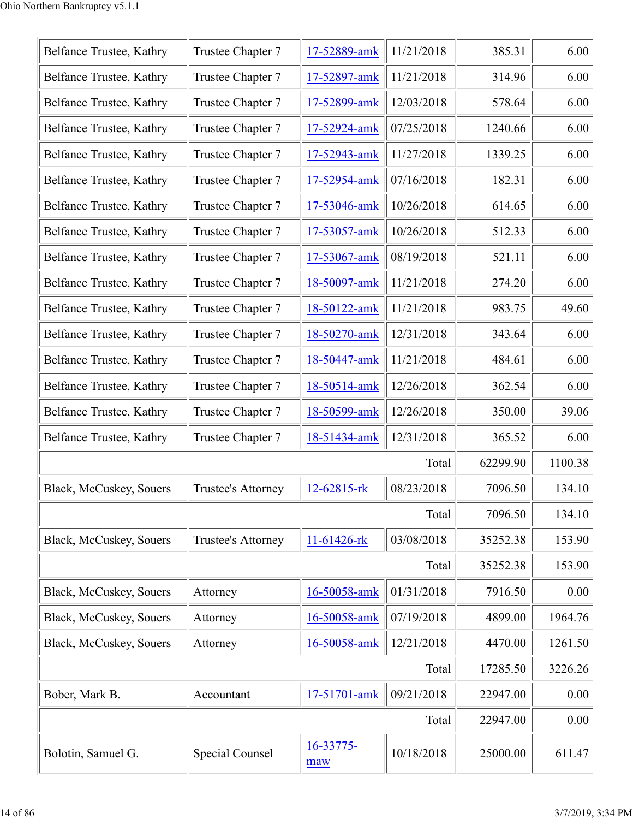| Belfance Trustee, Kathry | Trustee Chapter 7  | 17-52889-amk     | 11/21/2018 | 385.31   | 6.00    |
|--------------------------|--------------------|------------------|------------|----------|---------|
| Belfance Trustee, Kathry | Trustee Chapter 7  | 17-52897-amk     | 11/21/2018 | 314.96   | 6.00    |
| Belfance Trustee, Kathry | Trustee Chapter 7  | 17-52899-amk     | 12/03/2018 | 578.64   | 6.00    |
| Belfance Trustee, Kathry | Trustee Chapter 7  | 17-52924-amk     | 07/25/2018 | 1240.66  | 6.00    |
| Belfance Trustee, Kathry | Trustee Chapter 7  | 17-52943-amk     | 11/27/2018 | 1339.25  | 6.00    |
| Belfance Trustee, Kathry | Trustee Chapter 7  | 17-52954-amk     | 07/16/2018 | 182.31   | 6.00    |
| Belfance Trustee, Kathry | Trustee Chapter 7  | 17-53046-amk     | 10/26/2018 | 614.65   | 6.00    |
| Belfance Trustee, Kathry | Trustee Chapter 7  | 17-53057-amk     | 10/26/2018 | 512.33   | 6.00    |
| Belfance Trustee, Kathry | Trustee Chapter 7  | 17-53067-amk     | 08/19/2018 | 521.11   | 6.00    |
| Belfance Trustee, Kathry | Trustee Chapter 7  | 18-50097-amk     | 11/21/2018 | 274.20   | 6.00    |
| Belfance Trustee, Kathry | Trustee Chapter 7  | 18-50122-amk     | 11/21/2018 | 983.75   | 49.60   |
| Belfance Trustee, Kathry | Trustee Chapter 7  | 18-50270-amk     | 12/31/2018 | 343.64   | 6.00    |
| Belfance Trustee, Kathry | Trustee Chapter 7  | 18-50447-amk     | 11/21/2018 | 484.61   | 6.00    |
| Belfance Trustee, Kathry | Trustee Chapter 7  | 18-50514-amk     | 12/26/2018 | 362.54   | 6.00    |
| Belfance Trustee, Kathry | Trustee Chapter 7  | 18-50599-amk     | 12/26/2018 | 350.00   | 39.06   |
| Belfance Trustee, Kathry | Trustee Chapter 7  | 18-51434-amk     | 12/31/2018 | 365.52   | 6.00    |
|                          |                    |                  | Total      | 62299.90 | 1100.38 |
| Black, McCuskey, Souers  | Trustee's Attorney | 12-62815-rk      | 08/23/2018 | 7096.50  | 134.10  |
|                          |                    |                  | Total      | 7096.50  | 134.10  |
| Black, McCuskey, Souers  | Trustee's Attorney | 11-61426-rk      | 03/08/2018 | 35252.38 | 153.90  |
|                          |                    |                  | Total      | 35252.38 | 153.90  |
| Black, McCuskey, Souers  | Attorney           | 16-50058-amk     | 01/31/2018 | 7916.50  | 0.00    |
| Black, McCuskey, Souers  | Attorney           | 16-50058-amk     | 07/19/2018 | 4899.00  | 1964.76 |
| Black, McCuskey, Souers  | Attorney           | 16-50058-amk     | 12/21/2018 | 4470.00  | 1261.50 |
|                          |                    |                  | Total      | 17285.50 | 3226.26 |
| Bober, Mark B.           | Accountant         | 17-51701-amk     | 09/21/2018 | 22947.00 | 0.00    |
|                          |                    |                  | Total      | 22947.00 | 0.00    |
| Bolotin, Samuel G.       | Special Counsel    | 16-33775-<br>maw | 10/18/2018 | 25000.00 | 611.47  |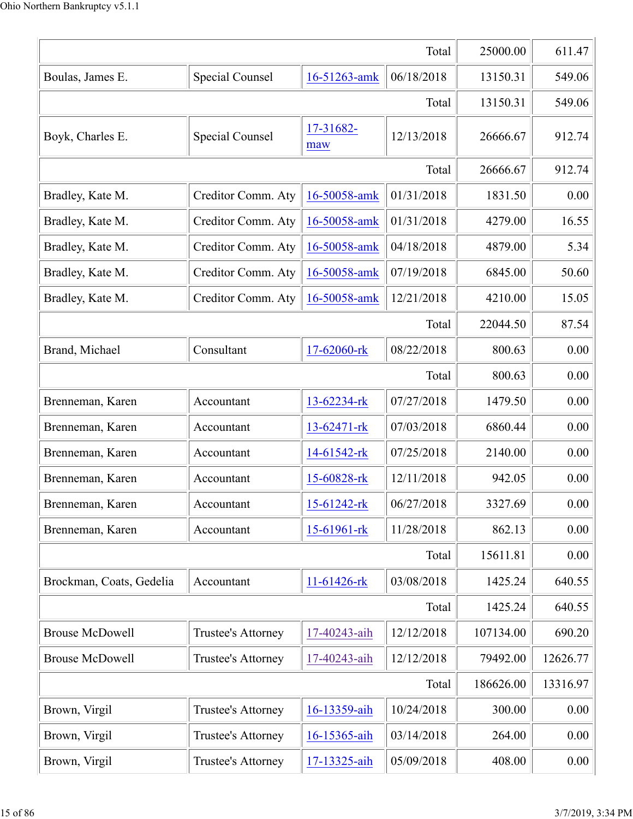|                          |                           |                   | Total      | 25000.00  | 611.47   |
|--------------------------|---------------------------|-------------------|------------|-----------|----------|
| Boulas, James E.         | Special Counsel           | 16-51263-amk      | 06/18/2018 | 13150.31  | 549.06   |
|                          |                           |                   | Total      | 13150.31  | 549.06   |
| Boyk, Charles E.         | Special Counsel           | 17-31682-<br>maw  | 12/13/2018 | 26666.67  | 912.74   |
|                          |                           |                   | Total      | 26666.67  | 912.74   |
| Bradley, Kate M.         | Creditor Comm. Aty        | 16-50058-amk      | 01/31/2018 | 1831.50   | 0.00     |
| Bradley, Kate M.         | Creditor Comm. Aty        | 16-50058-amk      | 01/31/2018 | 4279.00   | 16.55    |
| Bradley, Kate M.         | Creditor Comm. Aty        | 16-50058-amk      | 04/18/2018 | 4879.00   | 5.34     |
| Bradley, Kate M.         | Creditor Comm. Aty        | 16-50058-amk      | 07/19/2018 | 6845.00   | 50.60    |
| Bradley, Kate M.         | Creditor Comm. Aty        | 16-50058-amk      | 12/21/2018 | 4210.00   | 15.05    |
|                          |                           |                   | Total      | 22044.50  | 87.54    |
| Brand, Michael           | Consultant                | 17-62060-rk       | 08/22/2018 | 800.63    | 0.00     |
|                          |                           |                   | Total      | 800.63    | 0.00     |
| Brenneman, Karen         | Accountant                | 13-62234-rk       | 07/27/2018 | 1479.50   | 0.00     |
| Brenneman, Karen         | Accountant                | 13-62471-rk       | 07/03/2018 | 6860.44   | 0.00     |
| Brenneman, Karen         | Accountant                | 14-61542-rk       | 07/25/2018 | 2140.00   | 0.00     |
| Brenneman, Karen         | Accountant                | 15-60828-rk       | 12/11/2018 | 942.05    | 0.00     |
| Brenneman, Karen         | Accountant                | $15 - 61242 -$ rk | 06/27/2018 | 3327.69   | 0.00     |
| Brenneman, Karen         | Accountant                | 15-61961-rk       | 11/28/2018 | 862.13    | 0.00     |
|                          |                           |                   | Total      | 15611.81  | 0.00     |
| Brockman, Coats, Gedelia | Accountant                | 11-61426-rk       | 03/08/2018 | 1425.24   | 640.55   |
|                          |                           |                   | Total      | 1425.24   | 640.55   |
| <b>Brouse McDowell</b>   | <b>Trustee's Attorney</b> | 17-40243-aih      | 12/12/2018 | 107134.00 | 690.20   |
| <b>Brouse McDowell</b>   | <b>Trustee's Attorney</b> | 17-40243-aih      | 12/12/2018 | 79492.00  | 12626.77 |
|                          |                           |                   | Total      | 186626.00 | 13316.97 |
| Brown, Virgil            | Trustee's Attorney        | 16-13359-aih      | 10/24/2018 | 300.00    | 0.00     |
| Brown, Virgil            | Trustee's Attorney        | 16-15365-aih      | 03/14/2018 | 264.00    | 0.00     |
| Brown, Virgil            | Trustee's Attorney        | 17-13325-aih      | 05/09/2018 | 408.00    | 0.00     |
|                          |                           |                   |            |           |          |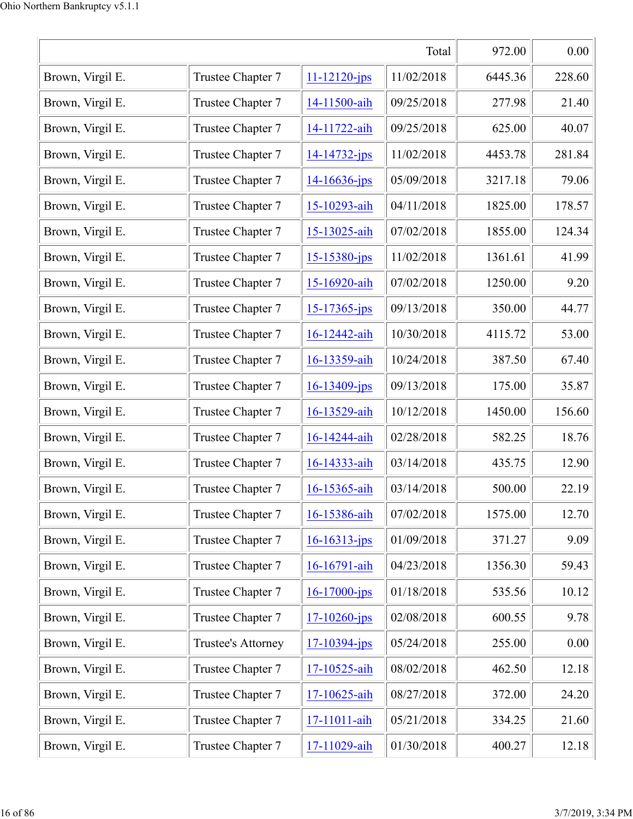| Total            |                    |                    |            | 972.00  | 0.00   |
|------------------|--------------------|--------------------|------------|---------|--------|
| Brown, Virgil E. | Trustee Chapter 7  | $11 - 12120 - jps$ | 11/02/2018 | 6445.36 | 228.60 |
| Brown, Virgil E. | Trustee Chapter 7  | 14-11500-aih       | 09/25/2018 | 277.98  | 21.40  |
| Brown, Virgil E. | Trustee Chapter 7  | 14-11722-aih       | 09/25/2018 | 625.00  | 40.07  |
| Brown, Virgil E. | Trustee Chapter 7  | 14-14732-jps       | 11/02/2018 | 4453.78 | 281.84 |
| Brown, Virgil E. | Trustee Chapter 7  | $14 - 16636 - ips$ | 05/09/2018 | 3217.18 | 79.06  |
| Brown, Virgil E. | Trustee Chapter 7  | 15-10293-aih       | 04/11/2018 | 1825.00 | 178.57 |
| Brown, Virgil E. | Trustee Chapter 7  | 15-13025-aih       | 07/02/2018 | 1855.00 | 124.34 |
| Brown, Virgil E. | Trustee Chapter 7  | $15 - 15380 - ips$ | 11/02/2018 | 1361.61 | 41.99  |
| Brown, Virgil E. | Trustee Chapter 7  | 15-16920-aih       | 07/02/2018 | 1250.00 | 9.20   |
| Brown, Virgil E. | Trustee Chapter 7  | $15 - 17365 - ips$ | 09/13/2018 | 350.00  | 44.77  |
| Brown, Virgil E. | Trustee Chapter 7  | 16-12442-aih       | 10/30/2018 | 4115.72 | 53.00  |
| Brown, Virgil E. | Trustee Chapter 7  | 16-13359-aih       | 10/24/2018 | 387.50  | 67.40  |
| Brown, Virgil E. | Trustee Chapter 7  | $16 - 13409$ -jps  | 09/13/2018 | 175.00  | 35.87  |
| Brown, Virgil E. | Trustee Chapter 7  | 16-13529-aih       | 10/12/2018 | 1450.00 | 156.60 |
| Brown, Virgil E. | Trustee Chapter 7  | 16-14244-aih       | 02/28/2018 | 582.25  | 18.76  |
| Brown, Virgil E. | Trustee Chapter 7  | 16-14333-aih       | 03/14/2018 | 435.75  | 12.90  |
| Brown, Virgil E. | Trustee Chapter 7  | 16-15365-aih       | 03/14/2018 | 500.00  | 22.19  |
| Brown, Virgil E. | Trustee Chapter 7  | 16-15386-aih       | 07/02/2018 | 1575.00 | 12.70  |
| Brown, Virgil E. | Trustee Chapter 7  | $16 - 16313$ -jps  | 01/09/2018 | 371.27  | 9.09   |
| Brown, Virgil E. | Trustee Chapter 7  | 16-16791-aih       | 04/23/2018 | 1356.30 | 59.43  |
| Brown, Virgil E. | Trustee Chapter 7  | $16 - 17000 - ips$ | 01/18/2018 | 535.56  | 10.12  |
| Brown, Virgil E. | Trustee Chapter 7  | $17 - 10260$ -jps  | 02/08/2018 | 600.55  | 9.78   |
| Brown, Virgil E. | Trustee's Attorney | $17 - 10394 - ips$ | 05/24/2018 | 255.00  | 0.00   |
| Brown, Virgil E. | Trustee Chapter 7  | 17-10525-aih       | 08/02/2018 | 462.50  | 12.18  |
| Brown, Virgil E. | Trustee Chapter 7  | 17-10625-aih       | 08/27/2018 | 372.00  | 24.20  |
| Brown, Virgil E. | Trustee Chapter 7  | 17-11011-aih       | 05/21/2018 | 334.25  | 21.60  |
| Brown, Virgil E. | Trustee Chapter 7  | 17-11029-aih       | 01/30/2018 | 400.27  | 12.18  |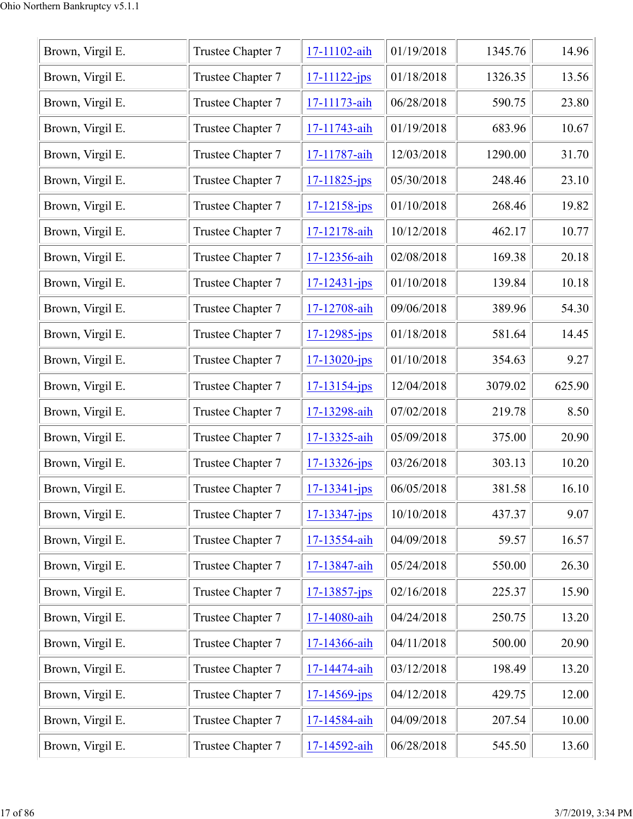| Brown, Virgil E. | Trustee Chapter 7 | 17-11102-aih       | 01/19/2018 | 1345.76 | 14.96  |
|------------------|-------------------|--------------------|------------|---------|--------|
| Brown, Virgil E. | Trustee Chapter 7 | $17 - 11122 - ips$ | 01/18/2018 | 1326.35 | 13.56  |
| Brown, Virgil E. | Trustee Chapter 7 | 17-11173-aih       | 06/28/2018 | 590.75  | 23.80  |
| Brown, Virgil E. | Trustee Chapter 7 | 17-11743-aih       | 01/19/2018 | 683.96  | 10.67  |
| Brown, Virgil E. | Trustee Chapter 7 | 17-11787-aih       | 12/03/2018 | 1290.00 | 31.70  |
| Brown, Virgil E. | Trustee Chapter 7 | $17 - 11825$ -jps  | 05/30/2018 | 248.46  | 23.10  |
| Brown, Virgil E. | Trustee Chapter 7 | $17 - 12158 - ips$ | 01/10/2018 | 268.46  | 19.82  |
| Brown, Virgil E. | Trustee Chapter 7 | 17-12178-aih       | 10/12/2018 | 462.17  | 10.77  |
| Brown, Virgil E. | Trustee Chapter 7 | 17-12356-aih       | 02/08/2018 | 169.38  | 20.18  |
| Brown, Virgil E. | Trustee Chapter 7 | $17 - 12431 - ips$ | 01/10/2018 | 139.84  | 10.18  |
| Brown, Virgil E. | Trustee Chapter 7 | 17-12708-aih       | 09/06/2018 | 389.96  | 54.30  |
| Brown, Virgil E. | Trustee Chapter 7 | $17 - 12985 - ips$ | 01/18/2018 | 581.64  | 14.45  |
| Brown, Virgil E. | Trustee Chapter 7 | $17 - 13020 - ips$ | 01/10/2018 | 354.63  | 9.27   |
| Brown, Virgil E. | Trustee Chapter 7 | $17 - 13154 - jps$ | 12/04/2018 | 3079.02 | 625.90 |
| Brown, Virgil E. | Trustee Chapter 7 | 17-13298-aih       | 07/02/2018 | 219.78  | 8.50   |
| Brown, Virgil E. | Trustee Chapter 7 | 17-13325-aih       | 05/09/2018 | 375.00  | 20.90  |
| Brown, Virgil E. | Trustee Chapter 7 | $17 - 13326$ -jps  | 03/26/2018 | 303.13  | 10.20  |
| Brown, Virgil E. | Trustee Chapter 7 | $17 - 13341 - ips$ | 06/05/2018 | 381.58  | 16.10  |
| Brown, Virgil E. | Trustee Chapter 7 | $17 - 13347 - ips$ | 10/10/2018 | 437.37  | 9.07   |
| Brown, Virgil E. | Trustee Chapter 7 | 17-13554-aih       | 04/09/2018 | 59.57   | 16.57  |
| Brown, Virgil E. | Trustee Chapter 7 | 17-13847-aih       | 05/24/2018 | 550.00  | 26.30  |
| Brown, Virgil E. | Trustee Chapter 7 | $17 - 13857 - jps$ | 02/16/2018 | 225.37  | 15.90  |
| Brown, Virgil E. | Trustee Chapter 7 | 17-14080-aih       | 04/24/2018 | 250.75  | 13.20  |
| Brown, Virgil E. | Trustee Chapter 7 | 17-14366-aih       | 04/11/2018 | 500.00  | 20.90  |
| Brown, Virgil E. | Trustee Chapter 7 | 17-14474-aih       | 03/12/2018 | 198.49  | 13.20  |
| Brown, Virgil E. | Trustee Chapter 7 | $17 - 14569$ -jps  | 04/12/2018 | 429.75  | 12.00  |
| Brown, Virgil E. | Trustee Chapter 7 | 17-14584-aih       | 04/09/2018 | 207.54  | 10.00  |
| Brown, Virgil E. | Trustee Chapter 7 | 17-14592-aih       | 06/28/2018 | 545.50  | 13.60  |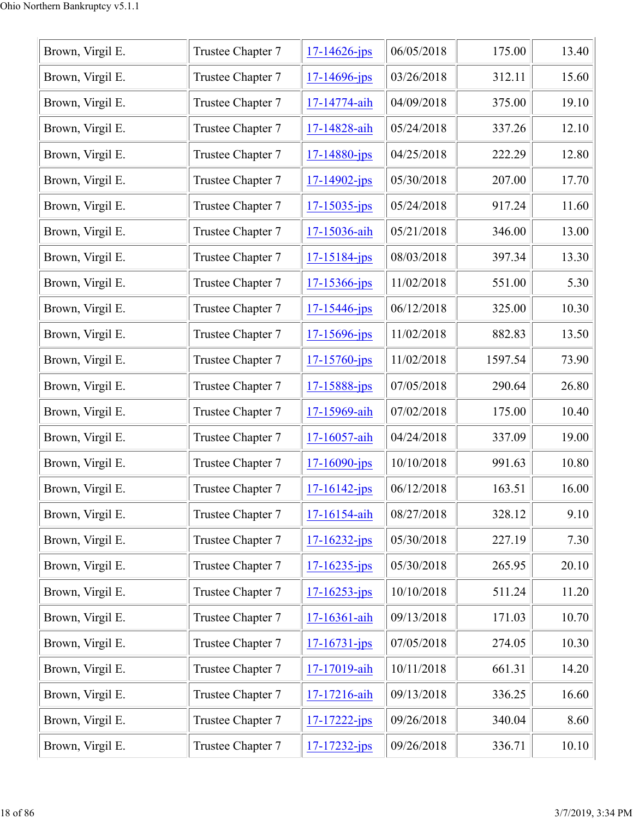| Trustee Chapter 7 | $17 - 14626$ -jps  | 06/05/2018 | 175.00  | 13.40 |
|-------------------|--------------------|------------|---------|-------|
| Trustee Chapter 7 | $17 - 14696$ -jps  | 03/26/2018 | 312.11  | 15.60 |
| Trustee Chapter 7 | 17-14774-aih       | 04/09/2018 | 375.00  | 19.10 |
| Trustee Chapter 7 | 17-14828-aih       | 05/24/2018 | 337.26  | 12.10 |
| Trustee Chapter 7 | $17 - 14880 - jps$ | 04/25/2018 | 222.29  | 12.80 |
| Trustee Chapter 7 | $17 - 14902 - ips$ | 05/30/2018 | 207.00  | 17.70 |
| Trustee Chapter 7 | $17 - 15035 - ips$ | 05/24/2018 | 917.24  | 11.60 |
| Trustee Chapter 7 | 17-15036-aih       | 05/21/2018 | 346.00  | 13.00 |
| Trustee Chapter 7 | 17-15184-jps       | 08/03/2018 | 397.34  | 13.30 |
| Trustee Chapter 7 | $17 - 15366$ -jps  | 11/02/2018 | 551.00  | 5.30  |
| Trustee Chapter 7 | $17 - 15446$ -jps  | 06/12/2018 | 325.00  | 10.30 |
| Trustee Chapter 7 | $17 - 15696 - ips$ | 11/02/2018 | 882.83  | 13.50 |
| Trustee Chapter 7 | $17 - 15760 - ips$ | 11/02/2018 | 1597.54 | 73.90 |
| Trustee Chapter 7 | $17 - 15888 - jps$ | 07/05/2018 | 290.64  | 26.80 |
| Trustee Chapter 7 | 17-15969-aih       | 07/02/2018 | 175.00  | 10.40 |
| Trustee Chapter 7 | 17-16057-aih       | 04/24/2018 | 337.09  | 19.00 |
| Trustee Chapter 7 | $17 - 16090 - ips$ | 10/10/2018 | 991.63  | 10.80 |
| Trustee Chapter 7 | $17 - 16142 - ips$ | 06/12/2018 | 163.51  | 16.00 |
| Trustee Chapter 7 | 17-16154-aih       | 08/27/2018 | 328.12  | 9.10  |
| Trustee Chapter 7 | $17 - 16232 - jps$ | 05/30/2018 | 227.19  | 7.30  |
| Trustee Chapter 7 | $17 - 16235 - ips$ | 05/30/2018 | 265.95  | 20.10 |
| Trustee Chapter 7 | $17 - 16253 - ips$ | 10/10/2018 | 511.24  | 11.20 |
| Trustee Chapter 7 | 17-16361-aih       | 09/13/2018 | 171.03  | 10.70 |
| Trustee Chapter 7 | $17 - 16731 - ips$ | 07/05/2018 | 274.05  | 10.30 |
| Trustee Chapter 7 | 17-17019-aih       | 10/11/2018 | 661.31  | 14.20 |
| Trustee Chapter 7 | 17-17216-aih       | 09/13/2018 | 336.25  | 16.60 |
| Trustee Chapter 7 | $17 - 17222 - ips$ | 09/26/2018 | 340.04  | 8.60  |
| Trustee Chapter 7 | 17-17232-jps       | 09/26/2018 | 336.71  | 10.10 |
|                   |                    |            |         |       |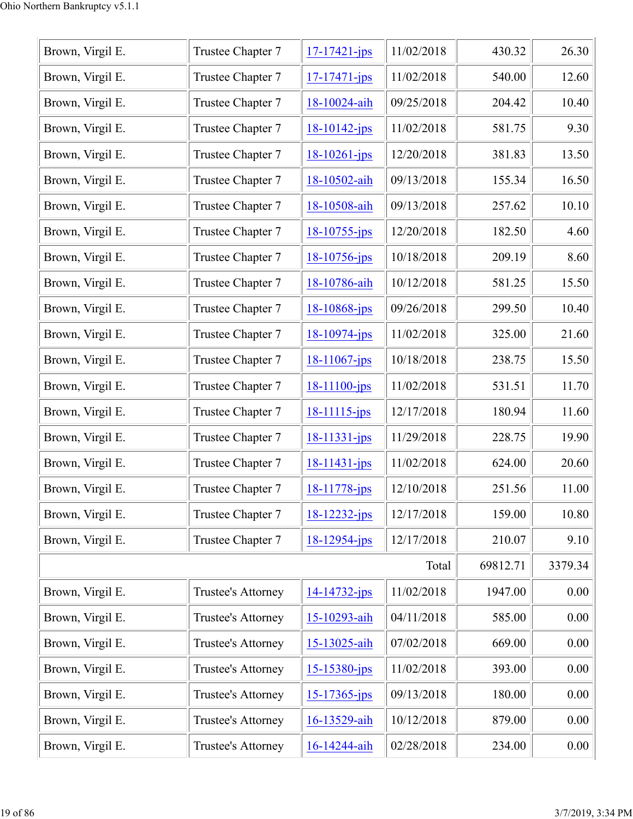| Brown, Virgil E. | Trustee Chapter 7  | $17 - 17421 - ips$ | 11/02/2018 | 430.32   | 26.30   |
|------------------|--------------------|--------------------|------------|----------|---------|
| Brown, Virgil E. | Trustee Chapter 7  | $17 - 17471 - ips$ | 11/02/2018 | 540.00   | 12.60   |
| Brown, Virgil E. | Trustee Chapter 7  | 18-10024-aih       | 09/25/2018 | 204.42   | 10.40   |
| Brown, Virgil E. | Trustee Chapter 7  | 18-10142-jps       | 11/02/2018 | 581.75   | 9.30    |
| Brown, Virgil E. | Trustee Chapter 7  | $18 - 10261 - ips$ | 12/20/2018 | 381.83   | 13.50   |
| Brown, Virgil E. | Trustee Chapter 7  | 18-10502-aih       | 09/13/2018 | 155.34   | 16.50   |
| Brown, Virgil E. | Trustee Chapter 7  | 18-10508-aih       | 09/13/2018 | 257.62   | 10.10   |
| Brown, Virgil E. | Trustee Chapter 7  | $18 - 10755 - ips$ | 12/20/2018 | 182.50   | 4.60    |
| Brown, Virgil E. | Trustee Chapter 7  | $18 - 10756 - ips$ | 10/18/2018 | 209.19   | 8.60    |
| Brown, Virgil E. | Trustee Chapter 7  | 18-10786-aih       | 10/12/2018 | 581.25   | 15.50   |
| Brown, Virgil E. | Trustee Chapter 7  | $18 - 10868$ -jps  | 09/26/2018 | 299.50   | 10.40   |
| Brown, Virgil E. | Trustee Chapter 7  | $18 - 10974 - ips$ | 11/02/2018 | 325.00   | 21.60   |
| Brown, Virgil E. | Trustee Chapter 7  | $18-11067$ -jps    | 10/18/2018 | 238.75   | 15.50   |
| Brown, Virgil E. | Trustee Chapter 7  | $18 - 11100 - ips$ | 11/02/2018 | 531.51   | 11.70   |
| Brown, Virgil E. | Trustee Chapter 7  | 18-11115-jps       | 12/17/2018 | 180.94   | 11.60   |
| Brown, Virgil E. | Trustee Chapter 7  | $18 - 11331 - ips$ | 11/29/2018 | 228.75   | 19.90   |
| Brown, Virgil E. | Trustee Chapter 7  | 18-11431-jps       | 11/02/2018 | 624.00   | 20.60   |
| Brown, Virgil E. | Trustee Chapter 7  | 18-11778-jps       | 12/10/2018 | 251.56   | 11.00   |
| Brown, Virgil E. | Trustee Chapter 7  | $18 - 12232 - ips$ | 12/17/2018 | 159.00   | 10.80   |
| Brown, Virgil E. | Trustee Chapter 7  | 18-12954-jps       | 12/17/2018 | 210.07   | 9.10    |
|                  |                    |                    | Total      | 69812.71 | 3379.34 |
| Brown, Virgil E. | Trustee's Attorney | $14 - 14732 - ips$ | 11/02/2018 | 1947.00  | 0.00    |
| Brown, Virgil E. | Trustee's Attorney | 15-10293-aih       | 04/11/2018 | 585.00   | 0.00    |
| Brown, Virgil E. | Trustee's Attorney | 15-13025-aih       | 07/02/2018 | 669.00   | 0.00    |
| Brown, Virgil E. | Trustee's Attorney | $15 - 15380 - ips$ | 11/02/2018 | 393.00   | 0.00    |
| Brown, Virgil E. | Trustee's Attorney | $15 - 17365$ -jps  | 09/13/2018 | 180.00   | 0.00    |
| Brown, Virgil E. | Trustee's Attorney | 16-13529-aih       | 10/12/2018 | 879.00   | 0.00    |
| Brown, Virgil E. | Trustee's Attorney | 16-14244-aih       | 02/28/2018 | 234.00   | 0.00    |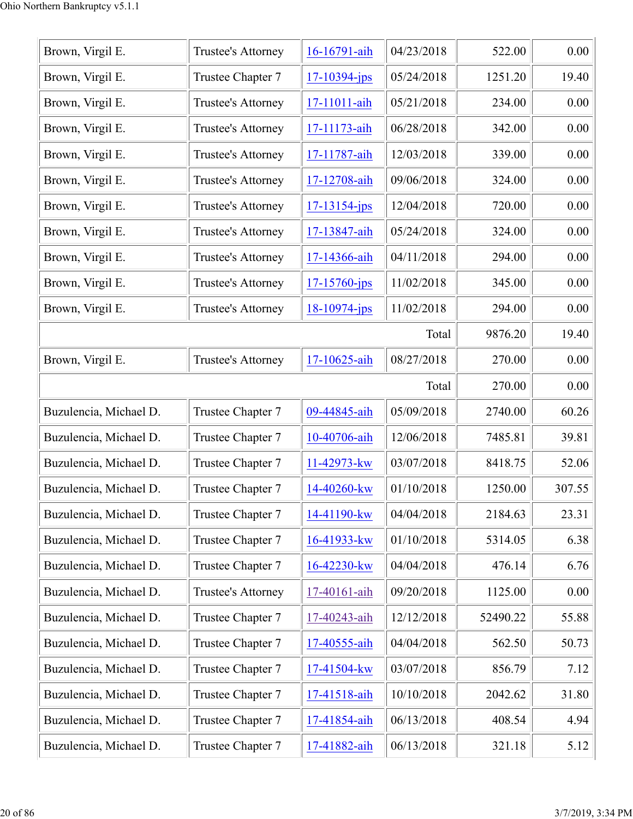| Brown, Virgil E.       | Trustee's Attorney | 16-16791-aih       | 04/23/2018 | 522.00   | 0.00   |
|------------------------|--------------------|--------------------|------------|----------|--------|
| Brown, Virgil E.       | Trustee Chapter 7  | $17 - 10394 - jps$ | 05/24/2018 | 1251.20  | 19.40  |
| Brown, Virgil E.       | Trustee's Attorney | 17-11011-aih       | 05/21/2018 | 234.00   | 0.00   |
| Brown, Virgil E.       | Trustee's Attorney | 17-11173-aih       | 06/28/2018 | 342.00   | 0.00   |
| Brown, Virgil E.       | Trustee's Attorney | 17-11787-aih       | 12/03/2018 | 339.00   | 0.00   |
| Brown, Virgil E.       | Trustee's Attorney | 17-12708-aih       | 09/06/2018 | 324.00   | 0.00   |
| Brown, Virgil E.       | Trustee's Attorney | $17 - 13154 - jps$ | 12/04/2018 | 720.00   | 0.00   |
| Brown, Virgil E.       | Trustee's Attorney | 17-13847-aih       | 05/24/2018 | 324.00   | 0.00   |
| Brown, Virgil E.       | Trustee's Attorney | 17-14366-aih       | 04/11/2018 | 294.00   | 0.00   |
| Brown, Virgil E.       | Trustee's Attorney | $17 - 15760 - ips$ | 11/02/2018 | 345.00   | 0.00   |
| Brown, Virgil E.       | Trustee's Attorney | $18 - 10974 - ips$ | 11/02/2018 | 294.00   | 0.00   |
|                        |                    |                    | Total      | 9876.20  | 19.40  |
| Brown, Virgil E.       | Trustee's Attorney | 17-10625-aih       | 08/27/2018 | 270.00   | 0.00   |
|                        |                    |                    | Total      | 270.00   | 0.00   |
| Buzulencia, Michael D. | Trustee Chapter 7  | 09-44845-aih       | 05/09/2018 | 2740.00  | 60.26  |
| Buzulencia, Michael D. | Trustee Chapter 7  | 10-40706-aih       | 12/06/2018 | 7485.81  | 39.81  |
| Buzulencia, Michael D. | Trustee Chapter 7  | 11-42973-kw        | 03/07/2018 | 8418.75  | 52.06  |
| Buzulencia, Michael D. | Trustee Chapter 7  | 14-40260-kw        | 01/10/2018 | 1250.00  | 307.55 |
| Buzulencia, Michael D. | Trustee Chapter 7  | 14-41190-kw        | 04/04/2018 | 2184.63  | 23.31  |
| Buzulencia, Michael D. | Trustee Chapter 7  | 16-41933-kw        | 01/10/2018 | 5314.05  | 6.38   |
| Buzulencia, Michael D. | Trustee Chapter 7  | 16-42230-kw        | 04/04/2018 | 476.14   | 6.76   |
| Buzulencia, Michael D. | Trustee's Attorney | 17-40161-aih       | 09/20/2018 | 1125.00  | 0.00   |
| Buzulencia, Michael D. | Trustee Chapter 7  | 17-40243-aih       | 12/12/2018 | 52490.22 | 55.88  |
| Buzulencia, Michael D. | Trustee Chapter 7  | 17-40555-aih       | 04/04/2018 | 562.50   | 50.73  |
| Buzulencia, Michael D. | Trustee Chapter 7  | 17-41504-kw        | 03/07/2018 | 856.79   | 7.12   |
| Buzulencia, Michael D. | Trustee Chapter 7  | 17-41518-aih       | 10/10/2018 | 2042.62  | 31.80  |
| Buzulencia, Michael D. | Trustee Chapter 7  | 17-41854-aih       | 06/13/2018 | 408.54   | 4.94   |
| Buzulencia, Michael D. | Trustee Chapter 7  | 17-41882-aih       | 06/13/2018 | 321.18   | 5.12   |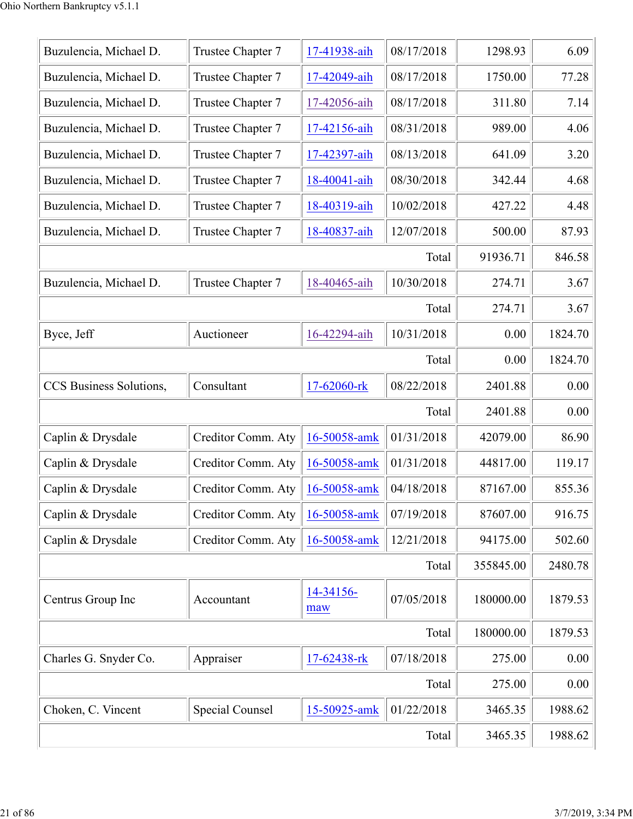| Buzulencia, Michael D.  | Trustee Chapter 7  | 17-41938-aih     | 08/17/2018 | 1298.93   | 6.09    |
|-------------------------|--------------------|------------------|------------|-----------|---------|
| Buzulencia, Michael D.  | Trustee Chapter 7  | 17-42049-aih     | 08/17/2018 | 1750.00   | 77.28   |
| Buzulencia, Michael D.  | Trustee Chapter 7  | 17-42056-aih     | 08/17/2018 | 311.80    | 7.14    |
| Buzulencia, Michael D.  | Trustee Chapter 7  | 17-42156-aih     | 08/31/2018 | 989.00    | 4.06    |
| Buzulencia, Michael D.  | Trustee Chapter 7  | 17-42397-aih     | 08/13/2018 | 641.09    | 3.20    |
| Buzulencia, Michael D.  | Trustee Chapter 7  | 18-40041-aih     | 08/30/2018 | 342.44    | 4.68    |
| Buzulencia, Michael D.  | Trustee Chapter 7  | 18-40319-aih     | 10/02/2018 | 427.22    | 4.48    |
| Buzulencia, Michael D.  | Trustee Chapter 7  | 18-40837-aih     | 12/07/2018 | 500.00    | 87.93   |
|                         |                    |                  | Total      | 91936.71  | 846.58  |
| Buzulencia, Michael D.  | Trustee Chapter 7  | 18-40465-aih     | 10/30/2018 | 274.71    | 3.67    |
|                         |                    |                  | Total      | 274.71    | 3.67    |
| Byce, Jeff              | Auctioneer         | 16-42294-aih     | 10/31/2018 | 0.00      | 1824.70 |
|                         |                    |                  | Total      | 0.00      | 1824.70 |
| CCS Business Solutions, | Consultant         | 17-62060-rk      | 08/22/2018 | 2401.88   | 0.00    |
|                         |                    |                  | Total      | 2401.88   | 0.00    |
| Caplin & Drysdale       | Creditor Comm. Aty | 16-50058-amk     | 01/31/2018 | 42079.00  | 86.90   |
| Caplin & Drysdale       | Creditor Comm. Aty | 16-50058-amk     | 01/31/2018 | 44817.00  | 119.17  |
| Caplin & Drysdale       | Creditor Comm. Aty | 16-50058-amk     | 04/18/2018 | 87167.00  | 855.36  |
| Caplin & Drysdale       | Creditor Comm. Aty | 16-50058-amk     | 07/19/2018 | 87607.00  | 916.75  |
| Caplin & Drysdale       | Creditor Comm. Aty | 16-50058-amk     | 12/21/2018 | 94175.00  | 502.60  |
|                         |                    |                  | Total      | 355845.00 | 2480.78 |
| Centrus Group Inc       | Accountant         | 14-34156-<br>maw | 07/05/2018 | 180000.00 | 1879.53 |
|                         |                    |                  | Total      | 180000.00 | 1879.53 |
| Charles G. Snyder Co.   | Appraiser          | 17-62438-rk      | 07/18/2018 | 275.00    | 0.00    |
|                         |                    |                  | Total      | 275.00    | 0.00    |
| Choken, C. Vincent      | Special Counsel    | 15-50925-amk     | 01/22/2018 | 3465.35   | 1988.62 |
|                         |                    |                  | Total      | 3465.35   | 1988.62 |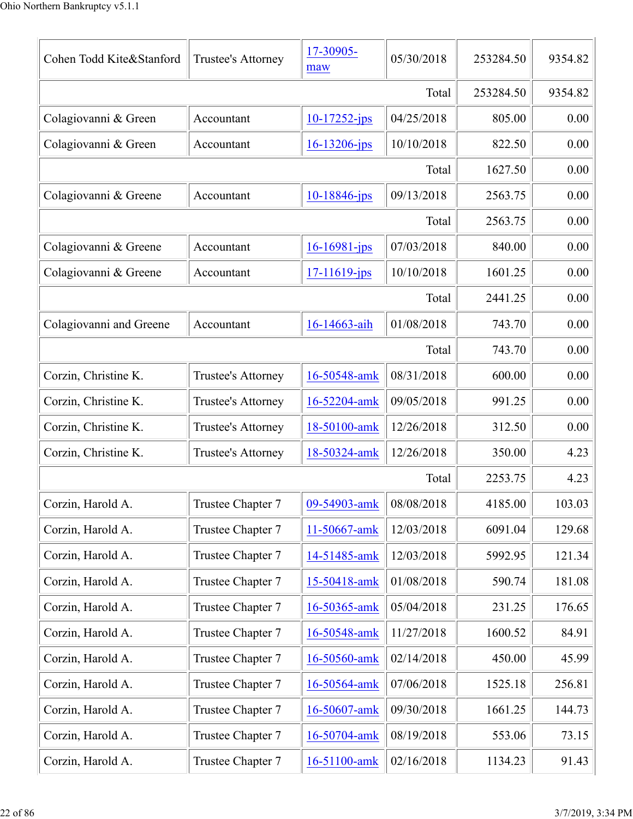| Cohen Todd Kite&Stanford | Trustee's Attorney | 17-30905-<br>maw   | 05/30/2018 | 253284.50 | 9354.82 |
|--------------------------|--------------------|--------------------|------------|-----------|---------|
|                          |                    |                    | Total      | 253284.50 | 9354.82 |
| Colagiovanni & Green     | Accountant         | $10-17252$ -jps    | 04/25/2018 | 805.00    | 0.00    |
| Colagiovanni & Green     | Accountant         | $16 - 13206 - ips$ | 10/10/2018 | 822.50    | 0.00    |
|                          |                    |                    | Total      | 1627.50   | 0.00    |
| Colagiovanni & Greene    | Accountant         | 10-18846-jps       | 09/13/2018 | 2563.75   | 0.00    |
|                          |                    |                    | Total      | 2563.75   | 0.00    |
| Colagiovanni & Greene    | Accountant         | $16 - 16981$ -jps  | 07/03/2018 | 840.00    | 0.00    |
| Colagiovanni & Greene    | Accountant         | $17 - 11619$ -jps  | 10/10/2018 | 1601.25   | 0.00    |
|                          |                    |                    | Total      | 2441.25   | 0.00    |
| Colagiovanni and Greene  | Accountant         | 16-14663-aih       | 01/08/2018 | 743.70    | 0.00    |
|                          |                    |                    | Total      | 743.70    | 0.00    |
| Corzin, Christine K.     | Trustee's Attorney | 16-50548-amk       | 08/31/2018 | 600.00    | 0.00    |
| Corzin, Christine K.     | Trustee's Attorney | 16-52204-amk       | 09/05/2018 | 991.25    | 0.00    |
| Corzin, Christine K.     | Trustee's Attorney | 18-50100-amk       | 12/26/2018 | 312.50    | 0.00    |
| Corzin, Christine K.     | Trustee's Attorney | 18-50324-amk       | 12/26/2018 | 350.00    | 4.23    |
|                          |                    |                    | Total      | 2253.75   | 4.23    |
| Corzin, Harold A.        | Trustee Chapter 7  | 09-54903-amk       | 08/08/2018 | 4185.00   | 103.03  |
| Corzin, Harold A.        | Trustee Chapter 7  | 11-50667-amk       | 12/03/2018 | 6091.04   | 129.68  |
| Corzin, Harold A.        | Trustee Chapter 7  | 14-51485-amk       | 12/03/2018 | 5992.95   | 121.34  |
| Corzin, Harold A.        | Trustee Chapter 7  | 15-50418-amk       | 01/08/2018 | 590.74    | 181.08  |
| Corzin, Harold A.        | Trustee Chapter 7  | 16-50365-amk       | 05/04/2018 | 231.25    | 176.65  |
| Corzin, Harold A.        | Trustee Chapter 7  | 16-50548-amk       | 11/27/2018 | 1600.52   | 84.91   |
| Corzin, Harold A.        | Trustee Chapter 7  | 16-50560-amk       | 02/14/2018 | 450.00    | 45.99   |
| Corzin, Harold A.        | Trustee Chapter 7  | 16-50564-amk       | 07/06/2018 | 1525.18   | 256.81  |
| Corzin, Harold A.        | Trustee Chapter 7  | 16-50607-amk       | 09/30/2018 | 1661.25   | 144.73  |
| Corzin, Harold A.        | Trustee Chapter 7  | 16-50704-amk       | 08/19/2018 | 553.06    | 73.15   |
| Corzin, Harold A.        | Trustee Chapter 7  | 16-51100-amk       | 02/16/2018 | 1134.23   | 91.43   |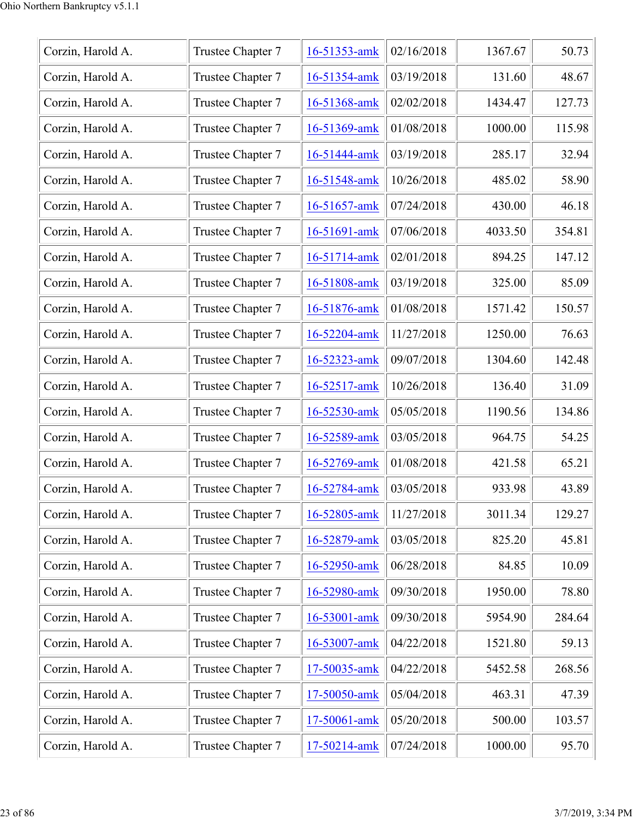| Corzin, Harold A. | Trustee Chapter 7 | 16-51353-amk | 02/16/2018 | 1367.67 | 50.73  |
|-------------------|-------------------|--------------|------------|---------|--------|
| Corzin, Harold A. | Trustee Chapter 7 | 16-51354-amk | 03/19/2018 | 131.60  | 48.67  |
| Corzin, Harold A. | Trustee Chapter 7 | 16-51368-amk | 02/02/2018 | 1434.47 | 127.73 |
| Corzin, Harold A. | Trustee Chapter 7 | 16-51369-amk | 01/08/2018 | 1000.00 | 115.98 |
| Corzin, Harold A. | Trustee Chapter 7 | 16-51444-amk | 03/19/2018 | 285.17  | 32.94  |
| Corzin, Harold A. | Trustee Chapter 7 | 16-51548-amk | 10/26/2018 | 485.02  | 58.90  |
| Corzin, Harold A. | Trustee Chapter 7 | 16-51657-amk | 07/24/2018 | 430.00  | 46.18  |
| Corzin, Harold A. | Trustee Chapter 7 | 16-51691-amk | 07/06/2018 | 4033.50 | 354.81 |
| Corzin, Harold A. | Trustee Chapter 7 | 16-51714-amk | 02/01/2018 | 894.25  | 147.12 |
| Corzin, Harold A. | Trustee Chapter 7 | 16-51808-amk | 03/19/2018 | 325.00  | 85.09  |
| Corzin, Harold A. | Trustee Chapter 7 | 16-51876-amk | 01/08/2018 | 1571.42 | 150.57 |
| Corzin, Harold A. | Trustee Chapter 7 | 16-52204-amk | 11/27/2018 | 1250.00 | 76.63  |
| Corzin, Harold A. | Trustee Chapter 7 | 16-52323-amk | 09/07/2018 | 1304.60 | 142.48 |
| Corzin, Harold A. | Trustee Chapter 7 | 16-52517-amk | 10/26/2018 | 136.40  | 31.09  |
| Corzin, Harold A. | Trustee Chapter 7 | 16-52530-amk | 05/05/2018 | 1190.56 | 134.86 |
| Corzin, Harold A. | Trustee Chapter 7 | 16-52589-amk | 03/05/2018 | 964.75  | 54.25  |
| Corzin, Harold A. | Trustee Chapter 7 | 16-52769-amk | 01/08/2018 | 421.58  | 65.21  |
| Corzin, Harold A. | Trustee Chapter 7 | 16-52784-amk | 03/05/2018 | 933.98  | 43.89  |
| Corzin, Harold A. | Trustee Chapter 7 | 16-52805-amk | 11/27/2018 | 3011.34 | 129.27 |
| Corzin, Harold A. | Trustee Chapter 7 | 16-52879-amk | 03/05/2018 | 825.20  | 45.81  |
| Corzin, Harold A. | Trustee Chapter 7 | 16-52950-amk | 06/28/2018 | 84.85   | 10.09  |
| Corzin, Harold A. | Trustee Chapter 7 | 16-52980-amk | 09/30/2018 | 1950.00 | 78.80  |
| Corzin, Harold A. | Trustee Chapter 7 | 16-53001-amk | 09/30/2018 | 5954.90 | 284.64 |
| Corzin, Harold A. | Trustee Chapter 7 | 16-53007-amk | 04/22/2018 | 1521.80 | 59.13  |
| Corzin, Harold A. | Trustee Chapter 7 | 17-50035-amk | 04/22/2018 | 5452.58 | 268.56 |
| Corzin, Harold A. | Trustee Chapter 7 | 17-50050-amk | 05/04/2018 | 463.31  | 47.39  |
| Corzin, Harold A. | Trustee Chapter 7 | 17-50061-amk | 05/20/2018 | 500.00  | 103.57 |
| Corzin, Harold A. | Trustee Chapter 7 | 17-50214-amk | 07/24/2018 | 1000.00 | 95.70  |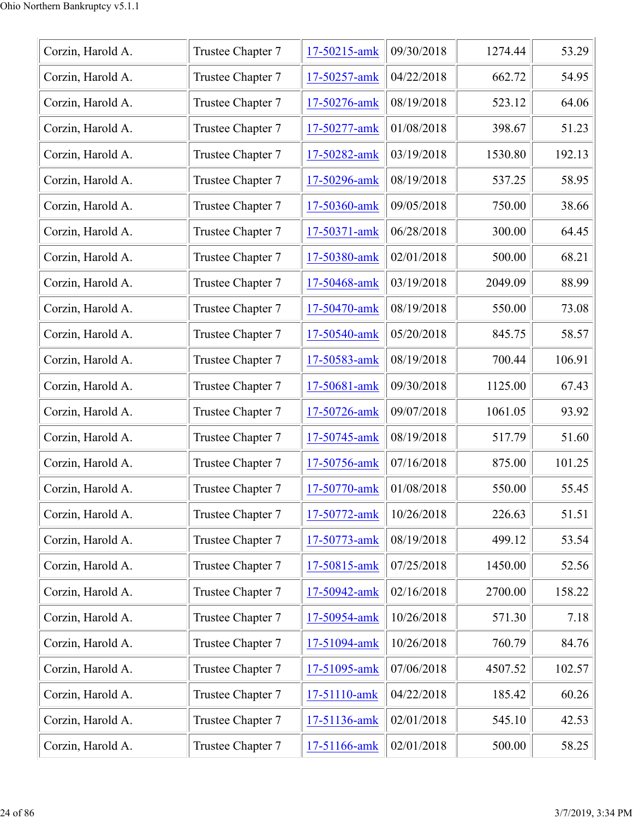| Corzin, Harold A. | Trustee Chapter 7 | 17-50215-amk | 09/30/2018 | 1274.44 | 53.29  |
|-------------------|-------------------|--------------|------------|---------|--------|
| Corzin, Harold A. | Trustee Chapter 7 | 17-50257-amk | 04/22/2018 | 662.72  | 54.95  |
| Corzin, Harold A. | Trustee Chapter 7 | 17-50276-amk | 08/19/2018 | 523.12  | 64.06  |
| Corzin, Harold A. | Trustee Chapter 7 | 17-50277-amk | 01/08/2018 | 398.67  | 51.23  |
| Corzin, Harold A. | Trustee Chapter 7 | 17-50282-amk | 03/19/2018 | 1530.80 | 192.13 |
| Corzin, Harold A. | Trustee Chapter 7 | 17-50296-amk | 08/19/2018 | 537.25  | 58.95  |
| Corzin, Harold A. | Trustee Chapter 7 | 17-50360-amk | 09/05/2018 | 750.00  | 38.66  |
| Corzin, Harold A. | Trustee Chapter 7 | 17-50371-amk | 06/28/2018 | 300.00  | 64.45  |
| Corzin, Harold A. | Trustee Chapter 7 | 17-50380-amk | 02/01/2018 | 500.00  | 68.21  |
| Corzin, Harold A. | Trustee Chapter 7 | 17-50468-amk | 03/19/2018 | 2049.09 | 88.99  |
| Corzin, Harold A. | Trustee Chapter 7 | 17-50470-amk | 08/19/2018 | 550.00  | 73.08  |
| Corzin, Harold A. | Trustee Chapter 7 | 17-50540-amk | 05/20/2018 | 845.75  | 58.57  |
| Corzin, Harold A. | Trustee Chapter 7 | 17-50583-amk | 08/19/2018 | 700.44  | 106.91 |
| Corzin, Harold A. | Trustee Chapter 7 | 17-50681-amk | 09/30/2018 | 1125.00 | 67.43  |
| Corzin, Harold A. | Trustee Chapter 7 | 17-50726-amk | 09/07/2018 | 1061.05 | 93.92  |
| Corzin, Harold A. | Trustee Chapter 7 | 17-50745-amk | 08/19/2018 | 517.79  | 51.60  |
| Corzin, Harold A. | Trustee Chapter 7 | 17-50756-amk | 07/16/2018 | 875.00  | 101.25 |
| Corzin, Harold A. | Trustee Chapter 7 | 17-50770-amk | 01/08/2018 | 550.00  | 55.45  |
| Corzin, Harold A. | Trustee Chapter 7 | 17-50772-amk | 10/26/2018 | 226.63  | 51.51  |
| Corzin, Harold A. | Trustee Chapter 7 | 17-50773-amk | 08/19/2018 | 499.12  | 53.54  |
| Corzin, Harold A. | Trustee Chapter 7 | 17-50815-amk | 07/25/2018 | 1450.00 | 52.56  |
| Corzin, Harold A. | Trustee Chapter 7 | 17-50942-amk | 02/16/2018 | 2700.00 | 158.22 |
| Corzin, Harold A. | Trustee Chapter 7 | 17-50954-amk | 10/26/2018 | 571.30  | 7.18   |
| Corzin, Harold A. | Trustee Chapter 7 | 17-51094-amk | 10/26/2018 | 760.79  | 84.76  |
| Corzin, Harold A. | Trustee Chapter 7 | 17-51095-amk | 07/06/2018 | 4507.52 | 102.57 |
| Corzin, Harold A. | Trustee Chapter 7 | 17-51110-amk | 04/22/2018 | 185.42  | 60.26  |
| Corzin, Harold A. | Trustee Chapter 7 | 17-51136-amk | 02/01/2018 | 545.10  | 42.53  |
| Corzin, Harold A. | Trustee Chapter 7 | 17-51166-amk | 02/01/2018 | 500.00  | 58.25  |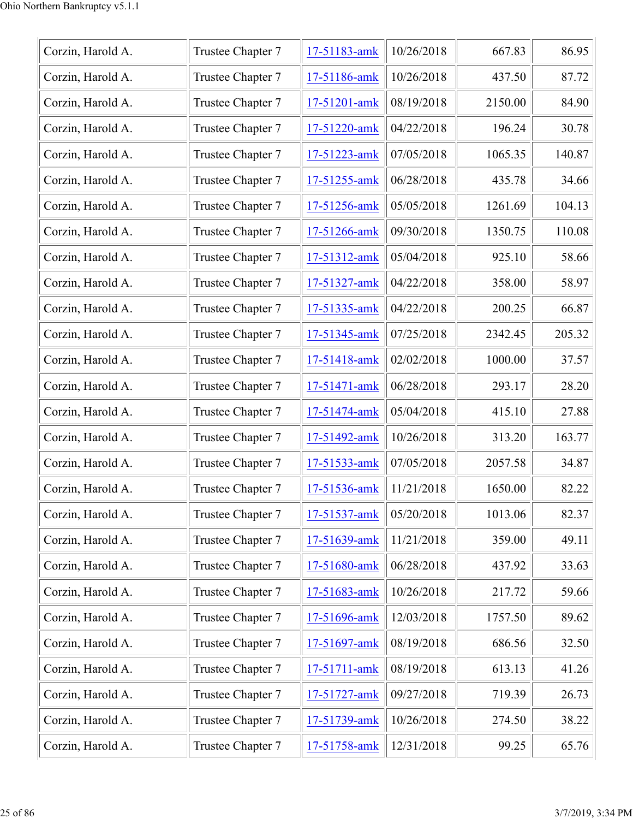| Corzin, Harold A. | Trustee Chapter 7 | 17-51183-amk | 10/26/2018 | 667.83  | 86.95  |
|-------------------|-------------------|--------------|------------|---------|--------|
| Corzin, Harold A. | Trustee Chapter 7 | 17-51186-amk | 10/26/2018 | 437.50  | 87.72  |
| Corzin, Harold A. | Trustee Chapter 7 | 17-51201-amk | 08/19/2018 | 2150.00 | 84.90  |
| Corzin, Harold A. | Trustee Chapter 7 | 17-51220-amk | 04/22/2018 | 196.24  | 30.78  |
| Corzin, Harold A. | Trustee Chapter 7 | 17-51223-amk | 07/05/2018 | 1065.35 | 140.87 |
| Corzin, Harold A. | Trustee Chapter 7 | 17-51255-amk | 06/28/2018 | 435.78  | 34.66  |
| Corzin, Harold A. | Trustee Chapter 7 | 17-51256-amk | 05/05/2018 | 1261.69 | 104.13 |
| Corzin, Harold A. | Trustee Chapter 7 | 17-51266-amk | 09/30/2018 | 1350.75 | 110.08 |
| Corzin, Harold A. | Trustee Chapter 7 | 17-51312-amk | 05/04/2018 | 925.10  | 58.66  |
| Corzin, Harold A. | Trustee Chapter 7 | 17-51327-amk | 04/22/2018 | 358.00  | 58.97  |
| Corzin, Harold A. | Trustee Chapter 7 | 17-51335-amk | 04/22/2018 | 200.25  | 66.87  |
| Corzin, Harold A. | Trustee Chapter 7 | 17-51345-amk | 07/25/2018 | 2342.45 | 205.32 |
| Corzin, Harold A. | Trustee Chapter 7 | 17-51418-amk | 02/02/2018 | 1000.00 | 37.57  |
| Corzin, Harold A. | Trustee Chapter 7 | 17-51471-amk | 06/28/2018 | 293.17  | 28.20  |
| Corzin, Harold A. | Trustee Chapter 7 | 17-51474-amk | 05/04/2018 | 415.10  | 27.88  |
| Corzin, Harold A. | Trustee Chapter 7 | 17-51492-amk | 10/26/2018 | 313.20  | 163.77 |
| Corzin, Harold A. | Trustee Chapter 7 | 17-51533-amk | 07/05/2018 | 2057.58 | 34.87  |
| Corzin, Harold A. | Trustee Chapter 7 | 17-51536-amk | 11/21/2018 | 1650.00 | 82.22  |
| Corzin, Harold A. | Trustee Chapter 7 | 17-51537-amk | 05/20/2018 | 1013.06 | 82.37  |
| Corzin, Harold A. | Trustee Chapter 7 | 17-51639-amk | 11/21/2018 | 359.00  | 49.11  |
| Corzin, Harold A. | Trustee Chapter 7 | 17-51680-amk | 06/28/2018 | 437.92  | 33.63  |
| Corzin, Harold A. | Trustee Chapter 7 | 17-51683-amk | 10/26/2018 | 217.72  | 59.66  |
| Corzin, Harold A. | Trustee Chapter 7 | 17-51696-amk | 12/03/2018 | 1757.50 | 89.62  |
| Corzin, Harold A. | Trustee Chapter 7 | 17-51697-amk | 08/19/2018 | 686.56  | 32.50  |
| Corzin, Harold A. | Trustee Chapter 7 | 17-51711-amk | 08/19/2018 | 613.13  | 41.26  |
| Corzin, Harold A. | Trustee Chapter 7 | 17-51727-amk | 09/27/2018 | 719.39  | 26.73  |
| Corzin, Harold A. | Trustee Chapter 7 | 17-51739-amk | 10/26/2018 | 274.50  | 38.22  |
| Corzin, Harold A. | Trustee Chapter 7 | 17-51758-amk | 12/31/2018 | 99.25   | 65.76  |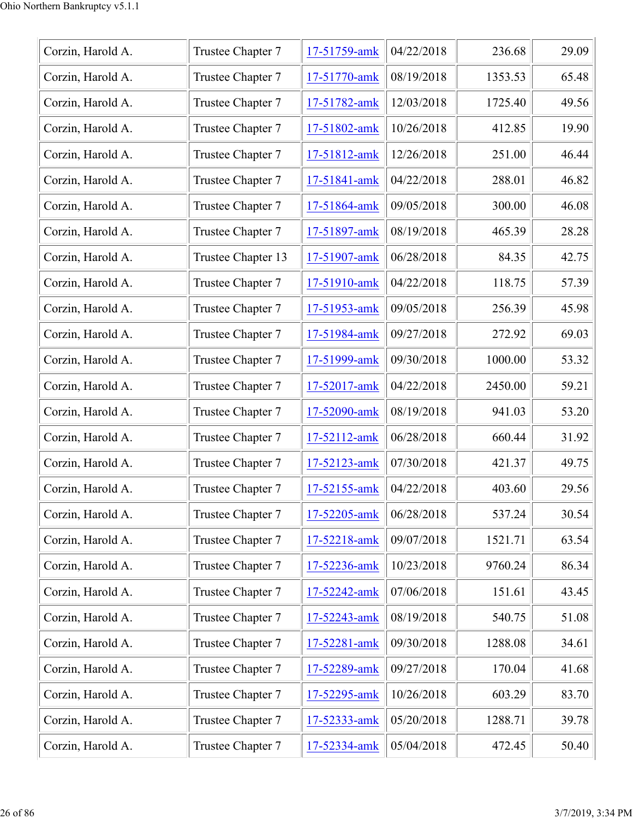| Corzin, Harold A. | Trustee Chapter 7  | 17-51759-amk | 04/22/2018 | 236.68  | 29.09 |
|-------------------|--------------------|--------------|------------|---------|-------|
| Corzin, Harold A. | Trustee Chapter 7  | 17-51770-amk | 08/19/2018 | 1353.53 | 65.48 |
| Corzin, Harold A. | Trustee Chapter 7  | 17-51782-amk | 12/03/2018 | 1725.40 | 49.56 |
| Corzin, Harold A. | Trustee Chapter 7  | 17-51802-amk | 10/26/2018 | 412.85  | 19.90 |
| Corzin, Harold A. | Trustee Chapter 7  | 17-51812-amk | 12/26/2018 | 251.00  | 46.44 |
| Corzin, Harold A. | Trustee Chapter 7  | 17-51841-amk | 04/22/2018 | 288.01  | 46.82 |
| Corzin, Harold A. | Trustee Chapter 7  | 17-51864-amk | 09/05/2018 | 300.00  | 46.08 |
| Corzin, Harold A. | Trustee Chapter 7  | 17-51897-amk | 08/19/2018 | 465.39  | 28.28 |
| Corzin, Harold A. | Trustee Chapter 13 | 17-51907-amk | 06/28/2018 | 84.35   | 42.75 |
| Corzin, Harold A. | Trustee Chapter 7  | 17-51910-amk | 04/22/2018 | 118.75  | 57.39 |
| Corzin, Harold A. | Trustee Chapter 7  | 17-51953-amk | 09/05/2018 | 256.39  | 45.98 |
| Corzin, Harold A. | Trustee Chapter 7  | 17-51984-amk | 09/27/2018 | 272.92  | 69.03 |
| Corzin, Harold A. | Trustee Chapter 7  | 17-51999-amk | 09/30/2018 | 1000.00 | 53.32 |
| Corzin, Harold A. | Trustee Chapter 7  | 17-52017-amk | 04/22/2018 | 2450.00 | 59.21 |
| Corzin, Harold A. | Trustee Chapter 7  | 17-52090-amk | 08/19/2018 | 941.03  | 53.20 |
| Corzin, Harold A. | Trustee Chapter 7  | 17-52112-amk | 06/28/2018 | 660.44  | 31.92 |
| Corzin, Harold A. | Trustee Chapter 7  | 17-52123-amk | 07/30/2018 | 421.37  | 49.75 |
| Corzin, Harold A. | Trustee Chapter 7  | 17-52155-amk | 04/22/2018 | 403.60  | 29.56 |
| Corzin, Harold A. | Trustee Chapter 7  | 17-52205-amk | 06/28/2018 | 537.24  | 30.54 |
| Corzin, Harold A. | Trustee Chapter 7  | 17-52218-amk | 09/07/2018 | 1521.71 | 63.54 |
| Corzin, Harold A. | Trustee Chapter 7  | 17-52236-amk | 10/23/2018 | 9760.24 | 86.34 |
| Corzin, Harold A. | Trustee Chapter 7  | 17-52242-amk | 07/06/2018 | 151.61  | 43.45 |
| Corzin, Harold A. | Trustee Chapter 7  | 17-52243-amk | 08/19/2018 | 540.75  | 51.08 |
| Corzin, Harold A. | Trustee Chapter 7  | 17-52281-amk | 09/30/2018 | 1288.08 | 34.61 |
| Corzin, Harold A. | Trustee Chapter 7  | 17-52289-amk | 09/27/2018 | 170.04  | 41.68 |
| Corzin, Harold A. | Trustee Chapter 7  | 17-52295-amk | 10/26/2018 | 603.29  | 83.70 |
| Corzin, Harold A. | Trustee Chapter 7  | 17-52333-amk | 05/20/2018 | 1288.71 | 39.78 |
| Corzin, Harold A. | Trustee Chapter 7  | 17-52334-amk | 05/04/2018 | 472.45  | 50.40 |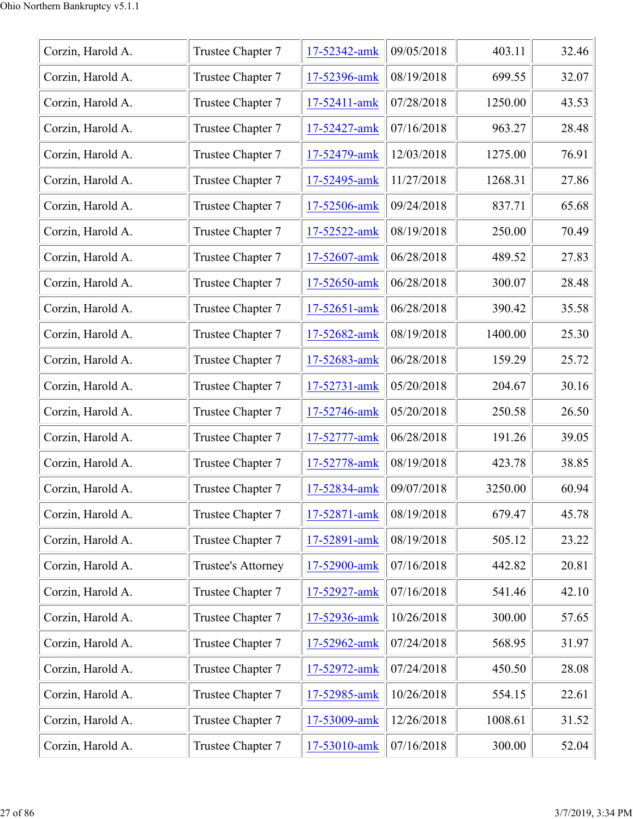| Corzin, Harold A. | Trustee Chapter 7  | 17-52342-amk | 09/05/2018 | 403.11  | 32.46 |
|-------------------|--------------------|--------------|------------|---------|-------|
| Corzin, Harold A. | Trustee Chapter 7  | 17-52396-amk | 08/19/2018 | 699.55  | 32.07 |
| Corzin, Harold A. | Trustee Chapter 7  | 17-52411-amk | 07/28/2018 | 1250.00 | 43.53 |
| Corzin, Harold A. | Trustee Chapter 7  | 17-52427-amk | 07/16/2018 | 963.27  | 28.48 |
| Corzin, Harold A. | Trustee Chapter 7  | 17-52479-amk | 12/03/2018 | 1275.00 | 76.91 |
| Corzin, Harold A. | Trustee Chapter 7  | 17-52495-amk | 11/27/2018 | 1268.31 | 27.86 |
| Corzin, Harold A. | Trustee Chapter 7  | 17-52506-amk | 09/24/2018 | 837.71  | 65.68 |
| Corzin, Harold A. | Trustee Chapter 7  | 17-52522-amk | 08/19/2018 | 250.00  | 70.49 |
| Corzin, Harold A. | Trustee Chapter 7  | 17-52607-amk | 06/28/2018 | 489.52  | 27.83 |
| Corzin, Harold A. | Trustee Chapter 7  | 17-52650-amk | 06/28/2018 | 300.07  | 28.48 |
| Corzin, Harold A. | Trustee Chapter 7  | 17-52651-amk | 06/28/2018 | 390.42  | 35.58 |
| Corzin, Harold A. | Trustee Chapter 7  | 17-52682-amk | 08/19/2018 | 1400.00 | 25.30 |
| Corzin, Harold A. | Trustee Chapter 7  | 17-52683-amk | 06/28/2018 | 159.29  | 25.72 |
| Corzin, Harold A. | Trustee Chapter 7  | 17-52731-amk | 05/20/2018 | 204.67  | 30.16 |
| Corzin, Harold A. | Trustee Chapter 7  | 17-52746-amk | 05/20/2018 | 250.58  | 26.50 |
| Corzin, Harold A. | Trustee Chapter 7  | 17-52777-amk | 06/28/2018 | 191.26  | 39.05 |
| Corzin, Harold A. | Trustee Chapter 7  | 17-52778-amk | 08/19/2018 | 423.78  | 38.85 |
| Corzin, Harold A. | Trustee Chapter 7  | 17-52834-amk | 09/07/2018 | 3250.00 | 60.94 |
| Corzin, Harold A. | Trustee Chapter 7  | 17-52871-amk | 08/19/2018 | 679.47  | 45.78 |
| Corzin, Harold A. | Trustee Chapter 7  | 17-52891-amk | 08/19/2018 | 505.12  | 23.22 |
| Corzin, Harold A. | Trustee's Attorney | 17-52900-amk | 07/16/2018 | 442.82  | 20.81 |
| Corzin, Harold A. | Trustee Chapter 7  | 17-52927-amk | 07/16/2018 | 541.46  | 42.10 |
| Corzin, Harold A. | Trustee Chapter 7  | 17-52936-amk | 10/26/2018 | 300.00  | 57.65 |
| Corzin, Harold A. | Trustee Chapter 7  | 17-52962-amk | 07/24/2018 | 568.95  | 31.97 |
| Corzin, Harold A. | Trustee Chapter 7  | 17-52972-amk | 07/24/2018 | 450.50  | 28.08 |
| Corzin, Harold A. | Trustee Chapter 7  | 17-52985-amk | 10/26/2018 | 554.15  | 22.61 |
| Corzin, Harold A. | Trustee Chapter 7  | 17-53009-amk | 12/26/2018 | 1008.61 | 31.52 |
| Corzin, Harold A. | Trustee Chapter 7  | 17-53010-amk | 07/16/2018 | 300.00  | 52.04 |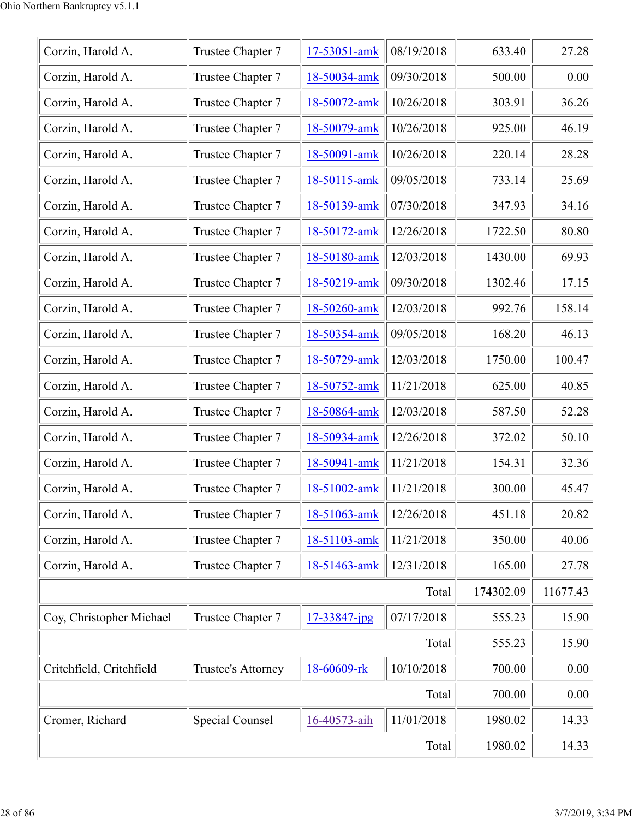| Corzin, Harold A.        | Trustee Chapter 7  | 17-53051-amk | 08/19/2018 | 633.40    | 27.28    |
|--------------------------|--------------------|--------------|------------|-----------|----------|
| Corzin, Harold A.        | Trustee Chapter 7  | 18-50034-amk | 09/30/2018 | 500.00    | 0.00     |
| Corzin, Harold A.        | Trustee Chapter 7  | 18-50072-amk | 10/26/2018 | 303.91    | 36.26    |
| Corzin, Harold A.        | Trustee Chapter 7  | 18-50079-amk | 10/26/2018 | 925.00    | 46.19    |
| Corzin, Harold A.        | Trustee Chapter 7  | 18-50091-amk | 10/26/2018 | 220.14    | 28.28    |
| Corzin, Harold A.        | Trustee Chapter 7  | 18-50115-amk | 09/05/2018 | 733.14    | 25.69    |
| Corzin, Harold A.        | Trustee Chapter 7  | 18-50139-amk | 07/30/2018 | 347.93    | 34.16    |
| Corzin, Harold A.        | Trustee Chapter 7  | 18-50172-amk | 12/26/2018 | 1722.50   | 80.80    |
| Corzin, Harold A.        | Trustee Chapter 7  | 18-50180-amk | 12/03/2018 | 1430.00   | 69.93    |
| Corzin, Harold A.        | Trustee Chapter 7  | 18-50219-amk | 09/30/2018 | 1302.46   | 17.15    |
| Corzin, Harold A.        | Trustee Chapter 7  | 18-50260-amk | 12/03/2018 | 992.76    | 158.14   |
| Corzin, Harold A.        | Trustee Chapter 7  | 18-50354-amk | 09/05/2018 | 168.20    | 46.13    |
| Corzin, Harold A.        | Trustee Chapter 7  | 18-50729-amk | 12/03/2018 | 1750.00   | 100.47   |
| Corzin, Harold A.        | Trustee Chapter 7  | 18-50752-amk | 11/21/2018 | 625.00    | 40.85    |
| Corzin, Harold A.        | Trustee Chapter 7  | 18-50864-amk | 12/03/2018 | 587.50    | 52.28    |
| Corzin, Harold A.        | Trustee Chapter 7  | 18-50934-amk | 12/26/2018 | 372.02    | 50.10    |
| Corzin, Harold A.        | Trustee Chapter 7  | 18-50941-amk | 11/21/2018 | 154.31    | 32.36    |
| Corzin, Harold A.        | Trustee Chapter 7  | 18-51002-amk | 11/21/2018 | 300.00    | 45.47    |
| Corzin, Harold A.        | Trustee Chapter 7  | 18-51063-amk | 12/26/2018 | 451.18    | 20.82    |
| Corzin, Harold A.        | Trustee Chapter 7  | 18-51103-amk | 11/21/2018 | 350.00    | 40.06    |
| Corzin, Harold A.        | Trustee Chapter 7  | 18-51463-amk | 12/31/2018 | 165.00    | 27.78    |
|                          |                    |              | Total      | 174302.09 | 11677.43 |
| Coy, Christopher Michael | Trustee Chapter 7  | 17-33847-jpg | 07/17/2018 | 555.23    | 15.90    |
|                          |                    |              | Total      | 555.23    | 15.90    |
| Critchfield, Critchfield | Trustee's Attorney | 18-60609-rk  | 10/10/2018 | 700.00    | 0.00     |
|                          |                    |              | Total      | 700.00    | 0.00     |
| Cromer, Richard          | Special Counsel    | 16-40573-aih | 11/01/2018 | 1980.02   | 14.33    |
|                          | 1980.02            | 14.33        |            |           |          |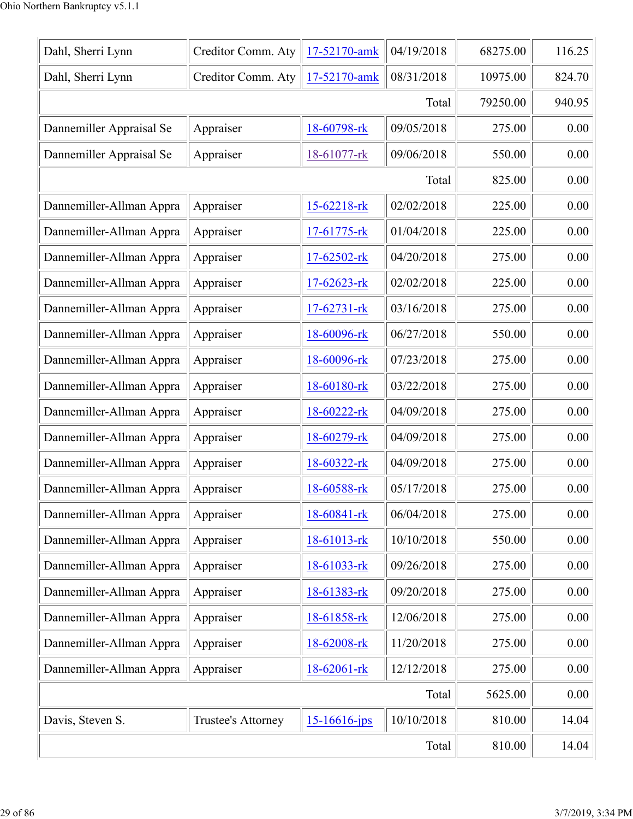| Dahl, Sherri Lynn        | Creditor Comm. Aty | 17-52170-amk       | 04/19/2018 | 68275.00 | 116.25 |
|--------------------------|--------------------|--------------------|------------|----------|--------|
| Dahl, Sherri Lynn        | Creditor Comm. Aty | 17-52170-amk       | 08/31/2018 | 10975.00 | 824.70 |
|                          |                    |                    | Total      | 79250.00 | 940.95 |
| Dannemiller Appraisal Se | Appraiser          | 18-60798-rk        | 09/05/2018 | 275.00   | 0.00   |
| Dannemiller Appraisal Se | Appraiser          | 18-61077-rk        | 09/06/2018 | 550.00   | 0.00   |
|                          |                    |                    | Total      | 825.00   | 0.00   |
| Dannemiller-Allman Appra | Appraiser          | 15-62218-rk        | 02/02/2018 | 225.00   | 0.00   |
| Dannemiller-Allman Appra | Appraiser          | 17-61775-rk        | 01/04/2018 | 225.00   | 0.00   |
| Dannemiller-Allman Appra | Appraiser          | 17-62502-rk        | 04/20/2018 | 275.00   | 0.00   |
| Dannemiller-Allman Appra | Appraiser          | 17-62623-rk        | 02/02/2018 | 225.00   | 0.00   |
| Dannemiller-Allman Appra | Appraiser          | $17 - 62731 - rk$  | 03/16/2018 | 275.00   | 0.00   |
| Dannemiller-Allman Appra | Appraiser          | 18-60096-rk        | 06/27/2018 | 550.00   | 0.00   |
| Dannemiller-Allman Appra | Appraiser          | 18-60096-rk        | 07/23/2018 | 275.00   | 0.00   |
| Dannemiller-Allman Appra | Appraiser          | 18-60180-rk        | 03/22/2018 | 275.00   | 0.00   |
| Dannemiller-Allman Appra | Appraiser          | 18-60222-rk        | 04/09/2018 | 275.00   | 0.00   |
| Dannemiller-Allman Appra | Appraiser          | 18-60279-rk        | 04/09/2018 | 275.00   | 0.00   |
| Dannemiller-Allman Appra | Appraiser          | 18-60322-rk        | 04/09/2018 | 275.00   | 0.00   |
| Dannemiller-Allman Appra | Appraiser          | 18-60588-rk        | 05/17/2018 | 275.00   | 0.00   |
| Dannemiller-Allman Appra | Appraiser          | 18-60841-rk        | 06/04/2018 | 275.00   | 0.00   |
| Dannemiller-Allman Appra | Appraiser          | 18-61013-rk        | 10/10/2018 | 550.00   | 0.00   |
| Dannemiller-Allman Appra | Appraiser          | 18-61033-rk        | 09/26/2018 | 275.00   | 0.00   |
| Dannemiller-Allman Appra | Appraiser          | 18-61383-rk        | 09/20/2018 | 275.00   | 0.00   |
| Dannemiller-Allman Appra | Appraiser          | 18-61858-rk        | 12/06/2018 | 275.00   | 0.00   |
| Dannemiller-Allman Appra | Appraiser          | 18-62008-rk        | 11/20/2018 | 275.00   | 0.00   |
| Dannemiller-Allman Appra | Appraiser          | 18-62061-rk        | 12/12/2018 | 275.00   | 0.00   |
|                          |                    |                    | Total      | 5625.00  | 0.00   |
| Davis, Steven S.         | Trustee's Attorney | $15 - 16616 - ips$ | 10/10/2018 | 810.00   | 14.04  |
|                          | 810.00             | 14.04              |            |          |        |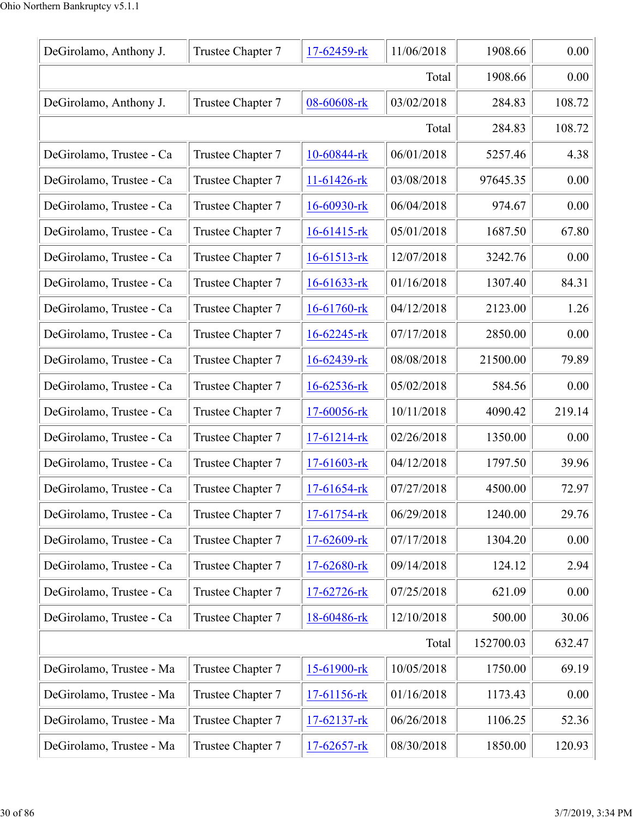| DeGirolamo, Anthony J.   | Trustee Chapter 7 | 17-62459-rk       | 11/06/2018 | 1908.66   | 0.00   |
|--------------------------|-------------------|-------------------|------------|-----------|--------|
|                          |                   |                   | Total      | 1908.66   | 0.00   |
| DeGirolamo, Anthony J.   | Trustee Chapter 7 | 08-60608-rk       | 03/02/2018 | 284.83    | 108.72 |
|                          |                   |                   | Total      | 284.83    | 108.72 |
| DeGirolamo, Trustee - Ca | Trustee Chapter 7 | 10-60844-rk       | 06/01/2018 | 5257.46   | 4.38   |
| DeGirolamo, Trustee - Ca | Trustee Chapter 7 | 11-61426-rk       | 03/08/2018 | 97645.35  | 0.00   |
| DeGirolamo, Trustee - Ca | Trustee Chapter 7 | $16 - 60930$ -rk  | 06/04/2018 | 974.67    | 0.00   |
| DeGirolamo, Trustee - Ca | Trustee Chapter 7 | $16-61415$ -rk    | 05/01/2018 | 1687.50   | 67.80  |
| DeGirolamo, Trustee - Ca | Trustee Chapter 7 | 16-61513-rk       | 12/07/2018 | 3242.76   | 0.00   |
| DeGirolamo, Trustee - Ca | Trustee Chapter 7 | $16 - 61633 - rk$ | 01/16/2018 | 1307.40   | 84.31  |
| DeGirolamo, Trustee - Ca | Trustee Chapter 7 | 16-61760-rk       | 04/12/2018 | 2123.00   | 1.26   |
| DeGirolamo, Trustee - Ca | Trustee Chapter 7 | $16 - 62245$ -rk  | 07/17/2018 | 2850.00   | 0.00   |
| DeGirolamo, Trustee - Ca | Trustee Chapter 7 | 16-62439-rk       | 08/08/2018 | 21500.00  | 79.89  |
| DeGirolamo, Trustee - Ca | Trustee Chapter 7 | $16 - 62536$ -rk  | 05/02/2018 | 584.56    | 0.00   |
| DeGirolamo, Trustee - Ca | Trustee Chapter 7 | 17-60056-rk       | 10/11/2018 | 4090.42   | 219.14 |
| DeGirolamo, Trustee - Ca | Trustee Chapter 7 | $17-61214$ -rk    | 02/26/2018 | 1350.00   | 0.00   |
| DeGirolamo, Trustee - Ca | Trustee Chapter 7 | $17 - 61603 -$ rk | 04/12/2018 | 1797.50   | 39.96  |
| DeGirolamo, Trustee - Ca | Trustee Chapter 7 | 17-61654-rk       | 07/27/2018 | 4500.00   | 72.97  |
| DeGirolamo, Trustee - Ca | Trustee Chapter 7 | 17-61754-rk       | 06/29/2018 | 1240.00   | 29.76  |
| DeGirolamo, Trustee - Ca | Trustee Chapter 7 | 17-62609-rk       | 07/17/2018 | 1304.20   | 0.00   |
| DeGirolamo, Trustee - Ca | Trustee Chapter 7 | 17-62680-rk       | 09/14/2018 | 124.12    | 2.94   |
| DeGirolamo, Trustee - Ca | Trustee Chapter 7 | 17-62726-rk       | 07/25/2018 | 621.09    | 0.00   |
| DeGirolamo, Trustee - Ca | Trustee Chapter 7 | 18-60486-rk       | 12/10/2018 | 500.00    | 30.06  |
|                          |                   |                   | Total      | 152700.03 | 632.47 |
| DeGirolamo, Trustee - Ma | Trustee Chapter 7 | 15-61900-rk       | 10/05/2018 | 1750.00   | 69.19  |
| DeGirolamo, Trustee - Ma | Trustee Chapter 7 | 17-61156-rk       | 01/16/2018 | 1173.43   | 0.00   |
| DeGirolamo, Trustee - Ma | Trustee Chapter 7 | 17-62137-rk       | 06/26/2018 | 1106.25   | 52.36  |
| DeGirolamo, Trustee - Ma | Trustee Chapter 7 | $17 - 62657 -$ rk | 08/30/2018 | 1850.00   | 120.93 |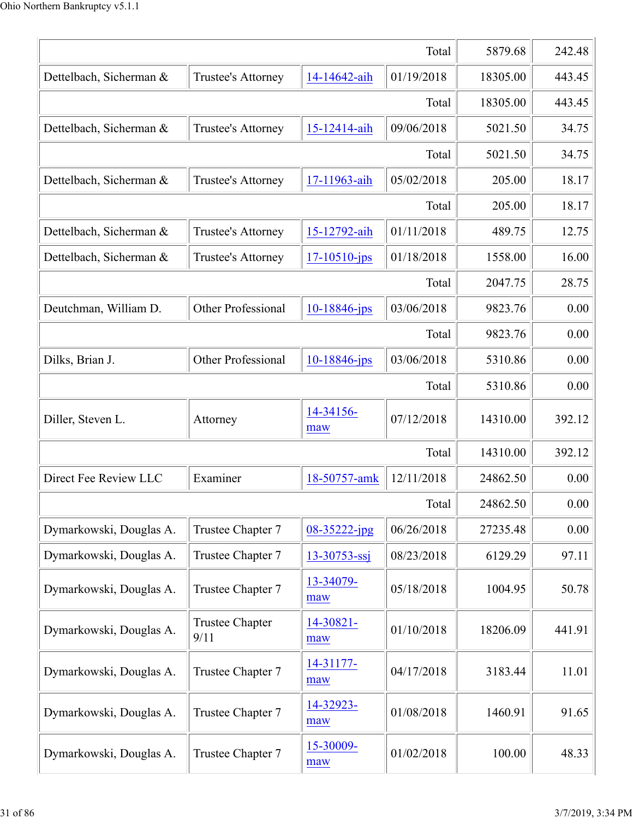|                         | 5879.68                        | 242.48             |            |          |        |
|-------------------------|--------------------------------|--------------------|------------|----------|--------|
| Dettelbach, Sicherman & | Trustee's Attorney             | 14-14642-aih       | 01/19/2018 | 18305.00 | 443.45 |
|                         |                                |                    | Total      | 18305.00 | 443.45 |
| Dettelbach, Sicherman & | Trustee's Attorney             | 15-12414-aih       | 09/06/2018 | 5021.50  | 34.75  |
|                         |                                |                    | Total      | 5021.50  | 34.75  |
| Dettelbach, Sicherman & | Trustee's Attorney             | 17-11963-aih       | 05/02/2018 | 205.00   | 18.17  |
|                         |                                |                    | Total      | 205.00   | 18.17  |
| Dettelbach, Sicherman & | Trustee's Attorney             | 15-12792-aih       | 01/11/2018 | 489.75   | 12.75  |
| Dettelbach, Sicherman & | Trustee's Attorney             | $17 - 10510 - ips$ | 01/18/2018 | 1558.00  | 16.00  |
|                         |                                |                    | Total      | 2047.75  | 28.75  |
| Deutchman, William D.   | <b>Other Professional</b>      | $10 - 18846$ -jps  | 03/06/2018 | 9823.76  | 0.00   |
|                         |                                |                    | Total      | 9823.76  | 0.00   |
| Dilks, Brian J.         | <b>Other Professional</b>      | $10 - 18846$ -jps  | 03/06/2018 | 5310.86  | 0.00   |
|                         |                                |                    | Total      | 5310.86  | 0.00   |
| Diller, Steven L.       | Attorney                       | 14-34156-<br>maw   | 07/12/2018 | 14310.00 | 392.12 |
|                         |                                |                    | Total      | 14310.00 | 392.12 |
| Direct Fee Review LLC   | Examiner                       | 18-50757-amk       | 12/11/2018 | 24862.50 | 0.00   |
|                         |                                |                    | Total      | 24862.50 | 0.00   |
| Dymarkowski, Douglas A. | Trustee Chapter 7              | $08 - 35222 - jpg$ | 06/26/2018 | 27235.48 | 0.00   |
| Dymarkowski, Douglas A. | Trustee Chapter 7              | $13 - 30753 - ssj$ | 08/23/2018 | 6129.29  | 97.11  |
| Dymarkowski, Douglas A. | Trustee Chapter 7              | 13-34079-<br>maw   | 05/18/2018 | 1004.95  | 50.78  |
| Dymarkowski, Douglas A. | <b>Trustee Chapter</b><br>9/11 | 14-30821-<br>maw   | 01/10/2018 | 18206.09 | 441.91 |
| Dymarkowski, Douglas A. | Trustee Chapter 7              | 14-31177-<br>maw   | 04/17/2018 | 3183.44  | 11.01  |
| Dymarkowski, Douglas A. | Trustee Chapter 7              | 14-32923-<br>maw   | 01/08/2018 | 1460.91  | 91.65  |
| Dymarkowski, Douglas A. | Trustee Chapter 7              | 15-30009-<br>maw   | 01/02/2018 | 100.00   | 48.33  |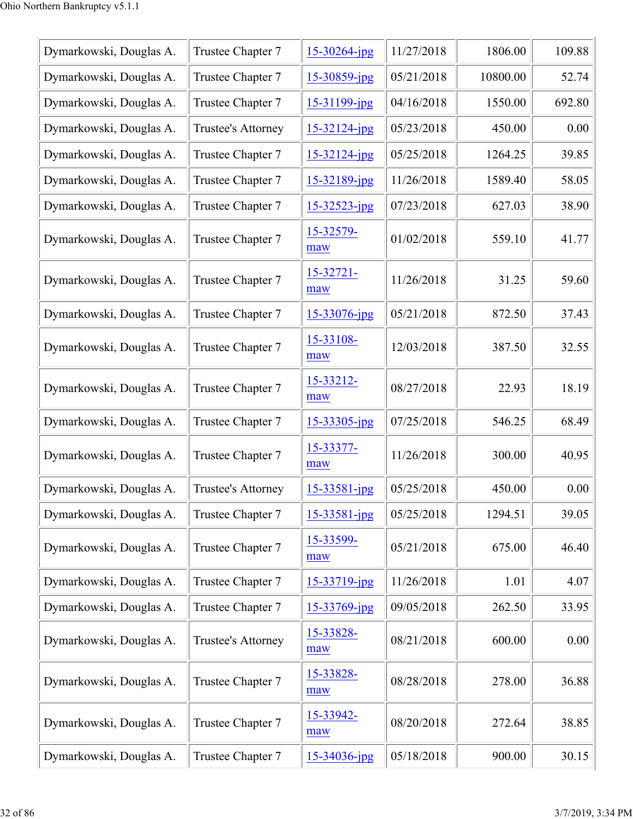| Dymarkowski, Douglas A. | Trustee Chapter 7  | $15 - 30264$ -jpg  | 11/27/2018 | 1806.00  | 109.88 |
|-------------------------|--------------------|--------------------|------------|----------|--------|
| Dymarkowski, Douglas A. | Trustee Chapter 7  | $15 - 30859$ -jpg  | 05/21/2018 | 10800.00 | 52.74  |
| Dymarkowski, Douglas A. | Trustee Chapter 7  | 15-31199-jpg       | 04/16/2018 | 1550.00  | 692.80 |
| Dymarkowski, Douglas A. | Trustee's Attorney | $15 - 32124 - jpg$ | 05/23/2018 | 450.00   | 0.00   |
| Dymarkowski, Douglas A. | Trustee Chapter 7  | $15 - 32124 - jpg$ | 05/25/2018 | 1264.25  | 39.85  |
| Dymarkowski, Douglas A. | Trustee Chapter 7  | 15-32189-jpg       | 11/26/2018 | 1589.40  | 58.05  |
| Dymarkowski, Douglas A. | Trustee Chapter 7  | $15 - 32523 - ipg$ | 07/23/2018 | 627.03   | 38.90  |
| Dymarkowski, Douglas A. | Trustee Chapter 7  | 15-32579-<br>maw   | 01/02/2018 | 559.10   | 41.77  |
| Dymarkowski, Douglas A. | Trustee Chapter 7  | 15-32721-<br>maw   | 11/26/2018 | 31.25    | 59.60  |
| Dymarkowski, Douglas A. | Trustee Chapter 7  | $15 - 33076$ -jpg  | 05/21/2018 | 872.50   | 37.43  |
| Dymarkowski, Douglas A. | Trustee Chapter 7  | 15-33108-<br>maw   | 12/03/2018 | 387.50   | 32.55  |
| Dymarkowski, Douglas A. | Trustee Chapter 7  | 15-33212-<br>maw   | 08/27/2018 | 22.93    | 18.19  |
| Dymarkowski, Douglas A. | Trustee Chapter 7  | $15 - 33305$ -jpg  | 07/25/2018 | 546.25   | 68.49  |
| Dymarkowski, Douglas A. | Trustee Chapter 7  | 15-33377-<br>maw   | 11/26/2018 | 300.00   | 40.95  |
| Dymarkowski, Douglas A. | Trustee's Attorney | $15 - 33581 - ipg$ | 05/25/2018 | 450.00   | 0.00   |
| Dymarkowski, Douglas A. | Trustee Chapter 7  | $15 - 33581 - jpg$ | 05/25/2018 | 1294.51  | 39.05  |
| Dymarkowski, Douglas A. | Trustee Chapter 7  | 15-33599-<br>maw   | 05/21/2018 | 675.00   | 46.40  |
| Dymarkowski, Douglas A. | Trustee Chapter 7  | 15-33719-jpg       | 11/26/2018 | 1.01     | 4.07   |
| Dymarkowski, Douglas A. | Trustee Chapter 7  | 15-33769-jpg       | 09/05/2018 | 262.50   | 33.95  |
| Dymarkowski, Douglas A. | Trustee's Attorney | 15-33828-<br>maw   | 08/21/2018 | 600.00   | 0.00   |
| Dymarkowski, Douglas A. | Trustee Chapter 7  | 15-33828-<br>maw   | 08/28/2018 | 278.00   | 36.88  |
| Dymarkowski, Douglas A. | Trustee Chapter 7  | 15-33942-<br>maw   | 08/20/2018 | 272.64   | 38.85  |
| Dymarkowski, Douglas A. | Trustee Chapter 7  | $15 - 34036$ -jpg  | 05/18/2018 | 900.00   | 30.15  |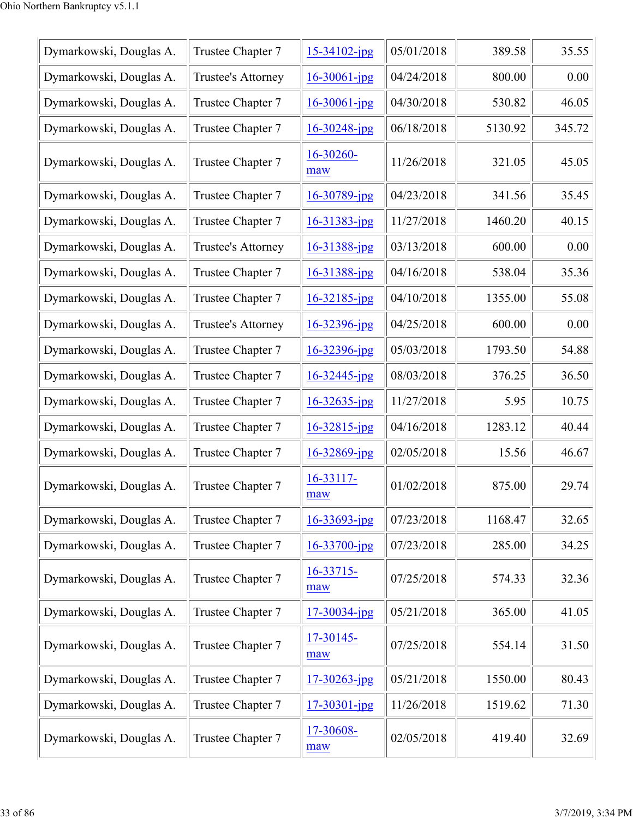| Dymarkowski, Douglas A. | Trustee Chapter 7  | $15 - 34102$ -jpg  | 05/01/2018 | 389.58  | 35.55  |
|-------------------------|--------------------|--------------------|------------|---------|--------|
| Dymarkowski, Douglas A. | Trustee's Attorney | $16 - 30061$ -jpg  | 04/24/2018 | 800.00  | 0.00   |
| Dymarkowski, Douglas A. | Trustee Chapter 7  | $16 - 30061 - jpg$ | 04/30/2018 | 530.82  | 46.05  |
| Dymarkowski, Douglas A. | Trustee Chapter 7  | $16 - 30248$ -jpg  | 06/18/2018 | 5130.92 | 345.72 |
| Dymarkowski, Douglas A. | Trustee Chapter 7  | 16-30260-<br>maw   | 11/26/2018 | 321.05  | 45.05  |
| Dymarkowski, Douglas A. | Trustee Chapter 7  | $16 - 30789$ -jpg  | 04/23/2018 | 341.56  | 35.45  |
| Dymarkowski, Douglas A. | Trustee Chapter 7  | $16 - 31383$ -jpg  | 11/27/2018 | 1460.20 | 40.15  |
| Dymarkowski, Douglas A. | Trustee's Attorney | 16-31388-jpg       | 03/13/2018 | 600.00  | 0.00   |
| Dymarkowski, Douglas A. | Trustee Chapter 7  | 16-31388-jpg       | 04/16/2018 | 538.04  | 35.36  |
| Dymarkowski, Douglas A. | Trustee Chapter 7  | $16 - 32185$ -jpg  | 04/10/2018 | 1355.00 | 55.08  |
| Dymarkowski, Douglas A. | Trustee's Attorney | 16-32396-jpg       | 04/25/2018 | 600.00  | 0.00   |
| Dymarkowski, Douglas A. | Trustee Chapter 7  | $16 - 32396$ -jpg  | 05/03/2018 | 1793.50 | 54.88  |
| Dymarkowski, Douglas A. | Trustee Chapter 7  | $16 - 32445$ -jpg  | 08/03/2018 | 376.25  | 36.50  |
| Dymarkowski, Douglas A. | Trustee Chapter 7  | $16 - 32635$ -jpg  | 11/27/2018 | 5.95    | 10.75  |
| Dymarkowski, Douglas A. | Trustee Chapter 7  | $16 - 32815$ -jpg  | 04/16/2018 | 1283.12 | 40.44  |
| Dymarkowski, Douglas A. | Trustee Chapter 7  | $16 - 32869$ -jpg  | 02/05/2018 | 15.56   | 46.67  |
| Dymarkowski, Douglas A. | Trustee Chapter 7  | 16-33117-<br>maw   | 01/02/2018 | 875.00  | 29.74  |
| Dymarkowski, Douglas A. | Trustee Chapter 7  | $16 - 33693$ -jpg  | 07/23/2018 | 1168.47 | 32.65  |
| Dymarkowski, Douglas A. | Trustee Chapter 7  | $16 - 33700$ -jpg  | 07/23/2018 | 285.00  | 34.25  |
| Dymarkowski, Douglas A. | Trustee Chapter 7  | 16-33715-<br>maw   | 07/25/2018 | 574.33  | 32.36  |
| Dymarkowski, Douglas A. | Trustee Chapter 7  | $17 - 30034$ -jpg  | 05/21/2018 | 365.00  | 41.05  |
| Dymarkowski, Douglas A. | Trustee Chapter 7  | 17-30145-<br>maw   | 07/25/2018 | 554.14  | 31.50  |
| Dymarkowski, Douglas A. | Trustee Chapter 7  | $17 - 30263$ -jpg  | 05/21/2018 | 1550.00 | 80.43  |
| Dymarkowski, Douglas A. | Trustee Chapter 7  | $17 - 30301 - jpg$ | 11/26/2018 | 1519.62 | 71.30  |
| Dymarkowski, Douglas A. | Trustee Chapter 7  | 17-30608-<br>maw   | 02/05/2018 | 419.40  | 32.69  |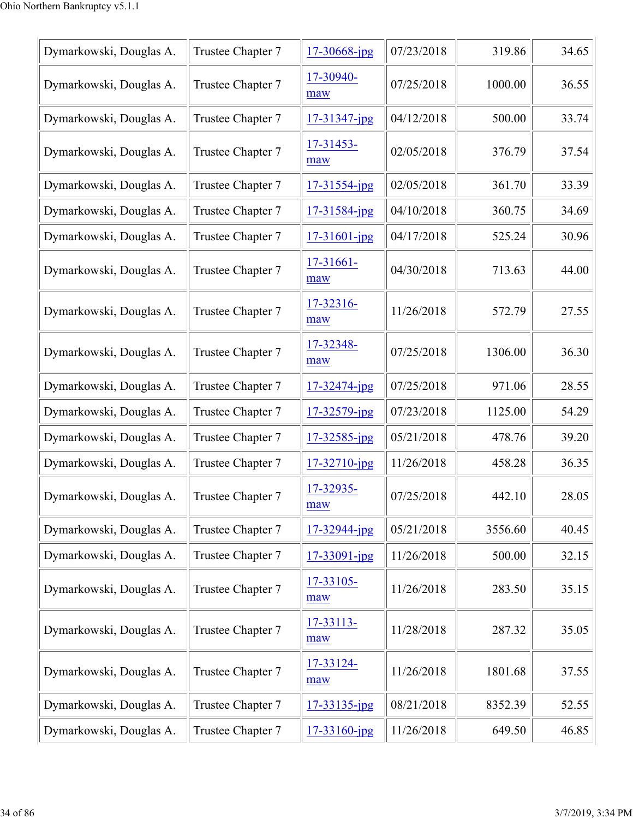| Dymarkowski, Douglas A. | Trustee Chapter 7 | 17-30668-jpg       | 07/23/2018 | 319.86  | 34.65 |
|-------------------------|-------------------|--------------------|------------|---------|-------|
| Dymarkowski, Douglas A. | Trustee Chapter 7 | 17-30940-<br>maw   | 07/25/2018 | 1000.00 | 36.55 |
| Dymarkowski, Douglas A. | Trustee Chapter 7 | 17-31347-jpg       | 04/12/2018 | 500.00  | 33.74 |
| Dymarkowski, Douglas A. | Trustee Chapter 7 | 17-31453-<br>maw   | 02/05/2018 | 376.79  | 37.54 |
| Dymarkowski, Douglas A. | Trustee Chapter 7 | $17 - 31554$ -jpg  | 02/05/2018 | 361.70  | 33.39 |
| Dymarkowski, Douglas A. | Trustee Chapter 7 | 17-31584-jpg       | 04/10/2018 | 360.75  | 34.69 |
| Dymarkowski, Douglas A. | Trustee Chapter 7 | $17 - 31601 - ipg$ | 04/17/2018 | 525.24  | 30.96 |
| Dymarkowski, Douglas A. | Trustee Chapter 7 | 17-31661-<br>maw   | 04/30/2018 | 713.63  | 44.00 |
| Dymarkowski, Douglas A. | Trustee Chapter 7 | 17-32316-<br>maw   | 11/26/2018 | 572.79  | 27.55 |
| Dymarkowski, Douglas A. | Trustee Chapter 7 | 17-32348-<br>maw   | 07/25/2018 | 1306.00 | 36.30 |
| Dymarkowski, Douglas A. | Trustee Chapter 7 | $17 - 32474$ -jpg  | 07/25/2018 | 971.06  | 28.55 |
| Dymarkowski, Douglas A. | Trustee Chapter 7 | 17-32579-jpg       | 07/23/2018 | 1125.00 | 54.29 |
| Dymarkowski, Douglas A. | Trustee Chapter 7 | 17-32585-jpg       | 05/21/2018 | 478.76  | 39.20 |
| Dymarkowski, Douglas A. | Trustee Chapter 7 | 17-32710-jpg       | 11/26/2018 | 458.28  | 36.35 |
| Dymarkowski, Douglas A. | Trustee Chapter 7 | 17-32935-<br>maw   | 07/25/2018 | 442.10  | 28.05 |
| Dymarkowski, Douglas A. | Trustee Chapter 7 | $17 - 32944$ -jpg  | 05/21/2018 | 3556.60 | 40.45 |
| Dymarkowski, Douglas A. | Trustee Chapter 7 | $17 - 33091 - jpg$ | 11/26/2018 | 500.00  | 32.15 |
| Dymarkowski, Douglas A. | Trustee Chapter 7 | 17-33105-<br>maw   | 11/26/2018 | 283.50  | 35.15 |
| Dymarkowski, Douglas A. | Trustee Chapter 7 | 17-33113-<br>maw   | 11/28/2018 | 287.32  | 35.05 |
| Dymarkowski, Douglas A. | Trustee Chapter 7 | 17-33124-<br>maw   | 11/26/2018 | 1801.68 | 37.55 |
| Dymarkowski, Douglas A. | Trustee Chapter 7 | 17-33135-jpg       | 08/21/2018 | 8352.39 | 52.55 |
| Dymarkowski, Douglas A. | Trustee Chapter 7 | $17 - 33160$ -jpg  | 11/26/2018 | 649.50  | 46.85 |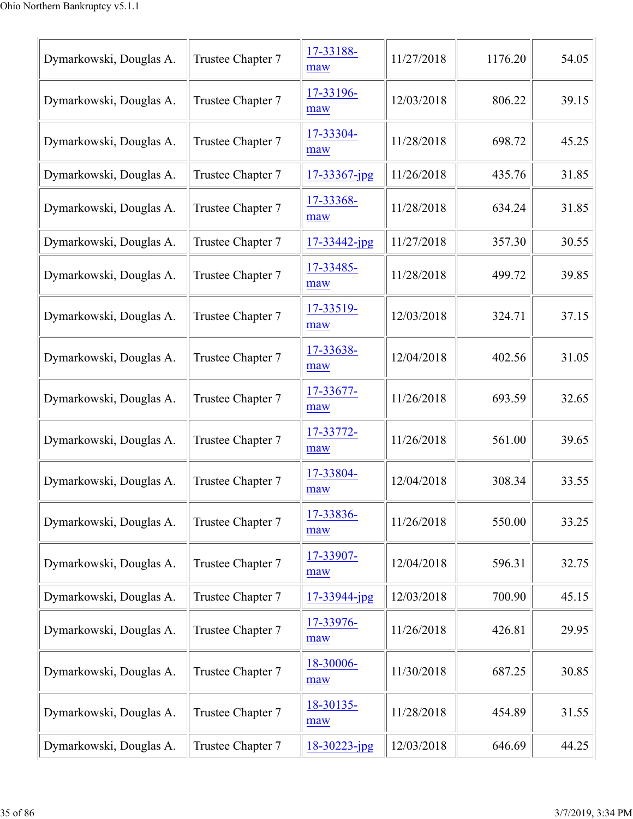| Dymarkowski, Douglas A. | Trustee Chapter 7 | 17-33188-<br>maw  | 11/27/2018 | 1176.20 | 54.05 |
|-------------------------|-------------------|-------------------|------------|---------|-------|
| Dymarkowski, Douglas A. | Trustee Chapter 7 | 17-33196-<br>maw  | 12/03/2018 | 806.22  | 39.15 |
| Dymarkowski, Douglas A. | Trustee Chapter 7 | 17-33304-<br>maw  | 11/28/2018 | 698.72  | 45.25 |
| Dymarkowski, Douglas A. | Trustee Chapter 7 | $17 - 33367$ -jpg | 11/26/2018 | 435.76  | 31.85 |
| Dymarkowski, Douglas A. | Trustee Chapter 7 | 17-33368-<br>maw  | 11/28/2018 | 634.24  | 31.85 |
| Dymarkowski, Douglas A. | Trustee Chapter 7 | 17-33442-jpg      | 11/27/2018 | 357.30  | 30.55 |
| Dymarkowski, Douglas A. | Trustee Chapter 7 | 17-33485-<br>maw  | 11/28/2018 | 499.72  | 39.85 |
| Dymarkowski, Douglas A. | Trustee Chapter 7 | 17-33519-<br>maw  | 12/03/2018 | 324.71  | 37.15 |
| Dymarkowski, Douglas A. | Trustee Chapter 7 | 17-33638-<br>maw  | 12/04/2018 | 402.56  | 31.05 |
| Dymarkowski, Douglas A. | Trustee Chapter 7 | 17-33677-<br>maw  | 11/26/2018 | 693.59  | 32.65 |
| Dymarkowski, Douglas A. | Trustee Chapter 7 | 17-33772-<br>maw  | 11/26/2018 | 561.00  | 39.65 |
| Dymarkowski, Douglas A. | Trustee Chapter 7 | 17-33804-<br>maw  | 12/04/2018 | 308.34  | 33.55 |
| Dymarkowski, Douglas A. | Trustee Chapter 7 | 17-33836-<br>maw  | 11/26/2018 | 550.00  | 33.25 |
| Dymarkowski, Douglas A. | Trustee Chapter 7 | 17-33907-<br>maw  | 12/04/2018 | 596.31  | 32.75 |
| Dymarkowski, Douglas A. | Trustee Chapter 7 | 17-33944-jpg      | 12/03/2018 | 700.90  | 45.15 |
| Dymarkowski, Douglas A. | Trustee Chapter 7 | 17-33976-<br>maw  | 11/26/2018 | 426.81  | 29.95 |
| Dymarkowski, Douglas A. | Trustee Chapter 7 | 18-30006-<br>maw  | 11/30/2018 | 687.25  | 30.85 |
| Dymarkowski, Douglas A. | Trustee Chapter 7 | 18-30135-<br>maw  | 11/28/2018 | 454.89  | 31.55 |
| Dymarkowski, Douglas A. | Trustee Chapter 7 | 18-30223-jpg      | 12/03/2018 | 646.69  | 44.25 |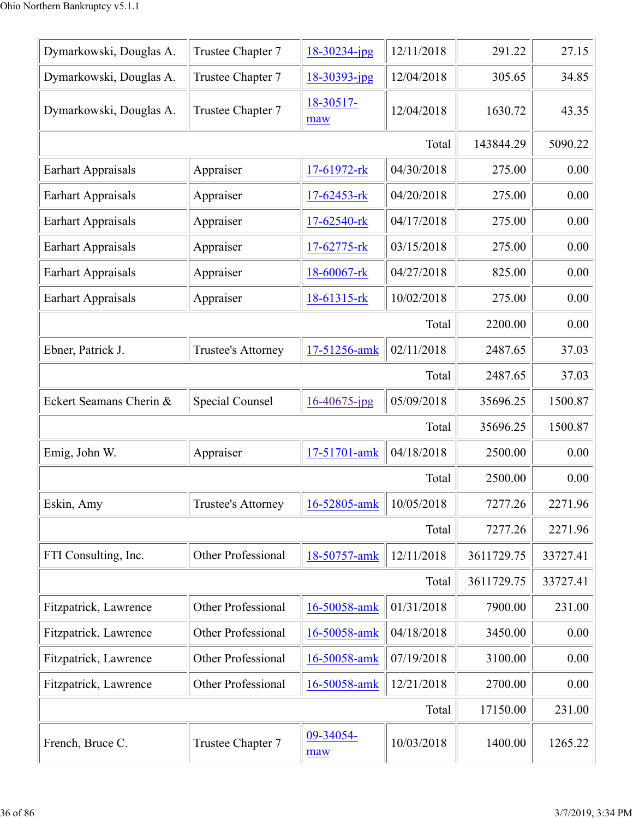| Dymarkowski, Douglas A.   | Trustee Chapter 7                    | $18 - 30234$ -jpg | 12/11/2018 | 291.22     | 27.15    |
|---------------------------|--------------------------------------|-------------------|------------|------------|----------|
| Dymarkowski, Douglas A.   | Trustee Chapter 7                    | 18-30393-jpg      | 12/04/2018 | 305.65     | 34.85    |
| Dymarkowski, Douglas A.   | Trustee Chapter 7                    | 18-30517-<br>maw  | 12/04/2018 | 1630.72    | 43.35    |
|                           |                                      |                   | Total      | 143844.29  | 5090.22  |
| <b>Earhart Appraisals</b> | Appraiser                            | 17-61972-rk       | 04/30/2018 | 275.00     | 0.00     |
| <b>Earhart Appraisals</b> | Appraiser                            | 17-62453-rk       | 04/20/2018 | 275.00     | 0.00     |
| <b>Earhart Appraisals</b> | Appraiser                            | 17-62540-rk       | 04/17/2018 | 275.00     | 0.00     |
| <b>Earhart Appraisals</b> | Appraiser                            | 17-62775-rk       | 03/15/2018 | 275.00     | 0.00     |
| <b>Earhart Appraisals</b> | Appraiser                            | 18-60067-rk       | 04/27/2018 | 825.00     | 0.00     |
| <b>Earhart Appraisals</b> | Appraiser                            | 18-61315-rk       | 10/02/2018 | 275.00     | 0.00     |
|                           |                                      |                   | Total      | 2200.00    | 0.00     |
| Ebner, Patrick J.         | Trustee's Attorney                   | 17-51256-amk      | 02/11/2018 | 2487.65    | 37.03    |
|                           |                                      |                   | Total      | 2487.65    | 37.03    |
| Eckert Seamans Cherin &   | Special Counsel                      | 16-40675-jpg      | 05/09/2018 | 35696.25   | 1500.87  |
|                           |                                      |                   | Total      | 35696.25   | 1500.87  |
| Emig, John W.             | Appraiser                            | 17-51701-amk      | 04/18/2018 | 2500.00    | 0.00     |
|                           |                                      |                   | Total      | 2500.00    | 0.00     |
| Eskin, Amy                | $\blacksquare$<br>Trustee's Attorney | 16-52805-amk      | 10/05/2018 | 7277.26    | 2271.96  |
|                           |                                      |                   | Total      | 7277.26    | 2271.96  |
| FTI Consulting, Inc.      | Other Professional                   | 18-50757-amk      | 12/11/2018 | 3611729.75 | 33727.41 |
|                           |                                      |                   | Total      | 3611729.75 | 33727.41 |
| Fitzpatrick, Lawrence     | Other Professional                   | 16-50058-amk      | 01/31/2018 | 7900.00    | 231.00   |
| Fitzpatrick, Lawrence     | Other Professional                   | 16-50058-amk      | 04/18/2018 | 3450.00    | 0.00     |
| Fitzpatrick, Lawrence     | Other Professional                   | 16-50058-amk      | 07/19/2018 | 3100.00    | 0.00     |
| Fitzpatrick, Lawrence     | Other Professional                   | 16-50058-amk      | 12/21/2018 | 2700.00    | 0.00     |
|                           |                                      |                   | Total      | 17150.00   | 231.00   |
| French, Bruce C.          | Trustee Chapter 7                    | 09-34054-<br>maw  | 10/03/2018 | 1400.00    | 1265.22  |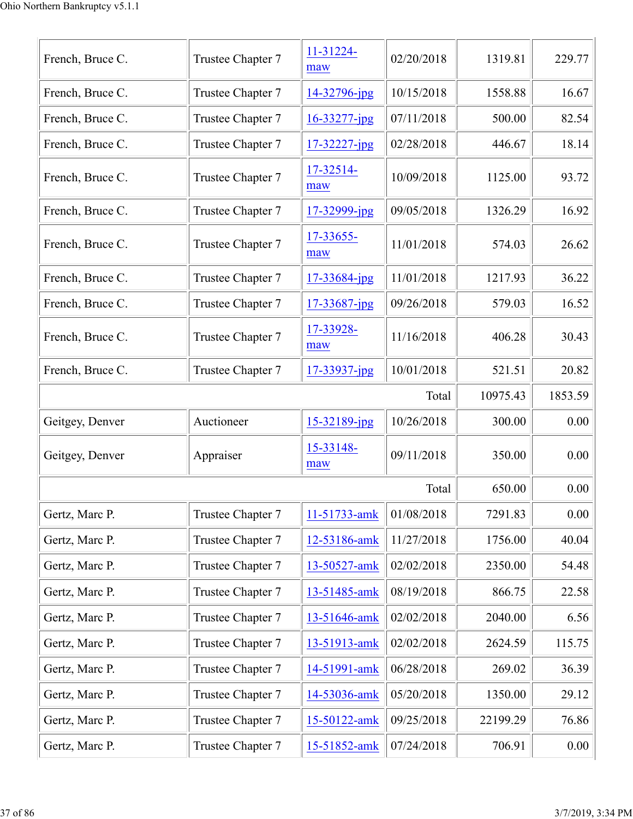| French, Bruce C. | Trustee Chapter 7 | 11-31224-<br>maw   | 02/20/2018 | 1319.81  | 229.77   |
|------------------|-------------------|--------------------|------------|----------|----------|
| French, Bruce C. | Trustee Chapter 7 | 14-32796-jpg       | 10/15/2018 | 1558.88  | 16.67    |
| French, Bruce C. | Trustee Chapter 7 | 16-33277-jpg       | 07/11/2018 | 500.00   | 82.54    |
| French, Bruce C. | Trustee Chapter 7 | $17 - 32227 - jpg$ | 02/28/2018 | 446.67   | 18.14    |
| French, Bruce C. | Trustee Chapter 7 | 17-32514-<br>maw   | 10/09/2018 | 1125.00  | 93.72    |
| French, Bruce C. | Trustee Chapter 7 | 17-32999-jpg       | 09/05/2018 | 1326.29  | 16.92    |
| French, Bruce C. | Trustee Chapter 7 | 17-33655-<br>maw   | 11/01/2018 | 574.03   | 26.62    |
| French, Bruce C. | Trustee Chapter 7 | 17-33684-jpg       | 11/01/2018 | 1217.93  | 36.22    |
| French, Bruce C. | Trustee Chapter 7 | 17-33687-jpg       | 09/26/2018 | 579.03   | 16.52    |
| French, Bruce C. | Trustee Chapter 7 | 17-33928-<br>maw   | 11/16/2018 | 406.28   | 30.43    |
| French, Bruce C. | Trustee Chapter 7 | 17-33937-jpg       | 10/01/2018 | 521.51   | 20.82    |
|                  |                   |                    | Total      | 10975.43 | 1853.59  |
| Geitgey, Denver  | Auctioneer        | 15-32189-jpg       | 10/26/2018 | 300.00   | 0.00     |
| Geitgey, Denver  | Appraiser         | 15-33148-<br>maw   | 09/11/2018 | 350.00   | 0.00     |
|                  |                   |                    | Total      | 650.00   | 0.00     |
| Gertz, Marc P.   | Trustee Chapter 7 | 11-51733-amk       | 01/08/2018 | 7291.83  | 0.00     |
| Gertz, Marc P.   | Trustee Chapter 7 | 12-53186-amk       | 11/27/2018 | 1756.00  | 40.04    |
| Gertz, Marc P.   | Trustee Chapter 7 | 13-50527-amk       | 02/02/2018 | 2350.00  | 54.48    |
| Gertz, Marc P.   | Trustee Chapter 7 | 13-51485-amk       | 08/19/2018 | 866.75   | 22.58    |
| Gertz, Marc P.   | Trustee Chapter 7 | 13-51646-amk       | 02/02/2018 | 2040.00  | 6.56     |
| Gertz, Marc P.   | Trustee Chapter 7 | 13-51913-amk       | 02/02/2018 | 2624.59  | 115.75   |
| Gertz, Marc P.   | Trustee Chapter 7 | 14-51991-amk       | 06/28/2018 | 269.02   | 36.39    |
| Gertz, Marc P.   | Trustee Chapter 7 | 14-53036-amk       | 05/20/2018 | 1350.00  | 29.12    |
| Gertz, Marc P.   | Trustee Chapter 7 | 15-50122-amk       | 09/25/2018 | 22199.29 | 76.86    |
| Gertz, Marc P.   | Trustee Chapter 7 | 15-51852-amk       | 07/24/2018 | 706.91   | $0.00\,$ |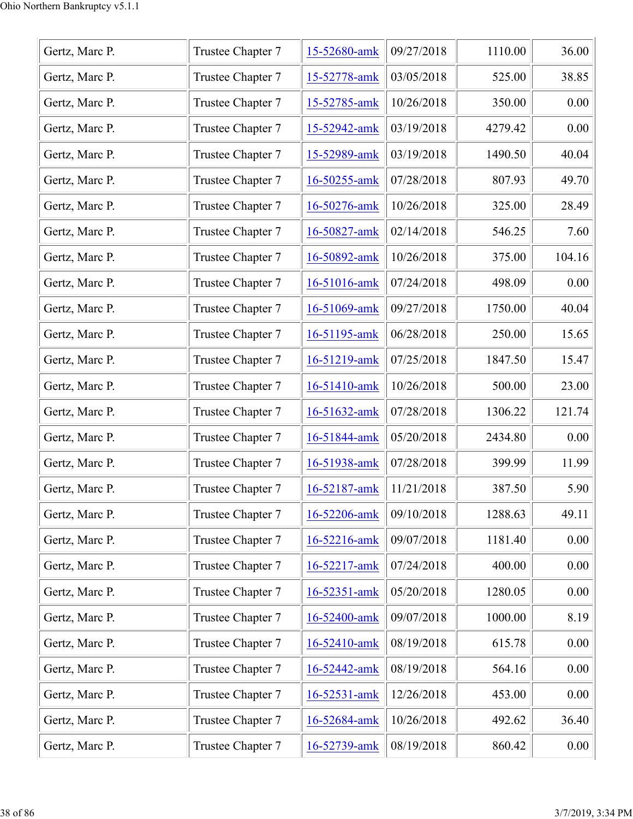| Gertz, Marc P. | Trustee Chapter 7 | 15-52680-amk | 09/27/2018 | 1110.00 | 36.00  |
|----------------|-------------------|--------------|------------|---------|--------|
| Gertz, Marc P. | Trustee Chapter 7 | 15-52778-amk | 03/05/2018 | 525.00  | 38.85  |
| Gertz, Marc P. | Trustee Chapter 7 | 15-52785-amk | 10/26/2018 | 350.00  | 0.00   |
| Gertz, Marc P. | Trustee Chapter 7 | 15-52942-amk | 03/19/2018 | 4279.42 | 0.00   |
| Gertz, Marc P. | Trustee Chapter 7 | 15-52989-amk | 03/19/2018 | 1490.50 | 40.04  |
| Gertz, Marc P. | Trustee Chapter 7 | 16-50255-amk | 07/28/2018 | 807.93  | 49.70  |
| Gertz, Marc P. | Trustee Chapter 7 | 16-50276-amk | 10/26/2018 | 325.00  | 28.49  |
| Gertz, Marc P. | Trustee Chapter 7 | 16-50827-amk | 02/14/2018 | 546.25  | 7.60   |
| Gertz, Marc P. | Trustee Chapter 7 | 16-50892-amk | 10/26/2018 | 375.00  | 104.16 |
| Gertz, Marc P. | Trustee Chapter 7 | 16-51016-amk | 07/24/2018 | 498.09  | 0.00   |
| Gertz, Marc P. | Trustee Chapter 7 | 16-51069-amk | 09/27/2018 | 1750.00 | 40.04  |
| Gertz, Marc P. | Trustee Chapter 7 | 16-51195-amk | 06/28/2018 | 250.00  | 15.65  |
| Gertz, Marc P. | Trustee Chapter 7 | 16-51219-amk | 07/25/2018 | 1847.50 | 15.47  |
| Gertz, Marc P. | Trustee Chapter 7 | 16-51410-amk | 10/26/2018 | 500.00  | 23.00  |
| Gertz, Marc P. | Trustee Chapter 7 | 16-51632-amk | 07/28/2018 | 1306.22 | 121.74 |
| Gertz, Marc P. | Trustee Chapter 7 | 16-51844-amk | 05/20/2018 | 2434.80 | 0.00   |
| Gertz, Marc P. | Trustee Chapter 7 | 16-51938-amk | 07/28/2018 | 399.99  | 11.99  |
| Gertz, Marc P. | Trustee Chapter 7 | 16-52187-amk | 11/21/2018 | 387.50  | 5.90   |
| Gertz, Marc P. | Trustee Chapter 7 | 16-52206-amk | 09/10/2018 | 1288.63 | 49.11  |
| Gertz, Marc P. | Trustee Chapter 7 | 16-52216-amk | 09/07/2018 | 1181.40 | 0.00   |
| Gertz, Marc P. | Trustee Chapter 7 | 16-52217-amk | 07/24/2018 | 400.00  | 0.00   |
| Gertz, Marc P. | Trustee Chapter 7 | 16-52351-amk | 05/20/2018 | 1280.05 | 0.00   |
| Gertz, Marc P. | Trustee Chapter 7 | 16-52400-amk | 09/07/2018 | 1000.00 | 8.19   |
| Gertz, Marc P. | Trustee Chapter 7 | 16-52410-amk | 08/19/2018 | 615.78  | 0.00   |
| Gertz, Marc P. | Trustee Chapter 7 | 16-52442-amk | 08/19/2018 | 564.16  | 0.00   |
| Gertz, Marc P. | Trustee Chapter 7 | 16-52531-amk | 12/26/2018 | 453.00  | 0.00   |
| Gertz, Marc P. | Trustee Chapter 7 | 16-52684-amk | 10/26/2018 | 492.62  | 36.40  |
| Gertz, Marc P. | Trustee Chapter 7 | 16-52739-amk | 08/19/2018 | 860.42  | 0.00   |
|                |                   |              |            |         |        |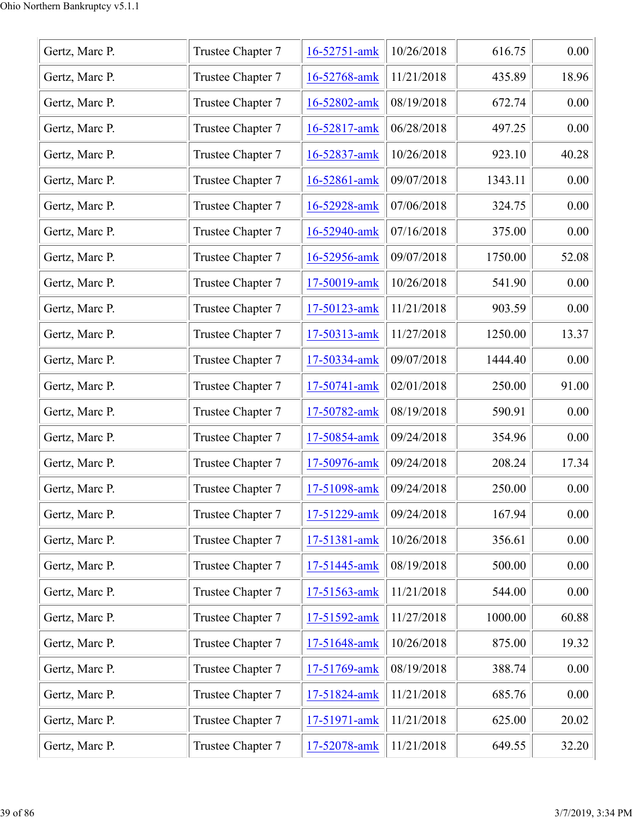| Gertz, Marc P. | Trustee Chapter 7 | 16-52751-amk | 10/26/2018 | 616.75  | 0.00  |
|----------------|-------------------|--------------|------------|---------|-------|
| Gertz, Marc P. | Trustee Chapter 7 | 16-52768-amk | 11/21/2018 | 435.89  | 18.96 |
| Gertz, Marc P. | Trustee Chapter 7 | 16-52802-amk | 08/19/2018 | 672.74  | 0.00  |
| Gertz, Marc P. | Trustee Chapter 7 | 16-52817-amk | 06/28/2018 | 497.25  | 0.00  |
| Gertz, Marc P. | Trustee Chapter 7 | 16-52837-amk | 10/26/2018 | 923.10  | 40.28 |
| Gertz, Marc P. | Trustee Chapter 7 | 16-52861-amk | 09/07/2018 | 1343.11 | 0.00  |
| Gertz, Marc P. | Trustee Chapter 7 | 16-52928-amk | 07/06/2018 | 324.75  | 0.00  |
| Gertz, Marc P. | Trustee Chapter 7 | 16-52940-amk | 07/16/2018 | 375.00  | 0.00  |
| Gertz, Marc P. | Trustee Chapter 7 | 16-52956-amk | 09/07/2018 | 1750.00 | 52.08 |
| Gertz, Marc P. | Trustee Chapter 7 | 17-50019-amk | 10/26/2018 | 541.90  | 0.00  |
| Gertz, Marc P. | Trustee Chapter 7 | 17-50123-amk | 11/21/2018 | 903.59  | 0.00  |
| Gertz, Marc P. | Trustee Chapter 7 | 17-50313-amk | 11/27/2018 | 1250.00 | 13.37 |
| Gertz, Marc P. | Trustee Chapter 7 | 17-50334-amk | 09/07/2018 | 1444.40 | 0.00  |
| Gertz, Marc P. | Trustee Chapter 7 | 17-50741-amk | 02/01/2018 | 250.00  | 91.00 |
| Gertz, Marc P. | Trustee Chapter 7 | 17-50782-amk | 08/19/2018 | 590.91  | 0.00  |
| Gertz, Marc P. | Trustee Chapter 7 | 17-50854-amk | 09/24/2018 | 354.96  | 0.00  |
| Gertz, Marc P. | Trustee Chapter 7 | 17-50976-amk | 09/24/2018 | 208.24  | 17.34 |
| Gertz, Marc P. | Trustee Chapter 7 | 17-51098-amk | 09/24/2018 | 250.00  | 0.00  |
| Gertz, Marc P. | Trustee Chapter 7 | 17-51229-amk | 09/24/2018 | 167.94  | 0.00  |
| Gertz, Marc P. | Trustee Chapter 7 | 17-51381-amk | 10/26/2018 | 356.61  | 0.00  |
| Gertz, Marc P. | Trustee Chapter 7 | 17-51445-amk | 08/19/2018 | 500.00  | 0.00  |
| Gertz, Marc P. | Trustee Chapter 7 | 17-51563-amk | 11/21/2018 | 544.00  | 0.00  |
| Gertz, Marc P. | Trustee Chapter 7 | 17-51592-amk | 11/27/2018 | 1000.00 | 60.88 |
| Gertz, Marc P. | Trustee Chapter 7 | 17-51648-amk | 10/26/2018 | 875.00  | 19.32 |
| Gertz, Marc P. | Trustee Chapter 7 | 17-51769-amk | 08/19/2018 | 388.74  | 0.00  |
| Gertz, Marc P. | Trustee Chapter 7 | 17-51824-amk | 11/21/2018 | 685.76  | 0.00  |
| Gertz, Marc P. | Trustee Chapter 7 | 17-51971-amk | 11/21/2018 | 625.00  | 20.02 |
| Gertz, Marc P. | Trustee Chapter 7 | 17-52078-amk | 11/21/2018 | 649.55  | 32.20 |
|                |                   |              |            |         |       |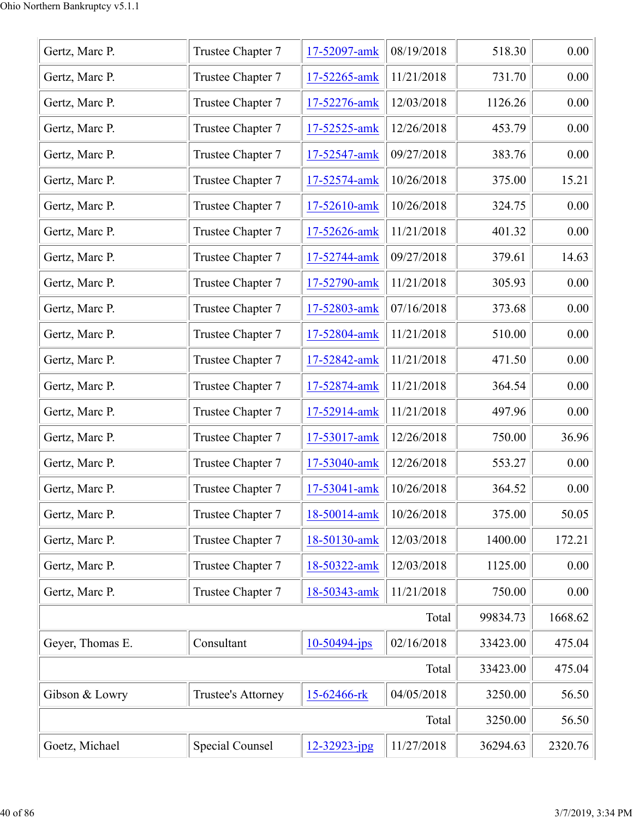| Gertz, Marc P.   | Trustee Chapter 7      | 17-52097-amk    | 08/19/2018 | 518.30   | 0.00    |
|------------------|------------------------|-----------------|------------|----------|---------|
| Gertz, Marc P.   | Trustee Chapter 7      | 17-52265-amk    | 11/21/2018 | 731.70   | 0.00    |
| Gertz, Marc P.   | Trustee Chapter 7      | 17-52276-amk    | 12/03/2018 | 1126.26  | 0.00    |
| Gertz, Marc P.   | Trustee Chapter 7      | 17-52525-amk    | 12/26/2018 | 453.79   | 0.00    |
| Gertz, Marc P.   | Trustee Chapter 7      | 17-52547-amk    | 09/27/2018 | 383.76   | 0.00    |
| Gertz, Marc P.   | Trustee Chapter 7      | 17-52574-amk    | 10/26/2018 | 375.00   | 15.21   |
| Gertz, Marc P.   | Trustee Chapter 7      | 17-52610-amk    | 10/26/2018 | 324.75   | 0.00    |
| Gertz, Marc P.   | Trustee Chapter 7      | 17-52626-amk    | 11/21/2018 | 401.32   | 0.00    |
| Gertz, Marc P.   | Trustee Chapter 7      | 17-52744-amk    | 09/27/2018 | 379.61   | 14.63   |
| Gertz, Marc P.   | Trustee Chapter 7      | 17-52790-amk    | 11/21/2018 | 305.93   | 0.00    |
| Gertz, Marc P.   | Trustee Chapter 7      | 17-52803-amk    | 07/16/2018 | 373.68   | 0.00    |
| Gertz, Marc P.   | Trustee Chapter 7      | 17-52804-amk    | 11/21/2018 | 510.00   | 0.00    |
| Gertz, Marc P.   | Trustee Chapter 7      | 17-52842-amk    | 11/21/2018 | 471.50   | 0.00    |
| Gertz, Marc P.   | Trustee Chapter 7      | 17-52874-amk    | 11/21/2018 | 364.54   | 0.00    |
| Gertz, Marc P.   | Trustee Chapter 7      | 17-52914-amk    | 11/21/2018 | 497.96   | 0.00    |
| Gertz, Marc P.   | Trustee Chapter 7      | 17-53017-amk    | 12/26/2018 | 750.00   | 36.96   |
| Gertz, Marc P.   | Trustee Chapter 7      | 17-53040-amk    | 12/26/2018 | 553.27   | 0.00    |
| Gertz, Marc P.   | Trustee Chapter 7      | 17-53041-amk    | 10/26/2018 | 364.52   | 0.00    |
| Gertz, Marc P.   | Trustee Chapter 7      | 18-50014-amk    | 10/26/2018 | 375.00   | 50.05   |
| Gertz, Marc P.   | Trustee Chapter 7      | 18-50130-amk    | 12/03/2018 | 1400.00  | 172.21  |
| Gertz, Marc P.   | Trustee Chapter 7      | 18-50322-amk    | 12/03/2018 | 1125.00  | 0.00    |
| Gertz, Marc P.   | Trustee Chapter 7      | 18-50343-amk    | 11/21/2018 | 750.00   | 0.00    |
|                  |                        |                 | Total      | 99834.73 | 1668.62 |
| Geyer, Thomas E. | Consultant             | $10-50494$ -jps | 02/16/2018 | 33423.00 | 475.04  |
|                  |                        |                 | Total      | 33423.00 | 475.04  |
| Gibson & Lowry   | Trustee's Attorney     | 15-62466-rk     | 04/05/2018 | 3250.00  | 56.50   |
|                  |                        |                 | Total      | 3250.00  | 56.50   |
| Goetz, Michael   | <b>Special Counsel</b> | 12-32923-jpg    | 11/27/2018 | 36294.63 | 2320.76 |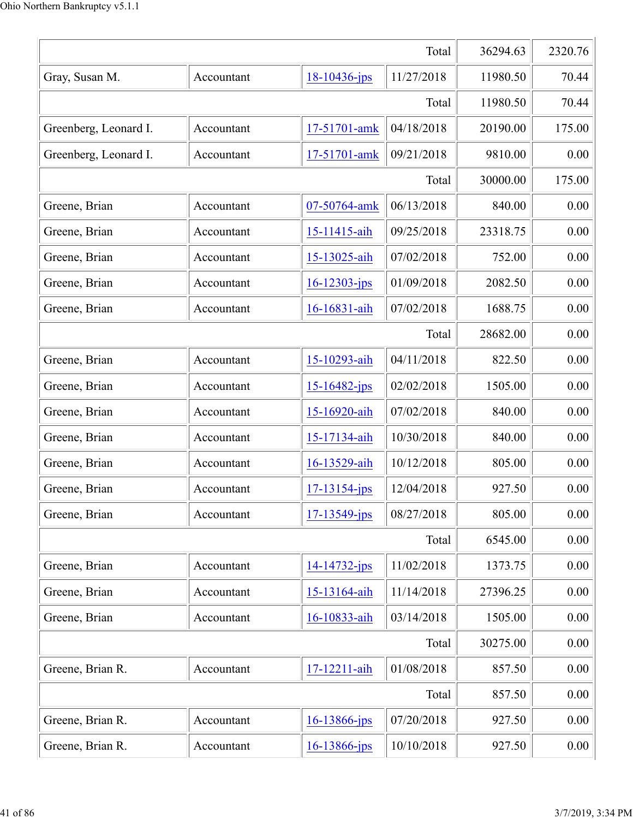|                       | 36294.63   | 2320.76            |            |          |          |
|-----------------------|------------|--------------------|------------|----------|----------|
| Gray, Susan M.        | Accountant | 18-10436-jps       | 11/27/2018 | 11980.50 | 70.44    |
|                       |            |                    | Total      | 11980.50 | 70.44    |
| Greenberg, Leonard I. | Accountant | 17-51701-amk       | 04/18/2018 | 20190.00 | 175.00   |
| Greenberg, Leonard I. | Accountant | 17-51701-amk       | 09/21/2018 | 9810.00  | 0.00     |
|                       |            |                    | Total      | 30000.00 | 175.00   |
| Greene, Brian         | Accountant | 07-50764-amk       | 06/13/2018 | 840.00   | 0.00     |
| Greene, Brian         | Accountant | 15-11415-aih       | 09/25/2018 | 23318.75 | 0.00     |
| Greene, Brian         | Accountant | 15-13025-aih       | 07/02/2018 | 752.00   | 0.00     |
| Greene, Brian         | Accountant | $16 - 12303 - ips$ | 01/09/2018 | 2082.50  | 0.00     |
| Greene, Brian         | Accountant | 16-16831-aih       | 07/02/2018 | 1688.75  | 0.00     |
|                       |            |                    | Total      | 28682.00 | 0.00     |
| Greene, Brian         | Accountant | 15-10293-aih       | 04/11/2018 | 822.50   | 0.00     |
| Greene, Brian         | Accountant | $15 - 16482 - jps$ | 02/02/2018 | 1505.00  | 0.00     |
| Greene, Brian         | Accountant | 15-16920-aih       | 07/02/2018 | 840.00   | 0.00     |
| Greene, Brian         | Accountant | 15-17134-aih       | 10/30/2018 | 840.00   | 0.00     |
| Greene, Brian         | Accountant | 16-13529-aih       | 10/12/2018 | 805.00   | 0.00     |
| Greene, Brian         | Accountant | $17 - 13154 - ips$ | 12/04/2018 | 927.50   | 0.00     |
| Greene, Brian         | Accountant | $17 - 13549$ -jps  | 08/27/2018 | 805.00   | 0.00     |
|                       |            |                    | Total      | 6545.00  | 0.00     |
| Greene, Brian         | Accountant | $14 - 14732 - ips$ | 11/02/2018 | 1373.75  | 0.00     |
| Greene, Brian         | Accountant | 15-13164-aih       | 11/14/2018 | 27396.25 | 0.00     |
| Greene, Brian         | Accountant | 16-10833-aih       | 03/14/2018 | 1505.00  | 0.00     |
|                       |            |                    | Total      | 30275.00 | 0.00     |
| Greene, Brian R.      | Accountant | 17-12211-aih       | 01/08/2018 | 857.50   | 0.00     |
|                       |            |                    | Total      | 857.50   | 0.00     |
| Greene, Brian R.      | Accountant | $16 - 13866$ -jps  | 07/20/2018 | 927.50   | 0.00     |
| Greene, Brian R.      | Accountant | 16-13866-jps       | 10/10/2018 | 927.50   | $0.00\,$ |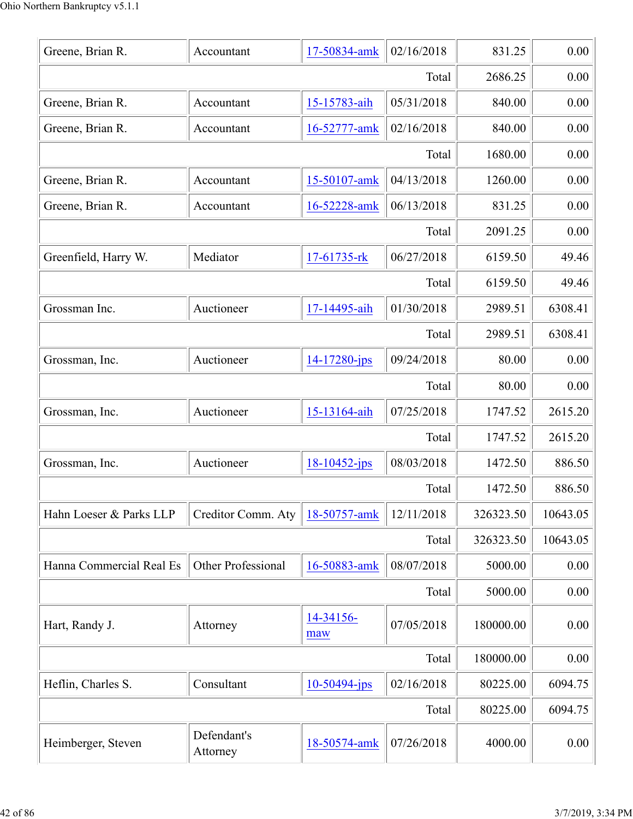| 0.00<br>02/16/2018<br>831.25<br>Greene, Brian R.<br>17-50834-amk<br>Accountant<br>2686.25<br>0.00<br>Total<br>05/31/2018<br>15-15783-aih<br>840.00<br>0.00<br>Greene, Brian R.<br>Accountant<br>Greene, Brian R.<br>02/16/2018<br>840.00<br>0.00<br>16-52777-amk<br>Accountant<br>0.00<br>Total<br>1680.00<br>04/13/2018<br>0.00<br>Greene, Brian R.<br>15-50107-amk<br>1260.00<br>Accountant<br>0.00<br>06/13/2018<br>Greene, Brian R.<br>16-52228-amk<br>831.25<br>Accountant<br>0.00<br>2091.25<br>Total<br>06/27/2018<br>49.46<br>Mediator<br>17-61735-rk<br>6159.50<br>Greenfield, Harry W.<br>6159.50<br>49.46<br>Total<br>01/30/2018<br>6308.41<br>2989.51<br>Grossman Inc.<br>17-14495-aih<br>Auctioneer<br>Total<br>2989.51<br>6308.41<br>09/24/2018<br>0.00<br>80.00<br>Auctioneer<br>14-17280-jps<br>Grossman, Inc.<br>80.00<br>0.00<br>Total<br>15-13164-aih<br>07/25/2018<br>2615.20<br>Auctioneer<br>1747.52<br>Grossman, Inc.<br>2615.20<br>Total<br>1747.52<br>08/03/2018<br>$18 - 10452 - ips$<br>1472.50<br>886.50<br>Grossman, Inc.<br>Auctioneer<br>1472.50<br>Total<br>886.50<br>12/11/2018<br>10643.05<br>326323.50<br>Hahn Loeser & Parks LLP<br>Creditor Comm. Aty<br>18-50757-amk<br>10643.05<br>326323.50<br>Total<br>Other Professional<br>08/07/2018<br>0.00<br>Hanna Commercial Real Es<br>16-50883-amk<br>5000.00<br>5000.00<br>0.00<br>Total<br>14-34156-<br>07/05/2018<br>180000.00<br>0.00<br>Hart, Randy J.<br>Attorney<br>maw<br>0.00<br>180000.00<br>Total<br>Consultant<br>02/16/2018<br>Heflin, Charles S.<br>$10-50494$ -jps<br>6094.75<br>80225.00<br>80225.00<br>6094.75<br>Total<br>Defendant's<br>07/26/2018<br>4000.00<br>0.00<br>Heimberger, Steven<br>18-50574-amk<br>Attorney |  |  |  |
|------------------------------------------------------------------------------------------------------------------------------------------------------------------------------------------------------------------------------------------------------------------------------------------------------------------------------------------------------------------------------------------------------------------------------------------------------------------------------------------------------------------------------------------------------------------------------------------------------------------------------------------------------------------------------------------------------------------------------------------------------------------------------------------------------------------------------------------------------------------------------------------------------------------------------------------------------------------------------------------------------------------------------------------------------------------------------------------------------------------------------------------------------------------------------------------------------------------------------------------------------------------------------------------------------------------------------------------------------------------------------------------------------------------------------------------------------------------------------------------------------------------------------------------------------------------------------------------------------------------------------------------------------------------------------------------------------------------------------|--|--|--|
|                                                                                                                                                                                                                                                                                                                                                                                                                                                                                                                                                                                                                                                                                                                                                                                                                                                                                                                                                                                                                                                                                                                                                                                                                                                                                                                                                                                                                                                                                                                                                                                                                                                                                                                              |  |  |  |
|                                                                                                                                                                                                                                                                                                                                                                                                                                                                                                                                                                                                                                                                                                                                                                                                                                                                                                                                                                                                                                                                                                                                                                                                                                                                                                                                                                                                                                                                                                                                                                                                                                                                                                                              |  |  |  |
|                                                                                                                                                                                                                                                                                                                                                                                                                                                                                                                                                                                                                                                                                                                                                                                                                                                                                                                                                                                                                                                                                                                                                                                                                                                                                                                                                                                                                                                                                                                                                                                                                                                                                                                              |  |  |  |
|                                                                                                                                                                                                                                                                                                                                                                                                                                                                                                                                                                                                                                                                                                                                                                                                                                                                                                                                                                                                                                                                                                                                                                                                                                                                                                                                                                                                                                                                                                                                                                                                                                                                                                                              |  |  |  |
|                                                                                                                                                                                                                                                                                                                                                                                                                                                                                                                                                                                                                                                                                                                                                                                                                                                                                                                                                                                                                                                                                                                                                                                                                                                                                                                                                                                                                                                                                                                                                                                                                                                                                                                              |  |  |  |
|                                                                                                                                                                                                                                                                                                                                                                                                                                                                                                                                                                                                                                                                                                                                                                                                                                                                                                                                                                                                                                                                                                                                                                                                                                                                                                                                                                                                                                                                                                                                                                                                                                                                                                                              |  |  |  |
|                                                                                                                                                                                                                                                                                                                                                                                                                                                                                                                                                                                                                                                                                                                                                                                                                                                                                                                                                                                                                                                                                                                                                                                                                                                                                                                                                                                                                                                                                                                                                                                                                                                                                                                              |  |  |  |
|                                                                                                                                                                                                                                                                                                                                                                                                                                                                                                                                                                                                                                                                                                                                                                                                                                                                                                                                                                                                                                                                                                                                                                                                                                                                                                                                                                                                                                                                                                                                                                                                                                                                                                                              |  |  |  |
|                                                                                                                                                                                                                                                                                                                                                                                                                                                                                                                                                                                                                                                                                                                                                                                                                                                                                                                                                                                                                                                                                                                                                                                                                                                                                                                                                                                                                                                                                                                                                                                                                                                                                                                              |  |  |  |
|                                                                                                                                                                                                                                                                                                                                                                                                                                                                                                                                                                                                                                                                                                                                                                                                                                                                                                                                                                                                                                                                                                                                                                                                                                                                                                                                                                                                                                                                                                                                                                                                                                                                                                                              |  |  |  |
|                                                                                                                                                                                                                                                                                                                                                                                                                                                                                                                                                                                                                                                                                                                                                                                                                                                                                                                                                                                                                                                                                                                                                                                                                                                                                                                                                                                                                                                                                                                                                                                                                                                                                                                              |  |  |  |
|                                                                                                                                                                                                                                                                                                                                                                                                                                                                                                                                                                                                                                                                                                                                                                                                                                                                                                                                                                                                                                                                                                                                                                                                                                                                                                                                                                                                                                                                                                                                                                                                                                                                                                                              |  |  |  |
|                                                                                                                                                                                                                                                                                                                                                                                                                                                                                                                                                                                                                                                                                                                                                                                                                                                                                                                                                                                                                                                                                                                                                                                                                                                                                                                                                                                                                                                                                                                                                                                                                                                                                                                              |  |  |  |
|                                                                                                                                                                                                                                                                                                                                                                                                                                                                                                                                                                                                                                                                                                                                                                                                                                                                                                                                                                                                                                                                                                                                                                                                                                                                                                                                                                                                                                                                                                                                                                                                                                                                                                                              |  |  |  |
|                                                                                                                                                                                                                                                                                                                                                                                                                                                                                                                                                                                                                                                                                                                                                                                                                                                                                                                                                                                                                                                                                                                                                                                                                                                                                                                                                                                                                                                                                                                                                                                                                                                                                                                              |  |  |  |
|                                                                                                                                                                                                                                                                                                                                                                                                                                                                                                                                                                                                                                                                                                                                                                                                                                                                                                                                                                                                                                                                                                                                                                                                                                                                                                                                                                                                                                                                                                                                                                                                                                                                                                                              |  |  |  |
|                                                                                                                                                                                                                                                                                                                                                                                                                                                                                                                                                                                                                                                                                                                                                                                                                                                                                                                                                                                                                                                                                                                                                                                                                                                                                                                                                                                                                                                                                                                                                                                                                                                                                                                              |  |  |  |
|                                                                                                                                                                                                                                                                                                                                                                                                                                                                                                                                                                                                                                                                                                                                                                                                                                                                                                                                                                                                                                                                                                                                                                                                                                                                                                                                                                                                                                                                                                                                                                                                                                                                                                                              |  |  |  |
|                                                                                                                                                                                                                                                                                                                                                                                                                                                                                                                                                                                                                                                                                                                                                                                                                                                                                                                                                                                                                                                                                                                                                                                                                                                                                                                                                                                                                                                                                                                                                                                                                                                                                                                              |  |  |  |
|                                                                                                                                                                                                                                                                                                                                                                                                                                                                                                                                                                                                                                                                                                                                                                                                                                                                                                                                                                                                                                                                                                                                                                                                                                                                                                                                                                                                                                                                                                                                                                                                                                                                                                                              |  |  |  |
|                                                                                                                                                                                                                                                                                                                                                                                                                                                                                                                                                                                                                                                                                                                                                                                                                                                                                                                                                                                                                                                                                                                                                                                                                                                                                                                                                                                                                                                                                                                                                                                                                                                                                                                              |  |  |  |
|                                                                                                                                                                                                                                                                                                                                                                                                                                                                                                                                                                                                                                                                                                                                                                                                                                                                                                                                                                                                                                                                                                                                                                                                                                                                                                                                                                                                                                                                                                                                                                                                                                                                                                                              |  |  |  |
|                                                                                                                                                                                                                                                                                                                                                                                                                                                                                                                                                                                                                                                                                                                                                                                                                                                                                                                                                                                                                                                                                                                                                                                                                                                                                                                                                                                                                                                                                                                                                                                                                                                                                                                              |  |  |  |
|                                                                                                                                                                                                                                                                                                                                                                                                                                                                                                                                                                                                                                                                                                                                                                                                                                                                                                                                                                                                                                                                                                                                                                                                                                                                                                                                                                                                                                                                                                                                                                                                                                                                                                                              |  |  |  |
|                                                                                                                                                                                                                                                                                                                                                                                                                                                                                                                                                                                                                                                                                                                                                                                                                                                                                                                                                                                                                                                                                                                                                                                                                                                                                                                                                                                                                                                                                                                                                                                                                                                                                                                              |  |  |  |
|                                                                                                                                                                                                                                                                                                                                                                                                                                                                                                                                                                                                                                                                                                                                                                                                                                                                                                                                                                                                                                                                                                                                                                                                                                                                                                                                                                                                                                                                                                                                                                                                                                                                                                                              |  |  |  |
|                                                                                                                                                                                                                                                                                                                                                                                                                                                                                                                                                                                                                                                                                                                                                                                                                                                                                                                                                                                                                                                                                                                                                                                                                                                                                                                                                                                                                                                                                                                                                                                                                                                                                                                              |  |  |  |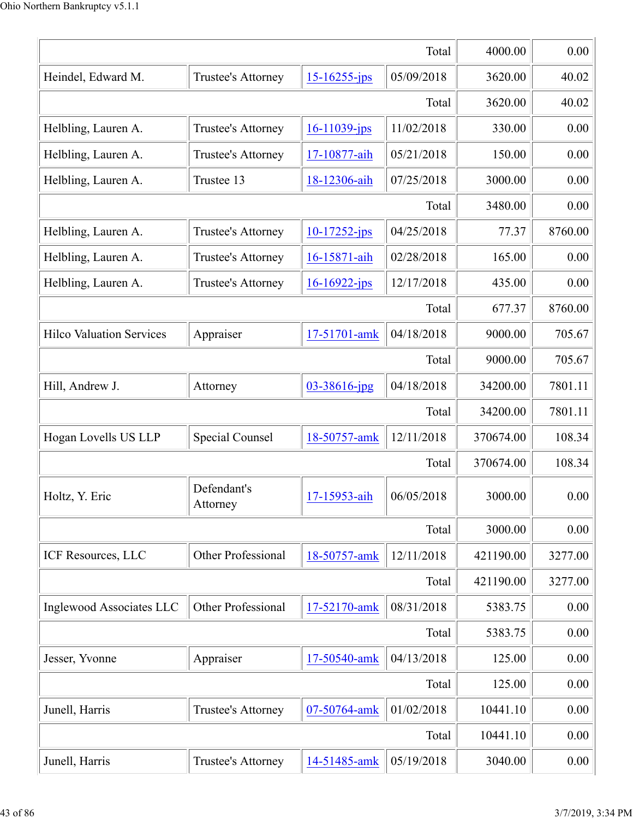|                                 | 4000.00                 | 0.00               |            |           |         |
|---------------------------------|-------------------------|--------------------|------------|-----------|---------|
| Heindel, Edward M.              | Trustee's Attorney      | $15 - 16255 - ips$ | 05/09/2018 | 3620.00   | 40.02   |
|                                 |                         |                    | Total      | 3620.00   | 40.02   |
| Helbling, Lauren A.             | Trustee's Attorney      | $16 - 11039$ -jps  | 11/02/2018 | 330.00    | 0.00    |
| Helbling, Lauren A.             | Trustee's Attorney      | 17-10877-aih       | 05/21/2018 | 150.00    | 0.00    |
| Helbling, Lauren A.             | Trustee 13              | 18-12306-aih       | 07/25/2018 | 3000.00   | 0.00    |
|                                 |                         |                    | Total      | 3480.00   | 0.00    |
| Helbling, Lauren A.             | Trustee's Attorney      | $10-17252$ -jps    | 04/25/2018 | 77.37     | 8760.00 |
| Helbling, Lauren A.             | Trustee's Attorney      | 16-15871-aih       | 02/28/2018 | 165.00    | 0.00    |
| Helbling, Lauren A.             | Trustee's Attorney      | $16 - 16922 - ips$ | 12/17/2018 | 435.00    | 0.00    |
|                                 |                         |                    | Total      | 677.37    | 8760.00 |
| <b>Hilco Valuation Services</b> | Appraiser               | 17-51701-amk       | 04/18/2018 | 9000.00   | 705.67  |
|                                 |                         |                    | Total      | 9000.00   | 705.67  |
| Hill, Andrew J.                 | Attorney                | 03-38616-jpg       | 04/18/2018 | 34200.00  | 7801.11 |
|                                 |                         |                    | Total      | 34200.00  | 7801.11 |
| Hogan Lovells US LLP            | Special Counsel         | 18-50757-amk       | 12/11/2018 | 370674.00 | 108.34  |
|                                 |                         |                    | Total      | 370674.00 | 108.34  |
| Holtz, Y. Eric                  | Defendant's<br>Attorney | 17-15953-aih       | 06/05/2018 | 3000.00   | 0.00    |
|                                 |                         |                    | Total      | 3000.00   | 0.00    |
| ICF Resources, LLC              | Other Professional      | 18-50757-amk       | 12/11/2018 | 421190.00 | 3277.00 |
|                                 |                         |                    | Total      | 421190.00 | 3277.00 |
| Inglewood Associates LLC        | Other Professional      | 17-52170-amk       | 08/31/2018 | 5383.75   | 0.00    |
|                                 |                         |                    | Total      | 5383.75   | 0.00    |
| Jesser, Yvonne                  | Appraiser               | 17-50540-amk       | 04/13/2018 | 125.00    | 0.00    |
|                                 |                         |                    | Total      | 125.00    | 0.00    |
| Junell, Harris                  | Trustee's Attorney      | 07-50764-amk       | 01/02/2018 | 10441.10  | 0.00    |
|                                 |                         |                    | Total      | 10441.10  | 0.00    |
| Junell, Harris                  | Trustee's Attorney      | 14-51485-amk       | 05/19/2018 | 3040.00   | 0.00    |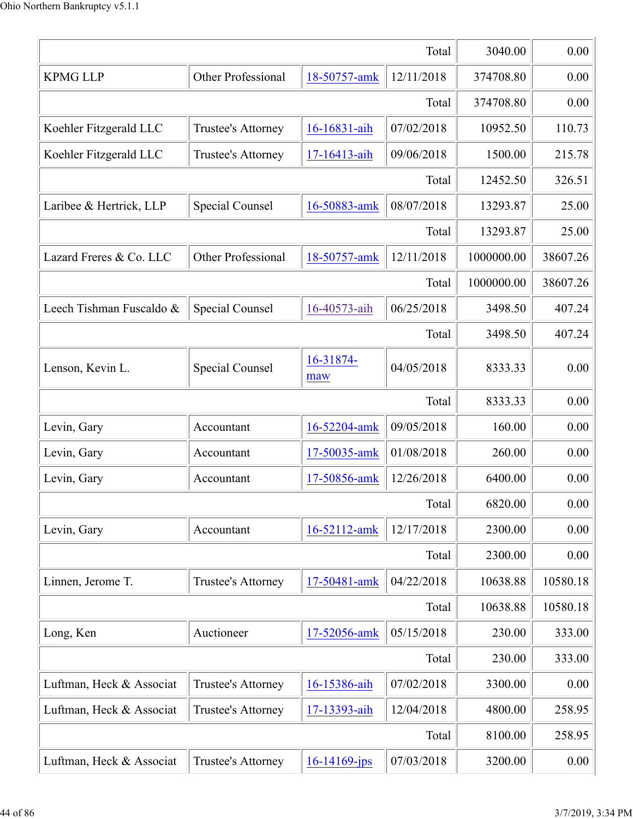|                          | 3040.00                   | 0.00              |            |            |          |
|--------------------------|---------------------------|-------------------|------------|------------|----------|
| <b>KPMG LLP</b>          | Other Professional        | 18-50757-amk      | 12/11/2018 | 374708.80  | 0.00     |
|                          |                           |                   | Total      | 374708.80  | 0.00     |
| Koehler Fitzgerald LLC   | Trustee's Attorney        | 16-16831-aih      | 07/02/2018 | 10952.50   | 110.73   |
| Koehler Fitzgerald LLC   | Trustee's Attorney        | 17-16413-aih      | 09/06/2018 | 1500.00    | 215.78   |
|                          |                           |                   | Total      | 12452.50   | 326.51   |
| Laribee & Hertrick, LLP  | <b>Special Counsel</b>    | 16-50883-amk      | 08/07/2018 | 13293.87   | 25.00    |
|                          |                           |                   | Total      | 13293.87   | 25.00    |
| Lazard Freres & Co. LLC  | <b>Other Professional</b> | 18-50757-amk      | 12/11/2018 | 1000000.00 | 38607.26 |
|                          |                           |                   | Total      | 1000000.00 | 38607.26 |
| Leech Tishman Fuscaldo & | Special Counsel           | 16-40573-aih      | 06/25/2018 | 3498.50    | 407.24   |
|                          |                           |                   | Total      | 3498.50    | 407.24   |
| Lenson, Kevin L.         | <b>Special Counsel</b>    | 16-31874-<br>maw  | 04/05/2018 | 8333.33    | 0.00     |
|                          |                           |                   | Total      | 8333.33    | 0.00     |
| Levin, Gary              | Accountant                | 16-52204-amk      | 09/05/2018 | 160.00     | 0.00     |
| Levin, Gary              | Accountant                | 17-50035-amk      | 01/08/2018 | 260.00     | 0.00     |
| Levin, Gary              | Accountant                | 17-50856-amk      | 12/26/2018 | 6400.00    | 0.00     |
|                          |                           |                   | Total      | 6820.00    | 0.00     |
| Levin, Gary              | Accountant                | 16-52112-amk      | 12/17/2018 | 2300.00    | 0.00     |
|                          |                           |                   | Total      | 2300.00    | 0.00     |
| Linnen, Jerome T.        | Trustee's Attorney        | 17-50481-amk      | 04/22/2018 | 10638.88   | 10580.18 |
|                          |                           |                   | Total      | 10638.88   | 10580.18 |
| Long, Ken                | Auctioneer                | 17-52056-amk      | 05/15/2018 | 230.00     | 333.00   |
|                          |                           |                   | Total      | 230.00     | 333.00   |
| Luftman, Heck & Associat | Trustee's Attorney        | 16-15386-aih      | 07/02/2018 | 3300.00    | 0.00     |
| Luftman, Heck & Associat | Trustee's Attorney        | 17-13393-aih      | 12/04/2018 | 4800.00    | 258.95   |
|                          |                           |                   | Total      | 8100.00    | 258.95   |
| Luftman, Heck & Associat | Trustee's Attorney        | $16 - 14169$ -jps | 07/03/2018 | 3200.00    | 0.00     |
|                          |                           |                   |            |            |          |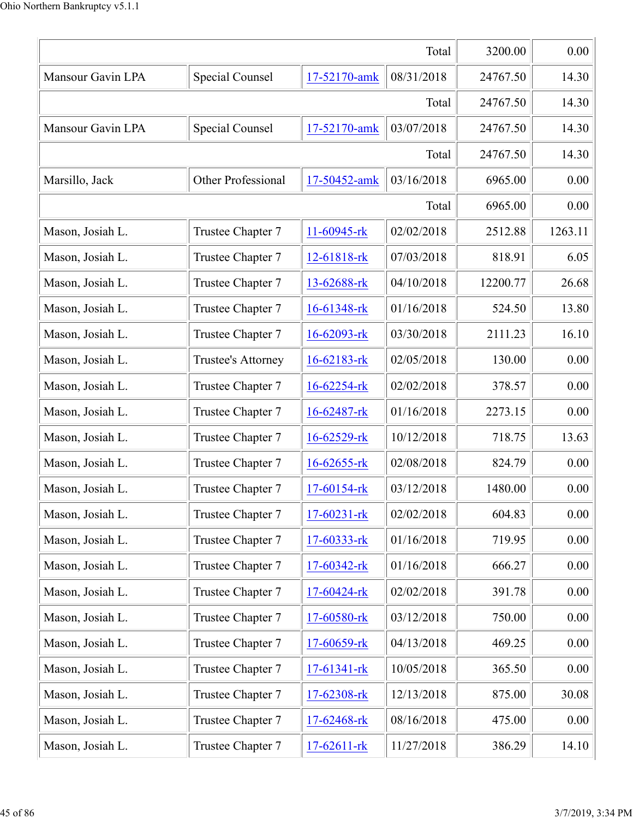|                   | 3200.00            | 0.00              |            |          |         |
|-------------------|--------------------|-------------------|------------|----------|---------|
| Mansour Gavin LPA | Special Counsel    | 17-52170-amk      | 08/31/2018 | 24767.50 | 14.30   |
|                   |                    |                   | Total      | 24767.50 | 14.30   |
| Mansour Gavin LPA | Special Counsel    | 17-52170-amk      | 03/07/2018 | 24767.50 | 14.30   |
|                   |                    |                   | Total      | 24767.50 | 14.30   |
| Marsillo, Jack    | Other Professional | 17-50452-amk      | 03/16/2018 | 6965.00  | 0.00    |
|                   |                    |                   | Total      | 6965.00  | 0.00    |
| Mason, Josiah L.  | Trustee Chapter 7  | 11-60945-rk       | 02/02/2018 | 2512.88  | 1263.11 |
| Mason, Josiah L.  | Trustee Chapter 7  | 12-61818-rk       | 07/03/2018 | 818.91   | 6.05    |
| Mason, Josiah L.  | Trustee Chapter 7  | 13-62688-rk       | 04/10/2018 | 12200.77 | 26.68   |
| Mason, Josiah L.  | Trustee Chapter 7  | 16-61348-rk       | 01/16/2018 | 524.50   | 13.80   |
| Mason, Josiah L.  | Trustee Chapter 7  | 16-62093-rk       | 03/30/2018 | 2111.23  | 16.10   |
| Mason, Josiah L.  | Trustee's Attorney | 16-62183-rk       | 02/05/2018 | 130.00   | 0.00    |
| Mason, Josiah L.  | Trustee Chapter 7  | 16-62254-rk       | 02/02/2018 | 378.57   | 0.00    |
| Mason, Josiah L.  | Trustee Chapter 7  | 16-62487-rk       | 01/16/2018 | 2273.15  | 0.00    |
| Mason, Josiah L.  | Trustee Chapter 7  | 16-62529-rk       | 10/12/2018 | 718.75   | 13.63   |
| Mason, Josiah L.  | Trustee Chapter 7  | $16 - 62655 -$ rk | 02/08/2018 | 824.79   | 0.00    |
| Mason, Josiah L.  | Trustee Chapter 7  | $17-60154$ -rk    | 03/12/2018 | 1480.00  | 0.00    |
| Mason, Josiah L.  | Trustee Chapter 7  | $17-60231$ -rk    | 02/02/2018 | 604.83   | 0.00    |
| Mason, Josiah L.  | Trustee Chapter 7  | 17-60333-rk       | 01/16/2018 | 719.95   | 0.00    |
| Mason, Josiah L.  | Trustee Chapter 7  | 17-60342-rk       | 01/16/2018 | 666.27   | 0.00    |
| Mason, Josiah L.  | Trustee Chapter 7  | 17-60424-rk       | 02/02/2018 | 391.78   | 0.00    |
| Mason, Josiah L.  | Trustee Chapter 7  | 17-60580-rk       | 03/12/2018 | 750.00   | 0.00    |
| Mason, Josiah L.  | Trustee Chapter 7  | 17-60659-rk       | 04/13/2018 | 469.25   | 0.00    |
| Mason, Josiah L.  | Trustee Chapter 7  | 17-61341-rk       | 10/05/2018 | 365.50   | 0.00    |
| Mason, Josiah L.  | Trustee Chapter 7  | 17-62308-rk       | 12/13/2018 | 875.00   | 30.08   |
| Mason, Josiah L.  | Trustee Chapter 7  | 17-62468-rk       | 08/16/2018 | 475.00   | 0.00    |
| Mason, Josiah L.  | Trustee Chapter 7  | 17-62611-rk       | 11/27/2018 | 386.29   | 14.10   |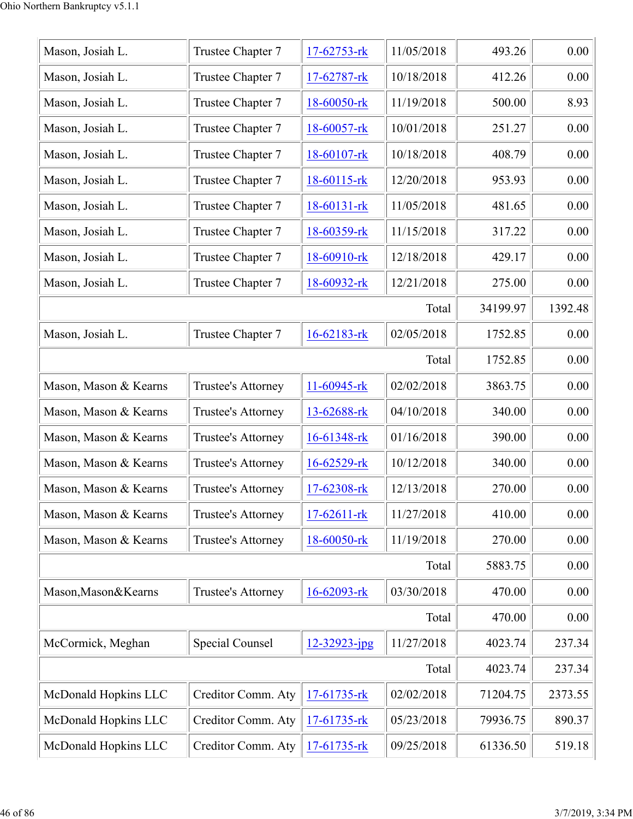| Mason, Josiah L.      | Trustee Chapter 7  | 17-62753-rk      | 11/05/2018 | 493.26   | 0.00    |
|-----------------------|--------------------|------------------|------------|----------|---------|
| Mason, Josiah L.      | Trustee Chapter 7  | $17-62787$ -rk   | 10/18/2018 | 412.26   | 0.00    |
| Mason, Josiah L.      | Trustee Chapter 7  | 18-60050-rk      | 11/19/2018 | 500.00   | 8.93    |
| Mason, Josiah L.      | Trustee Chapter 7  | 18-60057-rk      | 10/01/2018 | 251.27   | 0.00    |
| Mason, Josiah L.      | Trustee Chapter 7  | 18-60107-rk      | 10/18/2018 | 408.79   | 0.00    |
| Mason, Josiah L.      | Trustee Chapter 7  | $18-60115$ -rk   | 12/20/2018 | 953.93   | 0.00    |
| Mason, Josiah L.      | Trustee Chapter 7  | $18-60131$ -rk   | 11/05/2018 | 481.65   | 0.00    |
| Mason, Josiah L.      | Trustee Chapter 7  | 18-60359-rk      | 11/15/2018 | 317.22   | 0.00    |
| Mason, Josiah L.      | Trustee Chapter 7  | 18-60910-rk      | 12/18/2018 | 429.17   | 0.00    |
| Mason, Josiah L.      | Trustee Chapter 7  | 18-60932-rk      | 12/21/2018 | 275.00   | 0.00    |
|                       |                    |                  | Total      | 34199.97 | 1392.48 |
| Mason, Josiah L.      | Trustee Chapter 7  | 16-62183-rk      | 02/05/2018 | 1752.85  | 0.00    |
|                       |                    |                  | Total      | 1752.85  | 0.00    |
| Mason, Mason & Kearns | Trustee's Attorney | 11-60945-rk      | 02/02/2018 | 3863.75  | 0.00    |
| Mason, Mason & Kearns | Trustee's Attorney | 13-62688-rk      | 04/10/2018 | 340.00   | 0.00    |
| Mason, Mason & Kearns | Trustee's Attorney | 16-61348-rk      | 01/16/2018 | 390.00   | 0.00    |
| Mason, Mason & Kearns | Trustee's Attorney | $16 - 62529$ -rk | 10/12/2018 | 340.00   | 0.00    |
| Mason, Mason & Kearns | Trustee's Attorney | 17-62308-rk      | 12/13/2018 | 270.00   | 0.00    |
| Mason, Mason & Kearns | Trustee's Attorney | $17-62611$ -rk   | 11/27/2018 | 410.00   | 0.00    |
| Mason, Mason & Kearns | Trustee's Attorney | 18-60050-rk      | 11/19/2018 | 270.00   | 0.00    |
|                       |                    |                  | Total      | 5883.75  | 0.00    |
| Mason, Mason & Kearns | Trustee's Attorney | 16-62093-rk      | 03/30/2018 | 470.00   | 0.00    |
|                       |                    |                  | Total      | 470.00   | 0.00    |
| McCormick, Meghan     | Special Counsel    | 12-32923-jpg     | 11/27/2018 | 4023.74  | 237.34  |
|                       |                    |                  | Total      | 4023.74  | 237.34  |
| McDonald Hopkins LLC  | Creditor Comm. Aty | 17-61735-rk      | 02/02/2018 | 71204.75 | 2373.55 |
| McDonald Hopkins LLC  | Creditor Comm. Aty | 17-61735-rk      | 05/23/2018 | 79936.75 | 890.37  |
| McDonald Hopkins LLC  | Creditor Comm. Aty | 17-61735-rk      | 09/25/2018 | 61336.50 | 519.18  |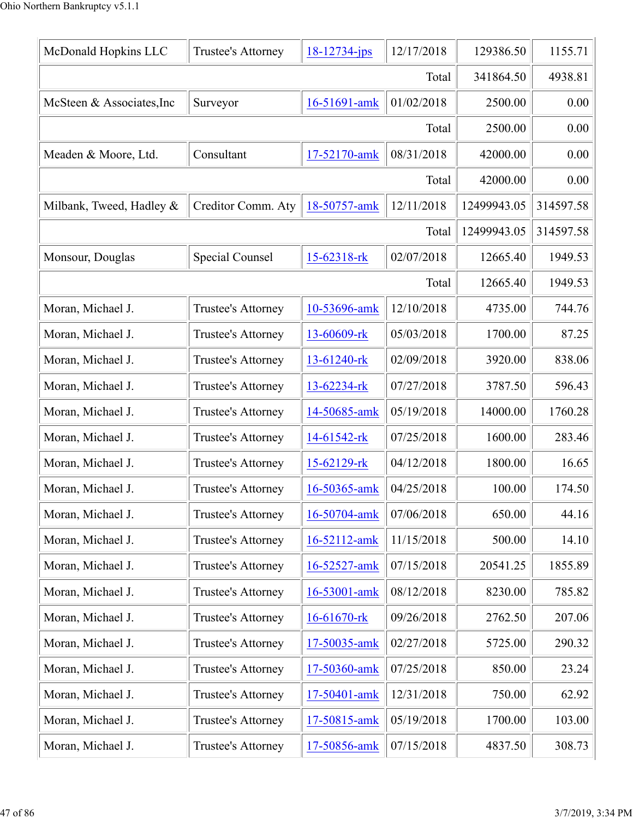| McDonald Hopkins LLC      | Trustee's Attorney | $18 - 12734 - ips$ | 12/17/2018 | 129386.50   | 1155.71   |
|---------------------------|--------------------|--------------------|------------|-------------|-----------|
|                           |                    |                    | Total      | 341864.50   | 4938.81   |
| McSteen & Associates, Inc | Surveyor           | 16-51691-amk       | 01/02/2018 | 2500.00     | 0.00      |
|                           |                    |                    | Total      | 2500.00     | 0.00      |
| Meaden & Moore, Ltd.      | Consultant         | 17-52170-amk       | 08/31/2018 | 42000.00    | 0.00      |
|                           |                    |                    | Total      | 42000.00    | 0.00      |
| Milbank, Tweed, Hadley &  | Creditor Comm. Aty | 18-50757-amk       | 12/11/2018 | 12499943.05 | 314597.58 |
|                           |                    |                    | Total      | 12499943.05 | 314597.58 |
| Monsour, Douglas          | Special Counsel    | 15-62318-rk        | 02/07/2018 | 12665.40    | 1949.53   |
|                           |                    |                    | Total      | 12665.40    | 1949.53   |
| Moran, Michael J.         | Trustee's Attorney | 10-53696-amk       | 12/10/2018 | 4735.00     | 744.76    |
| Moran, Michael J.         | Trustee's Attorney | 13-60609-rk        | 05/03/2018 | 1700.00     | 87.25     |
| Moran, Michael J.         | Trustee's Attorney | 13-61240-rk        | 02/09/2018 | 3920.00     | 838.06    |
| Moran, Michael J.         | Trustee's Attorney | 13-62234-rk        | 07/27/2018 | 3787.50     | 596.43    |
| Moran, Michael J.         | Trustee's Attorney | 14-50685-amk       | 05/19/2018 | 14000.00    | 1760.28   |
| Moran, Michael J.         | Trustee's Attorney | 14-61542-rk        | 07/25/2018 | 1600.00     | 283.46    |
| Moran, Michael J.         | Trustee's Attorney | 15-62129-rk        | 04/12/2018 | 1800.00     | 16.65     |
| Moran, Michael J.         | Trustee's Attorney | 16-50365-amk       | 04/25/2018 | 100.00      | 174.50    |
| Moran, Michael J.         | Trustee's Attorney | 16-50704-amk       | 07/06/2018 | 650.00      | 44.16     |
| Moran, Michael J.         | Trustee's Attorney | 16-52112-amk       | 11/15/2018 | 500.00      | 14.10     |
| Moran, Michael J.         | Trustee's Attorney | 16-52527-amk       | 07/15/2018 | 20541.25    | 1855.89   |
| Moran, Michael J.         | Trustee's Attorney | 16-53001-amk       | 08/12/2018 | 8230.00     | 785.82    |
| Moran, Michael J.         | Trustee's Attorney | 16-61670-rk        | 09/26/2018 | 2762.50     | 207.06    |
| Moran, Michael J.         | Trustee's Attorney | 17-50035-amk       | 02/27/2018 | 5725.00     | 290.32    |
| Moran, Michael J.         | Trustee's Attorney | 17-50360-amk       | 07/25/2018 | 850.00      | 23.24     |
| Moran, Michael J.         | Trustee's Attorney | 17-50401-amk       | 12/31/2018 | 750.00      | 62.92     |
| Moran, Michael J.         | Trustee's Attorney | 17-50815-amk       | 05/19/2018 | 1700.00     | 103.00    |
| Moran, Michael J.         | Trustee's Attorney | 17-50856-amk       | 07/15/2018 | 4837.50     | 308.73    |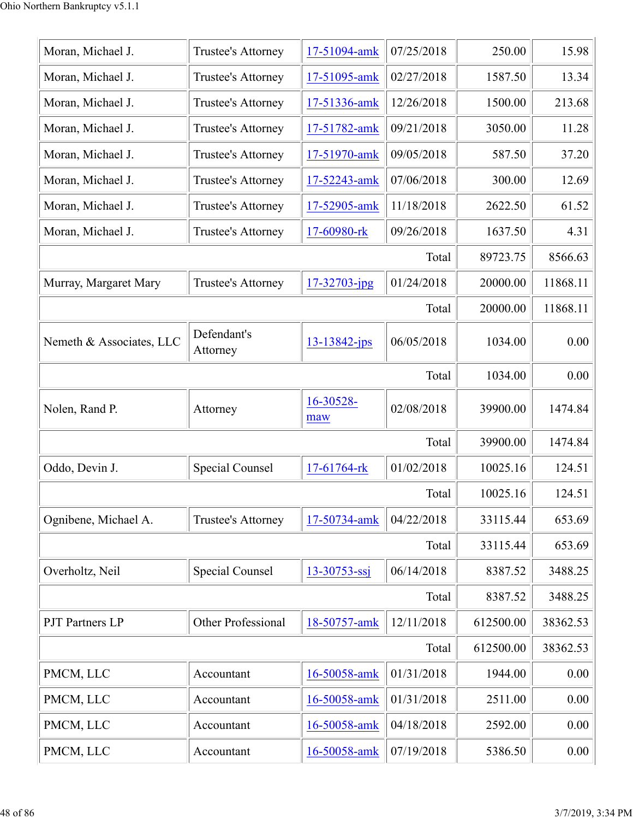| Moran, Michael J.        | Trustee's Attorney        | 17-51094-amk       | 07/25/2018 | 250.00    | 15.98    |
|--------------------------|---------------------------|--------------------|------------|-----------|----------|
| Moran, Michael J.        | Trustee's Attorney        | 17-51095-amk       | 02/27/2018 | 1587.50   | 13.34    |
| Moran, Michael J.        | Trustee's Attorney        | 17-51336-amk       | 12/26/2018 | 1500.00   | 213.68   |
| Moran, Michael J.        | Trustee's Attorney        | 17-51782-amk       | 09/21/2018 | 3050.00   | 11.28    |
| Moran, Michael J.        | Trustee's Attorney        | 17-51970-amk       | 09/05/2018 | 587.50    | 37.20    |
| Moran, Michael J.        | Trustee's Attorney        | 17-52243-amk       | 07/06/2018 | 300.00    | 12.69    |
| Moran, Michael J.        | Trustee's Attorney        | 17-52905-amk       | 11/18/2018 | 2622.50   | 61.52    |
| Moran, Michael J.        | Trustee's Attorney        | 17-60980-rk        | 09/26/2018 | 1637.50   | 4.31     |
|                          |                           |                    | Total      | 89723.75  | 8566.63  |
| Murray, Margaret Mary    | Trustee's Attorney        | $17 - 32703 - ipg$ | 01/24/2018 | 20000.00  | 11868.11 |
|                          |                           |                    | Total      | 20000.00  | 11868.11 |
| Nemeth & Associates, LLC | Defendant's<br>Attorney   | $13 - 13842 - ips$ | 06/05/2018 | 1034.00   | 0.00     |
|                          |                           |                    | Total      | 1034.00   | 0.00     |
| Nolen, Rand P.           | Attorney                  | 16-30528-<br>maw   | 02/08/2018 | 39900.00  | 1474.84  |
|                          |                           |                    | Total      | 39900.00  | 1474.84  |
| Oddo, Devin J.           | Special Counsel           | 17-61764-rk        | 01/02/2018 | 10025.16  | 124.51   |
|                          |                           |                    | Total      | 10025.16  | 124.51   |
| Ognibene, Michael A.     | <b>Trustee's Attorney</b> | 17-50734-amk       | 04/22/2018 | 33115.44  | 653.69   |
|                          |                           |                    | Total      | 33115.44  | 653.69   |
| Overholtz, Neil          | Special Counsel           | $13 - 30753 - ssj$ | 06/14/2018 | 8387.52   | 3488.25  |
|                          |                           |                    | Total      | 8387.52   | 3488.25  |
| <b>PJT</b> Partners LP   | Other Professional        | 18-50757-amk       | 12/11/2018 | 612500.00 | 38362.53 |
|                          |                           |                    | Total      | 612500.00 | 38362.53 |
| PMCM, LLC                | Accountant                | 16-50058-amk       | 01/31/2018 | 1944.00   | 0.00     |
| PMCM, LLC                | Accountant                | 16-50058-amk       | 01/31/2018 | 2511.00   | 0.00     |
| PMCM, LLC                | Accountant                | 16-50058-amk       | 04/18/2018 | 2592.00   | 0.00     |
| PMCM, LLC                | Accountant                | 16-50058-amk       | 07/19/2018 | 5386.50   | 0.00     |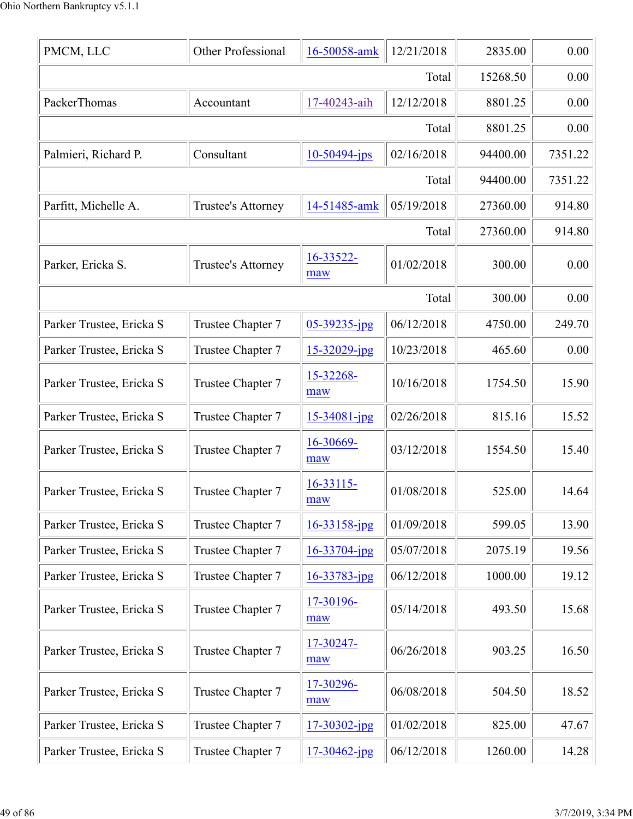| PMCM, LLC                | Other Professional | 16-50058-amk      | 12/21/2018 | 2835.00  | 0.00    |
|--------------------------|--------------------|-------------------|------------|----------|---------|
|                          |                    |                   | Total      | 15268.50 | 0.00    |
| PackerThomas             | Accountant         | 17-40243-aih      | 12/12/2018 | 8801.25  | 0.00    |
|                          |                    |                   | Total      | 8801.25  | 0.00    |
| Palmieri, Richard P.     | Consultant         | 10-50494-jps      | 02/16/2018 | 94400.00 | 7351.22 |
|                          |                    |                   | Total      | 94400.00 | 7351.22 |
| Parfitt, Michelle A.     | Trustee's Attorney | 14-51485-amk      | 05/19/2018 | 27360.00 | 914.80  |
|                          |                    |                   | Total      | 27360.00 | 914.80  |
| Parker, Ericka S.        | Trustee's Attorney | 16-33522-<br>maw  | 01/02/2018 | 300.00   | 0.00    |
|                          |                    |                   | Total      | 300.00   | 0.00    |
| Parker Trustee, Ericka S | Trustee Chapter 7  | $05 - 39235$ -jpg | 06/12/2018 | 4750.00  | 249.70  |
| Parker Trustee, Ericka S | Trustee Chapter 7  | $15 - 32029$ -jpg | 10/23/2018 | 465.60   | 0.00    |
| Parker Trustee, Ericka S | Trustee Chapter 7  | 15-32268-<br>maw  | 10/16/2018 | 1754.50  | 15.90   |
| Parker Trustee, Ericka S | Trustee Chapter 7  | 15-34081-jpg      | 02/26/2018 | 815.16   | 15.52   |
| Parker Trustee, Ericka S | Trustee Chapter 7  | 16-30669-<br>maw  | 03/12/2018 | 1554.50  | 15.40   |
| Parker Trustee, Ericka S | Trustee Chapter 7  | 16-33115-<br>maw  | 01/08/2018 | 525.00   | 14.64   |
| Parker Trustee, Ericka S | Trustee Chapter 7  | $16 - 33158$ -jpg | 01/09/2018 | 599.05   | 13.90   |
| Parker Trustee, Ericka S | Trustee Chapter 7  | $16 - 33704$ -jpg | 05/07/2018 | 2075.19  | 19.56   |
| Parker Trustee, Ericka S | Trustee Chapter 7  | $16 - 33783$ -jpg | 06/12/2018 | 1000.00  | 19.12   |
| Parker Trustee, Ericka S | Trustee Chapter 7  | 17-30196-<br>maw  | 05/14/2018 | 493.50   | 15.68   |
| Parker Trustee, Ericka S | Trustee Chapter 7  | 17-30247-<br>maw  | 06/26/2018 | 903.25   | 16.50   |
| Parker Trustee, Ericka S | Trustee Chapter 7  | 17-30296-<br>maw  | 06/08/2018 | 504.50   | 18.52   |
| Parker Trustee, Ericka S | Trustee Chapter 7  | 17-30302-jpg      | 01/02/2018 | 825.00   | 47.67   |
| Parker Trustee, Ericka S | Trustee Chapter 7  | $17 - 30462$ -jpg | 06/12/2018 | 1260.00  | 14.28   |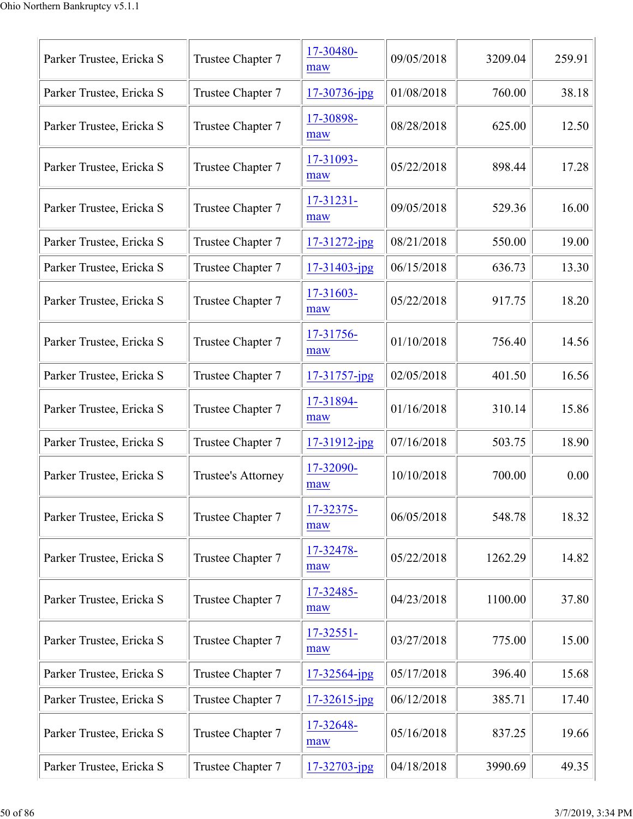| 17-30480-<br>Trustee Chapter 7<br>09/05/2018<br>Parker Trustee, Ericka S<br>3209.04<br>maw<br>01/08/2018<br>Parker Trustee, Ericka S<br>Trustee Chapter 7<br>17-30736-jpg<br>760.00<br>17-30898-<br>Trustee Chapter 7<br>08/28/2018<br>625.00<br>Parker Trustee, Ericka S<br>maw<br>17-31093-<br>Trustee Chapter 7<br>05/22/2018<br>898.44<br>Parker Trustee, Ericka S<br>maw<br>17-31231-<br>Trustee Chapter 7<br>09/05/2018<br>Parker Trustee, Ericka S<br>529.36<br>maw<br>08/21/2018<br>550.00<br>Parker Trustee, Ericka S<br>Trustee Chapter 7<br>$17 - 31272$ -jpg<br>06/15/2018<br>Parker Trustee, Ericka S<br>Trustee Chapter 7<br>636.73<br>$17 - 31403$ -jpg<br>17-31603-<br>Trustee Chapter 7<br>05/22/2018<br>917.75<br>Parker Trustee, Ericka S<br>maw<br>17-31756-<br>01/10/2018<br>Parker Trustee, Ericka S<br>Trustee Chapter 7<br>756.40<br>maw<br>02/05/2018<br>Parker Trustee, Ericka S<br>Trustee Chapter 7<br>17-31757-jpg<br>401.50<br>17-31894-<br>Parker Trustee, Ericka S<br>Trustee Chapter 7<br>01/16/2018<br>310.14<br>maw<br>Parker Trustee, Ericka S<br>07/16/2018<br>Trustee Chapter 7<br>503.75<br>$17 - 31912$ -jpg<br>17-32090-<br>10/10/2018<br>700.00<br>Parker Trustee, Ericka S<br>Trustee's Attorney<br>maw<br>17-32375-<br>06/05/2018<br>Parker Trustee, Ericka S<br>Trustee Chapter 7<br>548.78<br>maw<br>17-32478-<br>05/22/2018<br>Parker Trustee, Ericka S<br>Trustee Chapter 7<br>1262.29<br>maw<br>17-32485-<br>Trustee Chapter 7<br>04/23/2018<br>1100.00<br>Parker Trustee, Ericka S<br>maw<br>17-32551-<br>Trustee Chapter 7<br>03/27/2018<br>775.00<br>Parker Trustee, Ericka S<br>maw<br>05/17/2018<br>Parker Trustee, Ericka S<br>Trustee Chapter 7<br>396.40<br>17-32564-jpg<br>Parker Trustee, Ericka S<br>06/12/2018<br>Trustee Chapter 7<br>17-32615-jpg<br>385.71<br>17-32648-<br>Parker Trustee, Ericka S<br>Trustee Chapter 7<br>05/16/2018<br>837.25<br>maw |  |  |        |
|-------------------------------------------------------------------------------------------------------------------------------------------------------------------------------------------------------------------------------------------------------------------------------------------------------------------------------------------------------------------------------------------------------------------------------------------------------------------------------------------------------------------------------------------------------------------------------------------------------------------------------------------------------------------------------------------------------------------------------------------------------------------------------------------------------------------------------------------------------------------------------------------------------------------------------------------------------------------------------------------------------------------------------------------------------------------------------------------------------------------------------------------------------------------------------------------------------------------------------------------------------------------------------------------------------------------------------------------------------------------------------------------------------------------------------------------------------------------------------------------------------------------------------------------------------------------------------------------------------------------------------------------------------------------------------------------------------------------------------------------------------------------------------------------------------------------------------------------------------------------------------------------------------------------------|--|--|--------|
|                                                                                                                                                                                                                                                                                                                                                                                                                                                                                                                                                                                                                                                                                                                                                                                                                                                                                                                                                                                                                                                                                                                                                                                                                                                                                                                                                                                                                                                                                                                                                                                                                                                                                                                                                                                                                                                                                                                         |  |  | 259.91 |
|                                                                                                                                                                                                                                                                                                                                                                                                                                                                                                                                                                                                                                                                                                                                                                                                                                                                                                                                                                                                                                                                                                                                                                                                                                                                                                                                                                                                                                                                                                                                                                                                                                                                                                                                                                                                                                                                                                                         |  |  | 38.18  |
|                                                                                                                                                                                                                                                                                                                                                                                                                                                                                                                                                                                                                                                                                                                                                                                                                                                                                                                                                                                                                                                                                                                                                                                                                                                                                                                                                                                                                                                                                                                                                                                                                                                                                                                                                                                                                                                                                                                         |  |  | 12.50  |
|                                                                                                                                                                                                                                                                                                                                                                                                                                                                                                                                                                                                                                                                                                                                                                                                                                                                                                                                                                                                                                                                                                                                                                                                                                                                                                                                                                                                                                                                                                                                                                                                                                                                                                                                                                                                                                                                                                                         |  |  | 17.28  |
|                                                                                                                                                                                                                                                                                                                                                                                                                                                                                                                                                                                                                                                                                                                                                                                                                                                                                                                                                                                                                                                                                                                                                                                                                                                                                                                                                                                                                                                                                                                                                                                                                                                                                                                                                                                                                                                                                                                         |  |  | 16.00  |
|                                                                                                                                                                                                                                                                                                                                                                                                                                                                                                                                                                                                                                                                                                                                                                                                                                                                                                                                                                                                                                                                                                                                                                                                                                                                                                                                                                                                                                                                                                                                                                                                                                                                                                                                                                                                                                                                                                                         |  |  | 19.00  |
|                                                                                                                                                                                                                                                                                                                                                                                                                                                                                                                                                                                                                                                                                                                                                                                                                                                                                                                                                                                                                                                                                                                                                                                                                                                                                                                                                                                                                                                                                                                                                                                                                                                                                                                                                                                                                                                                                                                         |  |  | 13.30  |
|                                                                                                                                                                                                                                                                                                                                                                                                                                                                                                                                                                                                                                                                                                                                                                                                                                                                                                                                                                                                                                                                                                                                                                                                                                                                                                                                                                                                                                                                                                                                                                                                                                                                                                                                                                                                                                                                                                                         |  |  | 18.20  |
|                                                                                                                                                                                                                                                                                                                                                                                                                                                                                                                                                                                                                                                                                                                                                                                                                                                                                                                                                                                                                                                                                                                                                                                                                                                                                                                                                                                                                                                                                                                                                                                                                                                                                                                                                                                                                                                                                                                         |  |  | 14.56  |
|                                                                                                                                                                                                                                                                                                                                                                                                                                                                                                                                                                                                                                                                                                                                                                                                                                                                                                                                                                                                                                                                                                                                                                                                                                                                                                                                                                                                                                                                                                                                                                                                                                                                                                                                                                                                                                                                                                                         |  |  | 16.56  |
|                                                                                                                                                                                                                                                                                                                                                                                                                                                                                                                                                                                                                                                                                                                                                                                                                                                                                                                                                                                                                                                                                                                                                                                                                                                                                                                                                                                                                                                                                                                                                                                                                                                                                                                                                                                                                                                                                                                         |  |  | 15.86  |
|                                                                                                                                                                                                                                                                                                                                                                                                                                                                                                                                                                                                                                                                                                                                                                                                                                                                                                                                                                                                                                                                                                                                                                                                                                                                                                                                                                                                                                                                                                                                                                                                                                                                                                                                                                                                                                                                                                                         |  |  | 18.90  |
|                                                                                                                                                                                                                                                                                                                                                                                                                                                                                                                                                                                                                                                                                                                                                                                                                                                                                                                                                                                                                                                                                                                                                                                                                                                                                                                                                                                                                                                                                                                                                                                                                                                                                                                                                                                                                                                                                                                         |  |  | 0.00   |
|                                                                                                                                                                                                                                                                                                                                                                                                                                                                                                                                                                                                                                                                                                                                                                                                                                                                                                                                                                                                                                                                                                                                                                                                                                                                                                                                                                                                                                                                                                                                                                                                                                                                                                                                                                                                                                                                                                                         |  |  | 18.32  |
|                                                                                                                                                                                                                                                                                                                                                                                                                                                                                                                                                                                                                                                                                                                                                                                                                                                                                                                                                                                                                                                                                                                                                                                                                                                                                                                                                                                                                                                                                                                                                                                                                                                                                                                                                                                                                                                                                                                         |  |  | 14.82  |
|                                                                                                                                                                                                                                                                                                                                                                                                                                                                                                                                                                                                                                                                                                                                                                                                                                                                                                                                                                                                                                                                                                                                                                                                                                                                                                                                                                                                                                                                                                                                                                                                                                                                                                                                                                                                                                                                                                                         |  |  | 37.80  |
|                                                                                                                                                                                                                                                                                                                                                                                                                                                                                                                                                                                                                                                                                                                                                                                                                                                                                                                                                                                                                                                                                                                                                                                                                                                                                                                                                                                                                                                                                                                                                                                                                                                                                                                                                                                                                                                                                                                         |  |  | 15.00  |
|                                                                                                                                                                                                                                                                                                                                                                                                                                                                                                                                                                                                                                                                                                                                                                                                                                                                                                                                                                                                                                                                                                                                                                                                                                                                                                                                                                                                                                                                                                                                                                                                                                                                                                                                                                                                                                                                                                                         |  |  | 15.68  |
|                                                                                                                                                                                                                                                                                                                                                                                                                                                                                                                                                                                                                                                                                                                                                                                                                                                                                                                                                                                                                                                                                                                                                                                                                                                                                                                                                                                                                                                                                                                                                                                                                                                                                                                                                                                                                                                                                                                         |  |  | 17.40  |
|                                                                                                                                                                                                                                                                                                                                                                                                                                                                                                                                                                                                                                                                                                                                                                                                                                                                                                                                                                                                                                                                                                                                                                                                                                                                                                                                                                                                                                                                                                                                                                                                                                                                                                                                                                                                                                                                                                                         |  |  | 19.66  |
| 04/18/2018<br>Parker Trustee, Ericka S<br>Trustee Chapter 7<br>3990.69<br>17-32703-jpg                                                                                                                                                                                                                                                                                                                                                                                                                                                                                                                                                                                                                                                                                                                                                                                                                                                                                                                                                                                                                                                                                                                                                                                                                                                                                                                                                                                                                                                                                                                                                                                                                                                                                                                                                                                                                                  |  |  | 49.35  |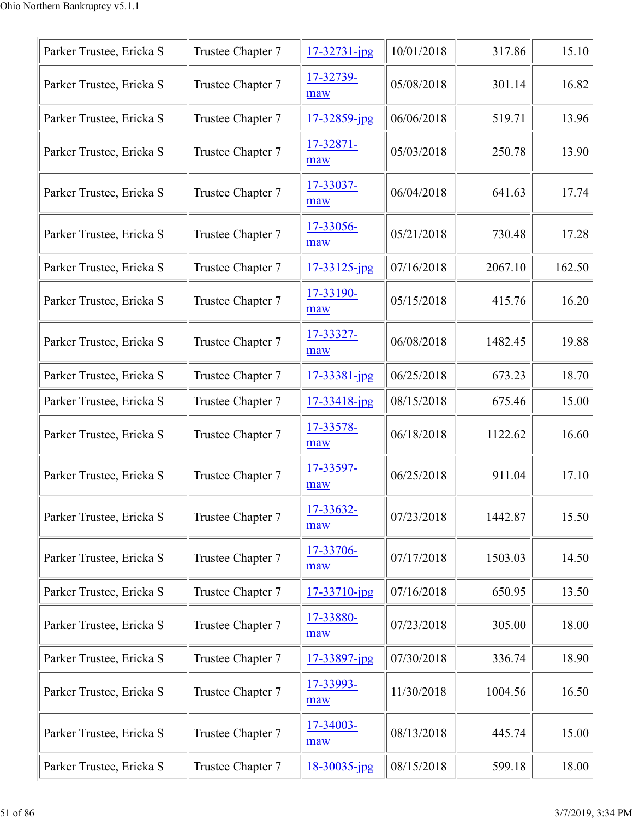| Parker Trustee, Ericka S | Trustee Chapter 7 | $17 - 32731 - ipg$ | 10/01/2018 | 317.86  | 15.10  |
|--------------------------|-------------------|--------------------|------------|---------|--------|
| Parker Trustee, Ericka S | Trustee Chapter 7 | 17-32739-<br>maw   | 05/08/2018 | 301.14  | 16.82  |
| Parker Trustee, Ericka S | Trustee Chapter 7 | 17-32859-jpg       | 06/06/2018 | 519.71  | 13.96  |
| Parker Trustee, Ericka S | Trustee Chapter 7 | 17-32871-<br>maw   | 05/03/2018 | 250.78  | 13.90  |
| Parker Trustee, Ericka S | Trustee Chapter 7 | 17-33037-<br>maw   | 06/04/2018 | 641.63  | 17.74  |
| Parker Trustee, Ericka S | Trustee Chapter 7 | 17-33056-<br>maw   | 05/21/2018 | 730.48  | 17.28  |
| Parker Trustee, Ericka S | Trustee Chapter 7 | $17 - 33125$ -jpg  | 07/16/2018 | 2067.10 | 162.50 |
| Parker Trustee, Ericka S | Trustee Chapter 7 | 17-33190-<br>maw   | 05/15/2018 | 415.76  | 16.20  |
| Parker Trustee, Ericka S | Trustee Chapter 7 | 17-33327-<br>maw   | 06/08/2018 | 1482.45 | 19.88  |
| Parker Trustee, Ericka S | Trustee Chapter 7 | $17 - 33381 - ipg$ | 06/25/2018 | 673.23  | 18.70  |
| Parker Trustee, Ericka S | Trustee Chapter 7 | $17 - 33418$ -jpg  | 08/15/2018 | 675.46  | 15.00  |
| Parker Trustee, Ericka S | Trustee Chapter 7 | 17-33578-<br>maw   | 06/18/2018 | 1122.62 | 16.60  |
| Parker Trustee, Ericka S | Trustee Chapter 7 | 17-33597-<br>maw   | 06/25/2018 | 911.04  | 17.10  |
| Parker Trustee, Ericka S | Trustee Chapter 7 | 17-33632-<br>maw   | 07/23/2018 | 1442.87 | 15.50  |
| Parker Trustee, Ericka S | Trustee Chapter 7 | 17-33706-<br>maw   | 07/17/2018 | 1503.03 | 14.50  |
| Parker Trustee, Ericka S | Trustee Chapter 7 | $17 - 33710$ -jpg  | 07/16/2018 | 650.95  | 13.50  |
| Parker Trustee, Ericka S | Trustee Chapter 7 | 17-33880-<br>maw   | 07/23/2018 | 305.00  | 18.00  |
| Parker Trustee, Ericka S | Trustee Chapter 7 | $17 - 33897$ -jpg  | 07/30/2018 | 336.74  | 18.90  |
| Parker Trustee, Ericka S | Trustee Chapter 7 | 17-33993-<br>maw   | 11/30/2018 | 1004.56 | 16.50  |
| Parker Trustee, Ericka S | Trustee Chapter 7 | 17-34003-<br>maw   | 08/13/2018 | 445.74  | 15.00  |
| Parker Trustee, Ericka S | Trustee Chapter 7 | $18 - 30035$ -jpg  | 08/15/2018 | 599.18  | 18.00  |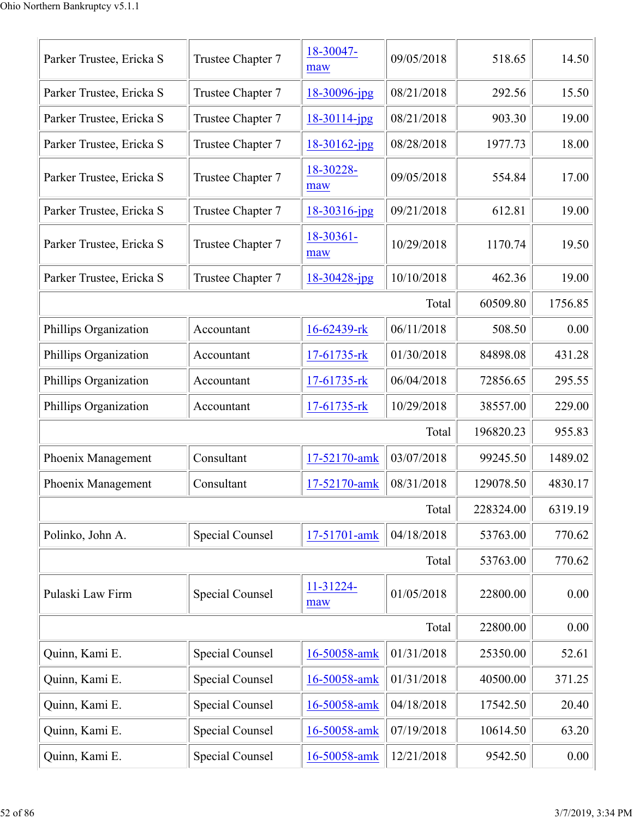| Parker Trustee, Ericka S | Trustee Chapter 7 | 18-30047-<br>maw  | 09/05/2018 | 518.65    | 14.50   |
|--------------------------|-------------------|-------------------|------------|-----------|---------|
| Parker Trustee, Ericka S | Trustee Chapter 7 | 18-30096-jpg      | 08/21/2018 | 292.56    | 15.50   |
| Parker Trustee, Ericka S | Trustee Chapter 7 | $18-30114$ -jpg   | 08/21/2018 | 903.30    | 19.00   |
| Parker Trustee, Ericka S | Trustee Chapter 7 | $18 - 30162$ -jpg | 08/28/2018 | 1977.73   | 18.00   |
| Parker Trustee, Ericka S | Trustee Chapter 7 | 18-30228-<br>maw  | 09/05/2018 | 554.84    | 17.00   |
| Parker Trustee, Ericka S | Trustee Chapter 7 | 18-30316-jpg      | 09/21/2018 | 612.81    | 19.00   |
| Parker Trustee, Ericka S | Trustee Chapter 7 | 18-30361-<br>maw  | 10/29/2018 | 1170.74   | 19.50   |
| Parker Trustee, Ericka S | Trustee Chapter 7 | $18 - 30428$ -jpg | 10/10/2018 | 462.36    | 19.00   |
|                          |                   |                   | Total      | 60509.80  | 1756.85 |
| Phillips Organization    | Accountant        | 16-62439-rk       | 06/11/2018 | 508.50    | 0.00    |
| Phillips Organization    | Accountant        | $17-61735$ -rk    | 01/30/2018 | 84898.08  | 431.28  |
| Phillips Organization    | Accountant        | $17-61735$ -rk    | 06/04/2018 | 72856.65  | 295.55  |
| Phillips Organization    | Accountant        | $17-61735$ -rk    | 10/29/2018 | 38557.00  | 229.00  |
|                          |                   |                   | Total      | 196820.23 | 955.83  |
| Phoenix Management       | Consultant        | 17-52170-amk      | 03/07/2018 | 99245.50  | 1489.02 |
| Phoenix Management       | Consultant        | 17-52170-amk      | 08/31/2018 | 129078.50 | 4830.17 |
|                          |                   |                   | Total      | 228324.00 | 6319.19 |
| Polinko, John A.         | Special Counsel   | 17-51701-amk      | 04/18/2018 | 53763.00  | 770.62  |
|                          |                   |                   | Total      | 53763.00  | 770.62  |
| Pulaski Law Firm         | Special Counsel   | 11-31224-<br>maw  | 01/05/2018 | 22800.00  | 0.00    |
|                          |                   |                   | Total      | 22800.00  | 0.00    |
| Quinn, Kami E.           | Special Counsel   | 16-50058-amk      | 01/31/2018 | 25350.00  | 52.61   |
| Quinn, Kami E.           | Special Counsel   | 16-50058-amk      | 01/31/2018 | 40500.00  | 371.25  |
| Quinn, Kami E.           | Special Counsel   | 16-50058-amk      | 04/18/2018 | 17542.50  | 20.40   |
| Quinn, Kami E.           | Special Counsel   | 16-50058-amk      | 07/19/2018 | 10614.50  | 63.20   |
| Quinn, Kami E.           | Special Counsel   | 16-50058-amk      | 12/21/2018 | 9542.50   | 0.00    |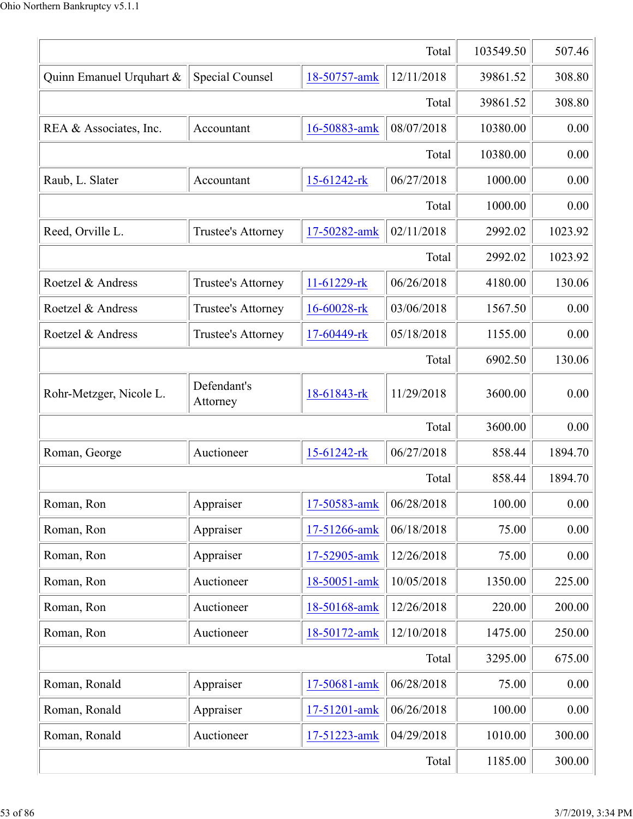|                          | 103549.50                 | 507.46       |            |          |         |
|--------------------------|---------------------------|--------------|------------|----------|---------|
| Quinn Emanuel Urquhart & | Special Counsel           | 18-50757-amk | 12/11/2018 | 39861.52 | 308.80  |
|                          |                           |              | Total      | 39861.52 | 308.80  |
| REA & Associates, Inc.   | Accountant                | 16-50883-amk | 08/07/2018 | 10380.00 | 0.00    |
|                          |                           |              | Total      | 10380.00 | 0.00    |
| Raub, L. Slater          | Accountant                | 15-61242-rk  | 06/27/2018 | 1000.00  | 0.00    |
|                          |                           |              | Total      | 1000.00  | 0.00    |
| Reed, Orville L.         | Trustee's Attorney        | 17-50282-amk | 02/11/2018 | 2992.02  | 1023.92 |
|                          |                           |              | Total      | 2992.02  | 1023.92 |
| Roetzel & Andress        | <b>Trustee's Attorney</b> | 11-61229-rk  | 06/26/2018 | 4180.00  | 130.06  |
| Roetzel & Andress        | Trustee's Attorney        | 16-60028-rk  | 03/06/2018 | 1567.50  | 0.00    |
| Roetzel & Andress        | Trustee's Attorney        | 17-60449-rk  | 05/18/2018 | 1155.00  | 0.00    |
|                          |                           |              | Total      | 6902.50  | 130.06  |
| Rohr-Metzger, Nicole L.  | Defendant's<br>Attorney   | 18-61843-rk  | 11/29/2018 | 3600.00  | 0.00    |
|                          |                           |              | Total      | 3600.00  | 0.00    |
| Roman, George            | Auctioneer                | 15-61242-rk  | 06/27/2018 | 858.44   | 1894.70 |
|                          |                           |              | Total      | 858.44   | 1894.70 |
| Roman, Ron               | Appraiser                 | 17-50583-amk | 06/28/2018 | 100.00   | 0.00    |
| Roman, Ron               | Appraiser                 | 17-51266-amk | 06/18/2018 | 75.00    | 0.00    |
| Roman, Ron               | Appraiser                 | 17-52905-amk | 12/26/2018 | 75.00    | 0.00    |
| Roman, Ron               | Auctioneer                | 18-50051-amk | 10/05/2018 | 1350.00  | 225.00  |
| Roman, Ron               | Auctioneer                | 18-50168-amk | 12/26/2018 | 220.00   | 200.00  |
| Roman, Ron               | Auctioneer                | 18-50172-amk | 12/10/2018 | 1475.00  | 250.00  |
|                          |                           |              | Total      | 3295.00  | 675.00  |
| Roman, Ronald            | Appraiser                 | 17-50681-amk | 06/28/2018 | 75.00    | 0.00    |
| Roman, Ronald            | 100.00                    | 0.00         |            |          |         |
| Roman, Ronald            | Auctioneer                | 17-51223-amk | 04/29/2018 | 1010.00  | 300.00  |
|                          | 1185.00                   | 300.00       |            |          |         |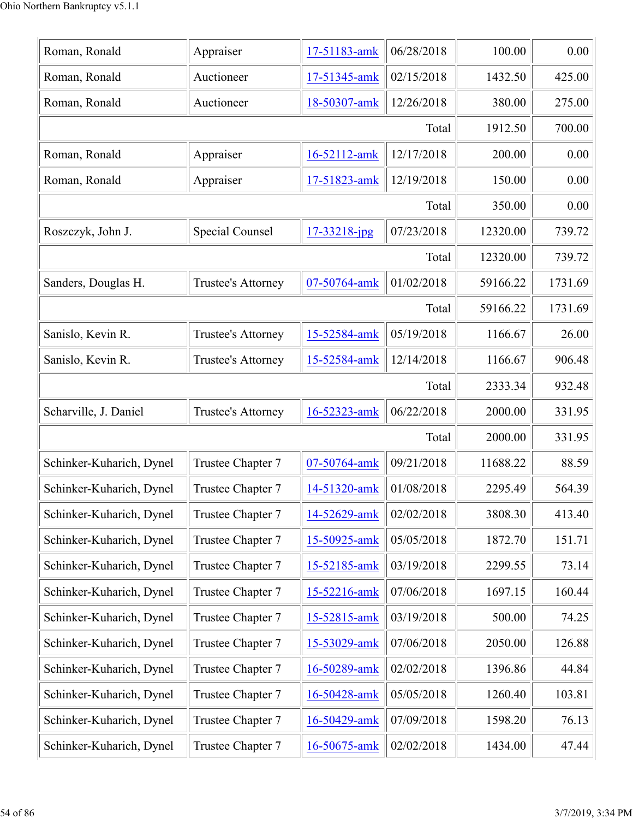| Roman, Ronald            | Appraiser              | 17-51183-amk | 06/28/2018 | 100.00   | 0.00    |
|--------------------------|------------------------|--------------|------------|----------|---------|
| Roman, Ronald            | Auctioneer             | 17-51345-amk | 02/15/2018 | 1432.50  | 425.00  |
| Roman, Ronald            | Auctioneer             | 18-50307-amk | 12/26/2018 | 380.00   | 275.00  |
|                          |                        |              | Total      | 1912.50  | 700.00  |
| Roman, Ronald            | Appraiser              | 16-52112-amk | 12/17/2018 | 200.00   | 0.00    |
| Roman, Ronald            | Appraiser              | 17-51823-amk | 12/19/2018 | 150.00   | 0.00    |
|                          |                        |              | Total      | 350.00   | 0.00    |
| Roszczyk, John J.        | <b>Special Counsel</b> | 17-33218-jpg | 07/23/2018 | 12320.00 | 739.72  |
|                          |                        |              | Total      | 12320.00 | 739.72  |
| Sanders, Douglas H.      | Trustee's Attorney     | 07-50764-amk | 01/02/2018 | 59166.22 | 1731.69 |
|                          |                        |              | Total      | 59166.22 | 1731.69 |
| Sanislo, Kevin R.        | Trustee's Attorney     | 15-52584-amk | 05/19/2018 | 1166.67  | 26.00   |
| Sanislo, Kevin R.        | Trustee's Attorney     | 15-52584-amk | 12/14/2018 | 1166.67  | 906.48  |
|                          |                        |              | Total      | 2333.34  | 932.48  |
| Scharville, J. Daniel    | Trustee's Attorney     | 16-52323-amk | 06/22/2018 | 2000.00  | 331.95  |
|                          |                        |              | Total      | 2000.00  | 331.95  |
| Schinker-Kuharich, Dynel | Trustee Chapter 7      | 07-50764-amk | 09/21/2018 | 11688.22 | 88.59   |
| Schinker-Kuharich, Dynel | Trustee Chapter 7      | 14-51320-amk | 01/08/2018 | 2295.49  | 564.39  |
| Schinker-Kuharich, Dynel | Trustee Chapter 7      | 14-52629-amk | 02/02/2018 | 3808.30  | 413.40  |
| Schinker-Kuharich, Dynel | Trustee Chapter 7      | 15-50925-amk | 05/05/2018 | 1872.70  | 151.71  |
| Schinker-Kuharich, Dynel | Trustee Chapter 7      | 15-52185-amk | 03/19/2018 | 2299.55  | 73.14   |
| Schinker-Kuharich, Dynel | Trustee Chapter 7      | 15-52216-amk | 07/06/2018 | 1697.15  | 160.44  |
| Schinker-Kuharich, Dynel | Trustee Chapter 7      | 15-52815-amk | 03/19/2018 | 500.00   | 74.25   |
| Schinker-Kuharich, Dynel | Trustee Chapter 7      | 15-53029-amk | 07/06/2018 | 2050.00  | 126.88  |
| Schinker-Kuharich, Dynel | Trustee Chapter 7      | 16-50289-amk | 02/02/2018 | 1396.86  | 44.84   |
| Schinker-Kuharich, Dynel | Trustee Chapter 7      | 16-50428-amk | 05/05/2018 | 1260.40  | 103.81  |
| Schinker-Kuharich, Dynel | Trustee Chapter 7      | 16-50429-amk | 07/09/2018 | 1598.20  | 76.13   |
| Schinker-Kuharich, Dynel | Trustee Chapter 7      | 16-50675-amk | 02/02/2018 | 1434.00  | 47.44   |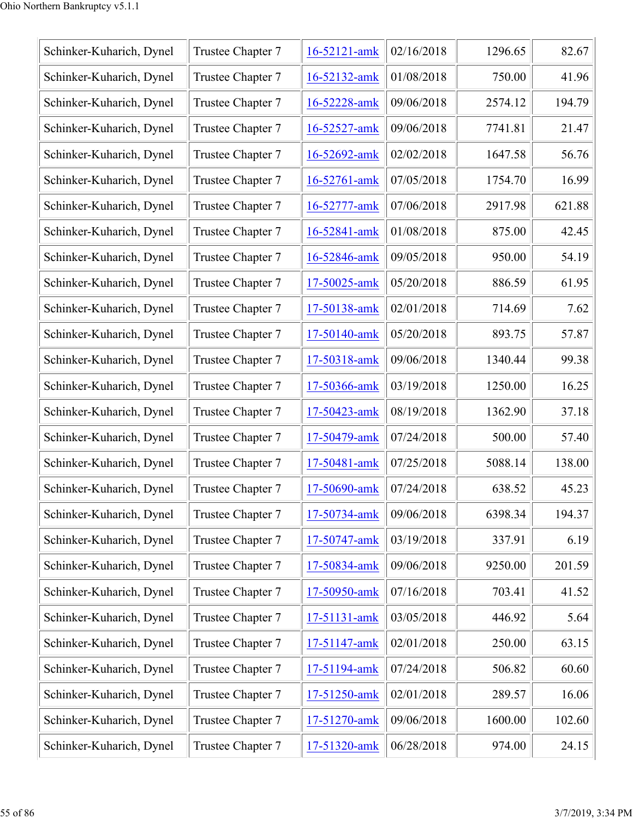| Schinker-Kuharich, Dynel | Trustee Chapter 7 | 16-52121-amk | 02/16/2018 | 1296.65 | 82.67  |
|--------------------------|-------------------|--------------|------------|---------|--------|
| Schinker-Kuharich, Dynel | Trustee Chapter 7 | 16-52132-amk | 01/08/2018 | 750.00  | 41.96  |
| Schinker-Kuharich, Dynel | Trustee Chapter 7 | 16-52228-amk | 09/06/2018 | 2574.12 | 194.79 |
| Schinker-Kuharich, Dynel | Trustee Chapter 7 | 16-52527-amk | 09/06/2018 | 7741.81 | 21.47  |
| Schinker-Kuharich, Dynel | Trustee Chapter 7 | 16-52692-amk | 02/02/2018 | 1647.58 | 56.76  |
| Schinker-Kuharich, Dynel | Trustee Chapter 7 | 16-52761-amk | 07/05/2018 | 1754.70 | 16.99  |
| Schinker-Kuharich, Dynel | Trustee Chapter 7 | 16-52777-amk | 07/06/2018 | 2917.98 | 621.88 |
| Schinker-Kuharich, Dynel | Trustee Chapter 7 | 16-52841-amk | 01/08/2018 | 875.00  | 42.45  |
| Schinker-Kuharich, Dynel | Trustee Chapter 7 | 16-52846-amk | 09/05/2018 | 950.00  | 54.19  |
| Schinker-Kuharich, Dynel | Trustee Chapter 7 | 17-50025-amk | 05/20/2018 | 886.59  | 61.95  |
| Schinker-Kuharich, Dynel | Trustee Chapter 7 | 17-50138-amk | 02/01/2018 | 714.69  | 7.62   |
| Schinker-Kuharich, Dynel | Trustee Chapter 7 | 17-50140-amk | 05/20/2018 | 893.75  | 57.87  |
| Schinker-Kuharich, Dynel | Trustee Chapter 7 | 17-50318-amk | 09/06/2018 | 1340.44 | 99.38  |
| Schinker-Kuharich, Dynel | Trustee Chapter 7 | 17-50366-amk | 03/19/2018 | 1250.00 | 16.25  |
| Schinker-Kuharich, Dynel | Trustee Chapter 7 | 17-50423-amk | 08/19/2018 | 1362.90 | 37.18  |
| Schinker-Kuharich, Dynel | Trustee Chapter 7 | 17-50479-amk | 07/24/2018 | 500.00  | 57.40  |
| Schinker-Kuharich, Dynel | Trustee Chapter 7 | 17-50481-amk | 07/25/2018 | 5088.14 | 138.00 |
| Schinker-Kuharich, Dynel | Trustee Chapter 7 | 17-50690-amk | 07/24/2018 | 638.52  | 45.23  |
| Schinker-Kuharich, Dynel | Trustee Chapter 7 | 17-50734-amk | 09/06/2018 | 6398.34 | 194.37 |
| Schinker-Kuharich, Dynel | Trustee Chapter 7 | 17-50747-amk | 03/19/2018 | 337.91  | 6.19   |
| Schinker-Kuharich, Dynel | Trustee Chapter 7 | 17-50834-amk | 09/06/2018 | 9250.00 | 201.59 |
| Schinker-Kuharich, Dynel | Trustee Chapter 7 | 17-50950-amk | 07/16/2018 | 703.41  | 41.52  |
| Schinker-Kuharich, Dynel | Trustee Chapter 7 | 17-51131-amk | 03/05/2018 | 446.92  | 5.64   |
| Schinker-Kuharich, Dynel | Trustee Chapter 7 | 17-51147-amk | 02/01/2018 | 250.00  | 63.15  |
| Schinker-Kuharich, Dynel | Trustee Chapter 7 | 17-51194-amk | 07/24/2018 | 506.82  | 60.60  |
| Schinker-Kuharich, Dynel | Trustee Chapter 7 | 17-51250-amk | 02/01/2018 | 289.57  | 16.06  |
| Schinker-Kuharich, Dynel | Trustee Chapter 7 | 17-51270-amk | 09/06/2018 | 1600.00 | 102.60 |
| Schinker-Kuharich, Dynel | Trustee Chapter 7 | 17-51320-amk | 06/28/2018 | 974.00  | 24.15  |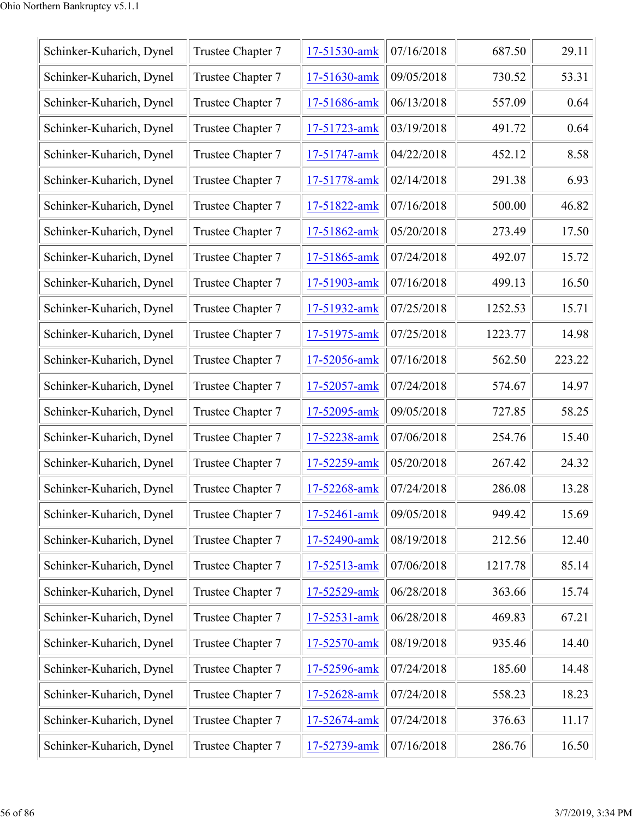| Schinker-Kuharich, Dynel | Trustee Chapter 7 | 17-51530-amk | 07/16/2018 | 687.50  | 29.11  |
|--------------------------|-------------------|--------------|------------|---------|--------|
| Schinker-Kuharich, Dynel | Trustee Chapter 7 | 17-51630-amk | 09/05/2018 | 730.52  | 53.31  |
| Schinker-Kuharich, Dynel | Trustee Chapter 7 | 17-51686-amk | 06/13/2018 | 557.09  | 0.64   |
| Schinker-Kuharich, Dynel | Trustee Chapter 7 | 17-51723-amk | 03/19/2018 | 491.72  | 0.64   |
| Schinker-Kuharich, Dynel | Trustee Chapter 7 | 17-51747-amk | 04/22/2018 | 452.12  | 8.58   |
| Schinker-Kuharich, Dynel | Trustee Chapter 7 | 17-51778-amk | 02/14/2018 | 291.38  | 6.93   |
| Schinker-Kuharich, Dynel | Trustee Chapter 7 | 17-51822-amk | 07/16/2018 | 500.00  | 46.82  |
| Schinker-Kuharich, Dynel | Trustee Chapter 7 | 17-51862-amk | 05/20/2018 | 273.49  | 17.50  |
| Schinker-Kuharich, Dynel | Trustee Chapter 7 | 17-51865-amk | 07/24/2018 | 492.07  | 15.72  |
| Schinker-Kuharich, Dynel | Trustee Chapter 7 | 17-51903-amk | 07/16/2018 | 499.13  | 16.50  |
| Schinker-Kuharich, Dynel | Trustee Chapter 7 | 17-51932-amk | 07/25/2018 | 1252.53 | 15.71  |
| Schinker-Kuharich, Dynel | Trustee Chapter 7 | 17-51975-amk | 07/25/2018 | 1223.77 | 14.98  |
| Schinker-Kuharich, Dynel | Trustee Chapter 7 | 17-52056-amk | 07/16/2018 | 562.50  | 223.22 |
| Schinker-Kuharich, Dynel | Trustee Chapter 7 | 17-52057-amk | 07/24/2018 | 574.67  | 14.97  |
| Schinker-Kuharich, Dynel | Trustee Chapter 7 | 17-52095-amk | 09/05/2018 | 727.85  | 58.25  |
| Schinker-Kuharich, Dynel | Trustee Chapter 7 | 17-52238-amk | 07/06/2018 | 254.76  | 15.40  |
| Schinker-Kuharich, Dynel | Trustee Chapter 7 | 17-52259-amk | 05/20/2018 | 267.42  | 24.32  |
| Schinker-Kuharich, Dynel | Trustee Chapter 7 | 17-52268-amk | 07/24/2018 | 286.08  | 13.28  |
| Schinker-Kuharich, Dynel | Trustee Chapter 7 | 17-52461-amk | 09/05/2018 | 949.42  | 15.69  |
| Schinker-Kuharich, Dynel | Trustee Chapter 7 | 17-52490-amk | 08/19/2018 | 212.56  | 12.40  |
| Schinker-Kuharich, Dynel | Trustee Chapter 7 | 17-52513-amk | 07/06/2018 | 1217.78 | 85.14  |
| Schinker-Kuharich, Dynel | Trustee Chapter 7 | 17-52529-amk | 06/28/2018 | 363.66  | 15.74  |
| Schinker-Kuharich, Dynel | Trustee Chapter 7 | 17-52531-amk | 06/28/2018 | 469.83  | 67.21  |
| Schinker-Kuharich, Dynel | Trustee Chapter 7 | 17-52570-amk | 08/19/2018 | 935.46  | 14.40  |
| Schinker-Kuharich, Dynel | Trustee Chapter 7 | 17-52596-amk | 07/24/2018 | 185.60  | 14.48  |
| Schinker-Kuharich, Dynel | Trustee Chapter 7 | 17-52628-amk | 07/24/2018 | 558.23  | 18.23  |
| Schinker-Kuharich, Dynel | Trustee Chapter 7 | 17-52674-amk | 07/24/2018 | 376.63  | 11.17  |
| Schinker-Kuharich, Dynel | Trustee Chapter 7 | 17-52739-amk | 07/16/2018 | 286.76  | 16.50  |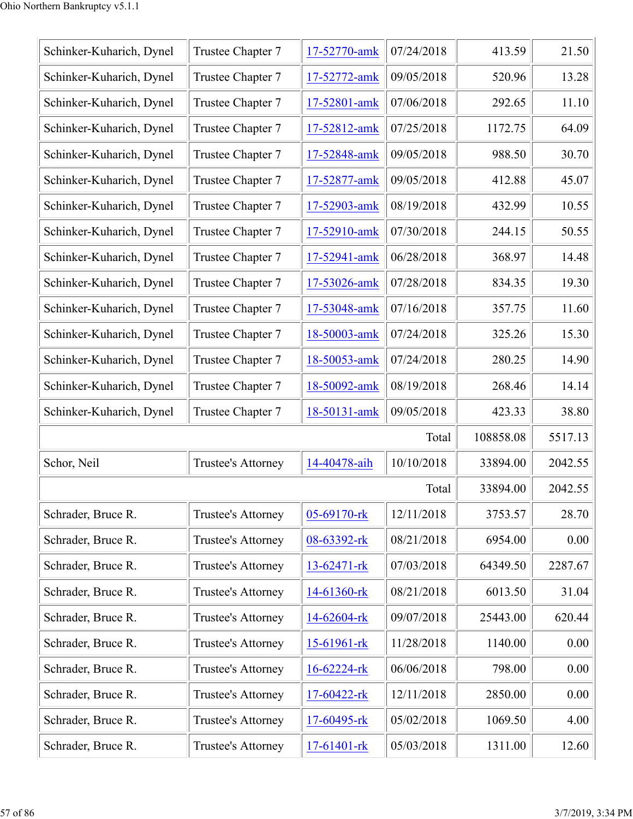| Schinker-Kuharich, Dynel | Trustee Chapter 7  | 17-52770-amk      | 07/24/2018 | 413.59    | 21.50   |
|--------------------------|--------------------|-------------------|------------|-----------|---------|
| Schinker-Kuharich, Dynel | Trustee Chapter 7  | 17-52772-amk      | 09/05/2018 | 520.96    | 13.28   |
| Schinker-Kuharich, Dynel | Trustee Chapter 7  | 17-52801-amk      | 07/06/2018 | 292.65    | 11.10   |
| Schinker-Kuharich, Dynel | Trustee Chapter 7  | 17-52812-amk      | 07/25/2018 | 1172.75   | 64.09   |
| Schinker-Kuharich, Dynel | Trustee Chapter 7  | 17-52848-amk      | 09/05/2018 | 988.50    | 30.70   |
| Schinker-Kuharich, Dynel | Trustee Chapter 7  | 17-52877-amk      | 09/05/2018 | 412.88    | 45.07   |
| Schinker-Kuharich, Dynel | Trustee Chapter 7  | 17-52903-amk      | 08/19/2018 | 432.99    | 10.55   |
| Schinker-Kuharich, Dynel | Trustee Chapter 7  | 17-52910-amk      | 07/30/2018 | 244.15    | 50.55   |
| Schinker-Kuharich, Dynel | Trustee Chapter 7  | 17-52941-amk      | 06/28/2018 | 368.97    | 14.48   |
| Schinker-Kuharich, Dynel | Trustee Chapter 7  | 17-53026-amk      | 07/28/2018 | 834.35    | 19.30   |
| Schinker-Kuharich, Dynel | Trustee Chapter 7  | 17-53048-amk      | 07/16/2018 | 357.75    | 11.60   |
| Schinker-Kuharich, Dynel | Trustee Chapter 7  | 18-50003-amk      | 07/24/2018 | 325.26    | 15.30   |
| Schinker-Kuharich, Dynel | Trustee Chapter 7  | 18-50053-amk      | 07/24/2018 | 280.25    | 14.90   |
| Schinker-Kuharich, Dynel | Trustee Chapter 7  | 18-50092-amk      | 08/19/2018 | 268.46    | 14.14   |
| Schinker-Kuharich, Dynel | Trustee Chapter 7  | 18-50131-amk      | 09/05/2018 | 423.33    | 38.80   |
|                          |                    |                   | Total      | 108858.08 | 5517.13 |
| Schor, Neil              | Trustee's Attorney | 14-40478-aih      | 10/10/2018 | 33894.00  | 2042.55 |
|                          |                    |                   | Total      | 33894.00  | 2042.55 |
| Schrader, Bruce R.       | Trustee's Attorney | 05-69170-rk       | 12/11/2018 | 3753.57   | 28.70   |
| Schrader, Bruce R.       | Trustee's Attorney | 08-63392-rk       | 08/21/2018 | 6954.00   | 0.00    |
| Schrader, Bruce R.       | Trustee's Attorney | 13-62471-rk       | 07/03/2018 | 64349.50  | 2287.67 |
| Schrader, Bruce R.       | Trustee's Attorney | 14-61360-rk       | 08/21/2018 | 6013.50   | 31.04   |
| Schrader, Bruce R.       | Trustee's Attorney | 14-62604-rk       | 09/07/2018 | 25443.00  | 620.44  |
| Schrader, Bruce R.       | Trustee's Attorney | 15-61961-rk       | 11/28/2018 | 1140.00   | 0.00    |
| Schrader, Bruce R.       | Trustee's Attorney | $16 - 62224 - rk$ | 06/06/2018 | 798.00    | 0.00    |
| Schrader, Bruce R.       | Trustee's Attorney | 17-60422-rk       | 12/11/2018 | 2850.00   | 0.00    |
| Schrader, Bruce R.       | Trustee's Attorney | 17-60495-rk       | 05/02/2018 | 1069.50   | 4.00    |
| Schrader, Bruce R.       | Trustee's Attorney | 17-61401-rk       | 05/03/2018 | 1311.00   | 12.60   |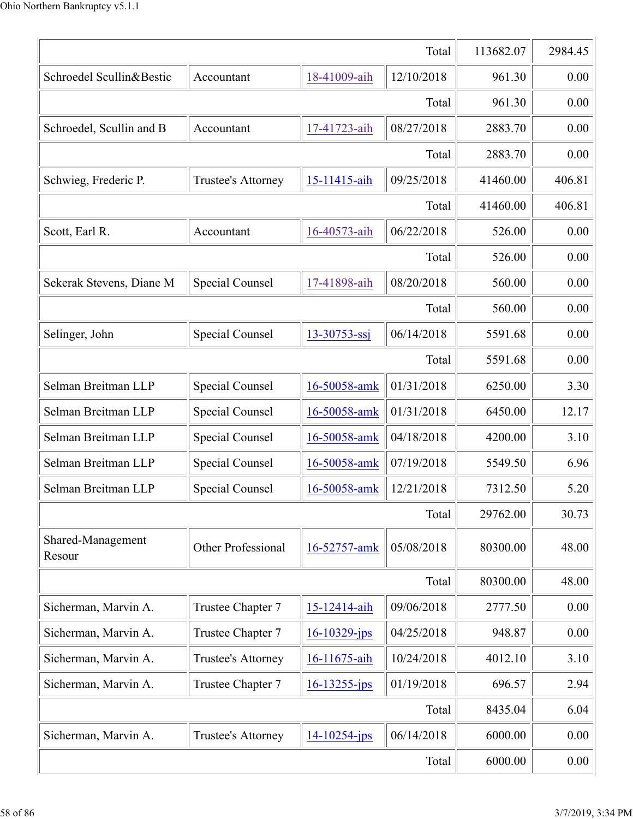|                             | 113682.07                 | 2984.45            |            |          |        |  |  |
|-----------------------------|---------------------------|--------------------|------------|----------|--------|--|--|
| Schroedel Scullin&Bestic    | Accountant                | 18-41009-aih       | 12/10/2018 | 961.30   | 0.00   |  |  |
|                             |                           |                    | Total      | 961.30   | 0.00   |  |  |
| Schroedel, Scullin and B    | Accountant                | 17-41723-aih       | 08/27/2018 | 2883.70  | 0.00   |  |  |
|                             |                           |                    | Total      | 2883.70  | 0.00   |  |  |
| Schwieg, Frederic P.        | <b>Trustee's Attorney</b> | 15-11415-aih       | 09/25/2018 | 41460.00 | 406.81 |  |  |
|                             |                           |                    | Total      | 41460.00 | 406.81 |  |  |
| Scott, Earl R.              | Accountant                | 16-40573-aih       | 06/22/2018 | 526.00   | 0.00   |  |  |
|                             |                           |                    | Total      | 526.00   | 0.00   |  |  |
| Sekerak Stevens, Diane M    | Special Counsel           | 17-41898-aih       | 08/20/2018 | 560.00   | 0.00   |  |  |
|                             |                           |                    | Total      | 560.00   | 0.00   |  |  |
| Selinger, John              | Special Counsel           | $13 - 30753 - ssj$ | 06/14/2018 | 5591.68  | 0.00   |  |  |
|                             |                           |                    | Total      | 5591.68  | 0.00   |  |  |
| Selman Breitman LLP         | Special Counsel           | 16-50058-amk       | 01/31/2018 | 6250.00  | 3.30   |  |  |
| Selman Breitman LLP         | <b>Special Counsel</b>    | 16-50058-amk       | 01/31/2018 | 6450.00  | 12.17  |  |  |
| Selman Breitman LLP         | Special Counsel           | 16-50058-amk       | 04/18/2018 | 4200.00  | 3.10   |  |  |
| Selman Breitman LLP         | Special Counsel           | 16-50058-amk       | 07/19/2018 | 5549.50  | 6.96   |  |  |
| Selman Breitman LLP         | Special Counsel           | 16-50058-amk       | 12/21/2018 | 7312.50  | 5.20   |  |  |
|                             |                           |                    | Total      | 29762.00 | 30.73  |  |  |
| Shared-Management<br>Resour | Other Professional        | 16-52757-amk       | 05/08/2018 | 80300.00 | 48.00  |  |  |
|                             |                           |                    | Total      | 80300.00 | 48.00  |  |  |
| Sicherman, Marvin A.        | Trustee Chapter 7         | 15-12414-aih       | 09/06/2018 | 2777.50  | 0.00   |  |  |
| Sicherman, Marvin A.        | Trustee Chapter 7         | $16 - 10329$ -jps  | 04/25/2018 | 948.87   | 0.00   |  |  |
| Sicherman, Marvin A.        | Trustee's Attorney        | 16-11675-aih       | 10/24/2018 | 4012.10  | 3.10   |  |  |
| Sicherman, Marvin A.        | Trustee Chapter 7         | $16 - 13255 - ips$ | 01/19/2018 | 696.57   | 2.94   |  |  |
|                             | Total                     | 8435.04            | 6.04       |          |        |  |  |
| Sicherman, Marvin A.        | Trustee's Attorney        | $14 - 10254 - ips$ | 06/14/2018 | 6000.00  | 0.00   |  |  |
|                             | 6000.00                   | 0.00               |            |          |        |  |  |
|                             |                           |                    |            |          |        |  |  |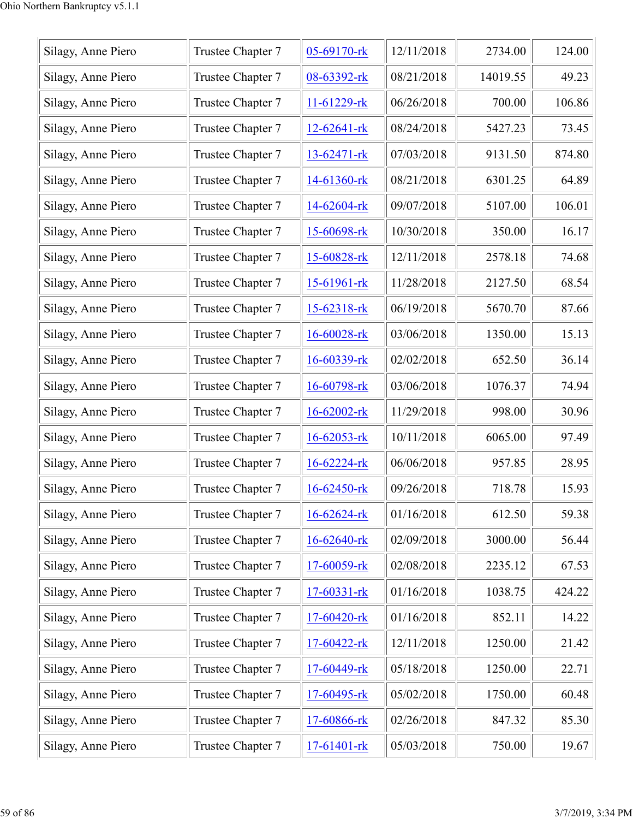| Silagy, Anne Piero | Trustee Chapter 7 | 05-69170-rk       | 12/11/2018 | 2734.00  | 124.00 |
|--------------------|-------------------|-------------------|------------|----------|--------|
| Silagy, Anne Piero | Trustee Chapter 7 | 08-63392-rk       | 08/21/2018 | 14019.55 | 49.23  |
| Silagy, Anne Piero | Trustee Chapter 7 | 11-61229-rk       | 06/26/2018 | 700.00   | 106.86 |
| Silagy, Anne Piero | Trustee Chapter 7 | $12 - 62641 -$ rk | 08/24/2018 | 5427.23  | 73.45  |
| Silagy, Anne Piero | Trustee Chapter 7 | $13-62471-rk$     | 07/03/2018 | 9131.50  | 874.80 |
| Silagy, Anne Piero | Trustee Chapter 7 | 14-61360-rk       | 08/21/2018 | 6301.25  | 64.89  |
| Silagy, Anne Piero | Trustee Chapter 7 | 14-62604-rk       | 09/07/2018 | 5107.00  | 106.01 |
| Silagy, Anne Piero | Trustee Chapter 7 | 15-60698-rk       | 10/30/2018 | 350.00   | 16.17  |
| Silagy, Anne Piero | Trustee Chapter 7 | 15-60828-rk       | 12/11/2018 | 2578.18  | 74.68  |
| Silagy, Anne Piero | Trustee Chapter 7 | $15-61961$ -rk    | 11/28/2018 | 2127.50  | 68.54  |
| Silagy, Anne Piero | Trustee Chapter 7 | 15-62318-rk       | 06/19/2018 | 5670.70  | 87.66  |
| Silagy, Anne Piero | Trustee Chapter 7 | 16-60028-rk       | 03/06/2018 | 1350.00  | 15.13  |
| Silagy, Anne Piero | Trustee Chapter 7 | 16-60339-rk       | 02/02/2018 | 652.50   | 36.14  |
| Silagy, Anne Piero | Trustee Chapter 7 | 16-60798-rk       | 03/06/2018 | 1076.37  | 74.94  |
| Silagy, Anne Piero | Trustee Chapter 7 | 16-62002-rk       | 11/29/2018 | 998.00   | 30.96  |
| Silagy, Anne Piero | Trustee Chapter 7 | 16-62053-rk       | 10/11/2018 | 6065.00  | 97.49  |
| Silagy, Anne Piero | Trustee Chapter 7 | 16-62224-rk       | 06/06/2018 | 957.85   | 28.95  |
| Silagy, Anne Piero | Trustee Chapter 7 | $16 - 62450$ -rk  | 09/26/2018 | 718.78   | 15.93  |
| Silagy, Anne Piero | Trustee Chapter 7 | 16-62624-rk       | 01/16/2018 | 612.50   | 59.38  |
| Silagy, Anne Piero | Trustee Chapter 7 | 16-62640-rk       | 02/09/2018 | 3000.00  | 56.44  |
| Silagy, Anne Piero | Trustee Chapter 7 | 17-60059-rk       | 02/08/2018 | 2235.12  | 67.53  |
| Silagy, Anne Piero | Trustee Chapter 7 | 17-60331-rk       | 01/16/2018 | 1038.75  | 424.22 |
| Silagy, Anne Piero | Trustee Chapter 7 | 17-60420-rk       | 01/16/2018 | 852.11   | 14.22  |
| Silagy, Anne Piero | Trustee Chapter 7 | 17-60422-rk       | 12/11/2018 | 1250.00  | 21.42  |
| Silagy, Anne Piero | Trustee Chapter 7 | 17-60449-rk       | 05/18/2018 | 1250.00  | 22.71  |
| Silagy, Anne Piero | Trustee Chapter 7 | 17-60495-rk       | 05/02/2018 | 1750.00  | 60.48  |
| Silagy, Anne Piero | Trustee Chapter 7 | 17-60866-rk       | 02/26/2018 | 847.32   | 85.30  |
| Silagy, Anne Piero | Trustee Chapter 7 | 17-61401-rk       | 05/03/2018 | 750.00   | 19.67  |
|                    |                   |                   |            |          |        |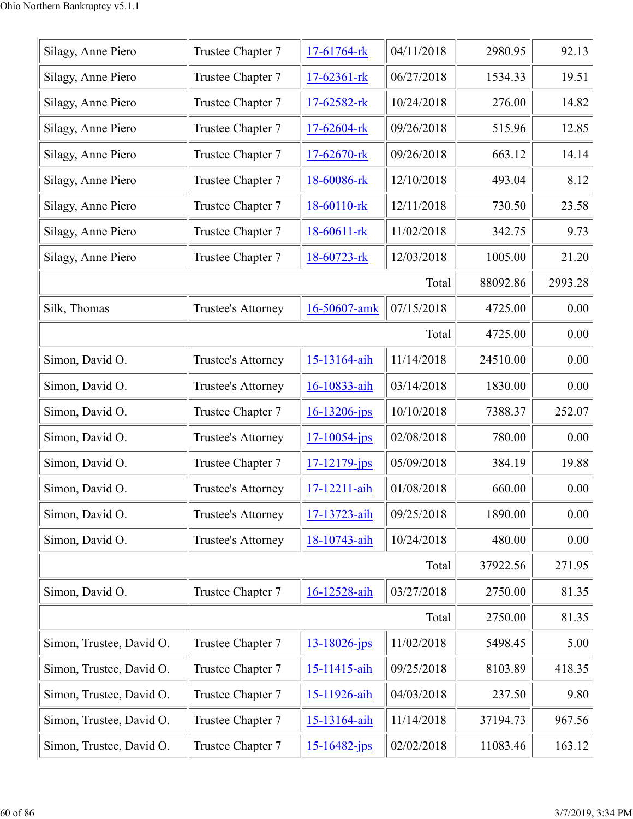| Silagy, Anne Piero       | Trustee Chapter 7         | 17-61764-rk        | 04/11/2018 | 2980.95  | 92.13    |
|--------------------------|---------------------------|--------------------|------------|----------|----------|
| Silagy, Anne Piero       | Trustee Chapter 7         | $17 - 62361 -$ rk  | 06/27/2018 | 1534.33  | 19.51    |
| Silagy, Anne Piero       | Trustee Chapter 7         | 17-62582-rk        | 10/24/2018 | 276.00   | 14.82    |
| Silagy, Anne Piero       | Trustee Chapter 7         | 17-62604-rk        | 09/26/2018 | 515.96   | 12.85    |
| Silagy, Anne Piero       | Trustee Chapter 7         | 17-62670-rk        | 09/26/2018 | 663.12   | 14.14    |
| Silagy, Anne Piero       | Trustee Chapter 7         | 18-60086-rk        | 12/10/2018 | 493.04   | 8.12     |
| Silagy, Anne Piero       | Trustee Chapter 7         | 18-60110-rk        | 12/11/2018 | 730.50   | 23.58    |
| Silagy, Anne Piero       | Trustee Chapter 7         | 18-60611-rk        | 11/02/2018 | 342.75   | 9.73     |
| Silagy, Anne Piero       | Trustee Chapter 7         | 18-60723-rk        | 12/03/2018 | 1005.00  | 21.20    |
|                          |                           |                    | Total      | 88092.86 | 2993.28  |
| Silk, Thomas             | Trustee's Attorney        | 16-50607-amk       | 07/15/2018 | 4725.00  | 0.00     |
|                          |                           |                    | Total      | 4725.00  | 0.00     |
| Simon, David O.          | Trustee's Attorney        | 15-13164-aih       | 11/14/2018 | 24510.00 | 0.00     |
| Simon, David O.          | Trustee's Attorney        | 16-10833-aih       | 03/14/2018 | 1830.00  | 0.00     |
| Simon, David O.          | Trustee Chapter 7         | 16-13206-jps       | 10/10/2018 | 7388.37  | 252.07   |
| Simon, David O.          | <b>Trustee's Attorney</b> | $17 - 10054 - ips$ | 02/08/2018 | 780.00   | 0.00     |
| Simon, David O.          | Trustee Chapter 7         | $17 - 12179$ -jps  | 05/09/2018 | 384.19   | 19.88    |
| Simon, David O.          | Trustee's Attorney        | 17-12211-aih       | 01/08/2018 | 660.00   | $0.00\,$ |
| Simon, David O.          | Trustee's Attorney        | 17-13723-aih       | 09/25/2018 | 1890.00  | 0.00     |
| Simon, David O.          | Trustee's Attorney        | 18-10743-aih       | 10/24/2018 | 480.00   | 0.00     |
|                          |                           |                    | Total      | 37922.56 | 271.95   |
| Simon, David O.          | Trustee Chapter 7         | 16-12528-aih       | 03/27/2018 | 2750.00  | 81.35    |
|                          |                           |                    | Total      | 2750.00  | 81.35    |
| Simon, Trustee, David O. | Trustee Chapter 7         | $13 - 18026 - ips$ | 11/02/2018 | 5498.45  | 5.00     |
| Simon, Trustee, David O. | Trustee Chapter 7         | 15-11415-aih       | 09/25/2018 | 8103.89  | 418.35   |
| Simon, Trustee, David O. | Trustee Chapter 7         | 15-11926-aih       | 04/03/2018 | 237.50   | 9.80     |
| Simon, Trustee, David O. | Trustee Chapter 7         | 15-13164-aih       | 11/14/2018 | 37194.73 | 967.56   |
| Simon, Trustee, David O. | Trustee Chapter 7         | $15 - 16482 - ips$ | 02/02/2018 | 11083.46 | 163.12   |
|                          |                           |                    |            |          |          |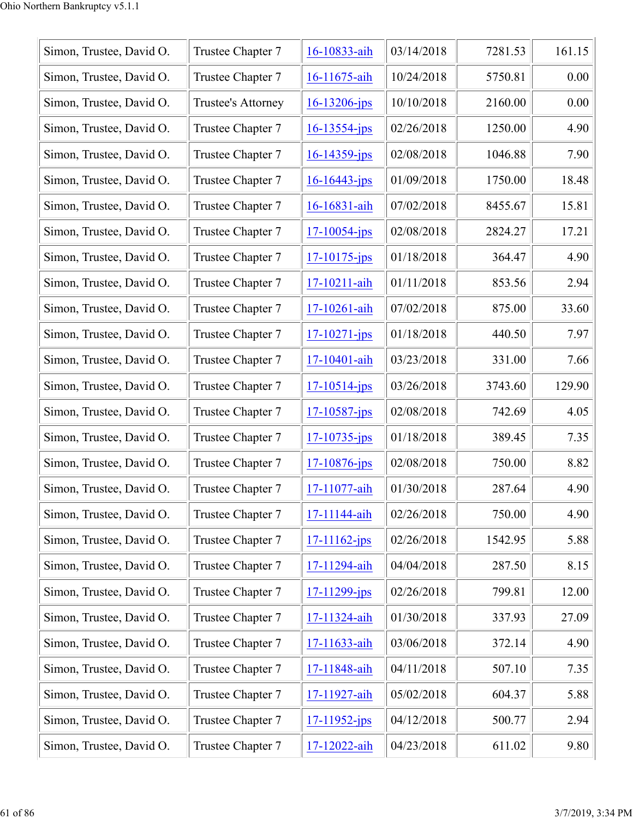| Simon, Trustee, David O. | Trustee Chapter 7  | 16-10833-aih       | 03/14/2018 | 7281.53 | 161.15 |
|--------------------------|--------------------|--------------------|------------|---------|--------|
| Simon, Trustee, David O. | Trustee Chapter 7  | 16-11675-aih       | 10/24/2018 | 5750.81 | 0.00   |
| Simon, Trustee, David O. | Trustee's Attorney | $16 - 13206 - ips$ | 10/10/2018 | 2160.00 | 0.00   |
| Simon, Trustee, David O. | Trustee Chapter 7  | $16 - 13554 - jps$ | 02/26/2018 | 1250.00 | 4.90   |
| Simon, Trustee, David O. | Trustee Chapter 7  | $16 - 14359$ -jps  | 02/08/2018 | 1046.88 | 7.90   |
| Simon, Trustee, David O. | Trustee Chapter 7  | $16 - 16443$ -jps  | 01/09/2018 | 1750.00 | 18.48  |
| Simon, Trustee, David O. | Trustee Chapter 7  | 16-16831-aih       | 07/02/2018 | 8455.67 | 15.81  |
| Simon, Trustee, David O. | Trustee Chapter 7  | $17 - 10054$ -jps  | 02/08/2018 | 2824.27 | 17.21  |
| Simon, Trustee, David O. | Trustee Chapter 7  | $17 - 10175$ -jps  | 01/18/2018 | 364.47  | 4.90   |
| Simon, Trustee, David O. | Trustee Chapter 7  | 17-10211-aih       | 01/11/2018 | 853.56  | 2.94   |
| Simon, Trustee, David O. | Trustee Chapter 7  | 17-10261-aih       | 07/02/2018 | 875.00  | 33.60  |
| Simon, Trustee, David O. | Trustee Chapter 7  | $17 - 10271 - ips$ | 01/18/2018 | 440.50  | 7.97   |
| Simon, Trustee, David O. | Trustee Chapter 7  | 17-10401-aih       | 03/23/2018 | 331.00  | 7.66   |
| Simon, Trustee, David O. | Trustee Chapter 7  | $17 - 10514$ -jps  | 03/26/2018 | 3743.60 | 129.90 |
| Simon, Trustee, David O. | Trustee Chapter 7  | $17 - 10587 - jps$ | 02/08/2018 | 742.69  | 4.05   |
| Simon, Trustee, David O. | Trustee Chapter 7  | $17 - 10735 - jps$ | 01/18/2018 | 389.45  | 7.35   |
| Simon, Trustee, David O. | Trustee Chapter 7  | 17-10876-jps       | 02/08/2018 | 750.00  | 8.82   |
| Simon, Trustee, David O. | Trustee Chapter 7  | 17-11077-aih       | 01/30/2018 | 287.64  | 4.90   |
| Simon, Trustee, David O. | Trustee Chapter 7  | 17-11144-aih       | 02/26/2018 | 750.00  | 4.90   |
| Simon, Trustee, David O. | Trustee Chapter 7  | $17 - 11162$ -jps  | 02/26/2018 | 1542.95 | 5.88   |
| Simon, Trustee, David O. | Trustee Chapter 7  | 17-11294-aih       | 04/04/2018 | 287.50  | 8.15   |
| Simon, Trustee, David O. | Trustee Chapter 7  | $17 - 11299$ -jps  | 02/26/2018 | 799.81  | 12.00  |
| Simon, Trustee, David O. | Trustee Chapter 7  | 17-11324-aih       | 01/30/2018 | 337.93  | 27.09  |
| Simon, Trustee, David O. | Trustee Chapter 7  | 17-11633-aih       | 03/06/2018 | 372.14  | 4.90   |
| Simon, Trustee, David O. | Trustee Chapter 7  | 17-11848-aih       | 04/11/2018 | 507.10  | 7.35   |
| Simon, Trustee, David O. | Trustee Chapter 7  | 17-11927-aih       | 05/02/2018 | 604.37  | 5.88   |
| Simon, Trustee, David O. | Trustee Chapter 7  | $17 - 11952 - ips$ | 04/12/2018 | 500.77  | 2.94   |
| Simon, Trustee, David O. | Trustee Chapter 7  | 17-12022-aih       | 04/23/2018 | 611.02  | 9.80   |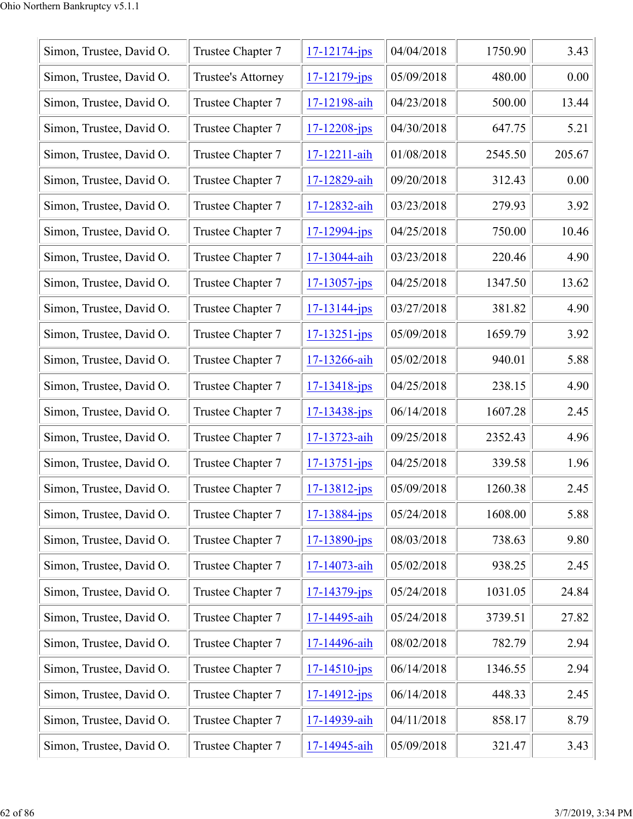| Simon, Trustee, David O. | Trustee Chapter 7  | $17 - 12174 - ips$ | 04/04/2018 | 1750.90 | 3.43   |
|--------------------------|--------------------|--------------------|------------|---------|--------|
| Simon, Trustee, David O. | Trustee's Attorney | $17 - 12179$ -jps  | 05/09/2018 | 480.00  | 0.00   |
| Simon, Trustee, David O. | Trustee Chapter 7  | 17-12198-aih       | 04/23/2018 | 500.00  | 13.44  |
| Simon, Trustee, David O. | Trustee Chapter 7  | $17 - 12208 - ips$ | 04/30/2018 | 647.75  | 5.21   |
| Simon, Trustee, David O. | Trustee Chapter 7  | 17-12211-aih       | 01/08/2018 | 2545.50 | 205.67 |
| Simon, Trustee, David O. | Trustee Chapter 7  | 17-12829-aih       | 09/20/2018 | 312.43  | 0.00   |
| Simon, Trustee, David O. | Trustee Chapter 7  | 17-12832-aih       | 03/23/2018 | 279.93  | 3.92   |
| Simon, Trustee, David O. | Trustee Chapter 7  | $17 - 12994 - jps$ | 04/25/2018 | 750.00  | 10.46  |
| Simon, Trustee, David O. | Trustee Chapter 7  | 17-13044-aih       | 03/23/2018 | 220.46  | 4.90   |
| Simon, Trustee, David O. | Trustee Chapter 7  | $17 - 13057 - ips$ | 04/25/2018 | 1347.50 | 13.62  |
| Simon, Trustee, David O. | Trustee Chapter 7  | $17 - 13144 - jps$ | 03/27/2018 | 381.82  | 4.90   |
| Simon, Trustee, David O. | Trustee Chapter 7  | $17 - 13251 - ips$ | 05/09/2018 | 1659.79 | 3.92   |
| Simon, Trustee, David O. | Trustee Chapter 7  | 17-13266-aih       | 05/02/2018 | 940.01  | 5.88   |
| Simon, Trustee, David O. | Trustee Chapter 7  | $17 - 13418$ -jps  | 04/25/2018 | 238.15  | 4.90   |
| Simon, Trustee, David O. | Trustee Chapter 7  | 17-13438-jps       | 06/14/2018 | 1607.28 | 2.45   |
| Simon, Trustee, David O. | Trustee Chapter 7  | 17-13723-aih       | 09/25/2018 | 2352.43 | 4.96   |
| Simon, Trustee, David O. | Trustee Chapter 7  | $17 - 13751 - ips$ | 04/25/2018 | 339.58  | 1.96   |
| Simon, Trustee, David O. | Trustee Chapter 7  | $17 - 13812 - ips$ | 05/09/2018 | 1260.38 | 2.45   |
| Simon, Trustee, David O. | Trustee Chapter 7  | $17 - 13884 - ips$ | 05/24/2018 | 1608.00 | 5.88   |
| Simon, Trustee, David O. | Trustee Chapter 7  | $17 - 13890 - ips$ | 08/03/2018 | 738.63  | 9.80   |
| Simon, Trustee, David O. | Trustee Chapter 7  | 17-14073-aih       | 05/02/2018 | 938.25  | 2.45   |
| Simon, Trustee, David O. | Trustee Chapter 7  | $17 - 14379 - ips$ | 05/24/2018 | 1031.05 | 24.84  |
| Simon, Trustee, David O. | Trustee Chapter 7  | 17-14495-aih       | 05/24/2018 | 3739.51 | 27.82  |
| Simon, Trustee, David O. | Trustee Chapter 7  | 17-14496-aih       | 08/02/2018 | 782.79  | 2.94   |
| Simon, Trustee, David O. | Trustee Chapter 7  | $17 - 14510 - ips$ | 06/14/2018 | 1346.55 | 2.94   |
| Simon, Trustee, David O. | Trustee Chapter 7  | 17-14912-jps       | 06/14/2018 | 448.33  | 2.45   |
| Simon, Trustee, David O. | Trustee Chapter 7  | 17-14939-aih       | 04/11/2018 | 858.17  | 8.79   |
| Simon, Trustee, David O. | Trustee Chapter 7  | 17-14945-aih       | 05/09/2018 | 321.47  | 3.43   |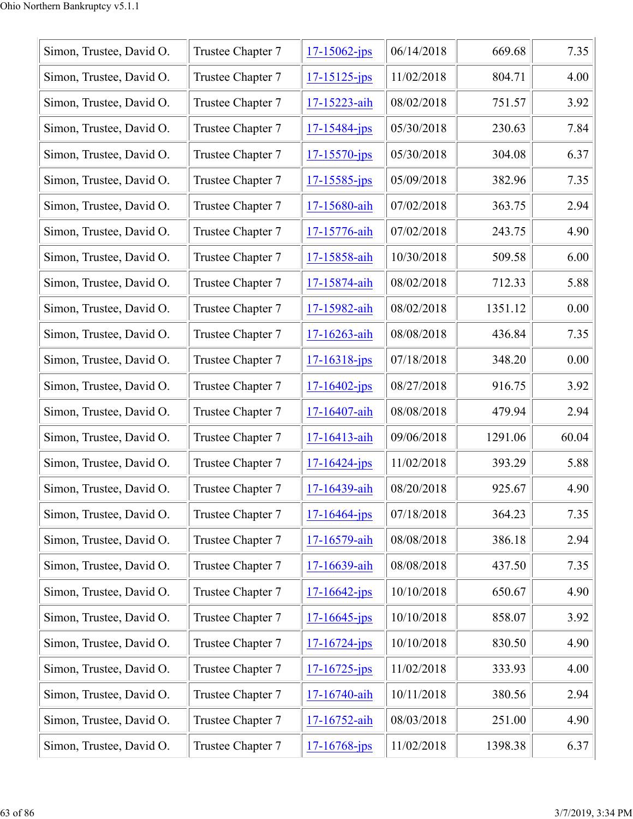| Simon, Trustee, David O. | Trustee Chapter 7 | $17 - 15062$ -jps  | 06/14/2018 | 669.68  | 7.35  |
|--------------------------|-------------------|--------------------|------------|---------|-------|
| Simon, Trustee, David O. | Trustee Chapter 7 | $17 - 15125$ -jps  | 11/02/2018 | 804.71  | 4.00  |
| Simon, Trustee, David O. | Trustee Chapter 7 | 17-15223-aih       | 08/02/2018 | 751.57  | 3.92  |
| Simon, Trustee, David O. | Trustee Chapter 7 | $17 - 15484 - jps$ | 05/30/2018 | 230.63  | 7.84  |
| Simon, Trustee, David O. | Trustee Chapter 7 | $17 - 15570 - jps$ | 05/30/2018 | 304.08  | 6.37  |
| Simon, Trustee, David O. | Trustee Chapter 7 | $17 - 15585 - ips$ | 05/09/2018 | 382.96  | 7.35  |
| Simon, Trustee, David O. | Trustee Chapter 7 | 17-15680-aih       | 07/02/2018 | 363.75  | 2.94  |
| Simon, Trustee, David O. | Trustee Chapter 7 | 17-15776-aih       | 07/02/2018 | 243.75  | 4.90  |
| Simon, Trustee, David O. | Trustee Chapter 7 | 17-15858-aih       | 10/30/2018 | 509.58  | 6.00  |
| Simon, Trustee, David O. | Trustee Chapter 7 | 17-15874-aih       | 08/02/2018 | 712.33  | 5.88  |
| Simon, Trustee, David O. | Trustee Chapter 7 | 17-15982-aih       | 08/02/2018 | 1351.12 | 0.00  |
| Simon, Trustee, David O. | Trustee Chapter 7 | 17-16263-aih       | 08/08/2018 | 436.84  | 7.35  |
| Simon, Trustee, David O. | Trustee Chapter 7 | $17 - 16318$ -jps  | 07/18/2018 | 348.20  | 0.00  |
| Simon, Trustee, David O. | Trustee Chapter 7 | $17 - 16402 - ips$ | 08/27/2018 | 916.75  | 3.92  |
| Simon, Trustee, David O. | Trustee Chapter 7 | 17-16407-aih       | 08/08/2018 | 479.94  | 2.94  |
| Simon, Trustee, David O. | Trustee Chapter 7 | 17-16413-aih       | 09/06/2018 | 1291.06 | 60.04 |
| Simon, Trustee, David O. | Trustee Chapter 7 | $17 - 16424 - jps$ | 11/02/2018 | 393.29  | 5.88  |
| Simon, Trustee, David O. | Trustee Chapter 7 | 17-16439-aih       | 08/20/2018 | 925.67  | 4.90  |
| Simon, Trustee, David O. | Trustee Chapter 7 | $17 - 16464 - ips$ | 07/18/2018 | 364.23  | 7.35  |
| Simon, Trustee, David O. | Trustee Chapter 7 | 17-16579-aih       | 08/08/2018 | 386.18  | 2.94  |
| Simon, Trustee, David O. | Trustee Chapter 7 | 17-16639-aih       | 08/08/2018 | 437.50  | 7.35  |
| Simon, Trustee, David O. | Trustee Chapter 7 | $17 - 16642$ -jps  | 10/10/2018 | 650.67  | 4.90  |
| Simon, Trustee, David O. | Trustee Chapter 7 | $17 - 16645$ -jps  | 10/10/2018 | 858.07  | 3.92  |
| Simon, Trustee, David O. | Trustee Chapter 7 | $17 - 16724 - ips$ | 10/10/2018 | 830.50  | 4.90  |
| Simon, Trustee, David O. | Trustee Chapter 7 | $17 - 16725 - ips$ | 11/02/2018 | 333.93  | 4.00  |
| Simon, Trustee, David O. | Trustee Chapter 7 | 17-16740-aih       | 10/11/2018 | 380.56  | 2.94  |
| Simon, Trustee, David O. | Trustee Chapter 7 | 17-16752-aih       | 08/03/2018 | 251.00  | 4.90  |
| Simon, Trustee, David O. | Trustee Chapter 7 | $17 - 16768$ -jps  | 11/02/2018 | 1398.38 | 6.37  |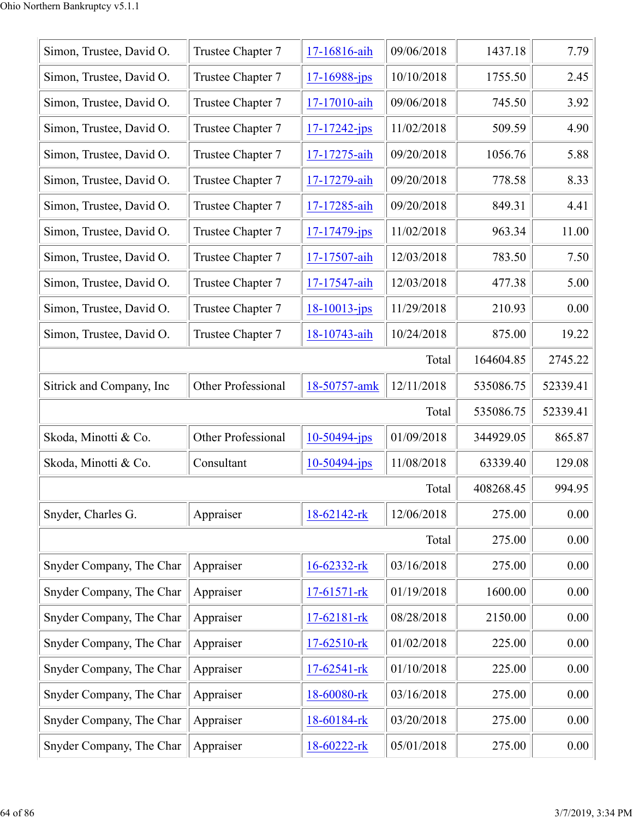| Simon, Trustee, David O. | Trustee Chapter 7  | 17-16816-aih       | 09/06/2018 | 1437.18   | 7.79     |
|--------------------------|--------------------|--------------------|------------|-----------|----------|
| Simon, Trustee, David O. | Trustee Chapter 7  | $17 - 16988 - ips$ | 10/10/2018 | 1755.50   | 2.45     |
| Simon, Trustee, David O. | Trustee Chapter 7  | 17-17010-aih       | 09/06/2018 | 745.50    | 3.92     |
| Simon, Trustee, David O. | Trustee Chapter 7  | $17 - 17242 - ips$ | 11/02/2018 | 509.59    | 4.90     |
| Simon, Trustee, David O. | Trustee Chapter 7  | 17-17275-aih       | 09/20/2018 | 1056.76   | 5.88     |
| Simon, Trustee, David O. | Trustee Chapter 7  | 17-17279-aih       | 09/20/2018 | 778.58    | 8.33     |
| Simon, Trustee, David O. | Trustee Chapter 7  | 17-17285-aih       | 09/20/2018 | 849.31    | 4.41     |
| Simon, Trustee, David O. | Trustee Chapter 7  | $17 - 17479$ -jps  | 11/02/2018 | 963.34    | 11.00    |
| Simon, Trustee, David O. | Trustee Chapter 7  | 17-17507-aih       | 12/03/2018 | 783.50    | 7.50     |
| Simon, Trustee, David O. | Trustee Chapter 7  | 17-17547-aih       | 12/03/2018 | 477.38    | 5.00     |
| Simon, Trustee, David O. | Trustee Chapter 7  | $18 - 10013 - ips$ | 11/29/2018 | 210.93    | 0.00     |
| Simon, Trustee, David O. | Trustee Chapter 7  | 18-10743-aih       | 10/24/2018 | 875.00    | 19.22    |
|                          |                    |                    |            |           |          |
|                          |                    |                    | Total      | 164604.85 | 2745.22  |
| Sitrick and Company, Inc | Other Professional | 18-50757-amk       | 12/11/2018 | 535086.75 | 52339.41 |
|                          |                    |                    | Total      | 535086.75 | 52339.41 |
| Skoda, Minotti & Co.     | Other Professional | $10 - 50494$ -jps  | 01/09/2018 | 344929.05 | 865.87   |
| Skoda, Minotti & Co.     | Consultant         | $10 - 50494$ -jps  | 11/08/2018 | 63339.40  | 129.08   |
|                          |                    |                    | Total      | 408268.45 | 994.95   |
| Snyder, Charles G.       | Appraiser          | 18-62142-rk        | 12/06/2018 | 275.00    | 0.00     |
|                          |                    |                    | Total      | 275.00    | 0.00     |
| Snyder Company, The Char | Appraiser          | 16-62332-rk        | 03/16/2018 | 275.00    | 0.00     |
| Snyder Company, The Char | Appraiser          | $17-61571$ -rk     | 01/19/2018 | 1600.00   | 0.00     |
| Snyder Company, The Char | Appraiser          | 17-62181-rk        | 08/28/2018 | 2150.00   | 0.00     |
| Snyder Company, The Char | Appraiser          | 17-62510-rk        | 01/02/2018 | 225.00    | 0.00     |
| Snyder Company, The Char | Appraiser          | 17-62541-rk        | 01/10/2018 | 225.00    | 0.00     |
| Snyder Company, The Char | Appraiser          | 18-60080-rk        | 03/16/2018 | 275.00    | 0.00     |
| Snyder Company, The Char | Appraiser          | 18-60184-rk        | 03/20/2018 | 275.00    | 0.00     |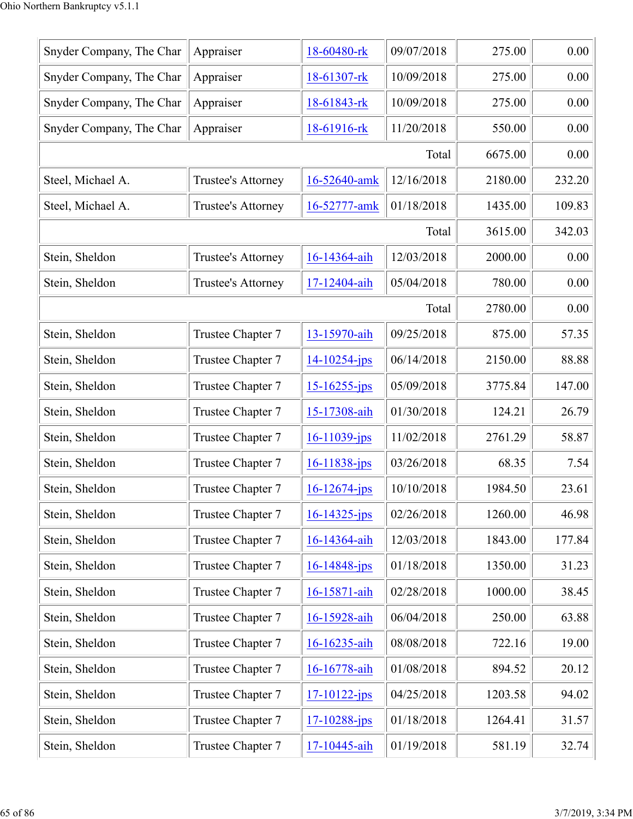| Snyder Company, The Char | Appraiser          | 18-60480-rk        | 09/07/2018 | 275.00  | 0.00   |
|--------------------------|--------------------|--------------------|------------|---------|--------|
| Snyder Company, The Char | Appraiser          | 18-61307-rk        | 10/09/2018 | 275.00  | 0.00   |
| Snyder Company, The Char | Appraiser          | 18-61843-rk        | 10/09/2018 | 275.00  | 0.00   |
| Snyder Company, The Char | Appraiser          | 18-61916-rk        | 11/20/2018 | 550.00  | 0.00   |
|                          |                    |                    | Total      | 6675.00 | 0.00   |
| Steel, Michael A.        | Trustee's Attorney | 16-52640-amk       | 12/16/2018 | 2180.00 | 232.20 |
| Steel, Michael A.        | Trustee's Attorney | 16-52777-amk       | 01/18/2018 | 1435.00 | 109.83 |
|                          |                    |                    | Total      | 3615.00 | 342.03 |
| Stein, Sheldon           | Trustee's Attorney | 16-14364-aih       | 12/03/2018 | 2000.00 | 0.00   |
| Stein, Sheldon           | Trustee's Attorney | 17-12404-aih       | 05/04/2018 | 780.00  | 0.00   |
|                          |                    |                    | Total      | 2780.00 | 0.00   |
| Stein, Sheldon           | Trustee Chapter 7  | 13-15970-aih       | 09/25/2018 | 875.00  | 57.35  |
| Stein, Sheldon           | Trustee Chapter 7  | $14 - 10254 - jps$ | 06/14/2018 | 2150.00 | 88.88  |
| Stein, Sheldon           | Trustee Chapter 7  | 15-16255-jps       | 05/09/2018 | 3775.84 | 147.00 |
| Stein, Sheldon           | Trustee Chapter 7  | 15-17308-aih       | 01/30/2018 | 124.21  | 26.79  |
| Stein, Sheldon           | Trustee Chapter 7  | $16 - 11039$ -jps  | 11/02/2018 | 2761.29 | 58.87  |
| Stein, Sheldon           | Trustee Chapter 7  | 16-11838-jps       | 03/26/2018 | 68.35   | 7.54   |
| Stein, Sheldon           | Trustee Chapter 7  | $16 - 12674 - ips$ | 10/10/2018 | 1984.50 | 23.61  |
| Stein, Sheldon           | Trustee Chapter 7  | $16 - 14325$ -jps  | 02/26/2018 | 1260.00 | 46.98  |
| Stein, Sheldon           | Trustee Chapter 7  | 16-14364-aih       | 12/03/2018 | 1843.00 | 177.84 |
| Stein, Sheldon           | Trustee Chapter 7  | $16 - 14848 - ips$ | 01/18/2018 | 1350.00 | 31.23  |
| Stein, Sheldon           | Trustee Chapter 7  | 16-15871-aih       | 02/28/2018 | 1000.00 | 38.45  |
| Stein, Sheldon           | Trustee Chapter 7  | 16-15928-aih       | 06/04/2018 | 250.00  | 63.88  |
| Stein, Sheldon           | Trustee Chapter 7  | 16-16235-aih       | 08/08/2018 | 722.16  | 19.00  |
| Stein, Sheldon           | Trustee Chapter 7  | 16-16778-aih       | 01/08/2018 | 894.52  | 20.12  |
| Stein, Sheldon           | Trustee Chapter 7  | $17 - 10122 - jps$ | 04/25/2018 | 1203.58 | 94.02  |
| Stein, Sheldon           | Trustee Chapter 7  | $17 - 10288 - ips$ | 01/18/2018 | 1264.41 | 31.57  |
| Stein, Sheldon           | Trustee Chapter 7  | 17-10445-aih       | 01/19/2018 | 581.19  | 32.74  |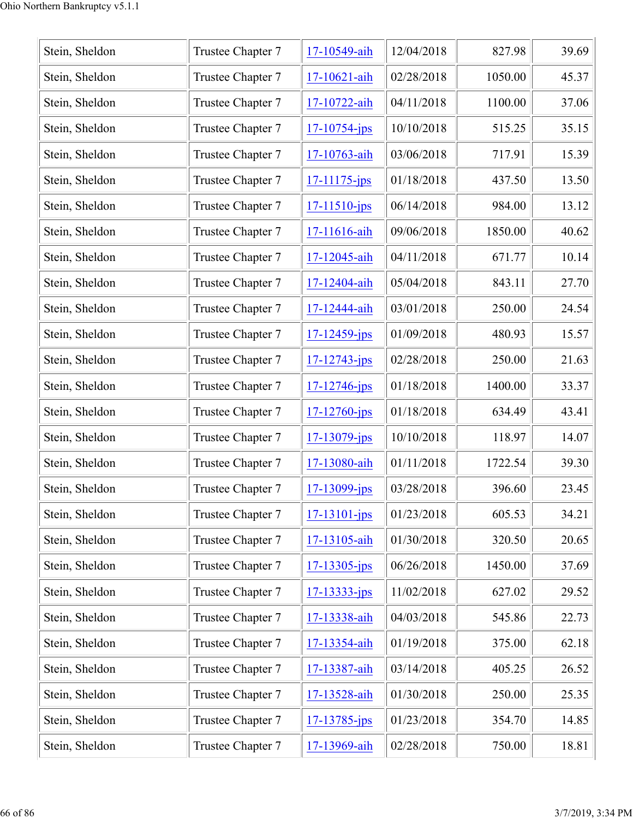| Stein, Sheldon | Trustee Chapter 7 | 17-10549-aih       | 12/04/2018 | 827.98  | 39.69 |
|----------------|-------------------|--------------------|------------|---------|-------|
| Stein, Sheldon | Trustee Chapter 7 | 17-10621-aih       | 02/28/2018 | 1050.00 | 45.37 |
| Stein, Sheldon | Trustee Chapter 7 | 17-10722-aih       | 04/11/2018 | 1100.00 | 37.06 |
| Stein, Sheldon | Trustee Chapter 7 | $17 - 10754 - jps$ | 10/10/2018 | 515.25  | 35.15 |
| Stein, Sheldon | Trustee Chapter 7 | 17-10763-aih       | 03/06/2018 | 717.91  | 15.39 |
| Stein, Sheldon | Trustee Chapter 7 | 17-11175-jps       | 01/18/2018 | 437.50  | 13.50 |
| Stein, Sheldon | Trustee Chapter 7 | $17 - 11510 - ips$ | 06/14/2018 | 984.00  | 13.12 |
| Stein, Sheldon | Trustee Chapter 7 | 17-11616-aih       | 09/06/2018 | 1850.00 | 40.62 |
| Stein, Sheldon | Trustee Chapter 7 | 17-12045-aih       | 04/11/2018 | 671.77  | 10.14 |
| Stein, Sheldon | Trustee Chapter 7 | 17-12404-aih       | 05/04/2018 | 843.11  | 27.70 |
| Stein, Sheldon | Trustee Chapter 7 | 17-12444-aih       | 03/01/2018 | 250.00  | 24.54 |
| Stein, Sheldon | Trustee Chapter 7 | 17-12459-jps       | 01/09/2018 | 480.93  | 15.57 |
| Stein, Sheldon | Trustee Chapter 7 | $17 - 12743 - jps$ | 02/28/2018 | 250.00  | 21.63 |
| Stein, Sheldon | Trustee Chapter 7 | $17 - 12746$ -jps  | 01/18/2018 | 1400.00 | 33.37 |
| Stein, Sheldon | Trustee Chapter 7 | $17 - 12760 - ips$ | 01/18/2018 | 634.49  | 43.41 |
| Stein, Sheldon | Trustee Chapter 7 | $17 - 13079$ -jps  | 10/10/2018 | 118.97  | 14.07 |
| Stein, Sheldon | Trustee Chapter 7 | 17-13080-aih       | 01/11/2018 | 1722.54 | 39.30 |
| Stein, Sheldon | Trustee Chapter 7 | $17 - 13099 - ips$ | 03/28/2018 | 396.60  | 23.45 |
| Stein, Sheldon | Trustee Chapter 7 | $17 - 13101 - ips$ | 01/23/2018 | 605.53  | 34.21 |
| Stein, Sheldon | Trustee Chapter 7 | 17-13105-aih       | 01/30/2018 | 320.50  | 20.65 |
| Stein, Sheldon | Trustee Chapter 7 | $17 - 13305 - ips$ | 06/26/2018 | 1450.00 | 37.69 |
| Stein, Sheldon | Trustee Chapter 7 | $17 - 13333 - jps$ | 11/02/2018 | 627.02  | 29.52 |
| Stein, Sheldon | Trustee Chapter 7 | 17-13338-aih       | 04/03/2018 | 545.86  | 22.73 |
| Stein, Sheldon | Trustee Chapter 7 | 17-13354-aih       | 01/19/2018 | 375.00  | 62.18 |
| Stein, Sheldon | Trustee Chapter 7 | 17-13387-aih       | 03/14/2018 | 405.25  | 26.52 |
| Stein, Sheldon | Trustee Chapter 7 | 17-13528-aih       | 01/30/2018 | 250.00  | 25.35 |
| Stein, Sheldon | Trustee Chapter 7 | $17 - 13785 - ips$ | 01/23/2018 | 354.70  | 14.85 |
| Stein, Sheldon | Trustee Chapter 7 | 17-13969-aih       | 02/28/2018 | 750.00  | 18.81 |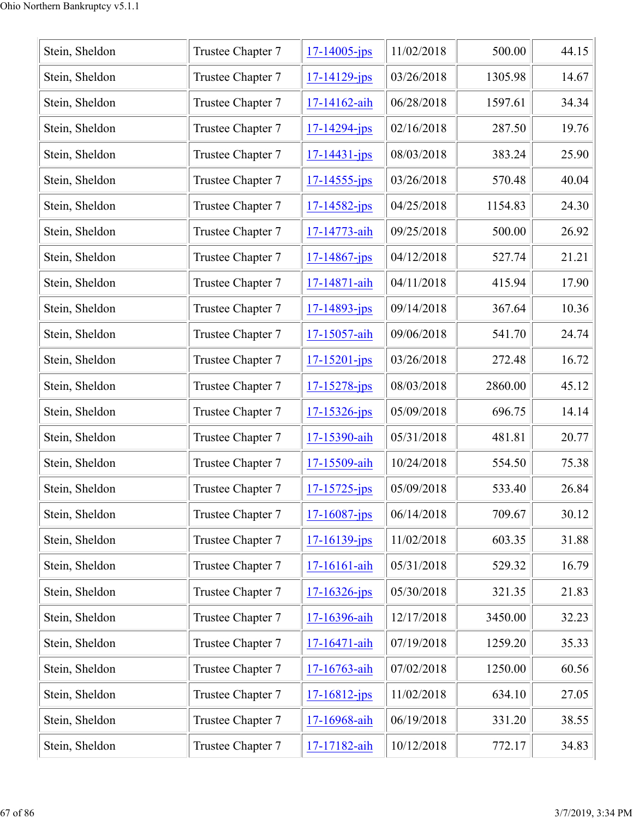| Stein, Sheldon | Trustee Chapter 7 | $17 - 14005 - ips$ | 11/02/2018 | 500.00  | 44.15 |
|----------------|-------------------|--------------------|------------|---------|-------|
| Stein, Sheldon | Trustee Chapter 7 | $17 - 14129$ -jps  | 03/26/2018 | 1305.98 | 14.67 |
| Stein, Sheldon | Trustee Chapter 7 | 17-14162-aih       | 06/28/2018 | 1597.61 | 34.34 |
| Stein, Sheldon | Trustee Chapter 7 | $17 - 14294 - ips$ | 02/16/2018 | 287.50  | 19.76 |
| Stein, Sheldon | Trustee Chapter 7 | $17 - 14431 - jps$ | 08/03/2018 | 383.24  | 25.90 |
| Stein, Sheldon | Trustee Chapter 7 | $17 - 14555 - ips$ | 03/26/2018 | 570.48  | 40.04 |
| Stein, Sheldon | Trustee Chapter 7 | $17 - 14582 - ips$ | 04/25/2018 | 1154.83 | 24.30 |
| Stein, Sheldon | Trustee Chapter 7 | 17-14773-aih       | 09/25/2018 | 500.00  | 26.92 |
| Stein, Sheldon | Trustee Chapter 7 | $17 - 14867 - ips$ | 04/12/2018 | 527.74  | 21.21 |
| Stein, Sheldon | Trustee Chapter 7 | 17-14871-aih       | 04/11/2018 | 415.94  | 17.90 |
| Stein, Sheldon | Trustee Chapter 7 | 17-14893-jps       | 09/14/2018 | 367.64  | 10.36 |
| Stein, Sheldon | Trustee Chapter 7 | 17-15057-aih       | 09/06/2018 | 541.70  | 24.74 |
| Stein, Sheldon | Trustee Chapter 7 | 17-15201-jps       | 03/26/2018 | 272.48  | 16.72 |
| Stein, Sheldon | Trustee Chapter 7 | 17-15278-jps       | 08/03/2018 | 2860.00 | 45.12 |
| Stein, Sheldon | Trustee Chapter 7 | $17 - 15326 - ips$ | 05/09/2018 | 696.75  | 14.14 |
| Stein, Sheldon | Trustee Chapter 7 | 17-15390-aih       | 05/31/2018 | 481.81  | 20.77 |
| Stein, Sheldon | Trustee Chapter 7 | 17-15509-aih       | 10/24/2018 | 554.50  | 75.38 |
| Stein, Sheldon | Trustee Chapter 7 | $17 - 15725 - ips$ | 05/09/2018 | 533.40  | 26.84 |
| Stein, Sheldon | Trustee Chapter 7 | $17 - 16087 - ips$ | 06/14/2018 | 709.67  | 30.12 |
| Stein, Sheldon | Trustee Chapter 7 | $17 - 16139$ -jps  | 11/02/2018 | 603.35  | 31.88 |
| Stein, Sheldon | Trustee Chapter 7 | 17-16161-aih       | 05/31/2018 | 529.32  | 16.79 |
| Stein, Sheldon | Trustee Chapter 7 | $17 - 16326 - ips$ | 05/30/2018 | 321.35  | 21.83 |
| Stein, Sheldon | Trustee Chapter 7 | 17-16396-aih       | 12/17/2018 | 3450.00 | 32.23 |
| Stein, Sheldon | Trustee Chapter 7 | 17-16471-aih       | 07/19/2018 | 1259.20 | 35.33 |
| Stein, Sheldon | Trustee Chapter 7 | 17-16763-aih       | 07/02/2018 | 1250.00 | 60.56 |
| Stein, Sheldon | Trustee Chapter 7 | 17-16812-jps       | 11/02/2018 | 634.10  | 27.05 |
| Stein, Sheldon | Trustee Chapter 7 | 17-16968-aih       | 06/19/2018 | 331.20  | 38.55 |
| Stein, Sheldon | Trustee Chapter 7 | 17-17182-aih       | 10/12/2018 | 772.17  | 34.83 |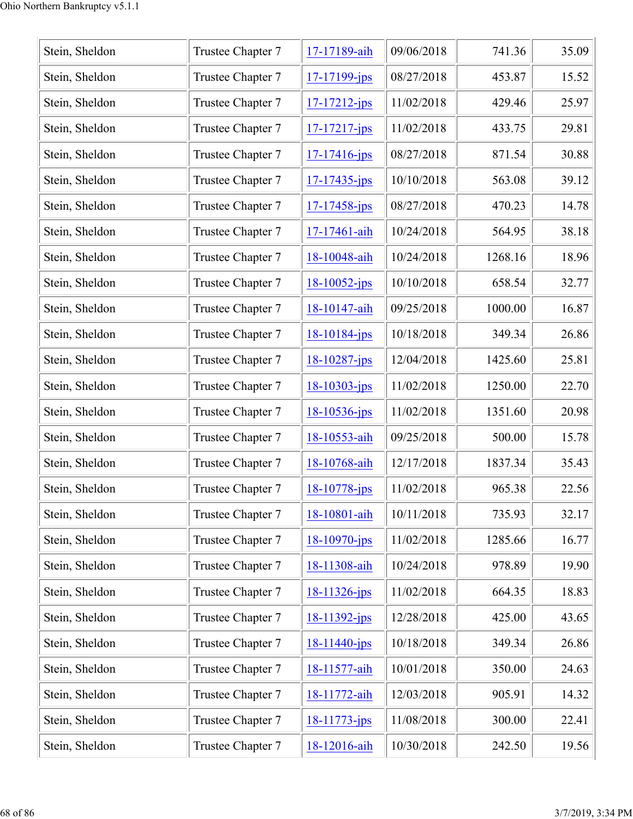| Stein, Sheldon | Trustee Chapter 7 | 17-17189-aih       | 09/06/2018 | 741.36  | 35.09 |
|----------------|-------------------|--------------------|------------|---------|-------|
| Stein, Sheldon | Trustee Chapter 7 | $17 - 17199$ -jps  | 08/27/2018 | 453.87  | 15.52 |
| Stein, Sheldon | Trustee Chapter 7 | $17 - 17212 - ips$ | 11/02/2018 | 429.46  | 25.97 |
| Stein, Sheldon | Trustee Chapter 7 | $17 - 17217 - ips$ | 11/02/2018 | 433.75  | 29.81 |
| Stein, Sheldon | Trustee Chapter 7 | $17 - 17416$ -jps  | 08/27/2018 | 871.54  | 30.88 |
| Stein, Sheldon | Trustee Chapter 7 | $17 - 17435 - ips$ | 10/10/2018 | 563.08  | 39.12 |
| Stein, Sheldon | Trustee Chapter 7 | $17 - 17458 - ips$ | 08/27/2018 | 470.23  | 14.78 |
| Stein, Sheldon | Trustee Chapter 7 | 17-17461-aih       | 10/24/2018 | 564.95  | 38.18 |
| Stein, Sheldon | Trustee Chapter 7 | 18-10048-aih       | 10/24/2018 | 1268.16 | 18.96 |
| Stein, Sheldon | Trustee Chapter 7 | 18-10052-jps       | 10/10/2018 | 658.54  | 32.77 |
| Stein, Sheldon | Trustee Chapter 7 | 18-10147-aih       | 09/25/2018 | 1000.00 | 16.87 |
| Stein, Sheldon | Trustee Chapter 7 | $18 - 10184 - ips$ | 10/18/2018 | 349.34  | 26.86 |
| Stein, Sheldon | Trustee Chapter 7 | $18 - 10287 - ips$ | 12/04/2018 | 1425.60 | 25.81 |
| Stein, Sheldon | Trustee Chapter 7 | 18-10303-jps       | 11/02/2018 | 1250.00 | 22.70 |
| Stein, Sheldon | Trustee Chapter 7 | $18 - 10536 - ips$ | 11/02/2018 | 1351.60 | 20.98 |
| Stein, Sheldon | Trustee Chapter 7 | 18-10553-aih       | 09/25/2018 | 500.00  | 15.78 |
| Stein, Sheldon | Trustee Chapter 7 | 18-10768-aih       | 12/17/2018 | 1837.34 | 35.43 |
| Stein, Sheldon | Trustee Chapter 7 | 18-10778-jps       | 11/02/2018 | 965.38  | 22.56 |
| Stein, Sheldon | Trustee Chapter 7 | 18-10801-aih       | 10/11/2018 | 735.93  | 32.17 |
| Stein, Sheldon | Trustee Chapter 7 | $18-10970$ -jps    | 11/02/2018 | 1285.66 | 16.77 |
| Stein, Sheldon | Trustee Chapter 7 | 18-11308-aih       | 10/24/2018 | 978.89  | 19.90 |
| Stein, Sheldon | Trustee Chapter 7 | 18-11326-jps       | 11/02/2018 | 664.35  | 18.83 |
| Stein, Sheldon | Trustee Chapter 7 | $18 - 11392 - jps$ | 12/28/2018 | 425.00  | 43.65 |
| Stein, Sheldon | Trustee Chapter 7 | $18 - 11440 - ips$ | 10/18/2018 | 349.34  | 26.86 |
| Stein, Sheldon | Trustee Chapter 7 | 18-11577-aih       | 10/01/2018 | 350.00  | 24.63 |
| Stein, Sheldon | Trustee Chapter 7 | 18-11772-aih       | 12/03/2018 | 905.91  | 14.32 |
| Stein, Sheldon | Trustee Chapter 7 | $18 - 11773 - ips$ | 11/08/2018 | 300.00  | 22.41 |
| Stein, Sheldon | Trustee Chapter 7 | 18-12016-aih       | 10/30/2018 | 242.50  | 19.56 |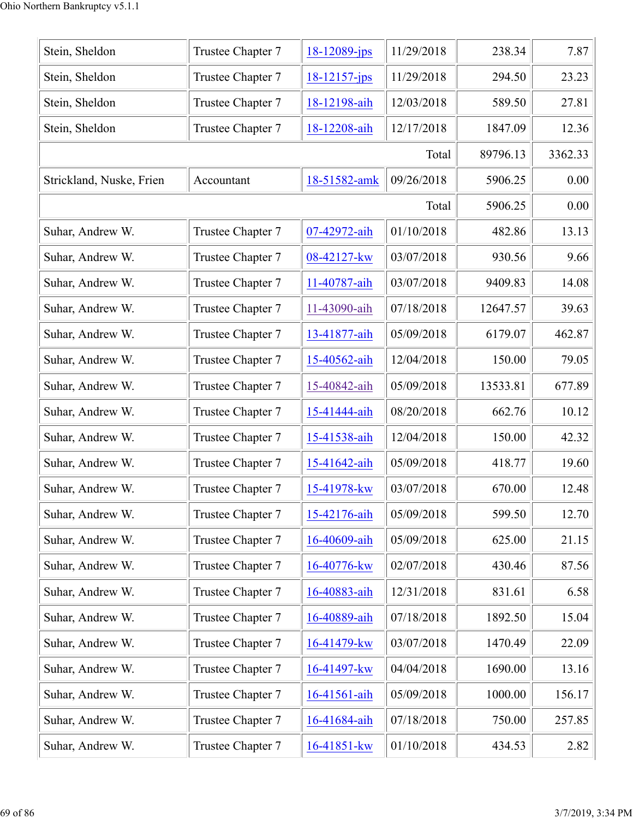| Stein, Sheldon           | Trustee Chapter 7 | $18 - 12089$ -jps | 11/29/2018 | 238.34   | 7.87    |
|--------------------------|-------------------|-------------------|------------|----------|---------|
| Stein, Sheldon           | Trustee Chapter 7 | $18 - 12157$ -jps | 11/29/2018 | 294.50   | 23.23   |
| Stein, Sheldon           | Trustee Chapter 7 | 18-12198-aih      | 12/03/2018 | 589.50   | 27.81   |
| Stein, Sheldon           | Trustee Chapter 7 | 18-12208-aih      | 12/17/2018 | 1847.09  | 12.36   |
|                          |                   |                   | Total      | 89796.13 | 3362.33 |
| Strickland, Nuske, Frien | Accountant        | 18-51582-amk      | 09/26/2018 | 5906.25  | 0.00    |
|                          |                   |                   | Total      | 5906.25  | 0.00    |
| Suhar, Andrew W.         | Trustee Chapter 7 | 07-42972-aih      | 01/10/2018 | 482.86   | 13.13   |
| Suhar, Andrew W.         | Trustee Chapter 7 | 08-42127-kw       | 03/07/2018 | 930.56   | 9.66    |
| Suhar, Andrew W.         | Trustee Chapter 7 | 11-40787-aih      | 03/07/2018 | 9409.83  | 14.08   |
| Suhar, Andrew W.         | Trustee Chapter 7 | 11-43090-aih      | 07/18/2018 | 12647.57 | 39.63   |
| Suhar, Andrew W.         | Trustee Chapter 7 | 13-41877-aih      | 05/09/2018 | 6179.07  | 462.87  |
| Suhar, Andrew W.         | Trustee Chapter 7 | 15-40562-aih      | 12/04/2018 | 150.00   | 79.05   |
| Suhar, Andrew W.         | Trustee Chapter 7 | 15-40842-aih      | 05/09/2018 | 13533.81 | 677.89  |
| Suhar, Andrew W.         | Trustee Chapter 7 | 15-41444-aih      | 08/20/2018 | 662.76   | 10.12   |
| Suhar, Andrew W.         | Trustee Chapter 7 | 15-41538-aih      | 12/04/2018 | 150.00   | 42.32   |
| Suhar, Andrew W.         | Trustee Chapter 7 | 15-41642-aih      | 05/09/2018 | 418.77   | 19.60   |
| Suhar, Andrew W.         | Trustee Chapter 7 | 15-41978-kw       | 03/07/2018 | 670.00   | 12.48   |
| Suhar, Andrew W.         | Trustee Chapter 7 | 15-42176-aih      | 05/09/2018 | 599.50   | 12.70   |
| Suhar, Andrew W.         | Trustee Chapter 7 | 16-40609-aih      | 05/09/2018 | 625.00   | 21.15   |
| Suhar, Andrew W.         | Trustee Chapter 7 | 16-40776-kw       | 02/07/2018 | 430.46   | 87.56   |
| Suhar, Andrew W.         | Trustee Chapter 7 | 16-40883-aih      | 12/31/2018 | 831.61   | 6.58    |
| Suhar, Andrew W.         | Trustee Chapter 7 | 16-40889-aih      | 07/18/2018 | 1892.50  | 15.04   |
| Suhar, Andrew W.         | Trustee Chapter 7 | 16-41479-kw       | 03/07/2018 | 1470.49  | 22.09   |
| Suhar, Andrew W.         | Trustee Chapter 7 | 16-41497-kw       | 04/04/2018 | 1690.00  | 13.16   |
| Suhar, Andrew W.         | Trustee Chapter 7 | 16-41561-aih      | 05/09/2018 | 1000.00  | 156.17  |
| Suhar, Andrew W.         | Trustee Chapter 7 | 16-41684-aih      | 07/18/2018 | 750.00   | 257.85  |
| Suhar, Andrew W.         | Trustee Chapter 7 | 16-41851-kw       | 01/10/2018 | 434.53   | 2.82    |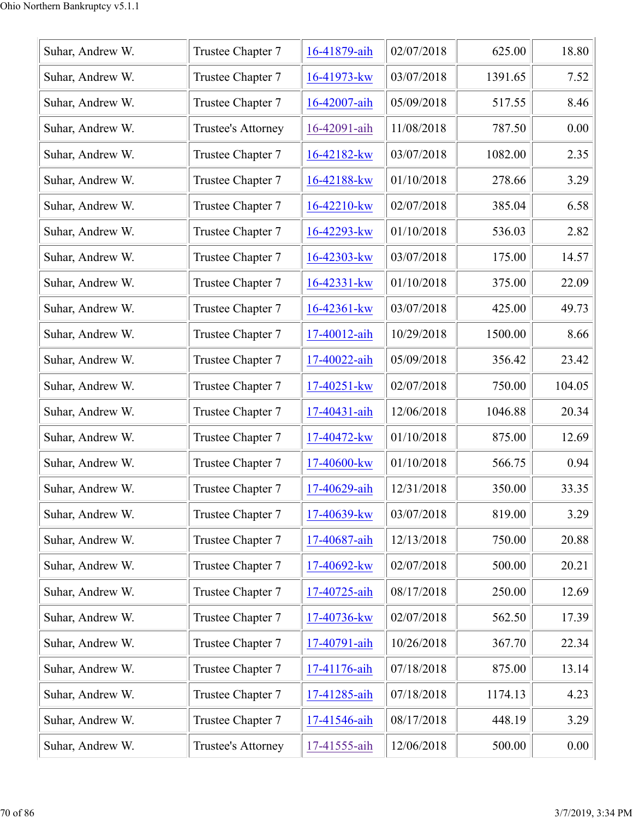| Suhar, Andrew W. | Trustee Chapter 7  | 16-41879-aih     | 02/07/2018 | 625.00  | 18.80  |
|------------------|--------------------|------------------|------------|---------|--------|
| Suhar, Andrew W. | Trustee Chapter 7  | 16-41973-kw      | 03/07/2018 | 1391.65 | 7.52   |
| Suhar, Andrew W. | Trustee Chapter 7  | 16-42007-aih     | 05/09/2018 | 517.55  | 8.46   |
| Suhar, Andrew W. | Trustee's Attorney | 16-42091-aih     | 11/08/2018 | 787.50  | 0.00   |
| Suhar, Andrew W. | Trustee Chapter 7  | $16 - 42182$ -kw | 03/07/2018 | 1082.00 | 2.35   |
| Suhar, Andrew W. | Trustee Chapter 7  | 16-42188-kw      | 01/10/2018 | 278.66  | 3.29   |
| Suhar, Andrew W. | Trustee Chapter 7  | 16-42210-kw      | 02/07/2018 | 385.04  | 6.58   |
| Suhar, Andrew W. | Trustee Chapter 7  | 16-42293-kw      | 01/10/2018 | 536.03  | 2.82   |
| Suhar, Andrew W. | Trustee Chapter 7  | 16-42303-kw      | 03/07/2018 | 175.00  | 14.57  |
| Suhar, Andrew W. | Trustee Chapter 7  | 16-42331-kw      | 01/10/2018 | 375.00  | 22.09  |
| Suhar, Andrew W. | Trustee Chapter 7  | 16-42361-kw      | 03/07/2018 | 425.00  | 49.73  |
| Suhar, Andrew W. | Trustee Chapter 7  | 17-40012-aih     | 10/29/2018 | 1500.00 | 8.66   |
| Suhar, Andrew W. | Trustee Chapter 7  | 17-40022-aih     | 05/09/2018 | 356.42  | 23.42  |
| Suhar, Andrew W. | Trustee Chapter 7  | 17-40251-kw      | 02/07/2018 | 750.00  | 104.05 |
| Suhar, Andrew W. | Trustee Chapter 7  | 17-40431-aih     | 12/06/2018 | 1046.88 | 20.34  |
| Suhar, Andrew W. | Trustee Chapter 7  | 17-40472-kw      | 01/10/2018 | 875.00  | 12.69  |
| Suhar, Andrew W. | Trustee Chapter 7  | 17-40600-kw      | 01/10/2018 | 566.75  | 0.94   |
| Suhar, Andrew W. | Trustee Chapter 7  | 17-40629-aih     | 12/31/2018 | 350.00  | 33.35  |
| Suhar, Andrew W. | Trustee Chapter 7  | 17-40639-kw      | 03/07/2018 | 819.00  | 3.29   |
| Suhar, Andrew W. | Trustee Chapter 7  | 17-40687-aih     | 12/13/2018 | 750.00  | 20.88  |
| Suhar, Andrew W. | Trustee Chapter 7  | 17-40692-kw      | 02/07/2018 | 500.00  | 20.21  |
| Suhar, Andrew W. | Trustee Chapter 7  | 17-40725-aih     | 08/17/2018 | 250.00  | 12.69  |
| Suhar, Andrew W. | Trustee Chapter 7  | 17-40736-kw      | 02/07/2018 | 562.50  | 17.39  |
| Suhar, Andrew W. | Trustee Chapter 7  | 17-40791-aih     | 10/26/2018 | 367.70  | 22.34  |
| Suhar, Andrew W. | Trustee Chapter 7  | 17-41176-aih     | 07/18/2018 | 875.00  | 13.14  |
| Suhar, Andrew W. | Trustee Chapter 7  | 17-41285-aih     | 07/18/2018 | 1174.13 | 4.23   |
| Suhar, Andrew W. | Trustee Chapter 7  | 17-41546-aih     | 08/17/2018 | 448.19  | 3.29   |
| Suhar, Andrew W. | Trustee's Attorney | 17-41555-aih     | 12/06/2018 | 500.00  | 0.00   |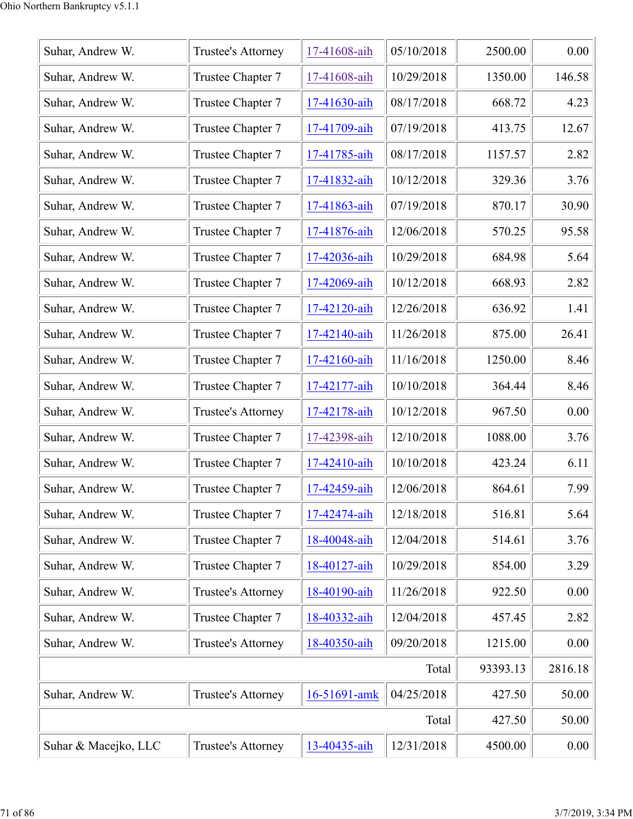| Suhar, Andrew W.     | Trustee's Attorney | 17-41608-aih | 05/10/2018 | 2500.00  | 0.00    |
|----------------------|--------------------|--------------|------------|----------|---------|
| Suhar, Andrew W.     | Trustee Chapter 7  | 17-41608-aih | 10/29/2018 | 1350.00  | 146.58  |
| Suhar, Andrew W.     | Trustee Chapter 7  | 17-41630-aih | 08/17/2018 | 668.72   | 4.23    |
| Suhar, Andrew W.     | Trustee Chapter 7  | 17-41709-aih | 07/19/2018 | 413.75   | 12.67   |
| Suhar, Andrew W.     | Trustee Chapter 7  | 17-41785-aih | 08/17/2018 | 1157.57  | 2.82    |
| Suhar, Andrew W.     | Trustee Chapter 7  | 17-41832-aih | 10/12/2018 | 329.36   | 3.76    |
| Suhar, Andrew W.     | Trustee Chapter 7  | 17-41863-aih | 07/19/2018 | 870.17   | 30.90   |
| Suhar, Andrew W.     | Trustee Chapter 7  | 17-41876-aih | 12/06/2018 | 570.25   | 95.58   |
| Suhar, Andrew W.     | Trustee Chapter 7  | 17-42036-aih | 10/29/2018 | 684.98   | 5.64    |
| Suhar, Andrew W.     | Trustee Chapter 7  | 17-42069-aih | 10/12/2018 | 668.93   | 2.82    |
| Suhar, Andrew W.     | Trustee Chapter 7  | 17-42120-aih | 12/26/2018 | 636.92   | 1.41    |
| Suhar, Andrew W.     | Trustee Chapter 7  | 17-42140-aih | 11/26/2018 | 875.00   | 26.41   |
| Suhar, Andrew W.     | Trustee Chapter 7  | 17-42160-aih | 11/16/2018 | 1250.00  | 8.46    |
| Suhar, Andrew W.     | Trustee Chapter 7  | 17-42177-aih | 10/10/2018 | 364.44   | 8.46    |
| Suhar, Andrew W.     | Trustee's Attorney | 17-42178-aih | 10/12/2018 | 967.50   | 0.00    |
| Suhar, Andrew W.     | Trustee Chapter 7  | 17-42398-aih | 12/10/2018 | 1088.00  | 3.76    |
| Suhar, Andrew W.     | Trustee Chapter 7  | 17-42410-aih | 10/10/2018 | 423.24   | 6.11    |
| Suhar, Andrew W.     | Trustee Chapter 7  | 17-42459-aih | 12/06/2018 | 864.61   | 7.99    |
| Suhar, Andrew W.     | Trustee Chapter 7  | 17-42474-aih | 12/18/2018 | 516.81   | 5.64    |
| Suhar, Andrew W.     | Trustee Chapter 7  | 18-40048-aih | 12/04/2018 | 514.61   | 3.76    |
| Suhar, Andrew W.     | Trustee Chapter 7  | 18-40127-aih | 10/29/2018 | 854.00   | 3.29    |
| Suhar, Andrew W.     | Trustee's Attorney | 18-40190-aih | 11/26/2018 | 922.50   | 0.00    |
| Suhar, Andrew W.     | Trustee Chapter 7  | 18-40332-aih | 12/04/2018 | 457.45   | 2.82    |
| Suhar, Andrew W.     | Trustee's Attorney | 18-40350-aih | 09/20/2018 | 1215.00  | 0.00    |
|                      |                    |              | Total      | 93393.13 | 2816.18 |
| Suhar, Andrew W.     | Trustee's Attorney | 16-51691-amk | 04/25/2018 | 427.50   | 50.00   |
|                      |                    |              | Total      | 427.50   | 50.00   |
| Suhar & Macejko, LLC | Trustee's Attorney | 13-40435-aih | 12/31/2018 | 4500.00  | 0.00    |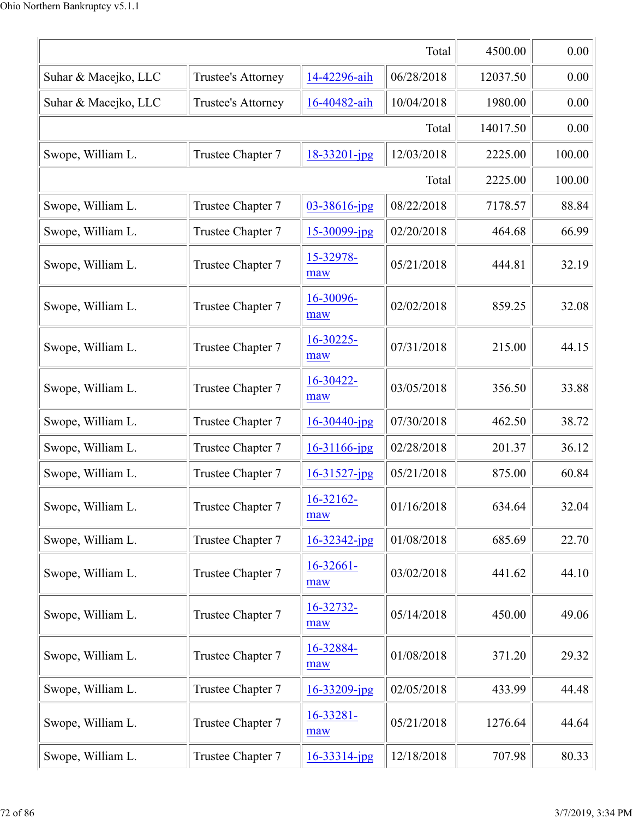|                      |                    |                       | Total      | 4500.00  | 0.00   |
|----------------------|--------------------|-----------------------|------------|----------|--------|
| Suhar & Macejko, LLC | Trustee's Attorney | 14-42296-aih          | 06/28/2018 | 12037.50 | 0.00   |
| Suhar & Macejko, LLC | Trustee's Attorney | 16-40482-aih          | 10/04/2018 | 1980.00  | 0.00   |
|                      |                    |                       | Total      | 14017.50 | 0.00   |
| Swope, William L.    | Trustee Chapter 7  | $18 - 33201 - jpg$    | 12/03/2018 | 2225.00  | 100.00 |
|                      |                    |                       | Total      | 2225.00  | 100.00 |
| Swope, William L.    | Trustee Chapter 7  | $03 - 38616$ -jpg     | 08/22/2018 | 7178.57  | 88.84  |
| Swope, William L.    | Trustee Chapter 7  | 15-30099-jpg          | 02/20/2018 | 464.68   | 66.99  |
| Swope, William L.    | Trustee Chapter 7  | 15-32978-<br>maw      | 05/21/2018 | 444.81   | 32.19  |
| Swope, William L.    | Trustee Chapter 7  | 16-30096-<br>maw      | 02/02/2018 | 859.25   | 32.08  |
| Swope, William L.    | Trustee Chapter 7  | 16-30225-<br>maw      | 07/31/2018 | 215.00   | 44.15  |
| Swope, William L.    | Trustee Chapter 7  | 16-30422-<br>maw      | 03/05/2018 | 356.50   | 33.88  |
| Swope, William L.    | Trustee Chapter 7  | $16 - 30440$ -jpg     | 07/30/2018 | 462.50   | 38.72  |
| Swope, William L.    | Trustee Chapter 7  | $16 - 31166$ -jpg     | 02/28/2018 | 201.37   | 36.12  |
| Swope, William L.    | Trustee Chapter 7  | $16 - 31527$ -jpg     | 05/21/2018 | 875.00   | 60.84  |
| Swope, William L.    | Trustee Chapter 7  | 16-32162-<br>maw      | 01/16/2018 | 634.64   | 32.04  |
| Swope, William L.    | Trustee Chapter 7  | $16 - 32342$ -jpg     | 01/08/2018 | 685.69   | 22.70  |
| Swope, William L.    | Trustee Chapter 7  | $16 - 32661 -$<br>maw | 03/02/2018 | 441.62   | 44.10  |
| Swope, William L.    | Trustee Chapter 7  | 16-32732-<br>maw      | 05/14/2018 | 450.00   | 49.06  |
| Swope, William L.    | Trustee Chapter 7  | 16-32884-<br>maw      | 01/08/2018 | 371.20   | 29.32  |
| Swope, William L.    | Trustee Chapter 7  | $16 - 33209$ -jpg     | 02/05/2018 | 433.99   | 44.48  |
| Swope, William L.    | Trustee Chapter 7  | 16-33281-<br>maw      | 05/21/2018 | 1276.64  | 44.64  |
| Swope, William L.    | Trustee Chapter 7  | $16 - 33314$ -jpg     | 12/18/2018 | 707.98   | 80.33  |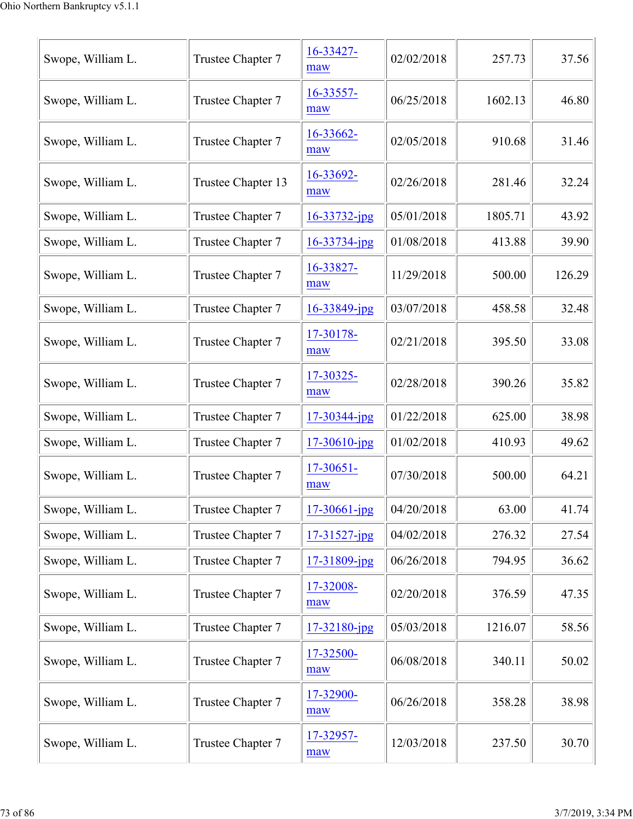| Swope, William L. | Trustee Chapter 7  | 16-33427-<br>maw   | 02/02/2018 | 257.73  | 37.56  |
|-------------------|--------------------|--------------------|------------|---------|--------|
| Swope, William L. | Trustee Chapter 7  | 16-33557-<br>maw   | 06/25/2018 | 1602.13 | 46.80  |
| Swope, William L. | Trustee Chapter 7  | 16-33662-<br>maw   | 02/05/2018 | 910.68  | 31.46  |
| Swope, William L. | Trustee Chapter 13 | 16-33692-<br>maw   | 02/26/2018 | 281.46  | 32.24  |
| Swope, William L. | Trustee Chapter 7  | $16 - 33732 - ipg$ | 05/01/2018 | 1805.71 | 43.92  |
| Swope, William L. | Trustee Chapter 7  | 16-33734-jpg       | 01/08/2018 | 413.88  | 39.90  |
| Swope, William L. | Trustee Chapter 7  | 16-33827-<br>maw   | 11/29/2018 | 500.00  | 126.29 |
| Swope, William L. | Trustee Chapter 7  | 16-33849-jpg       | 03/07/2018 | 458.58  | 32.48  |
| Swope, William L. | Trustee Chapter 7  | 17-30178-<br>maw   | 02/21/2018 | 395.50  | 33.08  |
| Swope, William L. | Trustee Chapter 7  | 17-30325-<br>maw   | 02/28/2018 | 390.26  | 35.82  |
| Swope, William L. | Trustee Chapter 7  | 17-30344-jpg       | 01/22/2018 | 625.00  | 38.98  |
| Swope, William L. | Trustee Chapter 7  | $17 - 30610$ -jpg  | 01/02/2018 | 410.93  | 49.62  |
| Swope, William L. | Trustee Chapter 7  | 17-30651-<br>maw   | 07/30/2018 | 500.00  | 64.21  |
| Swope, William L. | Trustee Chapter 7  | $17 - 30661$ -jpg  | 04/20/2018 | 63.00   | 41.74  |
| Swope, William L. | Trustee Chapter 7  | $17 - 31527$ -jpg  | 04/02/2018 | 276.32  | 27.54  |
| Swope, William L. | Trustee Chapter 7  | 17-31809-jpg       | 06/26/2018 | 794.95  | 36.62  |
| Swope, William L. | Trustee Chapter 7  | 17-32008-<br>maw   | 02/20/2018 | 376.59  | 47.35  |
| Swope, William L. | Trustee Chapter 7  | 17-32180-jpg       | 05/03/2018 | 1216.07 | 58.56  |
| Swope, William L. | Trustee Chapter 7  | 17-32500-<br>maw   | 06/08/2018 | 340.11  | 50.02  |
| Swope, William L. | Trustee Chapter 7  | 17-32900-<br>maw   | 06/26/2018 | 358.28  | 38.98  |
| Swope, William L. | Trustee Chapter 7  | 17-32957-<br>maw   | 12/03/2018 | 237.50  | 30.70  |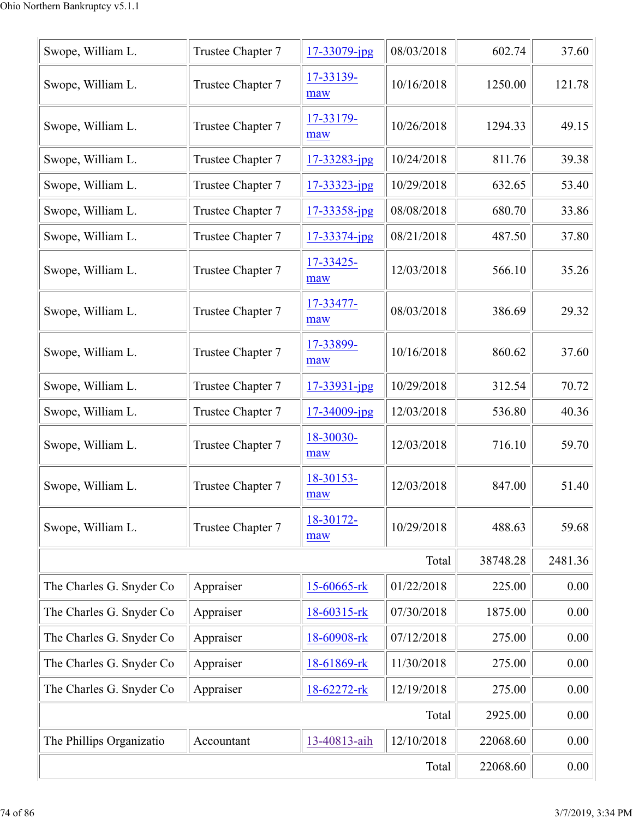| Swope, William L.        | Trustee Chapter 7 | 17-33079-jpg     | 08/03/2018 | 602.74   | 37.60   |
|--------------------------|-------------------|------------------|------------|----------|---------|
| Swope, William L.        | Trustee Chapter 7 | 17-33139-<br>maw | 10/16/2018 | 1250.00  | 121.78  |
| Swope, William L.        | Trustee Chapter 7 | 17-33179-<br>maw | 10/26/2018 | 1294.33  | 49.15   |
| Swope, William L.        | Trustee Chapter 7 | 17-33283-jpg     | 10/24/2018 | 811.76   | 39.38   |
| Swope, William L.        | Trustee Chapter 7 | 17-33323-jpg     | 10/29/2018 | 632.65   | 53.40   |
| Swope, William L.        | Trustee Chapter 7 | 17-33358-jpg     | 08/08/2018 | 680.70   | 33.86   |
| Swope, William L.        | Trustee Chapter 7 | 17-33374-jpg     | 08/21/2018 | 487.50   | 37.80   |
| Swope, William L.        | Trustee Chapter 7 | 17-33425-<br>maw | 12/03/2018 | 566.10   | 35.26   |
| Swope, William L.        | Trustee Chapter 7 | 17-33477-<br>maw | 08/03/2018 | 386.69   | 29.32   |
| Swope, William L.        | Trustee Chapter 7 | 17-33899-<br>maw | 10/16/2018 | 860.62   | 37.60   |
| Swope, William L.        | Trustee Chapter 7 | 17-33931-jpg     | 10/29/2018 | 312.54   | 70.72   |
| Swope, William L.        | Trustee Chapter 7 | 17-34009-jpg     | 12/03/2018 | 536.80   | 40.36   |
| Swope, William L.        | Trustee Chapter 7 | 18-30030-<br>maw | 12/03/2018 | 716.10   | 59.70   |
| Swope, William L.        | Trustee Chapter 7 | 18-30153-<br>maw | 12/03/2018 | 847.00   | 51.40   |
| Swope, William L.        | Trustee Chapter 7 | 18-30172-<br>maw | 10/29/2018 | 488.63   | 59.68   |
|                          |                   |                  | Total      | 38748.28 | 2481.36 |
| The Charles G. Snyder Co | Appraiser         | 15-60665-rk      | 01/22/2018 | 225.00   | 0.00    |
| The Charles G. Snyder Co | Appraiser         | 18-60315-rk      | 07/30/2018 | 1875.00  | 0.00    |
| The Charles G. Snyder Co | Appraiser         | 18-60908-rk      | 07/12/2018 | 275.00   | 0.00    |
| The Charles G. Snyder Co | Appraiser         | 18-61869-rk      | 11/30/2018 | 275.00   | 0.00    |
| The Charles G. Snyder Co | Appraiser         | 18-62272-rk      | 12/19/2018 | 275.00   | 0.00    |
|                          |                   |                  | Total      | 2925.00  | 0.00    |
| The Phillips Organizatio | Accountant        | 13-40813-aih     | 12/10/2018 | 22068.60 | 0.00    |
|                          |                   |                  | Total      | 22068.60 | 0.00    |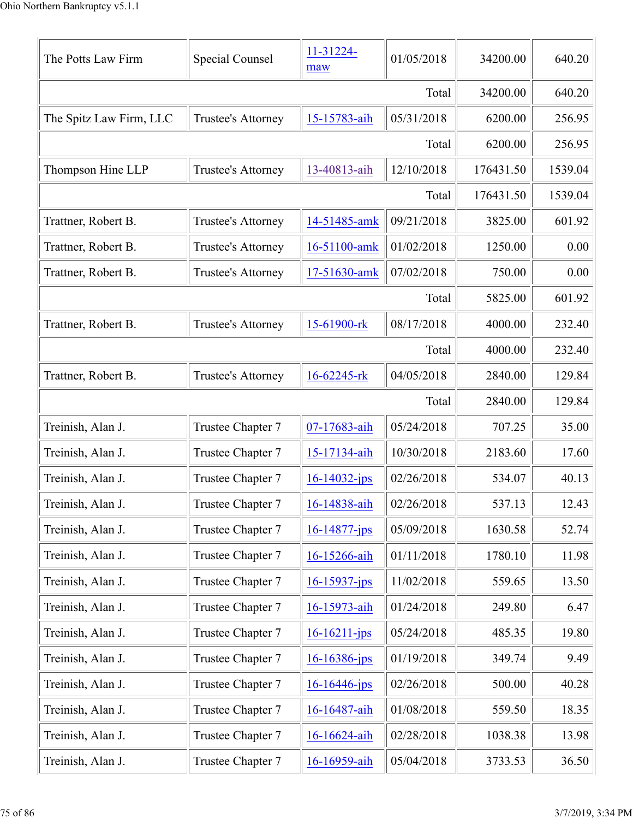| The Potts Law Firm      | Special Counsel    | 11-31224-<br>maw   | 01/05/2018 | 34200.00  | 640.20  |
|-------------------------|--------------------|--------------------|------------|-----------|---------|
|                         |                    |                    | Total      | 34200.00  | 640.20  |
| The Spitz Law Firm, LLC | Trustee's Attorney | 15-15783-aih       | 05/31/2018 | 6200.00   | 256.95  |
|                         |                    |                    | Total      | 6200.00   | 256.95  |
| Thompson Hine LLP       | Trustee's Attorney | 13-40813-aih       | 12/10/2018 | 176431.50 | 1539.04 |
|                         |                    |                    | Total      | 176431.50 | 1539.04 |
| Trattner, Robert B.     | Trustee's Attorney | 14-51485-amk       | 09/21/2018 | 3825.00   | 601.92  |
| Trattner, Robert B.     | Trustee's Attorney | 16-51100-amk       | 01/02/2018 | 1250.00   | 0.00    |
| Trattner, Robert B.     | Trustee's Attorney | 17-51630-amk       | 07/02/2018 | 750.00    | 0.00    |
|                         |                    |                    | Total      | 5825.00   | 601.92  |
| Trattner, Robert B.     | Trustee's Attorney | 15-61900-rk        | 08/17/2018 | 4000.00   | 232.40  |
|                         |                    |                    | Total      | 4000.00   | 232.40  |
| Trattner, Robert B.     | Trustee's Attorney | 16-62245-rk        | 04/05/2018 | 2840.00   | 129.84  |
|                         |                    |                    | Total      | 2840.00   | 129.84  |
| Treinish, Alan J.       | Trustee Chapter 7  | 07-17683-aih       | 05/24/2018 | 707.25    | 35.00   |
| Treinish, Alan J.       | Trustee Chapter 7  | 15-17134-aih       | 10/30/2018 | 2183.60   | 17.60   |
| Treinish, Alan J.       | Trustee Chapter 7  | $16 - 14032 - ips$ | 02/26/2018 | 534.07    | 40.13   |
| Treinish, Alan J.       | Trustee Chapter 7  | 16-14838-aih       | 02/26/2018 | 537.13    | 12.43   |
| Treinish, Alan J.       | Trustee Chapter 7  | $16 - 14877 - ips$ | 05/09/2018 | 1630.58   | 52.74   |
| Treinish, Alan J.       | Trustee Chapter 7  | 16-15266-aih       | 01/11/2018 | 1780.10   | 11.98   |
| Treinish, Alan J.       | Trustee Chapter 7  | $16 - 15937 - ips$ | 11/02/2018 | 559.65    | 13.50   |
| Treinish, Alan J.       | Trustee Chapter 7  | 16-15973-aih       | 01/24/2018 | 249.80    | 6.47    |
| Treinish, Alan J.       | Trustee Chapter 7  | $16 - 16211 - ips$ | 05/24/2018 | 485.35    | 19.80   |
| Treinish, Alan J.       | Trustee Chapter 7  | $16 - 16386 - ips$ | 01/19/2018 | 349.74    | 9.49    |
| Treinish, Alan J.       | Trustee Chapter 7  | 16-16446-jps       | 02/26/2018 | 500.00    | 40.28   |
| Treinish, Alan J.       | Trustee Chapter 7  | 16-16487-aih       | 01/08/2018 | 559.50    | 18.35   |
| Treinish, Alan J.       | Trustee Chapter 7  | 16-16624-aih       | 02/28/2018 | 1038.38   | 13.98   |
| Treinish, Alan J.       | Trustee Chapter 7  | 16-16959-aih       | 05/04/2018 | 3733.53   | 36.50   |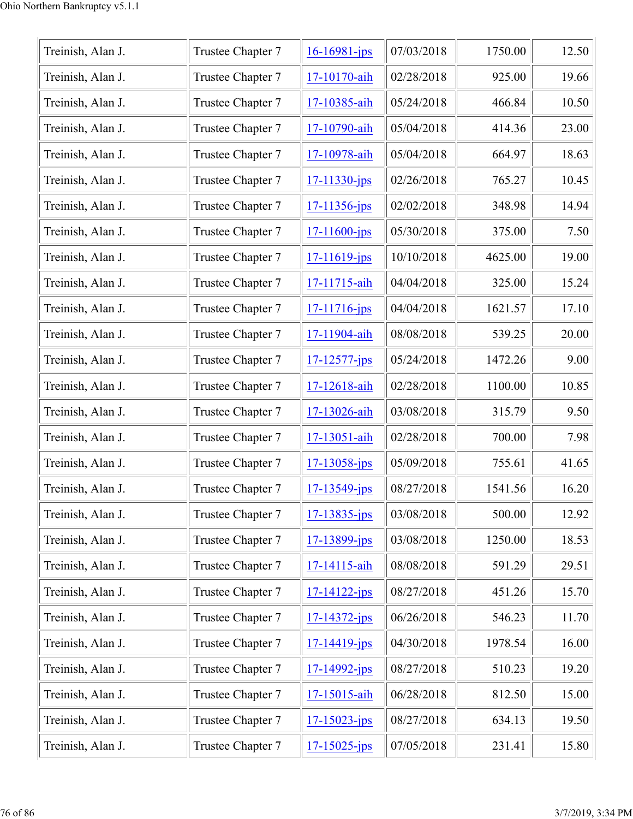| Treinish, Alan J. | Trustee Chapter 7 | $16 - 16981 - ips$ | 07/03/2018 | 1750.00 | 12.50 |
|-------------------|-------------------|--------------------|------------|---------|-------|
| Treinish, Alan J. | Trustee Chapter 7 | 17-10170-aih       | 02/28/2018 | 925.00  | 19.66 |
| Treinish, Alan J. | Trustee Chapter 7 | 17-10385-aih       | 05/24/2018 | 466.84  | 10.50 |
| Treinish, Alan J. | Trustee Chapter 7 | 17-10790-aih       | 05/04/2018 | 414.36  | 23.00 |
| Treinish, Alan J. | Trustee Chapter 7 | 17-10978-aih       | 05/04/2018 | 664.97  | 18.63 |
| Treinish, Alan J. | Trustee Chapter 7 | $17 - 11330 - ips$ | 02/26/2018 | 765.27  | 10.45 |
| Treinish, Alan J. | Trustee Chapter 7 | $17 - 11356$ -jps  | 02/02/2018 | 348.98  | 14.94 |
| Treinish, Alan J. | Trustee Chapter 7 | 17-11600-jps       | 05/30/2018 | 375.00  | 7.50  |
| Treinish, Alan J. | Trustee Chapter 7 | 17-11619-jps       | 10/10/2018 | 4625.00 | 19.00 |
| Treinish, Alan J. | Trustee Chapter 7 | 17-11715-aih       | 04/04/2018 | 325.00  | 15.24 |
| Treinish, Alan J. | Trustee Chapter 7 | 17-11716-jps       | 04/04/2018 | 1621.57 | 17.10 |
| Treinish, Alan J. | Trustee Chapter 7 | 17-11904-aih       | 08/08/2018 | 539.25  | 20.00 |
| Treinish, Alan J. | Trustee Chapter 7 | $17 - 12577 - jps$ | 05/24/2018 | 1472.26 | 9.00  |
| Treinish, Alan J. | Trustee Chapter 7 | 17-12618-aih       | 02/28/2018 | 1100.00 | 10.85 |
| Treinish, Alan J. | Trustee Chapter 7 | 17-13026-aih       | 03/08/2018 | 315.79  | 9.50  |
| Treinish, Alan J. | Trustee Chapter 7 | 17-13051-aih       | 02/28/2018 | 700.00  | 7.98  |
| Treinish, Alan J. | Trustee Chapter 7 | $17 - 13058 - ips$ | 05/09/2018 | 755.61  | 41.65 |
| Treinish, Alan J. | Trustee Chapter 7 | $17 - 13549 - ips$ | 08/27/2018 | 1541.56 | 16.20 |
| Treinish, Alan J. | Trustee Chapter 7 | $17 - 13835 - ips$ | 03/08/2018 | 500.00  | 12.92 |
| Treinish, Alan J. | Trustee Chapter 7 | $17 - 13899 - ips$ | 03/08/2018 | 1250.00 | 18.53 |
| Treinish, Alan J. | Trustee Chapter 7 | 17-14115-aih       | 08/08/2018 | 591.29  | 29.51 |
| Treinish, Alan J. | Trustee Chapter 7 | $17 - 14122 - ips$ | 08/27/2018 | 451.26  | 15.70 |
| Treinish, Alan J. | Trustee Chapter 7 | $17 - 14372 - jps$ | 06/26/2018 | 546.23  | 11.70 |
| Treinish, Alan J. | Trustee Chapter 7 | $17 - 14419 - ips$ | 04/30/2018 | 1978.54 | 16.00 |
| Treinish, Alan J. | Trustee Chapter 7 | 17-14992-jps       | 08/27/2018 | 510.23  | 19.20 |
| Treinish, Alan J. | Trustee Chapter 7 | 17-15015-aih       | 06/28/2018 | 812.50  | 15.00 |
| Treinish, Alan J. | Trustee Chapter 7 | $17 - 15023 - ips$ | 08/27/2018 | 634.13  | 19.50 |
| Treinish, Alan J. | Trustee Chapter 7 | $17 - 15025 - ips$ | 07/05/2018 | 231.41  | 15.80 |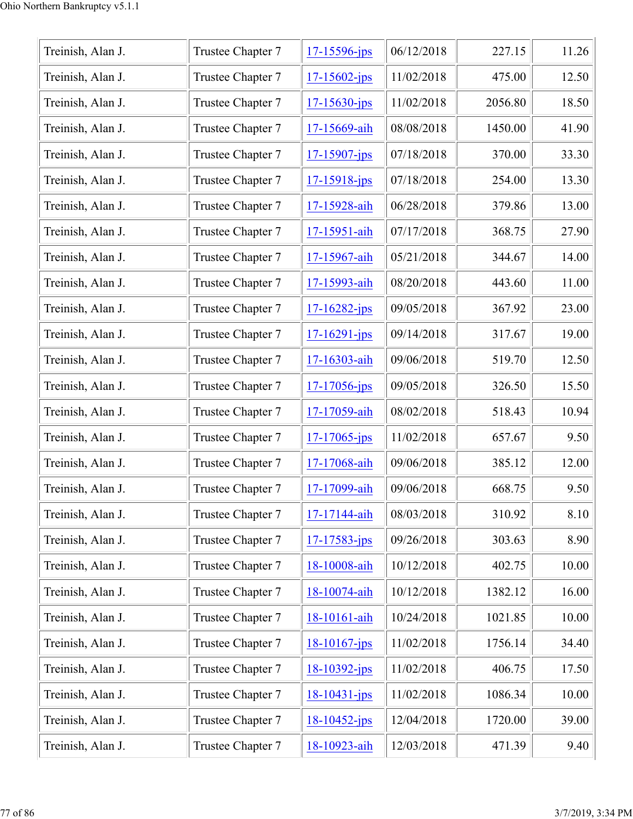| Treinish, Alan J. | Trustee Chapter 7 | 17-15596-jps       | 06/12/2018 | 227.15  | 11.26 |
|-------------------|-------------------|--------------------|------------|---------|-------|
| Treinish, Alan J. | Trustee Chapter 7 | $17 - 15602 - jps$ | 11/02/2018 | 475.00  | 12.50 |
| Treinish, Alan J. | Trustee Chapter 7 | $17 - 15630 - ips$ | 11/02/2018 | 2056.80 | 18.50 |
| Treinish, Alan J. | Trustee Chapter 7 | 17-15669-aih       | 08/08/2018 | 1450.00 | 41.90 |
| Treinish, Alan J. | Trustee Chapter 7 | $17 - 15907$ -jps  | 07/18/2018 | 370.00  | 33.30 |
| Treinish, Alan J. | Trustee Chapter 7 | $17 - 15918 - ips$ | 07/18/2018 | 254.00  | 13.30 |
| Treinish, Alan J. | Trustee Chapter 7 | 17-15928-aih       | 06/28/2018 | 379.86  | 13.00 |
| Treinish, Alan J. | Trustee Chapter 7 | 17-15951-aih       | 07/17/2018 | 368.75  | 27.90 |
| Treinish, Alan J. | Trustee Chapter 7 | 17-15967-aih       | 05/21/2018 | 344.67  | 14.00 |
| Treinish, Alan J. | Trustee Chapter 7 | 17-15993-aih       | 08/20/2018 | 443.60  | 11.00 |
| Treinish, Alan J. | Trustee Chapter 7 | 17-16282-jps       | 09/05/2018 | 367.92  | 23.00 |
| Treinish, Alan J. | Trustee Chapter 7 | $17 - 16291 - ips$ | 09/14/2018 | 317.67  | 19.00 |
| Treinish, Alan J. | Trustee Chapter 7 | 17-16303-aih       | 09/06/2018 | 519.70  | 12.50 |
| Treinish, Alan J. | Trustee Chapter 7 | $17 - 17056$ -jps  | 09/05/2018 | 326.50  | 15.50 |
| Treinish, Alan J. | Trustee Chapter 7 | 17-17059-aih       | 08/02/2018 | 518.43  | 10.94 |
| Treinish, Alan J. | Trustee Chapter 7 | $17 - 17065$ -jps  | 11/02/2018 | 657.67  | 9.50  |
| Treinish, Alan J. | Trustee Chapter 7 | 17-17068-aih       | 09/06/2018 | 385.12  | 12.00 |
| Treinish, Alan J. | Trustee Chapter 7 | 17-17099-aih       | 09/06/2018 | 668.75  | 9.50  |
| Treinish, Alan J. | Trustee Chapter 7 | 17-17144-aih       | 08/03/2018 | 310.92  | 8.10  |
| Treinish, Alan J. | Trustee Chapter 7 | $17 - 17583 - jps$ | 09/26/2018 | 303.63  | 8.90  |
| Treinish, Alan J. | Trustee Chapter 7 | 18-10008-aih       | 10/12/2018 | 402.75  | 10.00 |
| Treinish, Alan J. | Trustee Chapter 7 | 18-10074-aih       | 10/12/2018 | 1382.12 | 16.00 |
| Treinish, Alan J. | Trustee Chapter 7 | 18-10161-aih       | 10/24/2018 | 1021.85 | 10.00 |
| Treinish, Alan J. | Trustee Chapter 7 | $18 - 10167$ -jps  | 11/02/2018 | 1756.14 | 34.40 |
| Treinish, Alan J. | Trustee Chapter 7 | $18 - 10392 - ips$ | 11/02/2018 | 406.75  | 17.50 |
| Treinish, Alan J. | Trustee Chapter 7 | $18 - 10431 - jps$ | 11/02/2018 | 1086.34 | 10.00 |
| Treinish, Alan J. | Trustee Chapter 7 | $18 - 10452 - ips$ | 12/04/2018 | 1720.00 | 39.00 |
| Treinish, Alan J. | Trustee Chapter 7 | 18-10923-aih       | 12/03/2018 | 471.39  | 9.40  |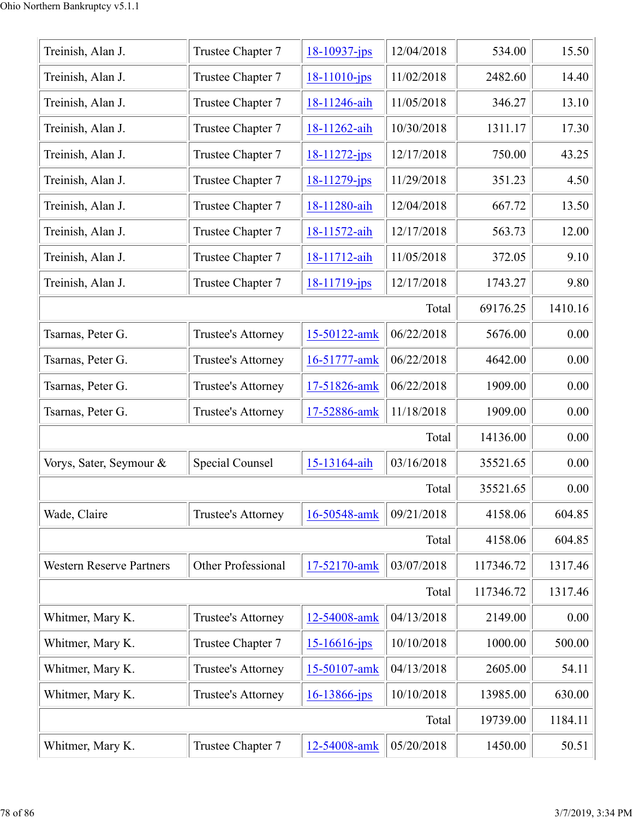| Treinish, Alan J.               | Trustee Chapter 7  | $18 - 10937 - jps$ | 12/04/2018 | 534.00    | 15.50   |
|---------------------------------|--------------------|--------------------|------------|-----------|---------|
| Treinish, Alan J.               | Trustee Chapter 7  | $18-11010$ -jps    | 11/02/2018 | 2482.60   | 14.40   |
| Treinish, Alan J.               | Trustee Chapter 7  | 18-11246-aih       | 11/05/2018 | 346.27    | 13.10   |
| Treinish, Alan J.               | Trustee Chapter 7  | 18-11262-aih       | 10/30/2018 | 1311.17   | 17.30   |
| Treinish, Alan J.               | Trustee Chapter 7  | 18-11272-jps       | 12/17/2018 | 750.00    | 43.25   |
| Treinish, Alan J.               | Trustee Chapter 7  | $18 - 11279$ -jps  | 11/29/2018 | 351.23    | 4.50    |
| Treinish, Alan J.               | Trustee Chapter 7  | 18-11280-aih       | 12/04/2018 | 667.72    | 13.50   |
| Treinish, Alan J.               | Trustee Chapter 7  | 18-11572-aih       | 12/17/2018 | 563.73    | 12.00   |
| Treinish, Alan J.               | Trustee Chapter 7  | 18-11712-aih       | 11/05/2018 | 372.05    | 9.10    |
| Treinish, Alan J.               | Trustee Chapter 7  | 18-11719-jps       | 12/17/2018 | 1743.27   | 9.80    |
|                                 |                    |                    | Total      | 69176.25  | 1410.16 |
| Tsarnas, Peter G.               | Trustee's Attorney | 15-50122-amk       | 06/22/2018 | 5676.00   | 0.00    |
| Tsarnas, Peter G.               | Trustee's Attorney | 16-51777-amk       | 06/22/2018 | 4642.00   | 0.00    |
| Tsarnas, Peter G.               | Trustee's Attorney | 17-51826-amk       | 06/22/2018 | 1909.00   | 0.00    |
| Tsarnas, Peter G.               | Trustee's Attorney | 17-52886-amk       | 11/18/2018 | 1909.00   | 0.00    |
|                                 |                    |                    | Total      | 14136.00  | 0.00    |
| Vorys, Sater, Seymour &         | Special Counsel    | 15-13164-aih       | 03/16/2018 | 35521.65  | 0.00    |
|                                 |                    |                    | Total      | 35521.65  | 0.00    |
| Wade, Claire                    | Trustee's Attorney | 16-50548-amk       | 09/21/2018 | 4158.06   | 604.85  |
|                                 |                    |                    | Total      | 4158.06   | 604.85  |
| <b>Western Reserve Partners</b> | Other Professional | 17-52170-amk       | 03/07/2018 | 117346.72 | 1317.46 |
|                                 |                    |                    | Total      | 117346.72 | 1317.46 |
| Whitmer, Mary K.                | Trustee's Attorney | 12-54008-amk       | 04/13/2018 | 2149.00   | 0.00    |
| Whitmer, Mary K.                | Trustee Chapter 7  | $15 - 16616 - ips$ | 10/10/2018 | 1000.00   | 500.00  |
| Whitmer, Mary K.                | Trustee's Attorney | 15-50107-amk       | 04/13/2018 | 2605.00   | 54.11   |
| Whitmer, Mary K.                | Trustee's Attorney | 16-13866-jps       | 10/10/2018 | 13985.00  | 630.00  |
|                                 |                    |                    | Total      | 19739.00  | 1184.11 |
| Whitmer, Mary K.                | Trustee Chapter 7  | 12-54008-amk       | 05/20/2018 | 1450.00   | 50.51   |
|                                 |                    |                    |            |           |         |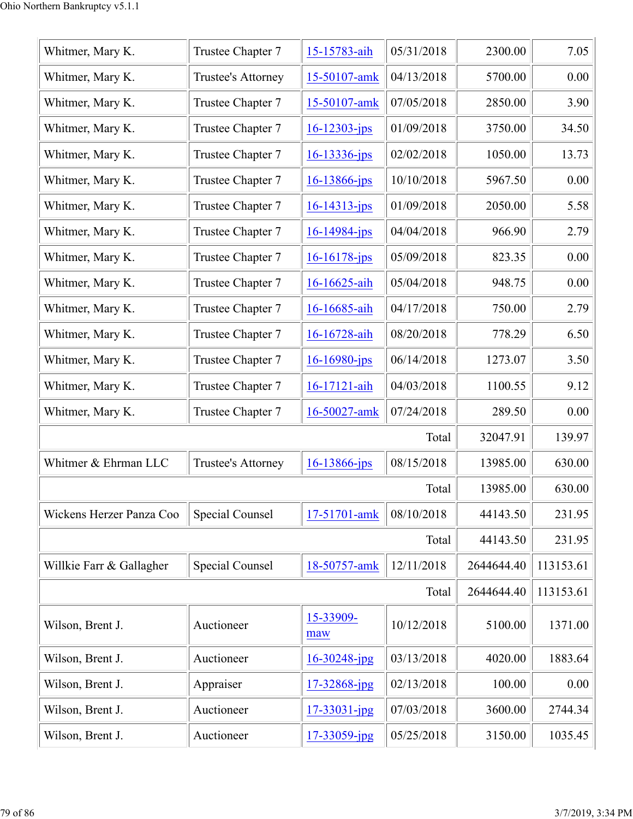| Whitmer, Mary K.         | Trustee Chapter 7      | 15-15783-aih       | 05/31/2018 | 2300.00    | 7.05      |
|--------------------------|------------------------|--------------------|------------|------------|-----------|
| Whitmer, Mary K.         | Trustee's Attorney     | 15-50107-amk       | 04/13/2018 | 5700.00    | 0.00      |
| Whitmer, Mary K.         | Trustee Chapter 7      | 15-50107-amk       | 07/05/2018 | 2850.00    | 3.90      |
| Whitmer, Mary K.         | Trustee Chapter 7      | $16 - 12303 - ips$ | 01/09/2018 | 3750.00    | 34.50     |
| Whitmer, Mary K.         | Trustee Chapter 7      | $16 - 13336 - jps$ | 02/02/2018 | 1050.00    | 13.73     |
| Whitmer, Mary K.         | Trustee Chapter 7      | $16 - 13866 - ips$ | 10/10/2018 | 5967.50    | 0.00      |
| Whitmer, Mary K.         | Trustee Chapter 7      | $16 - 14313 - ips$ | 01/09/2018 | 2050.00    | 5.58      |
| Whitmer, Mary K.         | Trustee Chapter 7      | $16 - 14984 - jps$ | 04/04/2018 | 966.90     | 2.79      |
| Whitmer, Mary K.         | Trustee Chapter 7      | $16 - 16178 - ips$ | 05/09/2018 | 823.35     | 0.00      |
| Whitmer, Mary K.         | Trustee Chapter 7      | 16-16625-aih       | 05/04/2018 | 948.75     | 0.00      |
| Whitmer, Mary K.         | Trustee Chapter 7      | 16-16685-aih       | 04/17/2018 | 750.00     | 2.79      |
| Whitmer, Mary K.         | Trustee Chapter 7      | 16-16728-aih       | 08/20/2018 | 778.29     | 6.50      |
| Whitmer, Mary K.         | Trustee Chapter 7      | $16 - 16980 - ips$ | 06/14/2018 | 1273.07    | 3.50      |
| Whitmer, Mary K.         | Trustee Chapter 7      | 16-17121-aih       | 04/03/2018 | 1100.55    | 9.12      |
| Whitmer, Mary K.         | Trustee Chapter 7      | 16-50027-amk       | 07/24/2018 | 289.50     | 0.00      |
|                          |                        |                    | Total      | 32047.91   | 139.97    |
| Whitmer & Ehrman LLC     | Trustee's Attorney     | $16 - 13866$ -jps  | 08/15/2018 | 13985.00   | 630.00    |
|                          |                        |                    | Total      | 13985.00   | 630.00    |
| Wickens Herzer Panza Coo | <b>Special Counsel</b> | 17-51701-amk       | 08/10/2018 | 44143.50   | 231.95    |
|                          |                        |                    | Total      | 44143.50   | 231.95    |
| Willkie Farr & Gallagher | <b>Special Counsel</b> | 18-50757-amk       | 12/11/2018 | 2644644.40 | 113153.61 |
|                          |                        |                    | Total      | 2644644.40 | 113153.61 |
| Wilson, Brent J.         | Auctioneer             | 15-33909-<br>maw   | 10/12/2018 | 5100.00    | 1371.00   |
| Wilson, Brent J.         | Auctioneer             | $16 - 30248$ -jpg  | 03/13/2018 | 4020.00    | 1883.64   |
| Wilson, Brent J.         | Appraiser              | 17-32868-jpg       | 02/13/2018 | 100.00     | 0.00      |
| Wilson, Brent J.         | Auctioneer             | $17 - 33031 - ipg$ | 07/03/2018 | 3600.00    | 2744.34   |
| Wilson, Brent J.         | Auctioneer             | 17-33059-jpg       | 05/25/2018 | 3150.00    | 1035.45   |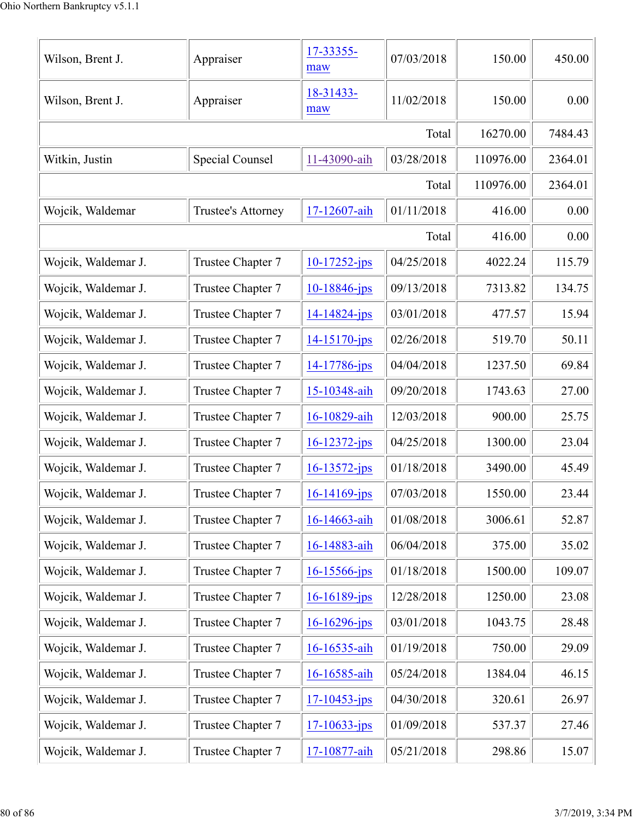| Wilson, Brent J.    | Appraiser          | 17-33355-<br>maw   | 07/03/2018 | 150.00    | 450.00  |
|---------------------|--------------------|--------------------|------------|-----------|---------|
| Wilson, Brent J.    | Appraiser          | 18-31433-<br>maw   | 11/02/2018 | 150.00    | 0.00    |
|                     |                    |                    | Total      | 16270.00  | 7484.43 |
| Witkin, Justin      | Special Counsel    | 11-43090-aih       | 03/28/2018 | 110976.00 | 2364.01 |
|                     |                    |                    | Total      | 110976.00 | 2364.01 |
| Wojcik, Waldemar    | Trustee's Attorney | 17-12607-aih       | 01/11/2018 | 416.00    | 0.00    |
|                     |                    |                    | Total      | 416.00    | 0.00    |
| Wojcik, Waldemar J. | Trustee Chapter 7  | $10-17252$ -jps    | 04/25/2018 | 4022.24   | 115.79  |
| Wojcik, Waldemar J. | Trustee Chapter 7  | 10-18846-jps       | 09/13/2018 | 7313.82   | 134.75  |
| Wojcik, Waldemar J. | Trustee Chapter 7  | $14 - 14824 - ips$ | 03/01/2018 | 477.57    | 15.94   |
| Wojcik, Waldemar J. | Trustee Chapter 7  | 14-15170-jps       | 02/26/2018 | 519.70    | 50.11   |
| Wojcik, Waldemar J. | Trustee Chapter 7  | 14-17786-jps       | 04/04/2018 | 1237.50   | 69.84   |
| Wojcik, Waldemar J. | Trustee Chapter 7  | 15-10348-aih       | 09/20/2018 | 1743.63   | 27.00   |
| Wojcik, Waldemar J. | Trustee Chapter 7  | 16-10829-aih       | 12/03/2018 | 900.00    | 25.75   |
| Wojcik, Waldemar J. | Trustee Chapter 7  | $16 - 12372 - ips$ | 04/25/2018 | 1300.00   | 23.04   |
| Wojcik, Waldemar J. | Trustee Chapter 7  | $16 - 13572 - ips$ | 01/18/2018 | 3490.00   | 45.49   |
| Wojcik, Waldemar J. | Trustee Chapter 7  | $16 - 14169$ -jps  | 07/03/2018 | 1550.00   | 23.44   |
| Wojcik, Waldemar J. | Trustee Chapter 7  | 16-14663-aih       | 01/08/2018 | 3006.61   | 52.87   |
| Wojcik, Waldemar J. | Trustee Chapter 7  | 16-14883-aih       | 06/04/2018 | 375.00    | 35.02   |
| Wojcik, Waldemar J. | Trustee Chapter 7  | 16-15566-jps       | 01/18/2018 | 1500.00   | 109.07  |
| Wojcik, Waldemar J. | Trustee Chapter 7  | $16 - 16189$ -jps  | 12/28/2018 | 1250.00   | 23.08   |
| Wojcik, Waldemar J. | Trustee Chapter 7  | 16-16296-jps       | 03/01/2018 | 1043.75   | 28.48   |
| Wojcik, Waldemar J. | Trustee Chapter 7  | 16-16535-aih       | 01/19/2018 | 750.00    | 29.09   |
| Wojcik, Waldemar J. | Trustee Chapter 7  | 16-16585-aih       | 05/24/2018 | 1384.04   | 46.15   |
| Wojcik, Waldemar J. | Trustee Chapter 7  | $17 - 10453 - ips$ | 04/30/2018 | 320.61    | 26.97   |
| Wojcik, Waldemar J. | Trustee Chapter 7  | $17 - 10633 - ips$ | 01/09/2018 | 537.37    | 27.46   |
| Wojcik, Waldemar J. | Trustee Chapter 7  | 17-10877-aih       | 05/21/2018 | 298.86    | 15.07   |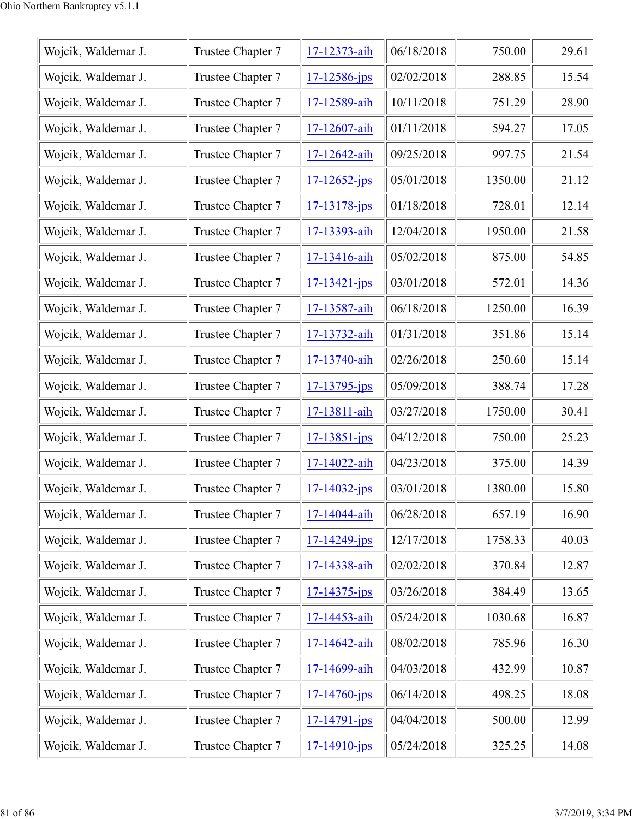| Wojcik, Waldemar J. | Trustee Chapter 7 | 17-12373-aih       | 06/18/2018 | 750.00  | 29.61 |
|---------------------|-------------------|--------------------|------------|---------|-------|
| Wojcik, Waldemar J. | Trustee Chapter 7 | $17 - 12586$ -jps  | 02/02/2018 | 288.85  | 15.54 |
| Wojcik, Waldemar J. | Trustee Chapter 7 | 17-12589-aih       | 10/11/2018 | 751.29  | 28.90 |
| Wojcik, Waldemar J. | Trustee Chapter 7 | 17-12607-aih       | 01/11/2018 | 594.27  | 17.05 |
| Wojcik, Waldemar J. | Trustee Chapter 7 | 17-12642-aih       | 09/25/2018 | 997.75  | 21.54 |
| Wojcik, Waldemar J. | Trustee Chapter 7 | $17 - 12652 - ips$ | 05/01/2018 | 1350.00 | 21.12 |
| Wojcik, Waldemar J. | Trustee Chapter 7 | $17 - 13178 - ips$ | 01/18/2018 | 728.01  | 12.14 |
| Wojcik, Waldemar J. | Trustee Chapter 7 | 17-13393-aih       | 12/04/2018 | 1950.00 | 21.58 |
| Wojcik, Waldemar J. | Trustee Chapter 7 | 17-13416-aih       | 05/02/2018 | 875.00  | 54.85 |
| Wojcik, Waldemar J. | Trustee Chapter 7 | $17 - 13421 - ips$ | 03/01/2018 | 572.01  | 14.36 |
| Wojcik, Waldemar J. | Trustee Chapter 7 | 17-13587-aih       | 06/18/2018 | 1250.00 | 16.39 |
| Wojcik, Waldemar J. | Trustee Chapter 7 | 17-13732-aih       | 01/31/2018 | 351.86  | 15.14 |
| Wojcik, Waldemar J. | Trustee Chapter 7 | 17-13740-aih       | 02/26/2018 | 250.60  | 15.14 |
| Wojcik, Waldemar J. | Trustee Chapter 7 | $17 - 13795 - jps$ | 05/09/2018 | 388.74  | 17.28 |
| Wojcik, Waldemar J. | Trustee Chapter 7 | 17-13811-aih       | 03/27/2018 | 1750.00 | 30.41 |
| Wojcik, Waldemar J. | Trustee Chapter 7 | $17 - 13851 - jps$ | 04/12/2018 | 750.00  | 25.23 |
| Wojcik, Waldemar J. | Trustee Chapter 7 | 17-14022-aih       | 04/23/2018 | 375.00  | 14.39 |
| Wojcik, Waldemar J. | Trustee Chapter 7 | $17 - 14032 - ips$ | 03/01/2018 | 1380.00 | 15.80 |
| Wojcik, Waldemar J. | Trustee Chapter 7 | 17-14044-aih       | 06/28/2018 | 657.19  | 16.90 |
| Wojcik, Waldemar J. | Trustee Chapter 7 | $17 - 14249$ -jps  | 12/17/2018 | 1758.33 | 40.03 |
| Wojcik, Waldemar J. | Trustee Chapter 7 | 17-14338-aih       | 02/02/2018 | 370.84  | 12.87 |
| Wojcik, Waldemar J. | Trustee Chapter 7 | $17 - 14375 - ips$ | 03/26/2018 | 384.49  | 13.65 |
| Wojcik, Waldemar J. | Trustee Chapter 7 | 17-14453-aih       | 05/24/2018 | 1030.68 | 16.87 |
| Wojcik, Waldemar J. | Trustee Chapter 7 | 17-14642-aih       | 08/02/2018 | 785.96  | 16.30 |
| Wojcik, Waldemar J. | Trustee Chapter 7 | 17-14699-aih       | 04/03/2018 | 432.99  | 10.87 |
| Wojcik, Waldemar J. | Trustee Chapter 7 | $17 - 14760$ -jps  | 06/14/2018 | 498.25  | 18.08 |
| Wojcik, Waldemar J. | Trustee Chapter 7 | $17 - 14791 - ips$ | 04/04/2018 | 500.00  | 12.99 |
| Wojcik, Waldemar J. | Trustee Chapter 7 | $17 - 14910 - ips$ | 05/24/2018 | 325.25  | 14.08 |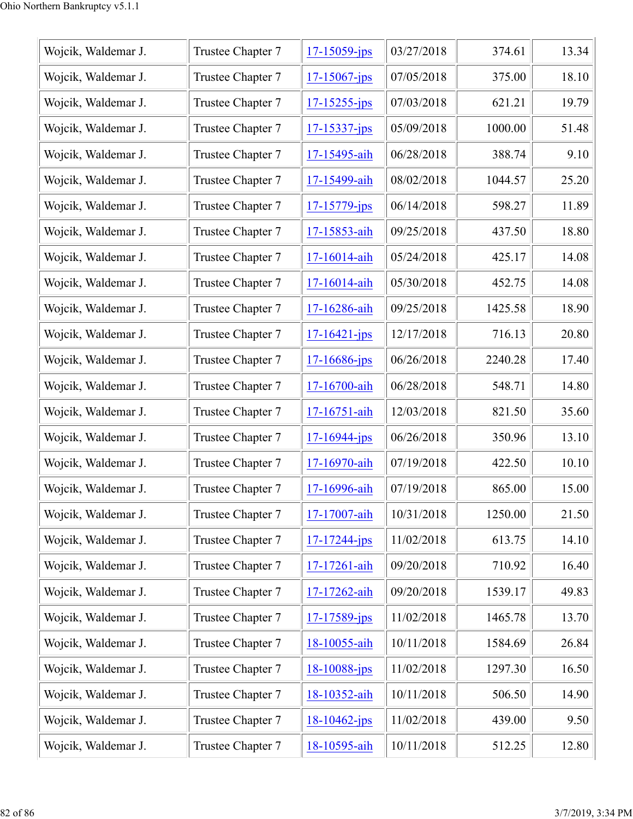| Wojcik, Waldemar J. | Trustee Chapter 7 | $17 - 15059$ -jps  | 03/27/2018 | 374.61  | 13.34 |
|---------------------|-------------------|--------------------|------------|---------|-------|
| Wojcik, Waldemar J. | Trustee Chapter 7 | $17 - 15067$ -jps  | 07/05/2018 | 375.00  | 18.10 |
| Wojcik, Waldemar J. | Trustee Chapter 7 | $17 - 15255 - ips$ | 07/03/2018 | 621.21  | 19.79 |
| Wojcik, Waldemar J. | Trustee Chapter 7 | $17 - 15337 - jps$ | 05/09/2018 | 1000.00 | 51.48 |
| Wojcik, Waldemar J. | Trustee Chapter 7 | 17-15495-aih       | 06/28/2018 | 388.74  | 9.10  |
| Wojcik, Waldemar J. | Trustee Chapter 7 | 17-15499-aih       | 08/02/2018 | 1044.57 | 25.20 |
| Wojcik, Waldemar J. | Trustee Chapter 7 | $17 - 15779 - jps$ | 06/14/2018 | 598.27  | 11.89 |
| Wojcik, Waldemar J. | Trustee Chapter 7 | 17-15853-aih       | 09/25/2018 | 437.50  | 18.80 |
| Wojcik, Waldemar J. | Trustee Chapter 7 | 17-16014-aih       | 05/24/2018 | 425.17  | 14.08 |
| Wojcik, Waldemar J. | Trustee Chapter 7 | 17-16014-aih       | 05/30/2018 | 452.75  | 14.08 |
| Wojcik, Waldemar J. | Trustee Chapter 7 | 17-16286-aih       | 09/25/2018 | 1425.58 | 18.90 |
| Wojcik, Waldemar J. | Trustee Chapter 7 | $17 - 16421 - ips$ | 12/17/2018 | 716.13  | 20.80 |
| Wojcik, Waldemar J. | Trustee Chapter 7 | $17 - 16686$ -jps  | 06/26/2018 | 2240.28 | 17.40 |
| Wojcik, Waldemar J. | Trustee Chapter 7 | 17-16700-aih       | 06/28/2018 | 548.71  | 14.80 |
| Wojcik, Waldemar J. | Trustee Chapter 7 | 17-16751-aih       | 12/03/2018 | 821.50  | 35.60 |
| Wojcik, Waldemar J. | Trustee Chapter 7 | $17 - 16944 - jps$ | 06/26/2018 | 350.96  | 13.10 |
| Wojcik, Waldemar J. | Trustee Chapter 7 | 17-16970-aih       | 07/19/2018 | 422.50  | 10.10 |
| Wojcik, Waldemar J. | Trustee Chapter 7 | 17-16996-aih       | 07/19/2018 | 865.00  | 15.00 |
| Wojcik, Waldemar J. | Trustee Chapter 7 | 17-17007-aih       | 10/31/2018 | 1250.00 | 21.50 |
| Wojcik, Waldemar J. | Trustee Chapter 7 | $17 - 17244 - ips$ | 11/02/2018 | 613.75  | 14.10 |
| Wojcik, Waldemar J. | Trustee Chapter 7 | 17-17261-aih       | 09/20/2018 | 710.92  | 16.40 |
| Wojcik, Waldemar J. | Trustee Chapter 7 | 17-17262-aih       | 09/20/2018 | 1539.17 | 49.83 |
| Wojcik, Waldemar J. | Trustee Chapter 7 | 17-17589-jps       | 11/02/2018 | 1465.78 | 13.70 |
| Wojcik, Waldemar J. | Trustee Chapter 7 | 18-10055-aih       | 10/11/2018 | 1584.69 | 26.84 |
| Wojcik, Waldemar J. | Trustee Chapter 7 | $18 - 10088 - ips$ | 11/02/2018 | 1297.30 | 16.50 |
| Wojcik, Waldemar J. | Trustee Chapter 7 | 18-10352-aih       | 10/11/2018 | 506.50  | 14.90 |
| Wojcik, Waldemar J. | Trustee Chapter 7 | $18 - 10462 - ips$ | 11/02/2018 | 439.00  | 9.50  |
| Wojcik, Waldemar J. | Trustee Chapter 7 | 18-10595-aih       | 10/11/2018 | 512.25  | 12.80 |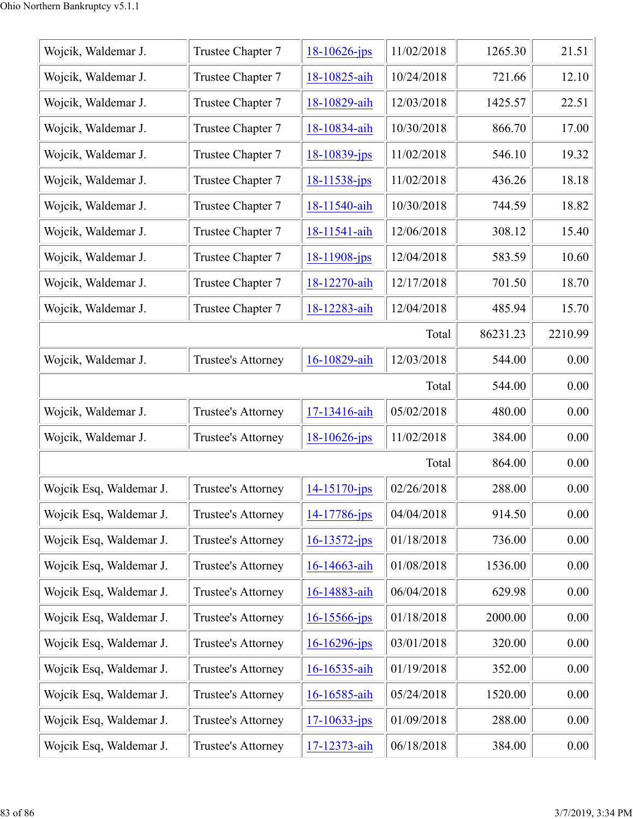| Wojcik, Waldemar J.     | Trustee Chapter 7  | $18 - 10626$ -jps  | 11/02/2018 | 1265.30  | 21.51   |
|-------------------------|--------------------|--------------------|------------|----------|---------|
| Wojcik, Waldemar J.     | Trustee Chapter 7  | 18-10825-aih       | 10/24/2018 | 721.66   | 12.10   |
| Wojcik, Waldemar J.     | Trustee Chapter 7  | 18-10829-aih       | 12/03/2018 | 1425.57  | 22.51   |
| Wojcik, Waldemar J.     | Trustee Chapter 7  | 18-10834-aih       | 10/30/2018 | 866.70   | 17.00   |
| Wojcik, Waldemar J.     | Trustee Chapter 7  | 18-10839-jps       | 11/02/2018 | 546.10   | 19.32   |
| Wojcik, Waldemar J.     | Trustee Chapter 7  | 18-11538-jps       | 11/02/2018 | 436.26   | 18.18   |
| Wojcik, Waldemar J.     | Trustee Chapter 7  | 18-11540-aih       | 10/30/2018 | 744.59   | 18.82   |
| Wojcik, Waldemar J.     | Trustee Chapter 7  | 18-11541-aih       | 12/06/2018 | 308.12   | 15.40   |
| Wojcik, Waldemar J.     | Trustee Chapter 7  | 18-11908-jps       | 12/04/2018 | 583.59   | 10.60   |
| Wojcik, Waldemar J.     | Trustee Chapter 7  | 18-12270-aih       | 12/17/2018 | 701.50   | 18.70   |
| Wojcik, Waldemar J.     | Trustee Chapter 7  | 18-12283-aih       | 12/04/2018 | 485.94   | 15.70   |
|                         |                    |                    | Total      | 86231.23 | 2210.99 |
| Wojcik, Waldemar J.     | Trustee's Attorney | 16-10829-aih       | 12/03/2018 | 544.00   | 0.00    |
|                         |                    |                    | Total      | 544.00   | 0.00    |
| Wojcik, Waldemar J.     | Trustee's Attorney | 17-13416-aih       | 05/02/2018 | 480.00   | 0.00    |
| Wojcik, Waldemar J.     | Trustee's Attorney | $18 - 10626$ -jps  | 11/02/2018 | 384.00   | 0.00    |
|                         |                    |                    | Total      | 864.00   | 0.00    |
| Wojcik Esq, Waldemar J. | Trustee's Attorney | 14-15170-jps       | 02/26/2018 | 288.00   | 0.00    |
| Wojcik Esq, Waldemar J. | Trustee's Attorney | 14-17786-jps       | 04/04/2018 | 914.50   | 0.00    |
| Wojcik Esq, Waldemar J. | Trustee's Attorney | $16 - 13572 - ips$ | 01/18/2018 | 736.00   | 0.00    |
| Wojcik Esq, Waldemar J. | Trustee's Attorney | 16-14663-aih       | 01/08/2018 | 1536.00  | 0.00    |
| Wojcik Esq, Waldemar J. | Trustee's Attorney | 16-14883-aih       | 06/04/2018 | 629.98   | 0.00    |
| Wojcik Esq, Waldemar J. | Trustee's Attorney | $16 - 15566$ -jps  | 01/18/2018 | 2000.00  | 0.00    |
| Wojcik Esq, Waldemar J. | Trustee's Attorney | 16-16296-jps       | 03/01/2018 | 320.00   | 0.00    |
| Wojcik Esq, Waldemar J. | Trustee's Attorney | 16-16535-aih       | 01/19/2018 | 352.00   | 0.00    |
| Wojcik Esq, Waldemar J. | Trustee's Attorney | 16-16585-aih       | 05/24/2018 | 1520.00  | 0.00    |
| Wojcik Esq, Waldemar J. | Trustee's Attorney | $17 - 10633 - ips$ | 01/09/2018 | 288.00   | 0.00    |
| Wojcik Esq, Waldemar J. | Trustee's Attorney | 17-12373-aih       | 06/18/2018 | 384.00   | 0.00    |
|                         |                    |                    |            |          |         |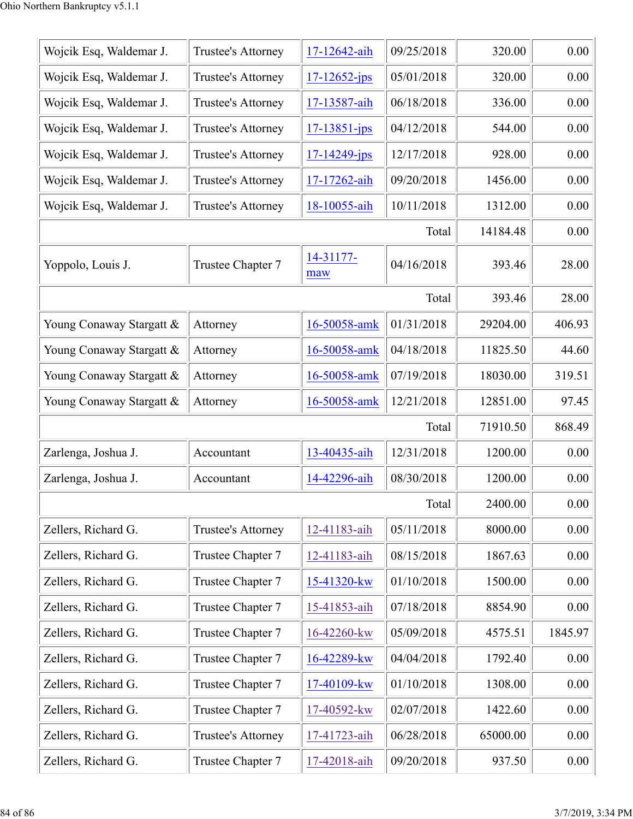| Wojcik Esq, Waldemar J.  | Trustee's Attorney        | 17-12642-aih       | 09/25/2018 | 320.00   | 0.00    |
|--------------------------|---------------------------|--------------------|------------|----------|---------|
| Wojcik Esq, Waldemar J.  | Trustee's Attorney        | $17 - 12652 - ips$ | 05/01/2018 | 320.00   | 0.00    |
| Wojcik Esq, Waldemar J.  | Trustee's Attorney        | 17-13587-aih       | 06/18/2018 | 336.00   | 0.00    |
| Wojcik Esq, Waldemar J.  | Trustee's Attorney        | $17 - 13851 - ips$ | 04/12/2018 | 544.00   | 0.00    |
| Wojcik Esq, Waldemar J.  | <b>Trustee's Attorney</b> | $17 - 14249$ -jps  | 12/17/2018 | 928.00   | 0.00    |
| Wojcik Esq, Waldemar J.  | Trustee's Attorney        | 17-17262-aih       | 09/20/2018 | 1456.00  | 0.00    |
| Wojcik Esq, Waldemar J.  | Trustee's Attorney        | 18-10055-aih       | 10/11/2018 | 1312.00  | 0.00    |
|                          |                           |                    | Total      | 14184.48 | 0.00    |
| Yoppolo, Louis J.        | Trustee Chapter 7         | 14-31177-<br>maw   | 04/16/2018 | 393.46   | 28.00   |
|                          |                           |                    | Total      | 393.46   | 28.00   |
| Young Conaway Stargatt & | Attorney                  | 16-50058-amk       | 01/31/2018 | 29204.00 | 406.93  |
| Young Conaway Stargatt & | Attorney                  | 16-50058-amk       | 04/18/2018 | 11825.50 | 44.60   |
| Young Conaway Stargatt & | Attorney                  | 16-50058-amk       | 07/19/2018 | 18030.00 | 319.51  |
| Young Conaway Stargatt & | Attorney                  | 16-50058-amk       | 12/21/2018 | 12851.00 | 97.45   |
|                          |                           |                    | Total      | 71910.50 | 868.49  |
| Zarlenga, Joshua J.      | Accountant                | 13-40435-aih       | 12/31/2018 | 1200.00  | 0.00    |
| Zarlenga, Joshua J.      | Accountant                | 14-42296-aih       | 08/30/2018 | 1200.00  | 0.00    |
|                          |                           |                    | Total      | 2400.00  | 0.00    |
| Zellers, Richard G.      | Trustee's Attorney        | 12-41183-aih       | 05/11/2018 | 8000.00  | 0.00    |
| Zellers, Richard G.      | Trustee Chapter 7         | 12-41183-aih       | 08/15/2018 | 1867.63  | 0.00    |
| Zellers, Richard G.      | Trustee Chapter 7         | 15-41320-kw        | 01/10/2018 | 1500.00  | 0.00    |
| Zellers, Richard G.      | Trustee Chapter 7         | 15-41853-aih       | 07/18/2018 | 8854.90  | 0.00    |
| Zellers, Richard G.      | Trustee Chapter 7         | 16-42260-kw        | 05/09/2018 | 4575.51  | 1845.97 |
| Zellers, Richard G.      | Trustee Chapter 7         | 16-42289-kw        | 04/04/2018 | 1792.40  | 0.00    |
| Zellers, Richard G.      | Trustee Chapter 7         | 17-40109-kw        | 01/10/2018 | 1308.00  | 0.00    |
| Zellers, Richard G.      | Trustee Chapter 7         | 17-40592-kw        | 02/07/2018 | 1422.60  | 0.00    |
| Zellers, Richard G.      | Trustee's Attorney        | 17-41723-aih       | 06/28/2018 | 65000.00 | 0.00    |
| Zellers, Richard G.      | Trustee Chapter 7         | 17-42018-aih       | 09/20/2018 | 937.50   | 0.00    |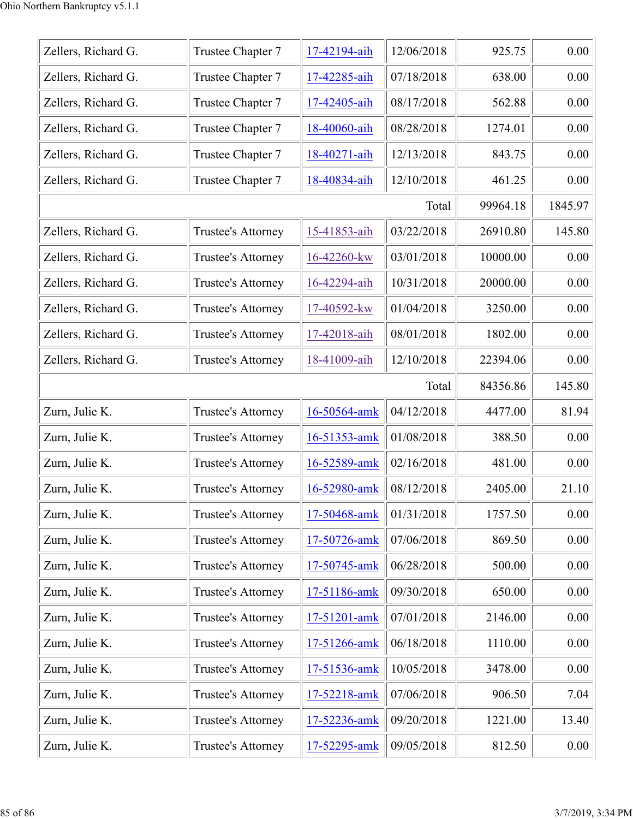| Zellers, Richard G. | Trustee Chapter 7  | 17-42194-aih | 12/06/2018 | 925.75   | 0.00    |
|---------------------|--------------------|--------------|------------|----------|---------|
| Zellers, Richard G. | Trustee Chapter 7  | 17-42285-aih | 07/18/2018 | 638.00   | 0.00    |
| Zellers, Richard G. | Trustee Chapter 7  | 17-42405-aih | 08/17/2018 | 562.88   | 0.00    |
| Zellers, Richard G. | Trustee Chapter 7  | 18-40060-aih | 08/28/2018 | 1274.01  | 0.00    |
| Zellers, Richard G. | Trustee Chapter 7  | 18-40271-aih | 12/13/2018 | 843.75   | 0.00    |
| Zellers, Richard G. | Trustee Chapter 7  | 18-40834-aih | 12/10/2018 | 461.25   | 0.00    |
|                     |                    |              | Total      | 99964.18 | 1845.97 |
| Zellers, Richard G. | Trustee's Attorney | 15-41853-aih | 03/22/2018 | 26910.80 | 145.80  |
| Zellers, Richard G. | Trustee's Attorney | 16-42260-kw  | 03/01/2018 | 10000.00 | 0.00    |
| Zellers, Richard G. | Trustee's Attorney | 16-42294-aih | 10/31/2018 | 20000.00 | 0.00    |
| Zellers, Richard G. | Trustee's Attorney | 17-40592-kw  | 01/04/2018 | 3250.00  | 0.00    |
| Zellers, Richard G. | Trustee's Attorney | 17-42018-aih | 08/01/2018 | 1802.00  | 0.00    |
| Zellers, Richard G. | Trustee's Attorney | 18-41009-aih | 12/10/2018 | 22394.06 | 0.00    |
|                     | 84356.86           | 145.80       |            |          |         |
| Zurn, Julie K.      | Trustee's Attorney | 16-50564-amk | 04/12/2018 | 4477.00  | 81.94   |
| Zurn, Julie K.      | Trustee's Attorney | 16-51353-amk | 01/08/2018 | 388.50   | 0.00    |
| Zurn, Julie K.      | Trustee's Attorney | 16-52589-amk | 02/16/2018 | 481.00   | 0.00    |
| Zurn, Julie K.      | Trustee's Attorney | 16-52980-amk | 08/12/2018 | 2405.00  | 21.10   |
| Zurn, Julie K.      | Trustee's Attorney | 17-50468-amk | 01/31/2018 | 1757.50  | 0.00    |
| Zurn, Julie K.      | Trustee's Attorney | 17-50726-amk | 07/06/2018 | 869.50   | 0.00    |
| Zurn, Julie K.      | Trustee's Attorney | 17-50745-amk | 06/28/2018 | 500.00   | 0.00    |
| Zurn, Julie K.      | Trustee's Attorney | 17-51186-amk | 09/30/2018 | 650.00   | 0.00    |
| Zurn, Julie K.      | Trustee's Attorney | 17-51201-amk | 07/01/2018 | 2146.00  | 0.00    |
| Zurn, Julie K.      | Trustee's Attorney | 17-51266-amk | 06/18/2018 | 1110.00  | 0.00    |
| Zurn, Julie K.      | Trustee's Attorney | 17-51536-amk | 10/05/2018 | 3478.00  | 0.00    |
| Zurn, Julie K.      | Trustee's Attorney | 17-52218-amk | 07/06/2018 | 906.50   | 7.04    |
| Zurn, Julie K.      | Trustee's Attorney | 17-52236-amk | 09/20/2018 | 1221.00  | 13.40   |
| Zurn, Julie K.      | Trustee's Attorney | 17-52295-amk | 09/05/2018 | 812.50   | 0.00    |